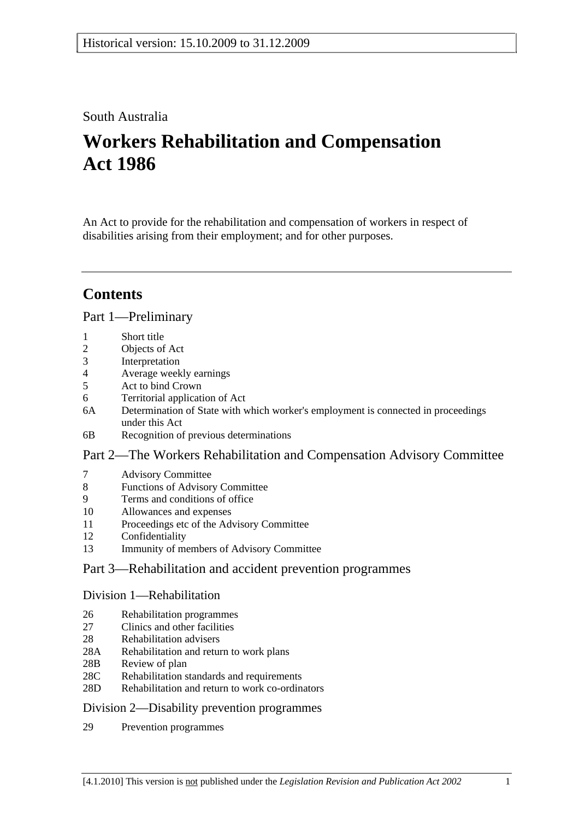# South Australia

# **Workers Rehabilitation and Compensation Act 1986**

An Act to provide for the rehabilitation and compensation of workers in respect of disabilities arising from their employment; and for other purposes.

# **Contents**

## Part 1—Preliminary

- 1 Short title
- 2 Objects of Act
- 3 Interpretation
- 4 Average weekly earnings
- 5 Act to bind Crown
- 6 Territorial application of Act
- 6A Determination of State with which worker's employment is connected in proceedings under this Act
- 6B Recognition of previous determinations

## Part 2—The Workers Rehabilitation and Compensation Advisory Committee

- 7 Advisory Committee
- 8 Functions of Advisory Committee
- 9 Terms and conditions of office
- 10 Allowances and expenses
- 11 Proceedings etc of the Advisory Committee
- 12 Confidentiality
- 13 Immunity of members of Advisory Committee

# Part 3—Rehabilitation and accident prevention programmes

### Division 1—Rehabilitation

- 26 Rehabilitation programmes
- 27 Clinics and other facilities
- 28 Rehabilitation advisers
- 28A Rehabilitation and return to work plans
- 28B Review of plan
- 28C Rehabilitation standards and requirements
- 28D Rehabilitation and return to work co-ordinators

## Division 2—Disability prevention programmes

29 Prevention programmes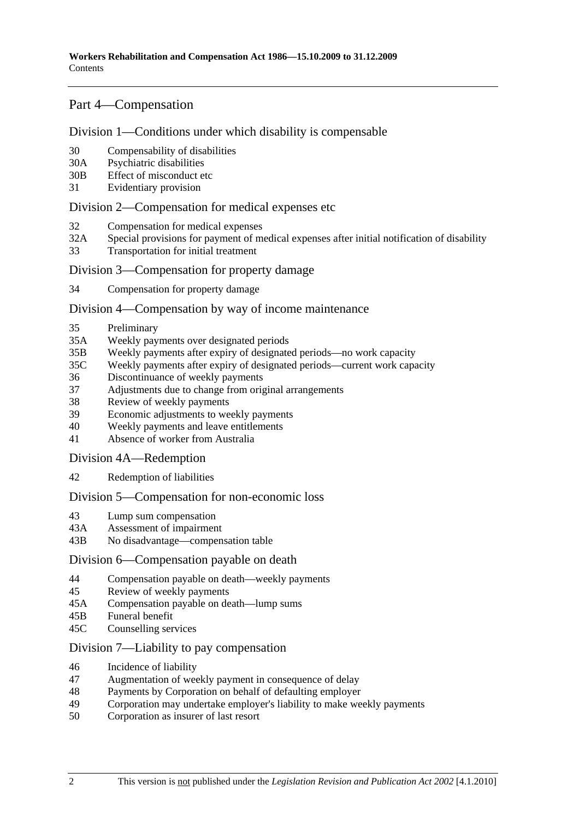## Part 4—Compensation

## Division 1—Conditions under which disability is compensable

- 30 Compensability of disabilities
- 30A Psychiatric disabilities
- 30B Effect of misconduct etc
- 31 Evidentiary provision

### Division 2—Compensation for medical expenses etc

- 32 Compensation for medical expenses
- 32A Special provisions for payment of medical expenses after initial notification of disability
- 33 Transportation for initial treatment

### Division 3—Compensation for property damage

34 Compensation for property damage

#### Division 4—Compensation by way of income maintenance

- 35 Preliminary
- 35A Weekly payments over designated periods
- 35B Weekly payments after expiry of designated periods—no work capacity
- 35C Weekly payments after expiry of designated periods—current work capacity
- 36 Discontinuance of weekly payments
- 37 Adjustments due to change from original arrangements
- 38 Review of weekly payments
- 39 Economic adjustments to weekly payments
- 40 Weekly payments and leave entitlements
- 41 Absence of worker from Australia

Division 4A—Redemption

42 Redemption of liabilities

### Division 5—Compensation for non-economic loss

- 43 Lump sum compensation
- 43A Assessment of impairment
- 43B No disadvantage—compensation table

#### Division 6—Compensation payable on death

- 44 Compensation payable on death—weekly payments
- 45 Review of weekly payments
- 45A Compensation payable on death—lump sums
- 45B Funeral benefit
- 45C Counselling services

## Division 7—Liability to pay compensation

- 46 Incidence of liability
- 47 Augmentation of weekly payment in consequence of delay
- 48 Payments by Corporation on behalf of defaulting employer
- 49 Corporation may undertake employer's liability to make weekly payments
- 50 Corporation as insurer of last resort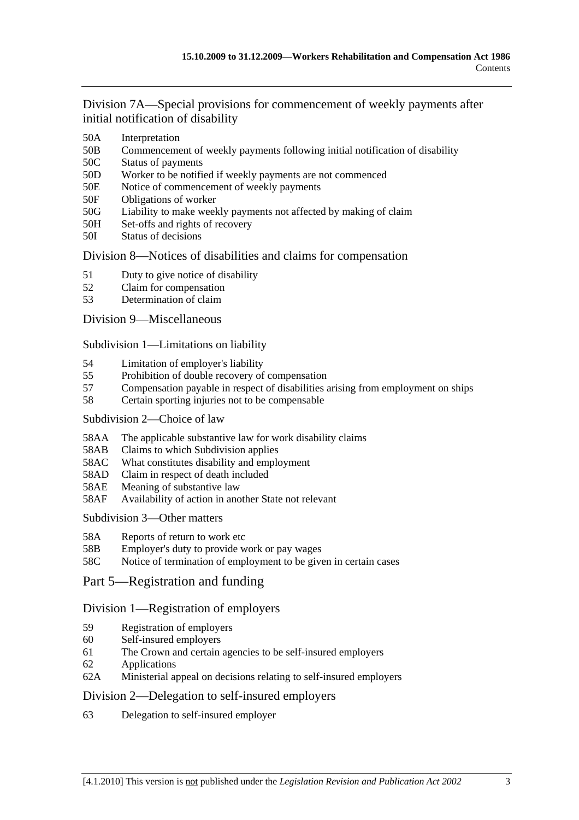Division 7A—Special provisions for commencement of weekly payments after initial notification of disability

- 50A Interpretation
- 50B Commencement of weekly payments following initial notification of disability
- 50C Status of payments
- 50D Worker to be notified if weekly payments are not commenced
- 50E Notice of commencement of weekly payments
- 50F Obligations of worker
- 50G Liability to make weekly payments not affected by making of claim
- 50H Set-offs and rights of recovery
- 50I Status of decisions

## Division 8—Notices of disabilities and claims for compensation

- 51 Duty to give notice of disability
- 52 Claim for compensation
- 53 Determination of claim

## Division 9—Miscellaneous

Subdivision 1—Limitations on liability

- 54 Limitation of employer's liability
- 55 Prohibition of double recovery of compensation
- 57 Compensation payable in respect of disabilities arising from employment on ships
- 58 Certain sporting injuries not to be compensable

### Subdivision 2—Choice of law

- 58AA The applicable substantive law for work disability claims
- 58AB Claims to which Subdivision applies
- 58AC What constitutes disability and employment
- 58AD Claim in respect of death included
- 58AE Meaning of substantive law
- 58AF Availability of action in another State not relevant

Subdivision 3—Other matters

- 58A Reports of return to work etc
- 58B Employer's duty to provide work or pay wages
- 58C Notice of termination of employment to be given in certain cases
- Part 5—Registration and funding

## Division 1—Registration of employers

- 59 Registration of employers
- 60 Self-insured employers
- 61 The Crown and certain agencies to be self-insured employers
- 62 Applications
- 62A Ministerial appeal on decisions relating to self-insured employers

## Division 2—Delegation to self-insured employers

63 Delegation to self-insured employer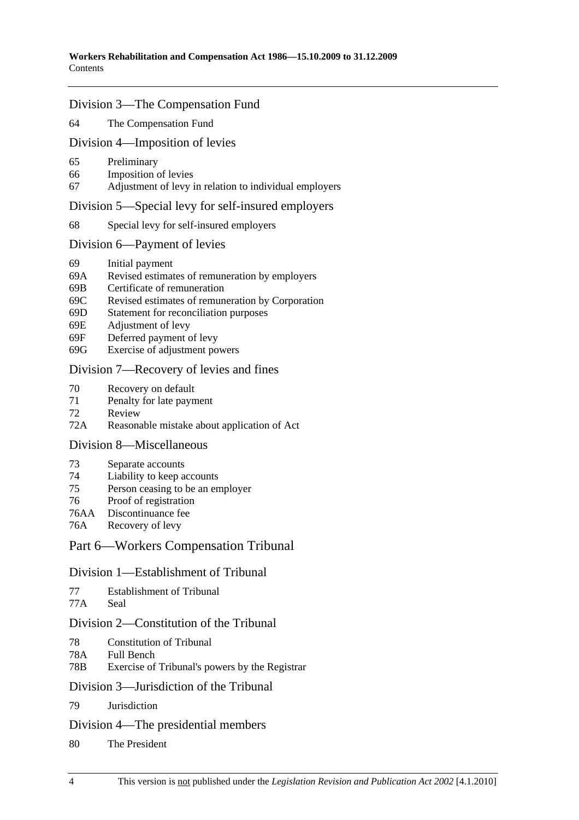### Division 3—The Compensation Fund

64 The Compensation Fund

#### Division 4—Imposition of levies

- 65 Preliminary
- 66 Imposition of levies
- 67 Adjustment of levy in relation to individual employers

#### Division 5—Special levy for self-insured employers

68 Special levy for self-insured employers

#### Division 6—Payment of levies

- 69 Initial payment
- 69A Revised estimates of remuneration by employers
- 69B Certificate of remuneration
- 69C Revised estimates of remuneration by Corporation
- 69D Statement for reconciliation purposes
- 69E Adjustment of levy
- 69F Deferred payment of levy
- 69G Exercise of adjustment powers

## Division 7—Recovery of levies and fines

- 70 Recovery on default
- 71 Penalty for late payment
- 72 Review
- 72A Reasonable mistake about application of Act

### Division 8—Miscellaneous

- 73 Separate accounts
- 74 Liability to keep accounts
- 75 Person ceasing to be an employer
- 76 Proof of registration
- 76AA Discontinuance fee
- 76A Recovery of levy

### Part 6—Workers Compensation Tribunal

#### Division 1—Establishment of Tribunal

```
77 Establishment of Tribunal
```
77A Seal

## Division 2—Constitution of the Tribunal

- 78 Constitution of Tribunal
- 78A Full Bench
- 78B Exercise of Tribunal's powers by the Registrar

#### Division 3—Jurisdiction of the Tribunal

79 Jurisdiction

#### Division 4—The presidential members

80 The President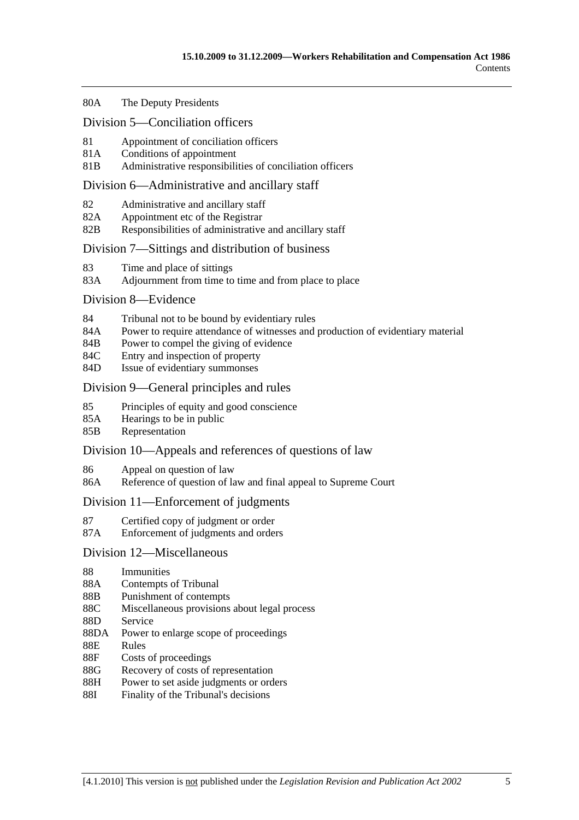#### 80A The Deputy Presidents

#### Division 5—Conciliation officers

- 81 Appointment of conciliation officers
- 81A Conditions of appointment
- 81B Administrative responsibilities of conciliation officers

#### Division 6—Administrative and ancillary staff

- 82 Administrative and ancillary staff
- 82A Appointment etc of the Registrar
- 82B Responsibilities of administrative and ancillary staff

### Division 7—Sittings and distribution of business

- 83 Time and place of sittings
- 83A Adjournment from time to time and from place to place

#### Division 8—Evidence

- 84 Tribunal not to be bound by evidentiary rules
- 84A Power to require attendance of witnesses and production of evidentiary material
- 84B Power to compel the giving of evidence
- 84C Entry and inspection of property
- 84D Issue of evidentiary summonses

### Division 9—General principles and rules

- 85 Principles of equity and good conscience
- 85A Hearings to be in public
- 85B Representation

### Division 10—Appeals and references of questions of law

- 86 Appeal on question of law
- 86A Reference of question of law and final appeal to Supreme Court

### Division 11—Enforcement of judgments

- 87 Certified copy of judgment or order
- 87A Enforcement of judgments and orders

### Division 12—Miscellaneous

- 88 Immunities
- 88A Contempts of Tribunal
- 88B Punishment of contempts
- 88C Miscellaneous provisions about legal process
- 88D Service
- 88DA Power to enlarge scope of proceedings
- 88E Rules
- 88F Costs of proceedings
- 88G Recovery of costs of representation
- 88H Power to set aside judgments or orders
- 88I Finality of the Tribunal's decisions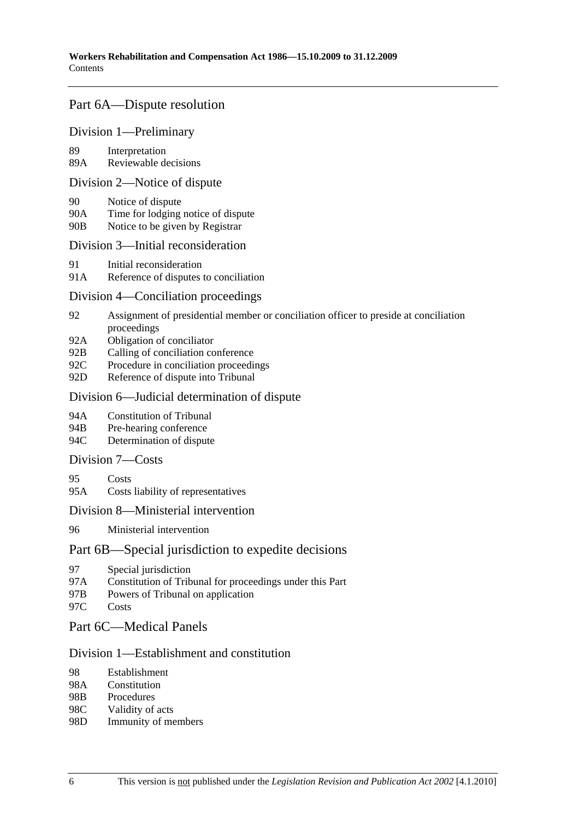## Part 6A—Dispute resolution

## Division 1—Preliminary

89 Interpretation

89A Reviewable decisions

#### Division 2—Notice of dispute

- 90 Notice of dispute
- 90A Time for lodging notice of dispute
- 90B Notice to be given by Registrar

## Division 3—Initial reconsideration

- 91 Initial reconsideration
- 91A Reference of disputes to conciliation

### Division 4—Conciliation proceedings

- 92 Assignment of presidential member or conciliation officer to preside at conciliation proceedings
- 92A Obligation of conciliator
- 92B Calling of conciliation conference
- 92C Procedure in conciliation proceedings
- 92D Reference of dispute into Tribunal

### Division 6—Judicial determination of dispute

- 94A Constitution of Tribunal
- 94B Pre-hearing conference
- 94C Determination of dispute

## Division 7—Costs

- 95 Costs
- 95A Costs liability of representatives

### Division 8—Ministerial intervention

96 Ministerial intervention

### Part 6B—Special jurisdiction to expedite decisions

- 97 Special jurisdiction
- 97A Constitution of Tribunal for proceedings under this Part
- 97B Powers of Tribunal on application
- 97C Costs

## Part 6C—Medical Panels

## Division 1—Establishment and constitution

- 98 Establishment
- 98A Constitution
- 98B Procedures
- 98C Validity of acts
- 98D Immunity of members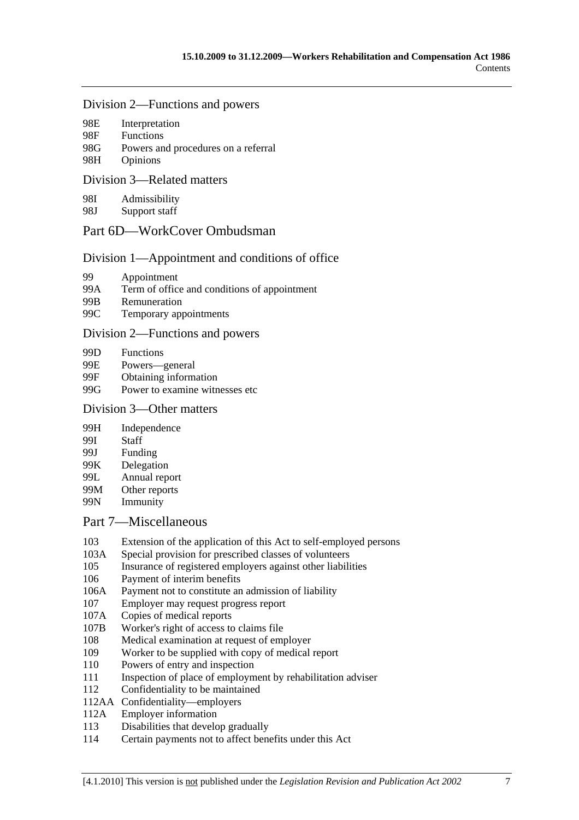#### Division 2—Functions and powers

| 98E           | Interpretation   |  |  |
|---------------|------------------|--|--|
| 98F           | <b>Functions</b> |  |  |
| $\sim$ $\sim$ |                  |  |  |

- 98G Powers and procedures on a referral
- 98H Opinions

## Division 3—Related matters

98I Admissibility

98J Support staff

## Part 6D—WorkCover Ombudsman

## Division 1—Appointment and conditions of office

- 99 Appointment
- 99A Term of office and conditions of appointment
- 99B Remuneration
- 99C Temporary appointments

## Division 2—Functions and powers

- 99D Functions
- 99E Powers—general
- 99F Obtaining information
- 99G Power to examine witnesses etc

## Division 3—Other matters

- 99H Independence
- 99I Staff
- 99J Funding
- 99K Delegation
- 99L Annual report
- 99M Other reports
- 99N Immunity

## Part 7—Miscellaneous

- 103 Extension of the application of this Act to self-employed persons
- 103A Special provision for prescribed classes of volunteers
- 105 Insurance of registered employers against other liabilities
- 106 Payment of interim benefits
- 106A Payment not to constitute an admission of liability
- 107 Employer may request progress report
- 107A Copies of medical reports
- 107B Worker's right of access to claims file
- 108 Medical examination at request of employer
- 109 Worker to be supplied with copy of medical report
- 110 Powers of entry and inspection
- 111 Inspection of place of employment by rehabilitation adviser
- 112 Confidentiality to be maintained
- 112AA Confidentiality—employers
- 112A Employer information
- 113 Disabilities that develop gradually
- 114 Certain payments not to affect benefits under this Act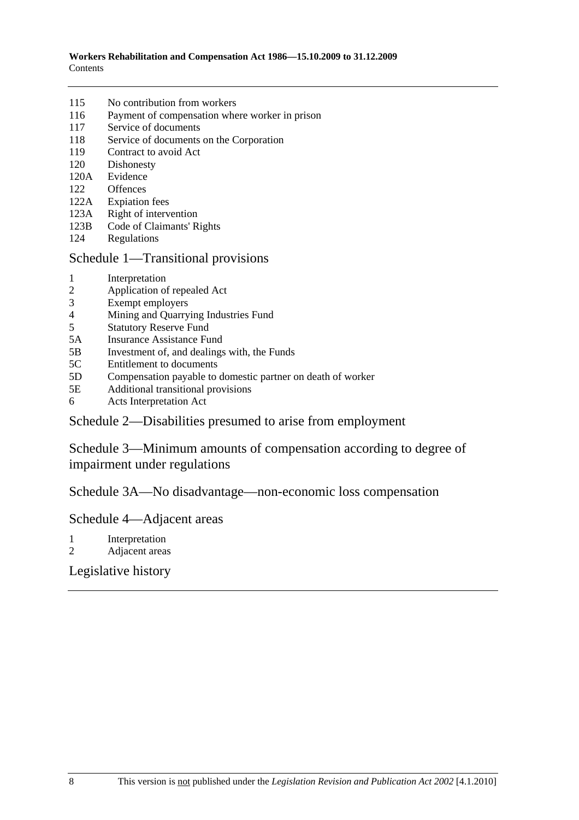- 115 No contribution from workers
- 116 Payment of compensation where worker in prison
- 117 Service of documents
- 118 Service of documents on the Corporation
- 119 Contract to avoid Act
- 120 Dishonesty
- 120A Evidence
- 122 Offences
- 122A Expiation fees
- 123A Right of intervention
- 123B Code of Claimants' Rights
- 124 Regulations

## Schedule 1—Transitional provisions

- 1 Interpretation
- 2 Application of repealed Act
- 3 Exempt employers
- 4 Mining and Quarrying Industries Fund<br>5 Statutory Reserve Fund
- Statutory Reserve Fund
- 5A Insurance Assistance Fund
- 5B Investment of, and dealings with, the Funds
- 5C Entitlement to documents
- 5D Compensation payable to domestic partner on death of worker
- 5E Additional transitional provisions
- 6 Acts Interpretation Act

# Schedule 2—Disabilities presumed to arise from employment

Schedule 3—Minimum amounts of compensation according to degree of impairment under regulations

Schedule 3A—No disadvantage—non-economic loss compensation

## Schedule 4—Adjacent areas

- 1 Interpretation
- 2 Adjacent areas

# Legislative history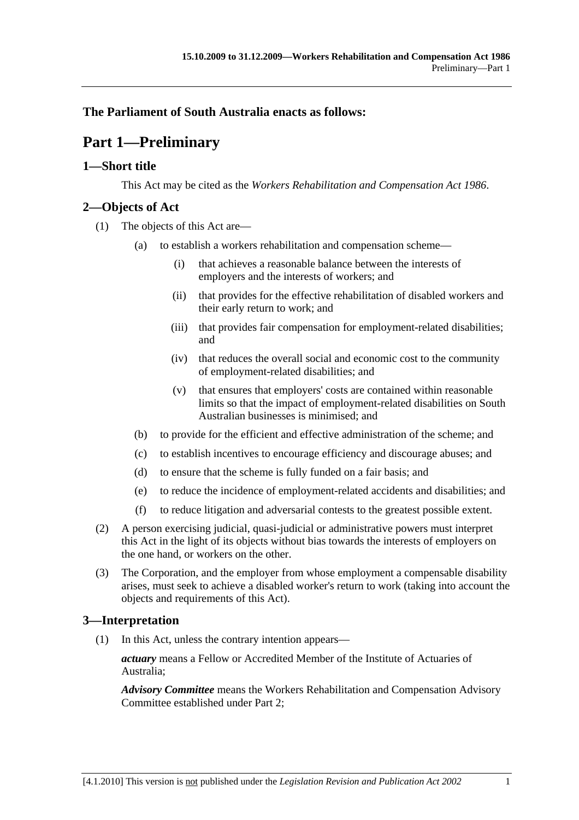# **The Parliament of South Australia enacts as follows:**

# **Part 1—Preliminary**

## **1—Short title**

This Act may be cited as the *Workers Rehabilitation and Compensation Act 1986*.

## **2—Objects of Act**

- (1) The objects of this Act are—
	- (a) to establish a workers rehabilitation and compensation scheme—
		- (i) that achieves a reasonable balance between the interests of employers and the interests of workers; and
		- (ii) that provides for the effective rehabilitation of disabled workers and their early return to work; and
		- (iii) that provides fair compensation for employment-related disabilities; and
		- (iv) that reduces the overall social and economic cost to the community of employment-related disabilities; and
		- (v) that ensures that employers' costs are contained within reasonable limits so that the impact of employment-related disabilities on South Australian businesses is minimised; and
	- (b) to provide for the efficient and effective administration of the scheme; and
	- (c) to establish incentives to encourage efficiency and discourage abuses; and
	- (d) to ensure that the scheme is fully funded on a fair basis; and
	- (e) to reduce the incidence of employment-related accidents and disabilities; and
	- (f) to reduce litigation and adversarial contests to the greatest possible extent.
- (2) A person exercising judicial, quasi-judicial or administrative powers must interpret this Act in the light of its objects without bias towards the interests of employers on the one hand, or workers on the other.
- (3) The Corporation, and the employer from whose employment a compensable disability arises, must seek to achieve a disabled worker's return to work (taking into account the objects and requirements of this Act).

# **3—Interpretation**

(1) In this Act, unless the contrary intention appears—

*actuary* means a Fellow or Accredited Member of the Institute of Actuaries of Australia;

*Advisory Committee* means the Workers Rehabilitation and Compensation Advisory Committee established under Part 2;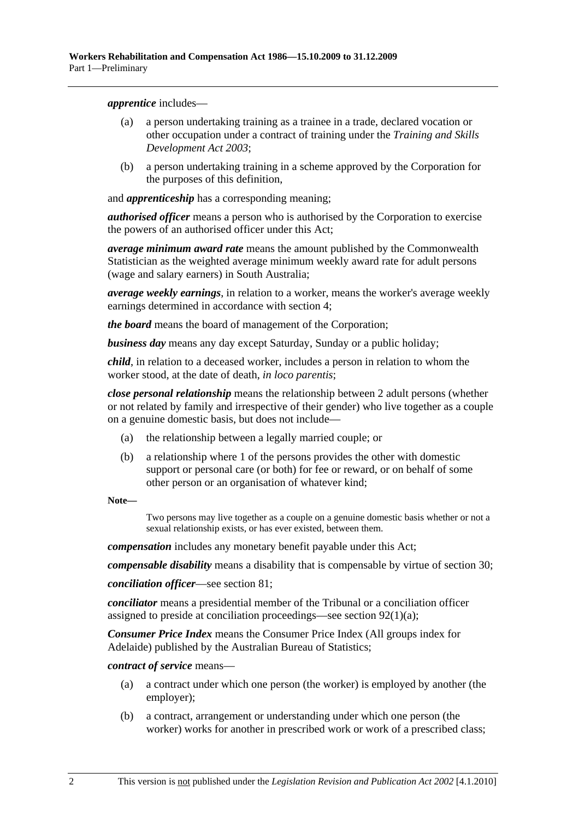*apprentice* includes—

- (a) a person undertaking training as a trainee in a trade, declared vocation or other occupation under a contract of training under the *Training and Skills Development Act 2003*;
- (b) a person undertaking training in a scheme approved by the Corporation for the purposes of this definition,

and *apprenticeship* has a corresponding meaning;

*authorised officer* means a person who is authorised by the Corporation to exercise the powers of an authorised officer under this Act;

*average minimum award rate* means the amount published by the Commonwealth Statistician as the weighted average minimum weekly award rate for adult persons (wage and salary earners) in South Australia;

*average weekly earnings*, in relation to a worker, means the worker's average weekly earnings determined in accordance with section 4;

*the board* means the board of management of the Corporation;

*business day* means any day except Saturday, Sunday or a public holiday;

*child*, in relation to a deceased worker, includes a person in relation to whom the worker stood, at the date of death, *in loco parentis*;

*close personal relationship* means the relationship between 2 adult persons (whether or not related by family and irrespective of their gender) who live together as a couple on a genuine domestic basis, but does not include—

- (a) the relationship between a legally married couple; or
- (b) a relationship where 1 of the persons provides the other with domestic support or personal care (or both) for fee or reward, or on behalf of some other person or an organisation of whatever kind;

**Note—** 

Two persons may live together as a couple on a genuine domestic basis whether or not a sexual relationship exists, or has ever existed, between them.

*compensation* includes any monetary benefit payable under this Act;

*compensable disability* means a disability that is compensable by virtue of section 30;

*conciliation officer*—see section 81;

*conciliator* means a presidential member of the Tribunal or a conciliation officer assigned to preside at conciliation proceedings—see section 92(1)(a);

*Consumer Price Index* means the Consumer Price Index (All groups index for Adelaide) published by the Australian Bureau of Statistics;

*contract of service* means—

- (a) a contract under which one person (the worker) is employed by another (the employer);
- (b) a contract, arrangement or understanding under which one person (the worker) works for another in prescribed work or work of a prescribed class;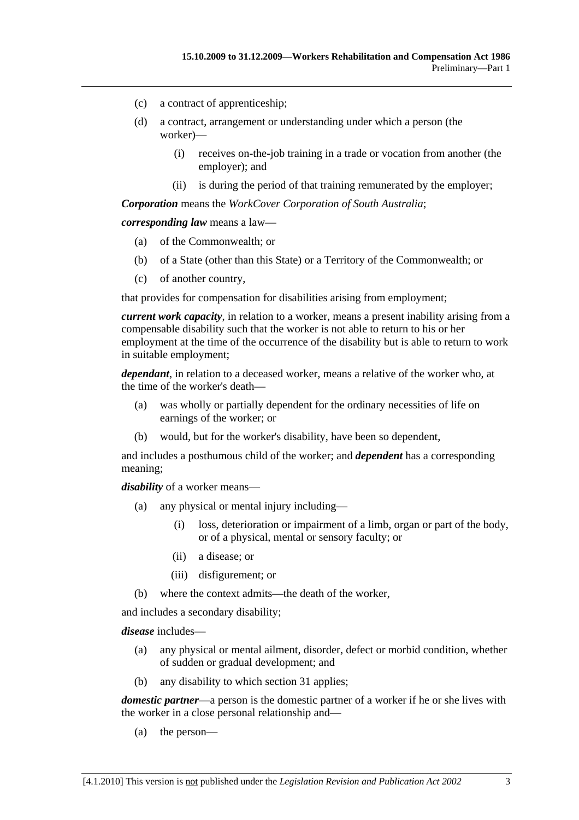- (c) a contract of apprenticeship;
- (d) a contract, arrangement or understanding under which a person (the worker)—
	- (i) receives on-the-job training in a trade or vocation from another (the employer); and
	- (ii) is during the period of that training remunerated by the employer;

*Corporation* means the *WorkCover Corporation of South Australia*;

*corresponding law* means a law—

- (a) of the Commonwealth; or
- (b) of a State (other than this State) or a Territory of the Commonwealth; or
- (c) of another country,

that provides for compensation for disabilities arising from employment;

*current work capacity*, in relation to a worker, means a present inability arising from a compensable disability such that the worker is not able to return to his or her employment at the time of the occurrence of the disability but is able to return to work in suitable employment;

*dependant*, in relation to a deceased worker, means a relative of the worker who, at the time of the worker's death—

- (a) was wholly or partially dependent for the ordinary necessities of life on earnings of the worker; or
- (b) would, but for the worker's disability, have been so dependent,

and includes a posthumous child of the worker; and *dependent* has a corresponding meaning;

*disability* of a worker means—

- (a) any physical or mental injury including—
	- (i) loss, deterioration or impairment of a limb, organ or part of the body, or of a physical, mental or sensory faculty; or
	- (ii) a disease; or
	- (iii) disfigurement; or
- (b) where the context admits—the death of the worker,

and includes a secondary disability;

*disease* includes—

- (a) any physical or mental ailment, disorder, defect or morbid condition, whether of sudden or gradual development; and
- (b) any disability to which section 31 applies;

*domestic partner*—a person is the domestic partner of a worker if he or she lives with the worker in a close personal relationship and—

(a) the person—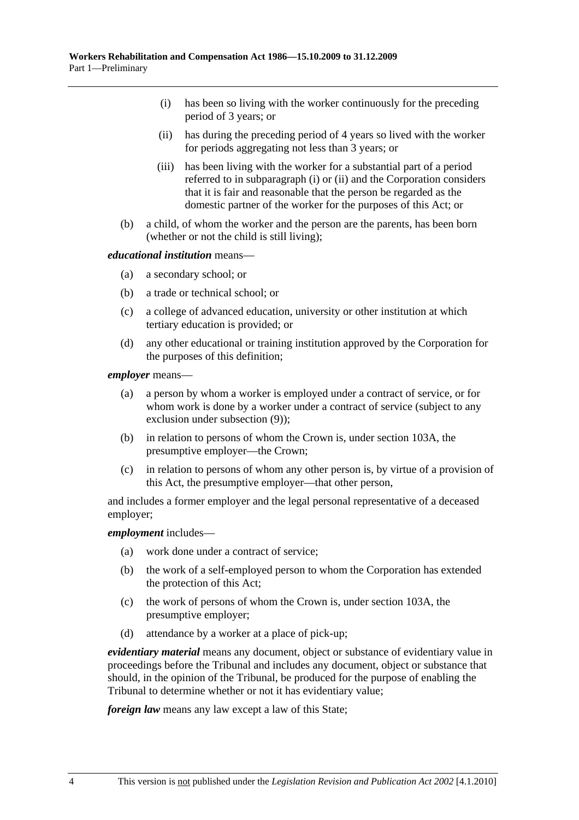- (i) has been so living with the worker continuously for the preceding period of 3 years; or
- (ii) has during the preceding period of 4 years so lived with the worker for periods aggregating not less than 3 years; or
- (iii) has been living with the worker for a substantial part of a period referred to in subparagraph (i) or (ii) and the Corporation considers that it is fair and reasonable that the person be regarded as the domestic partner of the worker for the purposes of this Act; or
- (b) a child, of whom the worker and the person are the parents, has been born (whether or not the child is still living);

#### *educational institution* means—

- (a) a secondary school; or
- (b) a trade or technical school; or
- (c) a college of advanced education, university or other institution at which tertiary education is provided; or
- (d) any other educational or training institution approved by the Corporation for the purposes of this definition;

*employer* means—

- (a) a person by whom a worker is employed under a contract of service, or for whom work is done by a worker under a contract of service (subject to any exclusion under subsection (9));
- (b) in relation to persons of whom the Crown is, under section 103A, the presumptive employer—the Crown;
- (c) in relation to persons of whom any other person is, by virtue of a provision of this Act, the presumptive employer—that other person,

and includes a former employer and the legal personal representative of a deceased employer;

#### *employment* includes—

- (a) work done under a contract of service;
- (b) the work of a self-employed person to whom the Corporation has extended the protection of this Act;
- (c) the work of persons of whom the Crown is, under section 103A, the presumptive employer;
- (d) attendance by a worker at a place of pick-up;

*evidentiary material* means any document, object or substance of evidentiary value in proceedings before the Tribunal and includes any document, object or substance that should, in the opinion of the Tribunal, be produced for the purpose of enabling the Tribunal to determine whether or not it has evidentiary value;

*foreign law* means any law except a law of this State;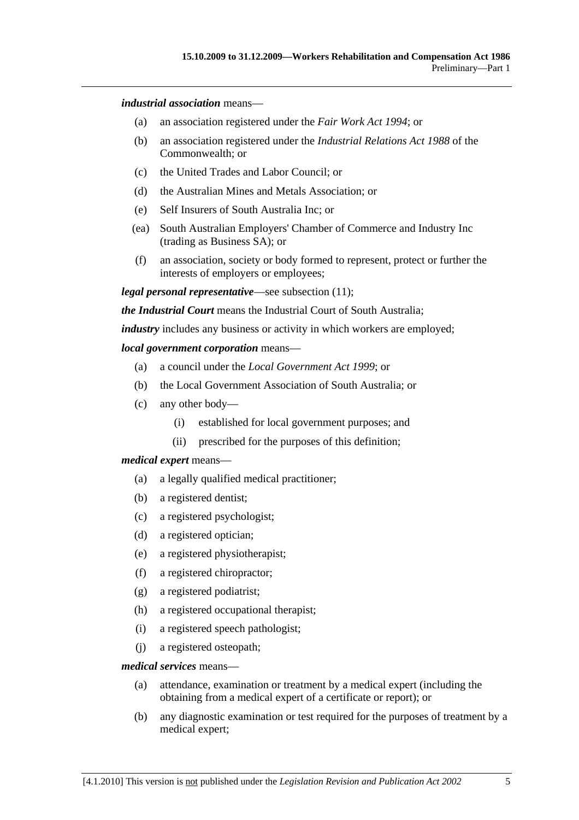#### *industrial association* means—

- (a) an association registered under the *Fair Work Act 1994*; or
- (b) an association registered under the *Industrial Relations Act 1988* of the Commonwealth; or
- (c) the United Trades and Labor Council; or
- (d) the Australian Mines and Metals Association; or
- (e) Self Insurers of South Australia Inc; or
- (ea) South Australian Employers' Chamber of Commerce and Industry Inc (trading as Business SA); or
- (f) an association, society or body formed to represent, protect or further the interests of employers or employees;

*legal personal representative*—see subsection (11);

*the Industrial Court* means the Industrial Court of South Australia;

*industry* includes any business or activity in which workers are employed;

#### *local government corporation* means—

- (a) a council under the *Local Government Act 1999*; or
- (b) the Local Government Association of South Australia; or
- (c) any other body—
	- (i) established for local government purposes; and
	- (ii) prescribed for the purposes of this definition;

#### *medical expert* means—

- (a) a legally qualified medical practitioner;
- (b) a registered dentist;
- (c) a registered psychologist;
- (d) a registered optician;
- (e) a registered physiotherapist;
- (f) a registered chiropractor;
- (g) a registered podiatrist;
- (h) a registered occupational therapist;
- (i) a registered speech pathologist;
- (j) a registered osteopath;

#### *medical services* means—

- (a) attendance, examination or treatment by a medical expert (including the obtaining from a medical expert of a certificate or report); or
- (b) any diagnostic examination or test required for the purposes of treatment by a medical expert;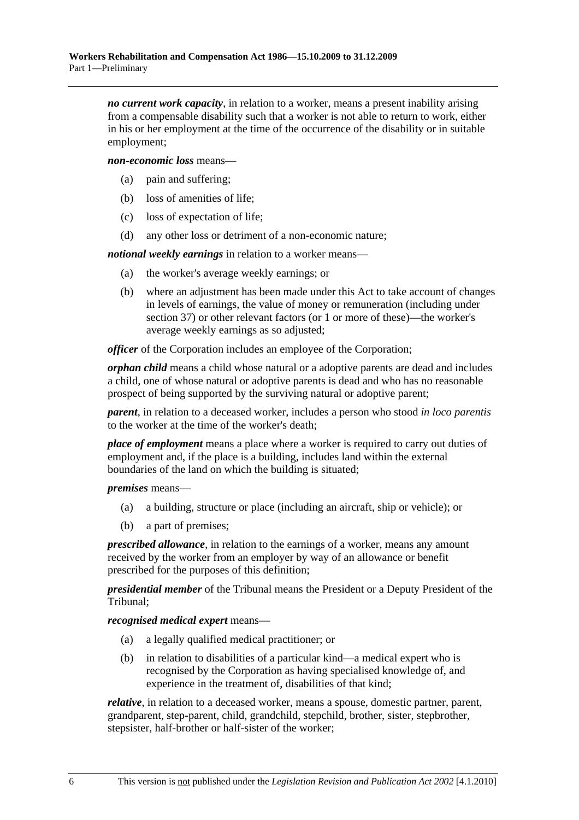*no current work capacity*, in relation to a worker, means a present inability arising from a compensable disability such that a worker is not able to return to work, either in his or her employment at the time of the occurrence of the disability or in suitable employment;

*non-economic loss* means—

- (a) pain and suffering;
- (b) loss of amenities of life;
- (c) loss of expectation of life;
- (d) any other loss or detriment of a non-economic nature;

*notional weekly earnings* in relation to a worker means—

- (a) the worker's average weekly earnings; or
- (b) where an adjustment has been made under this Act to take account of changes in levels of earnings, the value of money or remuneration (including under section 37) or other relevant factors (or 1 or more of these)—the worker's average weekly earnings as so adjusted;

*officer* of the Corporation includes an employee of the Corporation;

*orphan child* means a child whose natural or a adoptive parents are dead and includes a child, one of whose natural or adoptive parents is dead and who has no reasonable prospect of being supported by the surviving natural or adoptive parent;

*parent*, in relation to a deceased worker, includes a person who stood *in loco parentis* to the worker at the time of the worker's death;

*place of employment* means a place where a worker is required to carry out duties of employment and, if the place is a building, includes land within the external boundaries of the land on which the building is situated;

*premises* means—

- (a) a building, structure or place (including an aircraft, ship or vehicle); or
- (b) a part of premises;

*prescribed allowance*, in relation to the earnings of a worker, means any amount received by the worker from an employer by way of an allowance or benefit prescribed for the purposes of this definition;

*presidential member* of the Tribunal means the President or a Deputy President of the Tribunal;

*recognised medical expert* means—

- (a) a legally qualified medical practitioner; or
- (b) in relation to disabilities of a particular kind—a medical expert who is recognised by the Corporation as having specialised knowledge of, and experience in the treatment of, disabilities of that kind;

*relative*, in relation to a deceased worker, means a spouse, domestic partner, parent, grandparent, step-parent, child, grandchild, stepchild, brother, sister, stepbrother, stepsister, half-brother or half-sister of the worker;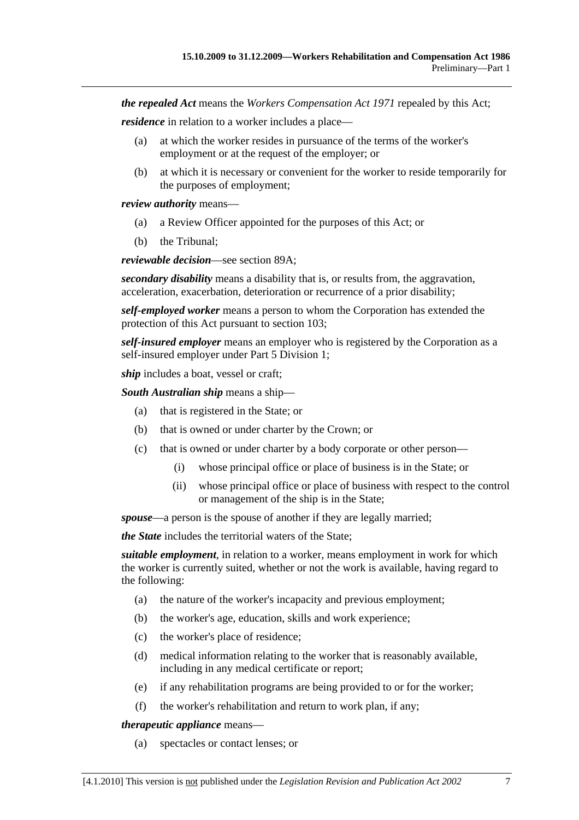*the repealed Act* means the *Workers Compensation Act 1971* repealed by this Act;

*residence* in relation to a worker includes a place—

- (a) at which the worker resides in pursuance of the terms of the worker's employment or at the request of the employer; or
- (b) at which it is necessary or convenient for the worker to reside temporarily for the purposes of employment;

*review authority* means—

- (a) a Review Officer appointed for the purposes of this Act; or
- (b) the Tribunal;

*reviewable decision*—see section 89A;

*secondary disability* means a disability that is, or results from, the aggravation, acceleration, exacerbation, deterioration or recurrence of a prior disability;

*self-employed worker* means a person to whom the Corporation has extended the protection of this Act pursuant to section 103;

*self-insured employer* means an employer who is registered by the Corporation as a self-insured employer under Part 5 Division 1;

*ship* includes a boat, vessel or craft;

*South Australian ship* means a ship—

- (a) that is registered in the State; or
- (b) that is owned or under charter by the Crown; or
- (c) that is owned or under charter by a body corporate or other person—
	- (i) whose principal office or place of business is in the State; or
	- (ii) whose principal office or place of business with respect to the control or management of the ship is in the State;

*spouse*—a person is the spouse of another if they are legally married;

*the State* includes the territorial waters of the State;

*suitable employment*, in relation to a worker, means employment in work for which the worker is currently suited, whether or not the work is available, having regard to the following:

- (a) the nature of the worker's incapacity and previous employment;
- (b) the worker's age, education, skills and work experience;
- (c) the worker's place of residence;
- (d) medical information relating to the worker that is reasonably available, including in any medical certificate or report;
- (e) if any rehabilitation programs are being provided to or for the worker;
- (f) the worker's rehabilitation and return to work plan, if any;

*therapeutic appliance* means—

(a) spectacles or contact lenses; or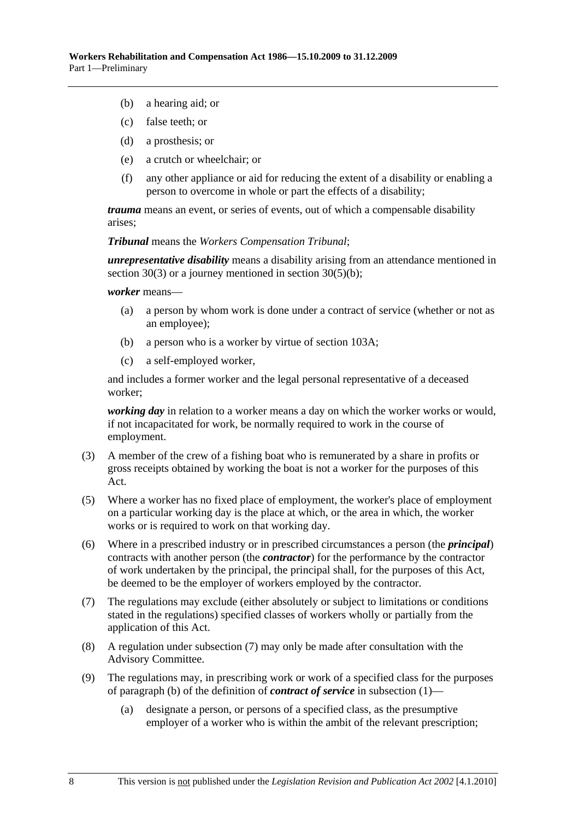- (b) a hearing aid; or
- (c) false teeth; or
- (d) a prosthesis; or
- (e) a crutch or wheelchair; or
- (f) any other appliance or aid for reducing the extent of a disability or enabling a person to overcome in whole or part the effects of a disability;

*trauma* means an event, or series of events, out of which a compensable disability arises;

*Tribunal* means the *Workers Compensation Tribunal*;

*unrepresentative disability* means a disability arising from an attendance mentioned in section 30(3) or a journey mentioned in section 30(5)(b);

*worker* means—

- (a) a person by whom work is done under a contract of service (whether or not as an employee);
- (b) a person who is a worker by virtue of section 103A;
- (c) a self-employed worker,

and includes a former worker and the legal personal representative of a deceased worker;

*working day* in relation to a worker means a day on which the worker works or would, if not incapacitated for work, be normally required to work in the course of employment.

- (3) A member of the crew of a fishing boat who is remunerated by a share in profits or gross receipts obtained by working the boat is not a worker for the purposes of this Act.
- (5) Where a worker has no fixed place of employment, the worker's place of employment on a particular working day is the place at which, or the area in which, the worker works or is required to work on that working day.
- (6) Where in a prescribed industry or in prescribed circumstances a person (the *principal*) contracts with another person (the *contractor*) for the performance by the contractor of work undertaken by the principal, the principal shall, for the purposes of this Act, be deemed to be the employer of workers employed by the contractor.
- (7) The regulations may exclude (either absolutely or subject to limitations or conditions stated in the regulations) specified classes of workers wholly or partially from the application of this Act.
- (8) A regulation under subsection (7) may only be made after consultation with the Advisory Committee.
- (9) The regulations may, in prescribing work or work of a specified class for the purposes of paragraph (b) of the definition of *contract of service* in subsection (1)—
	- (a) designate a person, or persons of a specified class, as the presumptive employer of a worker who is within the ambit of the relevant prescription;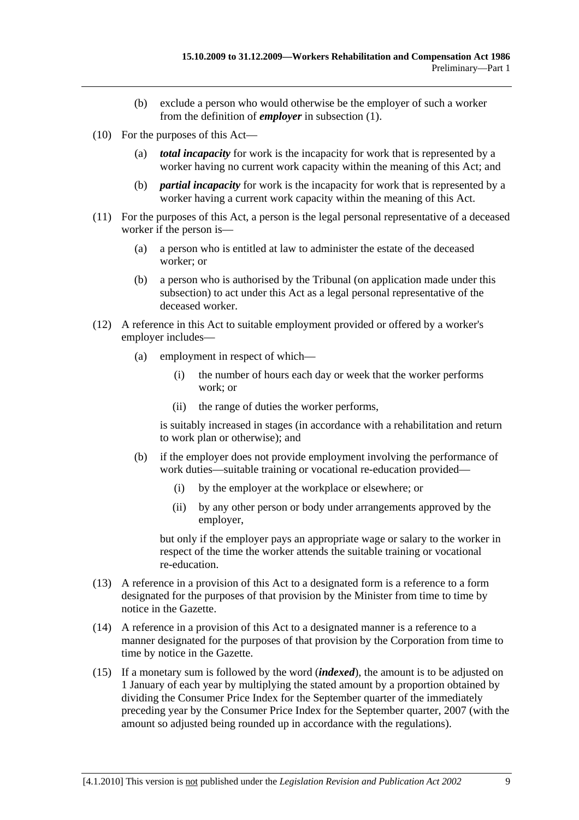- (b) exclude a person who would otherwise be the employer of such a worker from the definition of *employer* in subsection (1).
- (10) For the purposes of this Act—
	- (a) *total incapacity* for work is the incapacity for work that is represented by a worker having no current work capacity within the meaning of this Act; and
	- (b) *partial incapacity* for work is the incapacity for work that is represented by a worker having a current work capacity within the meaning of this Act.
- (11) For the purposes of this Act, a person is the legal personal representative of a deceased worker if the person is—
	- (a) a person who is entitled at law to administer the estate of the deceased worker; or
	- (b) a person who is authorised by the Tribunal (on application made under this subsection) to act under this Act as a legal personal representative of the deceased worker.
- (12) A reference in this Act to suitable employment provided or offered by a worker's employer includes—
	- (a) employment in respect of which—
		- (i) the number of hours each day or week that the worker performs work; or
		- (ii) the range of duties the worker performs,

is suitably increased in stages (in accordance with a rehabilitation and return to work plan or otherwise); and

- (b) if the employer does not provide employment involving the performance of work duties—suitable training or vocational re-education provided—
	- (i) by the employer at the workplace or elsewhere; or
	- (ii) by any other person or body under arrangements approved by the employer,

but only if the employer pays an appropriate wage or salary to the worker in respect of the time the worker attends the suitable training or vocational re-education.

- (13) A reference in a provision of this Act to a designated form is a reference to a form designated for the purposes of that provision by the Minister from time to time by notice in the Gazette.
- (14) A reference in a provision of this Act to a designated manner is a reference to a manner designated for the purposes of that provision by the Corporation from time to time by notice in the Gazette.
- (15) If a monetary sum is followed by the word (*indexed*), the amount is to be adjusted on 1 January of each year by multiplying the stated amount by a proportion obtained by dividing the Consumer Price Index for the September quarter of the immediately preceding year by the Consumer Price Index for the September quarter, 2007 (with the amount so adjusted being rounded up in accordance with the regulations).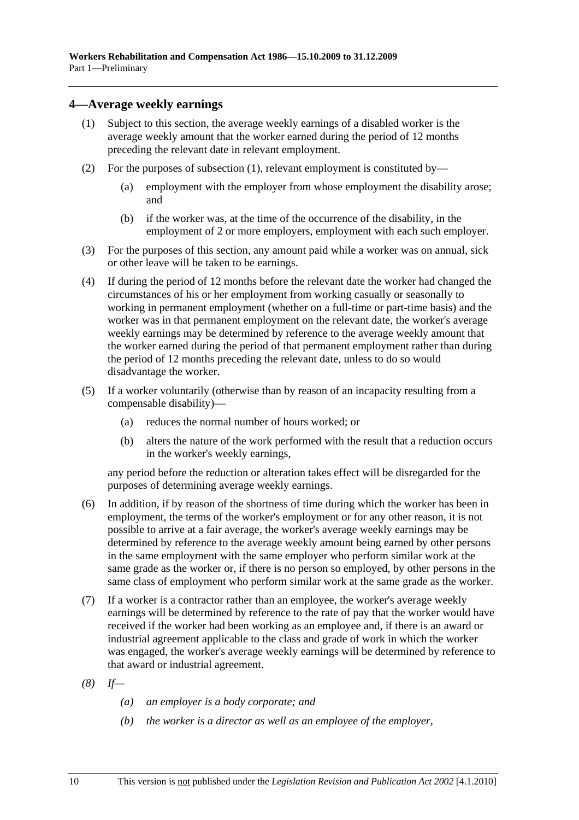## **4—Average weekly earnings**

- (1) Subject to this section, the average weekly earnings of a disabled worker is the average weekly amount that the worker earned during the period of 12 months preceding the relevant date in relevant employment.
- (2) For the purposes of subsection (1), relevant employment is constituted by—
	- (a) employment with the employer from whose employment the disability arose; and
	- (b) if the worker was, at the time of the occurrence of the disability, in the employment of 2 or more employers, employment with each such employer.
- (3) For the purposes of this section, any amount paid while a worker was on annual, sick or other leave will be taken to be earnings.
- (4) If during the period of 12 months before the relevant date the worker had changed the circumstances of his or her employment from working casually or seasonally to working in permanent employment (whether on a full-time or part-time basis) and the worker was in that permanent employment on the relevant date, the worker's average weekly earnings may be determined by reference to the average weekly amount that the worker earned during the period of that permanent employment rather than during the period of 12 months preceding the relevant date, unless to do so would disadvantage the worker.
- (5) If a worker voluntarily (otherwise than by reason of an incapacity resulting from a compensable disability)—
	- (a) reduces the normal number of hours worked; or
	- (b) alters the nature of the work performed with the result that a reduction occurs in the worker's weekly earnings,

any period before the reduction or alteration takes effect will be disregarded for the purposes of determining average weekly earnings.

- (6) In addition, if by reason of the shortness of time during which the worker has been in employment, the terms of the worker's employment or for any other reason, it is not possible to arrive at a fair average, the worker's average weekly earnings may be determined by reference to the average weekly amount being earned by other persons in the same employment with the same employer who perform similar work at the same grade as the worker or, if there is no person so employed, by other persons in the same class of employment who perform similar work at the same grade as the worker.
- (7) If a worker is a contractor rather than an employee, the worker's average weekly earnings will be determined by reference to the rate of pay that the worker would have received if the worker had been working as an employee and, if there is an award or industrial agreement applicable to the class and grade of work in which the worker was engaged, the worker's average weekly earnings will be determined by reference to that award or industrial agreement.
- *(8) If—* 
	- *(a) an employer is a body corporate; and*
	- *(b) the worker is a director as well as an employee of the employer,*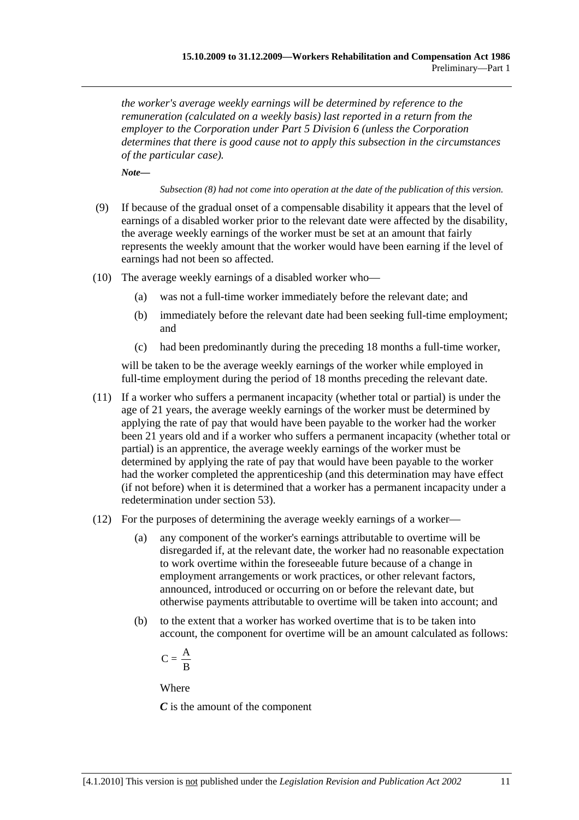*the worker's average weekly earnings will be determined by reference to the remuneration (calculated on a weekly basis) last reported in a return from the employer to the Corporation under Part 5 Division 6 (unless the Corporation determines that there is good cause not to apply this subsection in the circumstances of the particular case).* 

*Note—* 

*Subsection (8) had not come into operation at the date of the publication of this version.* 

- (9) If because of the gradual onset of a compensable disability it appears that the level of earnings of a disabled worker prior to the relevant date were affected by the disability, the average weekly earnings of the worker must be set at an amount that fairly represents the weekly amount that the worker would have been earning if the level of earnings had not been so affected.
- (10) The average weekly earnings of a disabled worker who—
	- (a) was not a full-time worker immediately before the relevant date; and
	- (b) immediately before the relevant date had been seeking full-time employment; and
	- (c) had been predominantly during the preceding 18 months a full-time worker,

will be taken to be the average weekly earnings of the worker while employed in full-time employment during the period of 18 months preceding the relevant date.

- (11) If a worker who suffers a permanent incapacity (whether total or partial) is under the age of 21 years, the average weekly earnings of the worker must be determined by applying the rate of pay that would have been payable to the worker had the worker been 21 years old and if a worker who suffers a permanent incapacity (whether total or partial) is an apprentice, the average weekly earnings of the worker must be determined by applying the rate of pay that would have been payable to the worker had the worker completed the apprenticeship (and this determination may have effect (if not before) when it is determined that a worker has a permanent incapacity under a redetermination under section 53).
- (12) For the purposes of determining the average weekly earnings of a worker—
	- (a) any component of the worker's earnings attributable to overtime will be disregarded if, at the relevant date, the worker had no reasonable expectation to work overtime within the foreseeable future because of a change in employment arrangements or work practices, or other relevant factors, announced, introduced or occurring on or before the relevant date, but otherwise payments attributable to overtime will be taken into account; and
	- (b) to the extent that a worker has worked overtime that is to be taken into account, the component for overtime will be an amount calculated as follows:

$$
C=\frac{\textstyle A}{\textstyle \textstyle B}
$$

Where

*C* is the amount of the component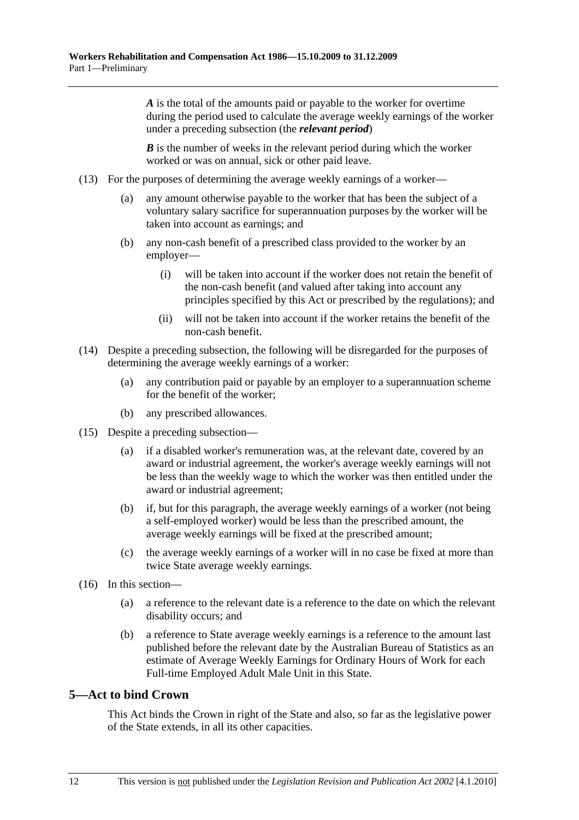*A* is the total of the amounts paid or payable to the worker for overtime during the period used to calculate the average weekly earnings of the worker under a preceding subsection (the *relevant period*)

*B* is the number of weeks in the relevant period during which the worker worked or was on annual, sick or other paid leave.

- (13) For the purposes of determining the average weekly earnings of a worker—
	- (a) any amount otherwise payable to the worker that has been the subject of a voluntary salary sacrifice for superannuation purposes by the worker will be taken into account as earnings; and
	- (b) any non-cash benefit of a prescribed class provided to the worker by an employer—
		- (i) will be taken into account if the worker does not retain the benefit of the non-cash benefit (and valued after taking into account any principles specified by this Act or prescribed by the regulations); and
		- (ii) will not be taken into account if the worker retains the benefit of the non-cash benefit.
- (14) Despite a preceding subsection, the following will be disregarded for the purposes of determining the average weekly earnings of a worker:
	- (a) any contribution paid or payable by an employer to a superannuation scheme for the benefit of the worker;
	- (b) any prescribed allowances.
- (15) Despite a preceding subsection—
	- (a) if a disabled worker's remuneration was, at the relevant date, covered by an award or industrial agreement, the worker's average weekly earnings will not be less than the weekly wage to which the worker was then entitled under the award or industrial agreement;
	- (b) if, but for this paragraph, the average weekly earnings of a worker (not being a self-employed worker) would be less than the prescribed amount, the average weekly earnings will be fixed at the prescribed amount;
	- (c) the average weekly earnings of a worker will in no case be fixed at more than twice State average weekly earnings.
- (16) In this section—
	- (a) a reference to the relevant date is a reference to the date on which the relevant disability occurs; and
	- (b) a reference to State average weekly earnings is a reference to the amount last published before the relevant date by the Australian Bureau of Statistics as an estimate of Average Weekly Earnings for Ordinary Hours of Work for each Full-time Employed Adult Male Unit in this State.

## **5—Act to bind Crown**

This Act binds the Crown in right of the State and also, so far as the legislative power of the State extends, in all its other capacities.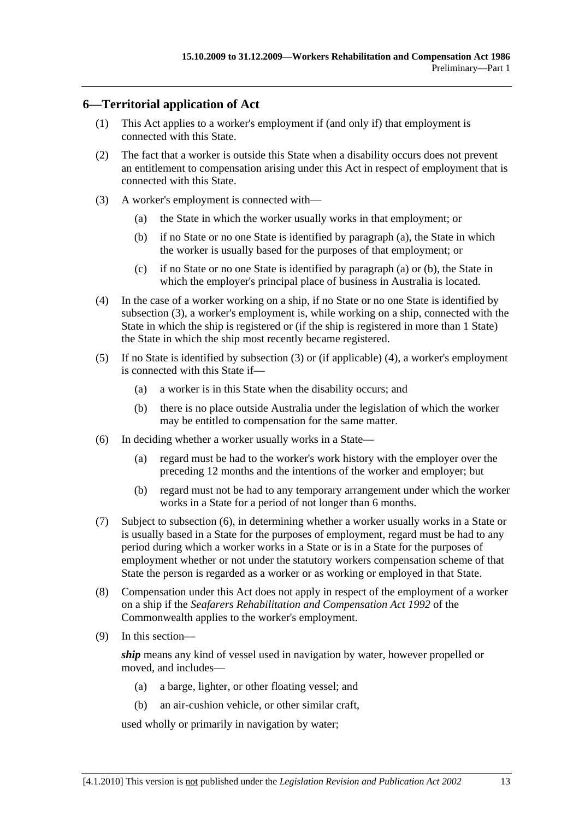## **6—Territorial application of Act**

- (1) This Act applies to a worker's employment if (and only if) that employment is connected with this State.
- (2) The fact that a worker is outside this State when a disability occurs does not prevent an entitlement to compensation arising under this Act in respect of employment that is connected with this State.
- (3) A worker's employment is connected with—
	- (a) the State in which the worker usually works in that employment; or
	- (b) if no State or no one State is identified by paragraph (a), the State in which the worker is usually based for the purposes of that employment; or
	- (c) if no State or no one State is identified by paragraph (a) or (b), the State in which the employer's principal place of business in Australia is located.
- (4) In the case of a worker working on a ship, if no State or no one State is identified by subsection (3), a worker's employment is, while working on a ship, connected with the State in which the ship is registered or (if the ship is registered in more than 1 State) the State in which the ship most recently became registered.
- (5) If no State is identified by subsection (3) or (if applicable) (4), a worker's employment is connected with this State if—
	- (a) a worker is in this State when the disability occurs; and
	- (b) there is no place outside Australia under the legislation of which the worker may be entitled to compensation for the same matter.
- (6) In deciding whether a worker usually works in a State—
	- (a) regard must be had to the worker's work history with the employer over the preceding 12 months and the intentions of the worker and employer; but
	- (b) regard must not be had to any temporary arrangement under which the worker works in a State for a period of not longer than 6 months.
- (7) Subject to subsection (6), in determining whether a worker usually works in a State or is usually based in a State for the purposes of employment, regard must be had to any period during which a worker works in a State or is in a State for the purposes of employment whether or not under the statutory workers compensation scheme of that State the person is regarded as a worker or as working or employed in that State.
- (8) Compensation under this Act does not apply in respect of the employment of a worker on a ship if the *Seafarers Rehabilitation and Compensation Act 1992* of the Commonwealth applies to the worker's employment.
- (9) In this section—

*ship* means any kind of vessel used in navigation by water, however propelled or moved, and includes—

- (a) a barge, lighter, or other floating vessel; and
- (b) an air-cushion vehicle, or other similar craft,

used wholly or primarily in navigation by water;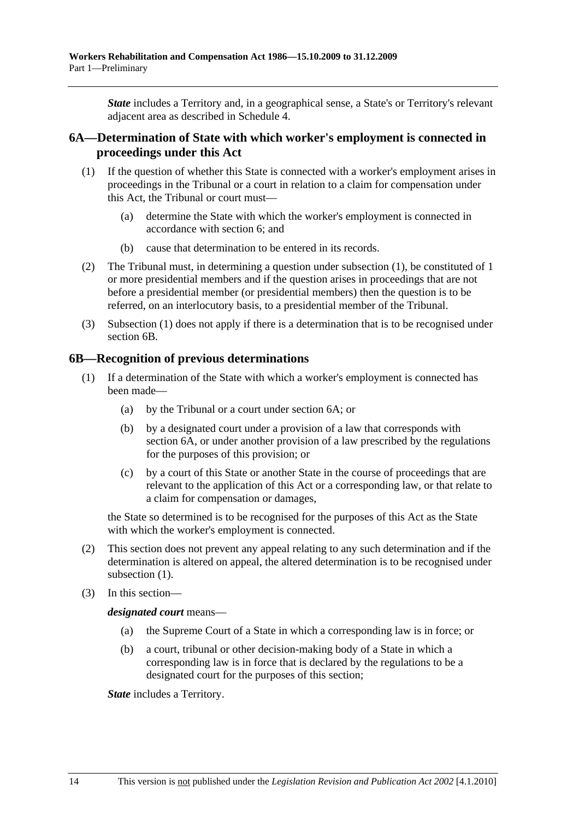*State* includes a Territory and, in a geographical sense, a State's or Territory's relevant adjacent area as described in Schedule 4.

## **6A—Determination of State with which worker's employment is connected in proceedings under this Act**

- (1) If the question of whether this State is connected with a worker's employment arises in proceedings in the Tribunal or a court in relation to a claim for compensation under this Act, the Tribunal or court must—
	- (a) determine the State with which the worker's employment is connected in accordance with section 6; and
	- (b) cause that determination to be entered in its records.
- (2) The Tribunal must, in determining a question under subsection (1), be constituted of 1 or more presidential members and if the question arises in proceedings that are not before a presidential member (or presidential members) then the question is to be referred, on an interlocutory basis, to a presidential member of the Tribunal.
- (3) Subsection (1) does not apply if there is a determination that is to be recognised under section 6B.

## **6B—Recognition of previous determinations**

- (1) If a determination of the State with which a worker's employment is connected has been made—
	- (a) by the Tribunal or a court under section 6A; or
	- (b) by a designated court under a provision of a law that corresponds with section 6A, or under another provision of a law prescribed by the regulations for the purposes of this provision; or
	- (c) by a court of this State or another State in the course of proceedings that are relevant to the application of this Act or a corresponding law, or that relate to a claim for compensation or damages,

the State so determined is to be recognised for the purposes of this Act as the State with which the worker's employment is connected.

- (2) This section does not prevent any appeal relating to any such determination and if the determination is altered on appeal, the altered determination is to be recognised under subsection  $(1)$ .
- (3) In this section—

*designated court* means—

- (a) the Supreme Court of a State in which a corresponding law is in force; or
- (b) a court, tribunal or other decision-making body of a State in which a corresponding law is in force that is declared by the regulations to be a designated court for the purposes of this section;

*State* includes a Territory.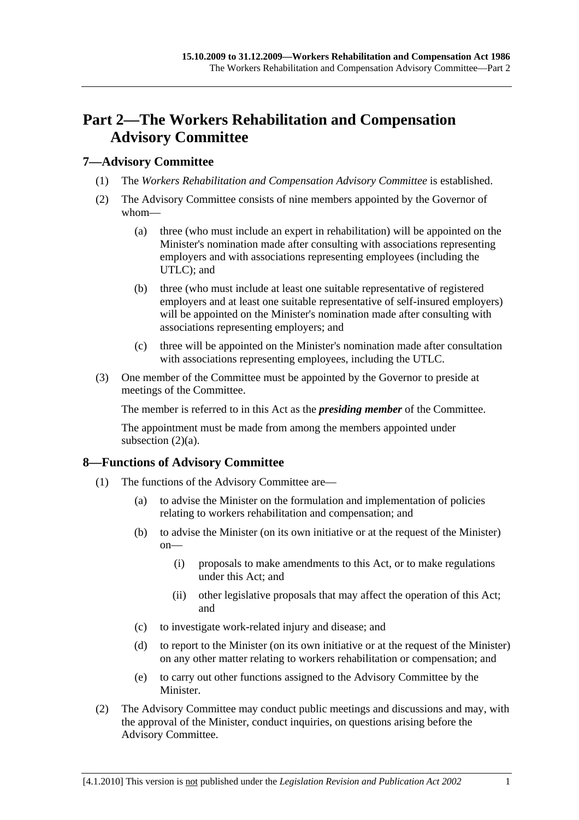# **Part 2—The Workers Rehabilitation and Compensation Advisory Committee**

## **7—Advisory Committee**

- (1) The *Workers Rehabilitation and Compensation Advisory Committee* is established.
- (2) The Advisory Committee consists of nine members appointed by the Governor of whom—
	- (a) three (who must include an expert in rehabilitation) will be appointed on the Minister's nomination made after consulting with associations representing employers and with associations representing employees (including the UTLC); and
	- (b) three (who must include at least one suitable representative of registered employers and at least one suitable representative of self-insured employers) will be appointed on the Minister's nomination made after consulting with associations representing employers; and
	- (c) three will be appointed on the Minister's nomination made after consultation with associations representing employees, including the UTLC.
- (3) One member of the Committee must be appointed by the Governor to preside at meetings of the Committee.

The member is referred to in this Act as the *presiding member* of the Committee.

The appointment must be made from among the members appointed under subsection  $(2)(a)$ .

## **8—Functions of Advisory Committee**

- (1) The functions of the Advisory Committee are—
	- (a) to advise the Minister on the formulation and implementation of policies relating to workers rehabilitation and compensation; and
	- (b) to advise the Minister (on its own initiative or at the request of the Minister) on—
		- (i) proposals to make amendments to this Act, or to make regulations under this Act; and
		- (ii) other legislative proposals that may affect the operation of this Act; and
	- (c) to investigate work-related injury and disease; and
	- (d) to report to the Minister (on its own initiative or at the request of the Minister) on any other matter relating to workers rehabilitation or compensation; and
	- (e) to carry out other functions assigned to the Advisory Committee by the Minister.
- (2) The Advisory Committee may conduct public meetings and discussions and may, with the approval of the Minister, conduct inquiries, on questions arising before the Advisory Committee.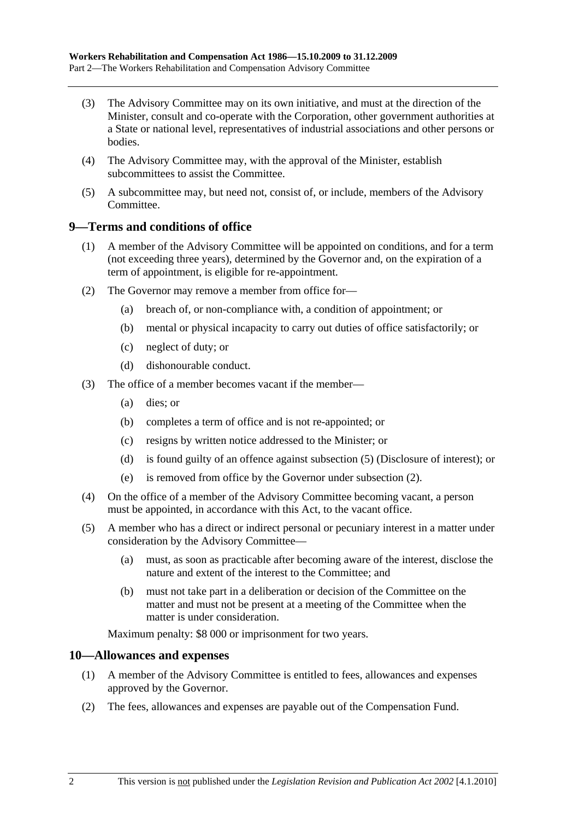- (3) The Advisory Committee may on its own initiative, and must at the direction of the Minister, consult and co-operate with the Corporation, other government authorities at a State or national level, representatives of industrial associations and other persons or bodies.
- (4) The Advisory Committee may, with the approval of the Minister, establish subcommittees to assist the Committee.
- (5) A subcommittee may, but need not, consist of, or include, members of the Advisory Committee.

## **9—Terms and conditions of office**

- (1) A member of the Advisory Committee will be appointed on conditions, and for a term (not exceeding three years), determined by the Governor and, on the expiration of a term of appointment, is eligible for re-appointment.
- (2) The Governor may remove a member from office for—
	- (a) breach of, or non-compliance with, a condition of appointment; or
	- (b) mental or physical incapacity to carry out duties of office satisfactorily; or
	- (c) neglect of duty; or
	- (d) dishonourable conduct.
- (3) The office of a member becomes vacant if the member—
	- (a) dies; or
	- (b) completes a term of office and is not re-appointed; or
	- (c) resigns by written notice addressed to the Minister; or
	- (d) is found guilty of an offence against subsection (5) (Disclosure of interest); or
	- (e) is removed from office by the Governor under subsection (2).
- (4) On the office of a member of the Advisory Committee becoming vacant, a person must be appointed, in accordance with this Act, to the vacant office.
- (5) A member who has a direct or indirect personal or pecuniary interest in a matter under consideration by the Advisory Committee—
	- (a) must, as soon as practicable after becoming aware of the interest, disclose the nature and extent of the interest to the Committee; and
	- (b) must not take part in a deliberation or decision of the Committee on the matter and must not be present at a meeting of the Committee when the matter is under consideration.

Maximum penalty: \$8 000 or imprisonment for two years.

## **10—Allowances and expenses**

- (1) A member of the Advisory Committee is entitled to fees, allowances and expenses approved by the Governor.
- (2) The fees, allowances and expenses are payable out of the Compensation Fund.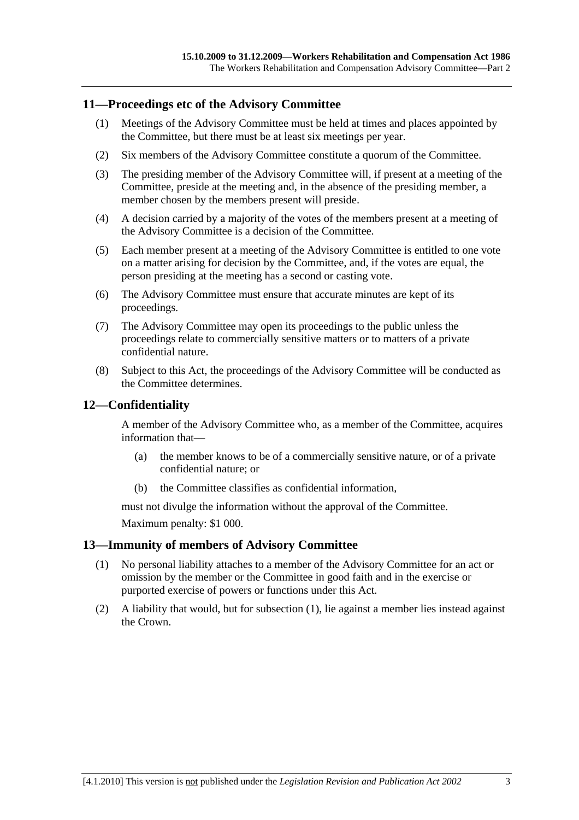## **11—Proceedings etc of the Advisory Committee**

- (1) Meetings of the Advisory Committee must be held at times and places appointed by the Committee, but there must be at least six meetings per year.
- (2) Six members of the Advisory Committee constitute a quorum of the Committee.
- (3) The presiding member of the Advisory Committee will, if present at a meeting of the Committee, preside at the meeting and, in the absence of the presiding member, a member chosen by the members present will preside.
- (4) A decision carried by a majority of the votes of the members present at a meeting of the Advisory Committee is a decision of the Committee.
- (5) Each member present at a meeting of the Advisory Committee is entitled to one vote on a matter arising for decision by the Committee, and, if the votes are equal, the person presiding at the meeting has a second or casting vote.
- (6) The Advisory Committee must ensure that accurate minutes are kept of its proceedings.
- (7) The Advisory Committee may open its proceedings to the public unless the proceedings relate to commercially sensitive matters or to matters of a private confidential nature.
- (8) Subject to this Act, the proceedings of the Advisory Committee will be conducted as the Committee determines.

## **12—Confidentiality**

A member of the Advisory Committee who, as a member of the Committee, acquires information that—

- (a) the member knows to be of a commercially sensitive nature, or of a private confidential nature; or
- (b) the Committee classifies as confidential information,

must not divulge the information without the approval of the Committee.

Maximum penalty: \$1 000.

### **13—Immunity of members of Advisory Committee**

- (1) No personal liability attaches to a member of the Advisory Committee for an act or omission by the member or the Committee in good faith and in the exercise or purported exercise of powers or functions under this Act.
- (2) A liability that would, but for subsection (1), lie against a member lies instead against the Crown.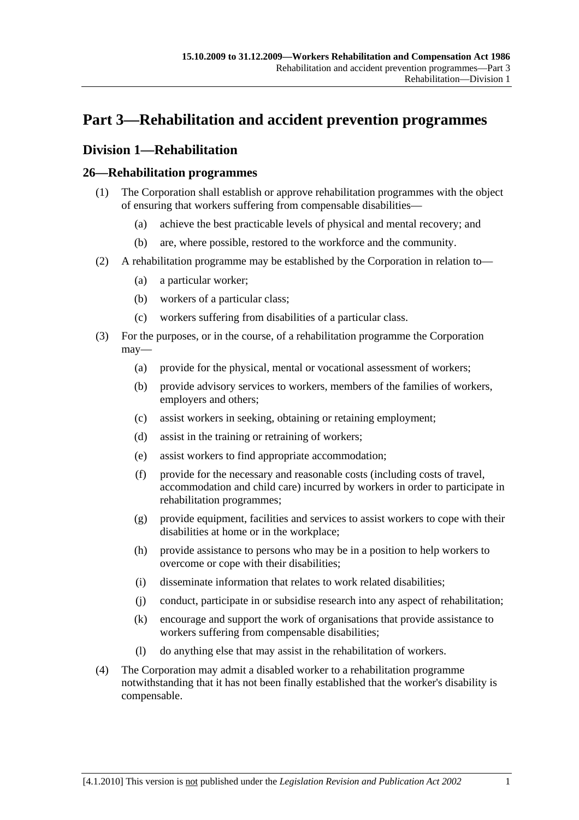# **Part 3—Rehabilitation and accident prevention programmes**

# **Division 1—Rehabilitation**

## **26—Rehabilitation programmes**

- (1) The Corporation shall establish or approve rehabilitation programmes with the object of ensuring that workers suffering from compensable disabilities—
	- (a) achieve the best practicable levels of physical and mental recovery; and
	- (b) are, where possible, restored to the workforce and the community.
- (2) A rehabilitation programme may be established by the Corporation in relation to—
	- (a) a particular worker;
	- (b) workers of a particular class;
	- (c) workers suffering from disabilities of a particular class.
- (3) For the purposes, or in the course, of a rehabilitation programme the Corporation may—
	- (a) provide for the physical, mental or vocational assessment of workers;
	- (b) provide advisory services to workers, members of the families of workers, employers and others;
	- (c) assist workers in seeking, obtaining or retaining employment;
	- (d) assist in the training or retraining of workers;
	- (e) assist workers to find appropriate accommodation;
	- (f) provide for the necessary and reasonable costs (including costs of travel, accommodation and child care) incurred by workers in order to participate in rehabilitation programmes;
	- (g) provide equipment, facilities and services to assist workers to cope with their disabilities at home or in the workplace;
	- (h) provide assistance to persons who may be in a position to help workers to overcome or cope with their disabilities;
	- (i) disseminate information that relates to work related disabilities;
	- (j) conduct, participate in or subsidise research into any aspect of rehabilitation;
	- (k) encourage and support the work of organisations that provide assistance to workers suffering from compensable disabilities;
	- (l) do anything else that may assist in the rehabilitation of workers.
- (4) The Corporation may admit a disabled worker to a rehabilitation programme notwithstanding that it has not been finally established that the worker's disability is compensable.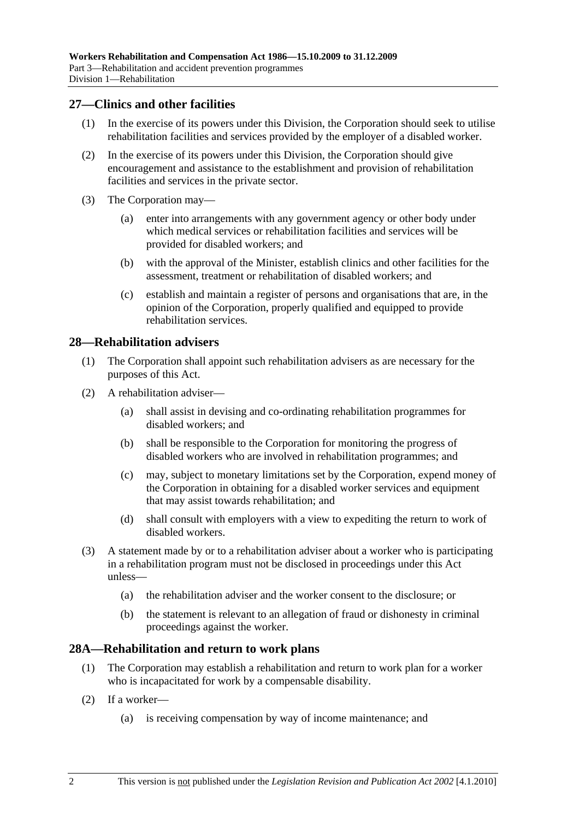## **27—Clinics and other facilities**

- (1) In the exercise of its powers under this Division, the Corporation should seek to utilise rehabilitation facilities and services provided by the employer of a disabled worker.
- (2) In the exercise of its powers under this Division, the Corporation should give encouragement and assistance to the establishment and provision of rehabilitation facilities and services in the private sector.
- (3) The Corporation may—
	- (a) enter into arrangements with any government agency or other body under which medical services or rehabilitation facilities and services will be provided for disabled workers; and
	- (b) with the approval of the Minister, establish clinics and other facilities for the assessment, treatment or rehabilitation of disabled workers; and
	- (c) establish and maintain a register of persons and organisations that are, in the opinion of the Corporation, properly qualified and equipped to provide rehabilitation services.

## **28—Rehabilitation advisers**

- (1) The Corporation shall appoint such rehabilitation advisers as are necessary for the purposes of this Act.
- (2) A rehabilitation adviser—
	- (a) shall assist in devising and co-ordinating rehabilitation programmes for disabled workers; and
	- (b) shall be responsible to the Corporation for monitoring the progress of disabled workers who are involved in rehabilitation programmes; and
	- (c) may, subject to monetary limitations set by the Corporation, expend money of the Corporation in obtaining for a disabled worker services and equipment that may assist towards rehabilitation; and
	- (d) shall consult with employers with a view to expediting the return to work of disabled workers.
- (3) A statement made by or to a rehabilitation adviser about a worker who is participating in a rehabilitation program must not be disclosed in proceedings under this Act unless—
	- (a) the rehabilitation adviser and the worker consent to the disclosure; or
	- (b) the statement is relevant to an allegation of fraud or dishonesty in criminal proceedings against the worker.

### **28A—Rehabilitation and return to work plans**

- (1) The Corporation may establish a rehabilitation and return to work plan for a worker who is incapacitated for work by a compensable disability.
- (2) If a worker—
	- (a) is receiving compensation by way of income maintenance; and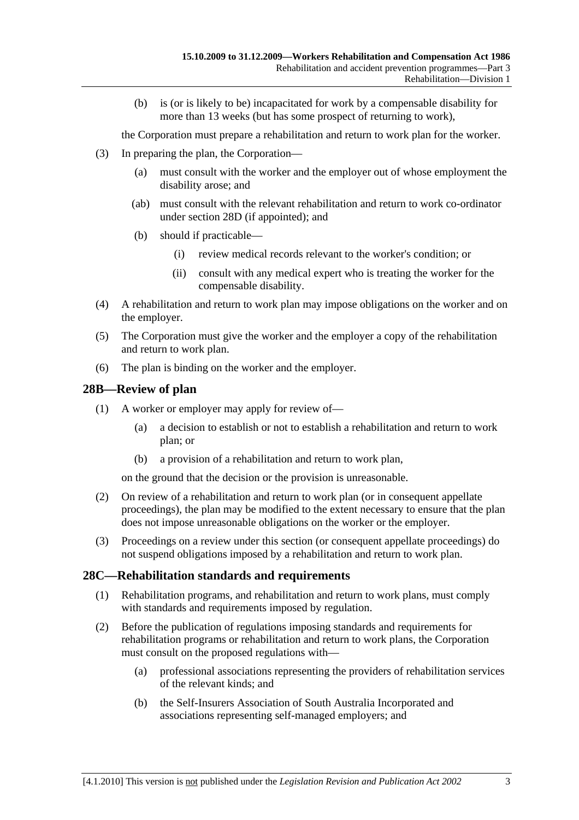(b) is (or is likely to be) incapacitated for work by a compensable disability for more than 13 weeks (but has some prospect of returning to work),

the Corporation must prepare a rehabilitation and return to work plan for the worker.

- (3) In preparing the plan, the Corporation—
	- (a) must consult with the worker and the employer out of whose employment the disability arose; and
	- (ab) must consult with the relevant rehabilitation and return to work co-ordinator under section 28D (if appointed); and
	- (b) should if practicable—
		- (i) review medical records relevant to the worker's condition; or
		- (ii) consult with any medical expert who is treating the worker for the compensable disability.
- (4) A rehabilitation and return to work plan may impose obligations on the worker and on the employer.
- (5) The Corporation must give the worker and the employer a copy of the rehabilitation and return to work plan.
- (6) The plan is binding on the worker and the employer.

## **28B—Review of plan**

- (1) A worker or employer may apply for review of—
	- (a) a decision to establish or not to establish a rehabilitation and return to work plan; or
	- (b) a provision of a rehabilitation and return to work plan,

on the ground that the decision or the provision is unreasonable.

- (2) On review of a rehabilitation and return to work plan (or in consequent appellate proceedings), the plan may be modified to the extent necessary to ensure that the plan does not impose unreasonable obligations on the worker or the employer.
- (3) Proceedings on a review under this section (or consequent appellate proceedings) do not suspend obligations imposed by a rehabilitation and return to work plan.

### **28C—Rehabilitation standards and requirements**

- (1) Rehabilitation programs, and rehabilitation and return to work plans, must comply with standards and requirements imposed by regulation.
- (2) Before the publication of regulations imposing standards and requirements for rehabilitation programs or rehabilitation and return to work plans, the Corporation must consult on the proposed regulations with—
	- (a) professional associations representing the providers of rehabilitation services of the relevant kinds; and
	- (b) the Self-Insurers Association of South Australia Incorporated and associations representing self-managed employers; and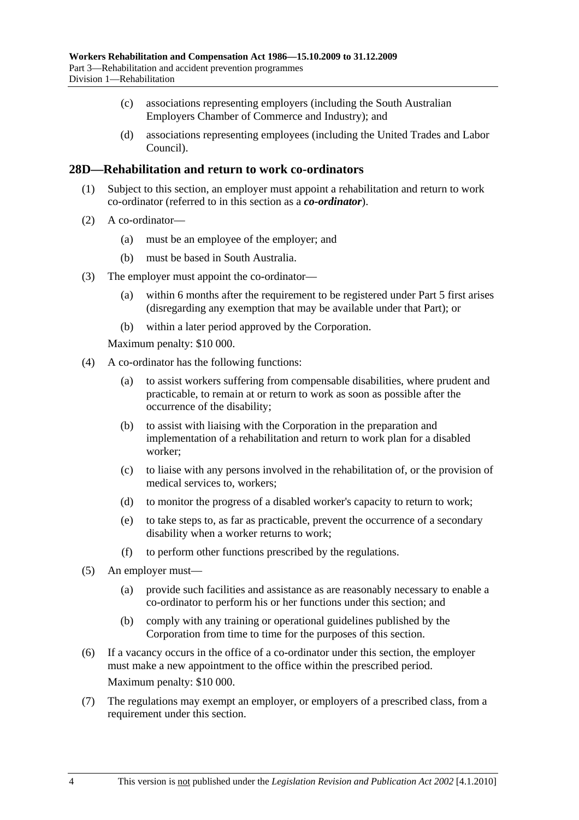- (c) associations representing employers (including the South Australian Employers Chamber of Commerce and Industry); and
- (d) associations representing employees (including the United Trades and Labor Council).

## **28D—Rehabilitation and return to work co-ordinators**

- (1) Subject to this section, an employer must appoint a rehabilitation and return to work co-ordinator (referred to in this section as a *co-ordinator*).
- (2) A co-ordinator—
	- (a) must be an employee of the employer; and
	- (b) must be based in South Australia.
- (3) The employer must appoint the co-ordinator—
	- (a) within 6 months after the requirement to be registered under Part 5 first arises (disregarding any exemption that may be available under that Part); or
	- (b) within a later period approved by the Corporation.

Maximum penalty: \$10 000.

- (4) A co-ordinator has the following functions:
	- (a) to assist workers suffering from compensable disabilities, where prudent and practicable, to remain at or return to work as soon as possible after the occurrence of the disability;
	- (b) to assist with liaising with the Corporation in the preparation and implementation of a rehabilitation and return to work plan for a disabled worker;
	- (c) to liaise with any persons involved in the rehabilitation of, or the provision of medical services to, workers;
	- (d) to monitor the progress of a disabled worker's capacity to return to work;
	- (e) to take steps to, as far as practicable, prevent the occurrence of a secondary disability when a worker returns to work;
	- (f) to perform other functions prescribed by the regulations.
- (5) An employer must—
	- (a) provide such facilities and assistance as are reasonably necessary to enable a co-ordinator to perform his or her functions under this section; and
	- (b) comply with any training or operational guidelines published by the Corporation from time to time for the purposes of this section.
- (6) If a vacancy occurs in the office of a co-ordinator under this section, the employer must make a new appointment to the office within the prescribed period. Maximum penalty: \$10 000.
- (7) The regulations may exempt an employer, or employers of a prescribed class, from a requirement under this section.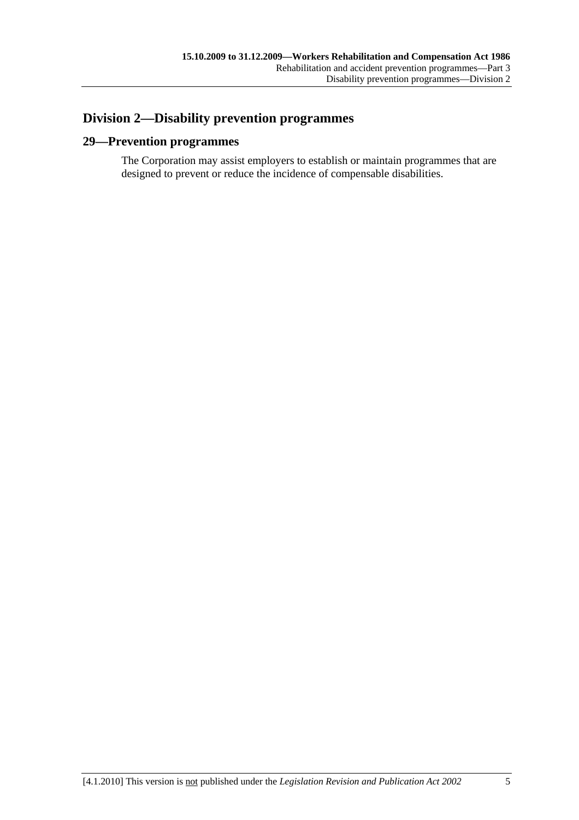# **Division 2—Disability prevention programmes**

## **29—Prevention programmes**

The Corporation may assist employers to establish or maintain programmes that are designed to prevent or reduce the incidence of compensable disabilities.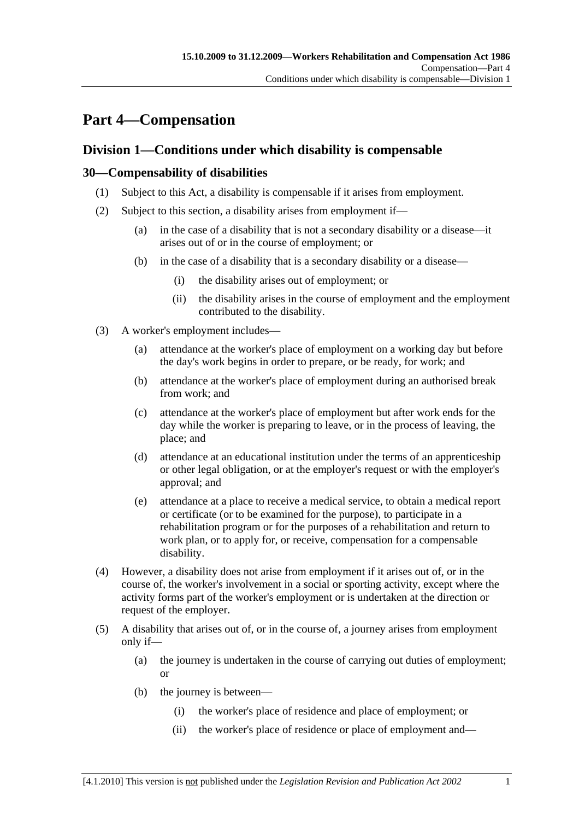# **Part 4—Compensation**

# **Division 1—Conditions under which disability is compensable**

## **30—Compensability of disabilities**

- (1) Subject to this Act, a disability is compensable if it arises from employment.
- (2) Subject to this section, a disability arises from employment if—
	- (a) in the case of a disability that is not a secondary disability or a disease—it arises out of or in the course of employment; or
	- (b) in the case of a disability that is a secondary disability or a disease—
		- (i) the disability arises out of employment; or
		- (ii) the disability arises in the course of employment and the employment contributed to the disability.
- (3) A worker's employment includes—
	- (a) attendance at the worker's place of employment on a working day but before the day's work begins in order to prepare, or be ready, for work; and
	- (b) attendance at the worker's place of employment during an authorised break from work; and
	- (c) attendance at the worker's place of employment but after work ends for the day while the worker is preparing to leave, or in the process of leaving, the place; and
	- (d) attendance at an educational institution under the terms of an apprenticeship or other legal obligation, or at the employer's request or with the employer's approval; and
	- (e) attendance at a place to receive a medical service, to obtain a medical report or certificate (or to be examined for the purpose), to participate in a rehabilitation program or for the purposes of a rehabilitation and return to work plan, or to apply for, or receive, compensation for a compensable disability.
- (4) However, a disability does not arise from employment if it arises out of, or in the course of, the worker's involvement in a social or sporting activity, except where the activity forms part of the worker's employment or is undertaken at the direction or request of the employer.
- (5) A disability that arises out of, or in the course of, a journey arises from employment only if—
	- (a) the journey is undertaken in the course of carrying out duties of employment; or
	- (b) the journey is between—
		- (i) the worker's place of residence and place of employment; or
		- (ii) the worker's place of residence or place of employment and—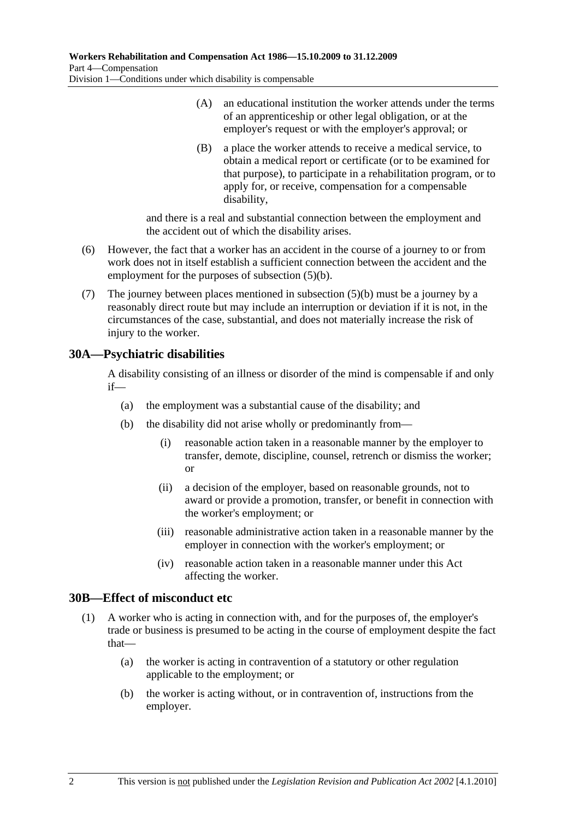- (A) an educational institution the worker attends under the terms of an apprenticeship or other legal obligation, or at the employer's request or with the employer's approval; or
- (B) a place the worker attends to receive a medical service, to obtain a medical report or certificate (or to be examined for that purpose), to participate in a rehabilitation program, or to apply for, or receive, compensation for a compensable disability,

and there is a real and substantial connection between the employment and the accident out of which the disability arises.

- (6) However, the fact that a worker has an accident in the course of a journey to or from work does not in itself establish a sufficient connection between the accident and the employment for the purposes of subsection (5)(b).
- (7) The journey between places mentioned in subsection (5)(b) must be a journey by a reasonably direct route but may include an interruption or deviation if it is not, in the circumstances of the case, substantial, and does not materially increase the risk of injury to the worker.

# **30A—Psychiatric disabilities**

A disability consisting of an illness or disorder of the mind is compensable if and only if—

- (a) the employment was a substantial cause of the disability; and
- (b) the disability did not arise wholly or predominantly from—
	- (i) reasonable action taken in a reasonable manner by the employer to transfer, demote, discipline, counsel, retrench or dismiss the worker; or
	- (ii) a decision of the employer, based on reasonable grounds, not to award or provide a promotion, transfer, or benefit in connection with the worker's employment; or
	- (iii) reasonable administrative action taken in a reasonable manner by the employer in connection with the worker's employment; or
	- (iv) reasonable action taken in a reasonable manner under this Act affecting the worker.

# **30B—Effect of misconduct etc**

- (1) A worker who is acting in connection with, and for the purposes of, the employer's trade or business is presumed to be acting in the course of employment despite the fact that—
	- (a) the worker is acting in contravention of a statutory or other regulation applicable to the employment; or
	- (b) the worker is acting without, or in contravention of, instructions from the employer.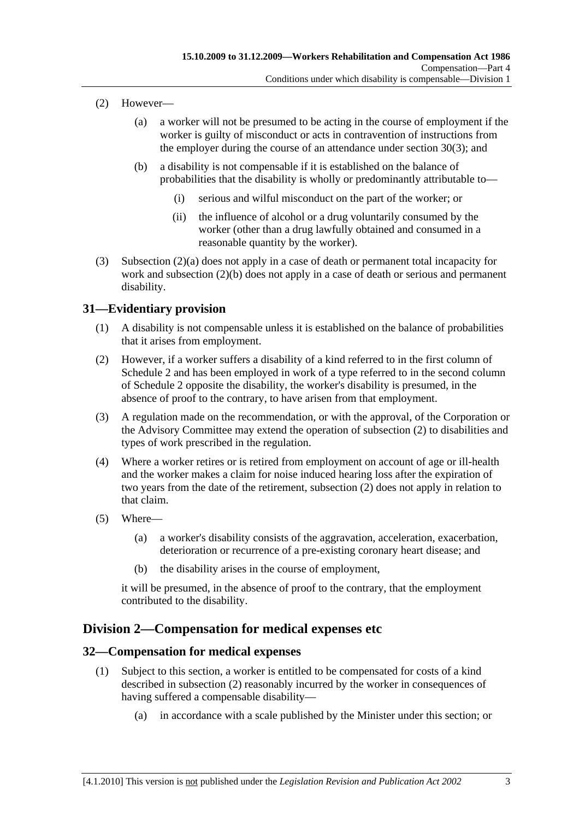- (2) However—
	- (a) a worker will not be presumed to be acting in the course of employment if the worker is guilty of misconduct or acts in contravention of instructions from the employer during the course of an attendance under section 30(3); and
	- (b) a disability is not compensable if it is established on the balance of probabilities that the disability is wholly or predominantly attributable to—
		- (i) serious and wilful misconduct on the part of the worker; or
		- (ii) the influence of alcohol or a drug voluntarily consumed by the worker (other than a drug lawfully obtained and consumed in a reasonable quantity by the worker).
- (3) Subsection (2)(a) does not apply in a case of death or permanent total incapacity for work and subsection (2)(b) does not apply in a case of death or serious and permanent disability.

# **31—Evidentiary provision**

- (1) A disability is not compensable unless it is established on the balance of probabilities that it arises from employment.
- (2) However, if a worker suffers a disability of a kind referred to in the first column of Schedule 2 and has been employed in work of a type referred to in the second column of Schedule 2 opposite the disability, the worker's disability is presumed, in the absence of proof to the contrary, to have arisen from that employment.
- (3) A regulation made on the recommendation, or with the approval, of the Corporation or the Advisory Committee may extend the operation of subsection (2) to disabilities and types of work prescribed in the regulation.
- (4) Where a worker retires or is retired from employment on account of age or ill-health and the worker makes a claim for noise induced hearing loss after the expiration of two years from the date of the retirement, subsection (2) does not apply in relation to that claim.
- (5) Where—
	- (a) a worker's disability consists of the aggravation, acceleration, exacerbation, deterioration or recurrence of a pre-existing coronary heart disease; and
	- (b) the disability arises in the course of employment,

it will be presumed, in the absence of proof to the contrary, that the employment contributed to the disability.

# **Division 2—Compensation for medical expenses etc**

## **32—Compensation for medical expenses**

- (1) Subject to this section, a worker is entitled to be compensated for costs of a kind described in subsection (2) reasonably incurred by the worker in consequences of having suffered a compensable disability—
	- (a) in accordance with a scale published by the Minister under this section; or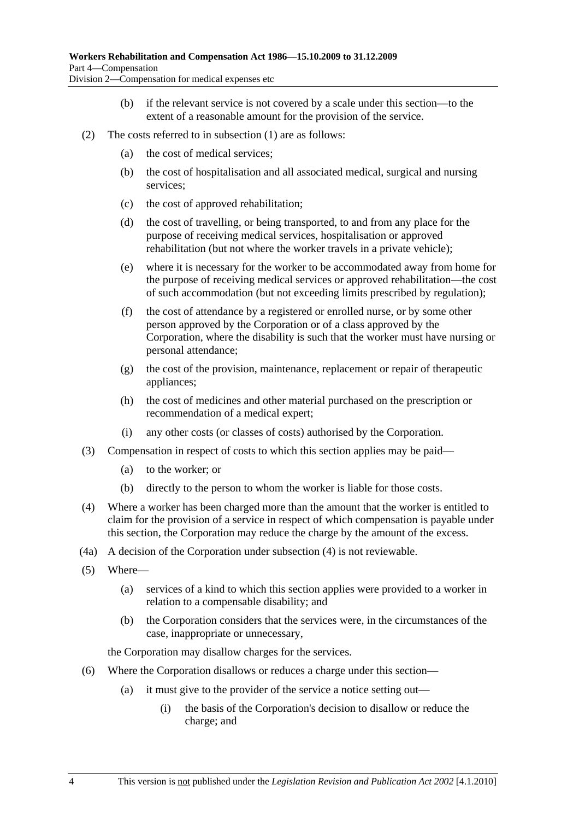- (b) if the relevant service is not covered by a scale under this section—to the extent of a reasonable amount for the provision of the service.
- (2) The costs referred to in subsection (1) are as follows:
	- (a) the cost of medical services;
	- (b) the cost of hospitalisation and all associated medical, surgical and nursing services;
	- (c) the cost of approved rehabilitation;
	- (d) the cost of travelling, or being transported, to and from any place for the purpose of receiving medical services, hospitalisation or approved rehabilitation (but not where the worker travels in a private vehicle);
	- (e) where it is necessary for the worker to be accommodated away from home for the purpose of receiving medical services or approved rehabilitation—the cost of such accommodation (but not exceeding limits prescribed by regulation);
	- (f) the cost of attendance by a registered or enrolled nurse, or by some other person approved by the Corporation or of a class approved by the Corporation, where the disability is such that the worker must have nursing or personal attendance;
	- (g) the cost of the provision, maintenance, replacement or repair of therapeutic appliances;
	- (h) the cost of medicines and other material purchased on the prescription or recommendation of a medical expert;
	- (i) any other costs (or classes of costs) authorised by the Corporation.
- (3) Compensation in respect of costs to which this section applies may be paid—
	- (a) to the worker; or
	- (b) directly to the person to whom the worker is liable for those costs.
- (4) Where a worker has been charged more than the amount that the worker is entitled to claim for the provision of a service in respect of which compensation is payable under this section, the Corporation may reduce the charge by the amount of the excess.
- (4a) A decision of the Corporation under subsection (4) is not reviewable.
- (5) Where—
	- (a) services of a kind to which this section applies were provided to a worker in relation to a compensable disability; and
	- (b) the Corporation considers that the services were, in the circumstances of the case, inappropriate or unnecessary,

the Corporation may disallow charges for the services.

- (6) Where the Corporation disallows or reduces a charge under this section—
	- (a) it must give to the provider of the service a notice setting out—
		- (i) the basis of the Corporation's decision to disallow or reduce the charge; and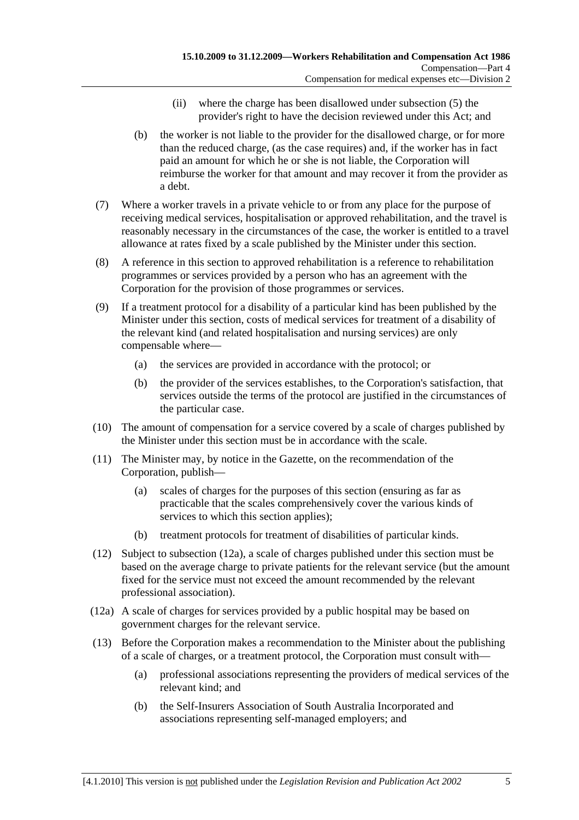- (ii) where the charge has been disallowed under subsection (5) the provider's right to have the decision reviewed under this Act; and
- (b) the worker is not liable to the provider for the disallowed charge, or for more than the reduced charge, (as the case requires) and, if the worker has in fact paid an amount for which he or she is not liable, the Corporation will reimburse the worker for that amount and may recover it from the provider as a debt.
- (7) Where a worker travels in a private vehicle to or from any place for the purpose of receiving medical services, hospitalisation or approved rehabilitation, and the travel is reasonably necessary in the circumstances of the case, the worker is entitled to a travel allowance at rates fixed by a scale published by the Minister under this section.
- (8) A reference in this section to approved rehabilitation is a reference to rehabilitation programmes or services provided by a person who has an agreement with the Corporation for the provision of those programmes or services.
- (9) If a treatment protocol for a disability of a particular kind has been published by the Minister under this section, costs of medical services for treatment of a disability of the relevant kind (and related hospitalisation and nursing services) are only compensable where—
	- (a) the services are provided in accordance with the protocol; or
	- (b) the provider of the services establishes, to the Corporation's satisfaction, that services outside the terms of the protocol are justified in the circumstances of the particular case.
- (10) The amount of compensation for a service covered by a scale of charges published by the Minister under this section must be in accordance with the scale.
- (11) The Minister may, by notice in the Gazette, on the recommendation of the Corporation, publish—
	- (a) scales of charges for the purposes of this section (ensuring as far as practicable that the scales comprehensively cover the various kinds of services to which this section applies);
	- (b) treatment protocols for treatment of disabilities of particular kinds.
- (12) Subject to subsection (12a), a scale of charges published under this section must be based on the average charge to private patients for the relevant service (but the amount fixed for the service must not exceed the amount recommended by the relevant professional association).
- (12a) A scale of charges for services provided by a public hospital may be based on government charges for the relevant service.
- (13) Before the Corporation makes a recommendation to the Minister about the publishing of a scale of charges, or a treatment protocol, the Corporation must consult with—
	- (a) professional associations representing the providers of medical services of the relevant kind; and
	- (b) the Self-Insurers Association of South Australia Incorporated and associations representing self-managed employers; and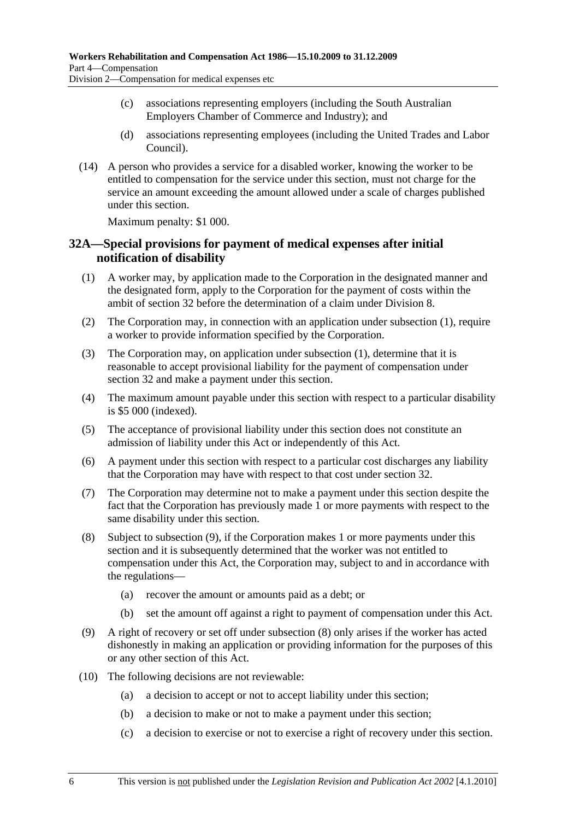- (c) associations representing employers (including the South Australian Employers Chamber of Commerce and Industry); and
- (d) associations representing employees (including the United Trades and Labor Council).
- (14) A person who provides a service for a disabled worker, knowing the worker to be entitled to compensation for the service under this section, must not charge for the service an amount exceeding the amount allowed under a scale of charges published under this section.

Maximum penalty: \$1 000.

### **32A—Special provisions for payment of medical expenses after initial notification of disability**

- (1) A worker may, by application made to the Corporation in the designated manner and the designated form, apply to the Corporation for the payment of costs within the ambit of section 32 before the determination of a claim under Division 8.
- (2) The Corporation may, in connection with an application under subsection (1), require a worker to provide information specified by the Corporation.
- (3) The Corporation may, on application under subsection (1), determine that it is reasonable to accept provisional liability for the payment of compensation under section 32 and make a payment under this section.
- (4) The maximum amount payable under this section with respect to a particular disability is \$5 000 (indexed).
- (5) The acceptance of provisional liability under this section does not constitute an admission of liability under this Act or independently of this Act.
- (6) A payment under this section with respect to a particular cost discharges any liability that the Corporation may have with respect to that cost under section 32.
- (7) The Corporation may determine not to make a payment under this section despite the fact that the Corporation has previously made 1 or more payments with respect to the same disability under this section.
- (8) Subject to subsection (9), if the Corporation makes 1 or more payments under this section and it is subsequently determined that the worker was not entitled to compensation under this Act, the Corporation may, subject to and in accordance with the regulations—
	- (a) recover the amount or amounts paid as a debt; or
	- (b) set the amount off against a right to payment of compensation under this Act.
- (9) A right of recovery or set off under subsection (8) only arises if the worker has acted dishonestly in making an application or providing information for the purposes of this or any other section of this Act.
- (10) The following decisions are not reviewable:
	- (a) a decision to accept or not to accept liability under this section;
	- (b) a decision to make or not to make a payment under this section;
	- (c) a decision to exercise or not to exercise a right of recovery under this section.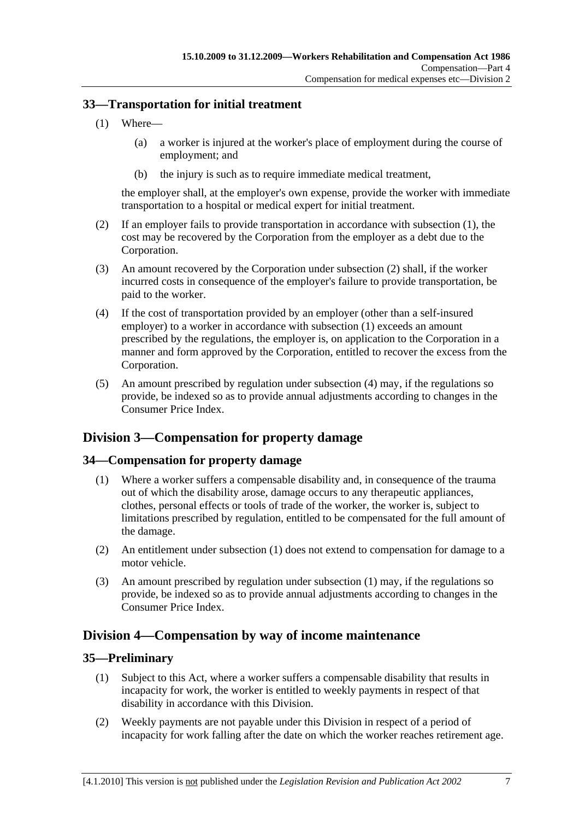### **33—Transportation for initial treatment**

- (1) Where—
	- (a) a worker is injured at the worker's place of employment during the course of employment; and
	- (b) the injury is such as to require immediate medical treatment,

the employer shall, at the employer's own expense, provide the worker with immediate transportation to a hospital or medical expert for initial treatment.

- (2) If an employer fails to provide transportation in accordance with subsection (1), the cost may be recovered by the Corporation from the employer as a debt due to the Corporation.
- (3) An amount recovered by the Corporation under subsection (2) shall, if the worker incurred costs in consequence of the employer's failure to provide transportation, be paid to the worker.
- (4) If the cost of transportation provided by an employer (other than a self-insured employer) to a worker in accordance with subsection (1) exceeds an amount prescribed by the regulations, the employer is, on application to the Corporation in a manner and form approved by the Corporation, entitled to recover the excess from the Corporation.
- (5) An amount prescribed by regulation under subsection (4) may, if the regulations so provide, be indexed so as to provide annual adjustments according to changes in the Consumer Price Index.

# **Division 3—Compensation for property damage**

## **34—Compensation for property damage**

- (1) Where a worker suffers a compensable disability and, in consequence of the trauma out of which the disability arose, damage occurs to any therapeutic appliances, clothes, personal effects or tools of trade of the worker, the worker is, subject to limitations prescribed by regulation, entitled to be compensated for the full amount of the damage.
- (2) An entitlement under subsection (1) does not extend to compensation for damage to a motor vehicle.
- (3) An amount prescribed by regulation under subsection (1) may, if the regulations so provide, be indexed so as to provide annual adjustments according to changes in the Consumer Price Index.

# **Division 4—Compensation by way of income maintenance**

### **35—Preliminary**

- (1) Subject to this Act, where a worker suffers a compensable disability that results in incapacity for work, the worker is entitled to weekly payments in respect of that disability in accordance with this Division.
- (2) Weekly payments are not payable under this Division in respect of a period of incapacity for work falling after the date on which the worker reaches retirement age.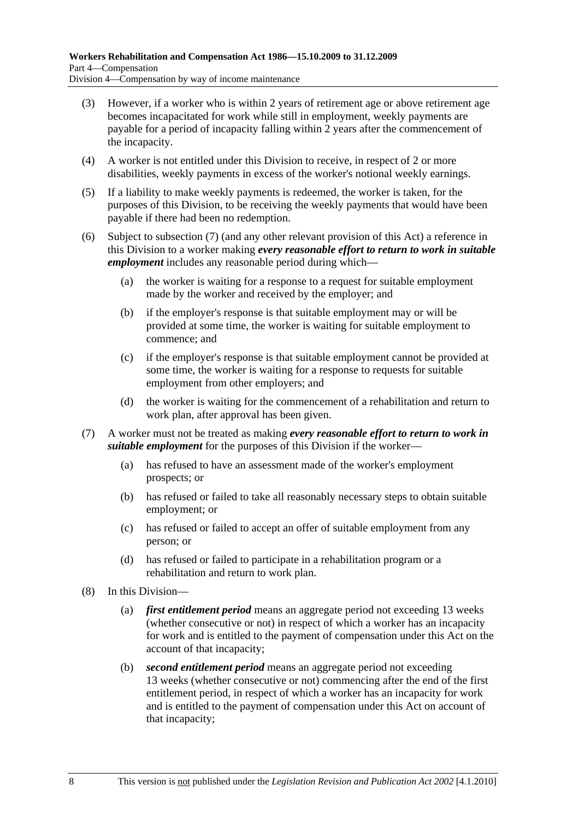- (3) However, if a worker who is within 2 years of retirement age or above retirement age becomes incapacitated for work while still in employment, weekly payments are payable for a period of incapacity falling within 2 years after the commencement of the incapacity.
- (4) A worker is not entitled under this Division to receive, in respect of 2 or more disabilities, weekly payments in excess of the worker's notional weekly earnings.
- (5) If a liability to make weekly payments is redeemed, the worker is taken, for the purposes of this Division, to be receiving the weekly payments that would have been payable if there had been no redemption.
- (6) Subject to subsection (7) (and any other relevant provision of this Act) a reference in this Division to a worker making *every reasonable effort to return to work in suitable employment* includes any reasonable period during which—
	- (a) the worker is waiting for a response to a request for suitable employment made by the worker and received by the employer; and
	- (b) if the employer's response is that suitable employment may or will be provided at some time, the worker is waiting for suitable employment to commence; and
	- (c) if the employer's response is that suitable employment cannot be provided at some time, the worker is waiting for a response to requests for suitable employment from other employers; and
	- (d) the worker is waiting for the commencement of a rehabilitation and return to work plan, after approval has been given.
- (7) A worker must not be treated as making *every reasonable effort to return to work in suitable employment* for the purposes of this Division if the worker—
	- (a) has refused to have an assessment made of the worker's employment prospects; or
	- (b) has refused or failed to take all reasonably necessary steps to obtain suitable employment; or
	- (c) has refused or failed to accept an offer of suitable employment from any person; or
	- (d) has refused or failed to participate in a rehabilitation program or a rehabilitation and return to work plan.
- (8) In this Division—
	- (a) *first entitlement period* means an aggregate period not exceeding 13 weeks (whether consecutive or not) in respect of which a worker has an incapacity for work and is entitled to the payment of compensation under this Act on the account of that incapacity;
	- (b) *second entitlement period* means an aggregate period not exceeding 13 weeks (whether consecutive or not) commencing after the end of the first entitlement period, in respect of which a worker has an incapacity for work and is entitled to the payment of compensation under this Act on account of that incapacity;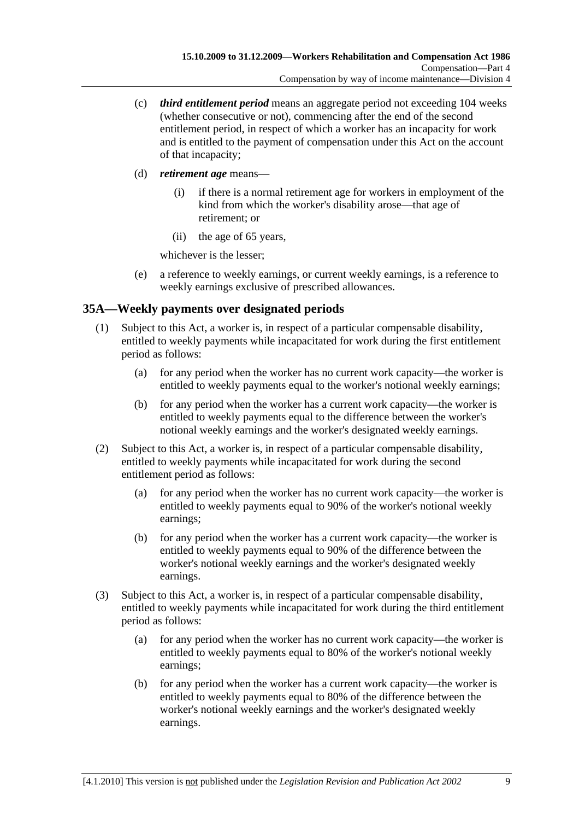- (c) *third entitlement period* means an aggregate period not exceeding 104 weeks (whether consecutive or not), commencing after the end of the second entitlement period, in respect of which a worker has an incapacity for work and is entitled to the payment of compensation under this Act on the account of that incapacity;
- (d) *retirement age* means—
	- (i) if there is a normal retirement age for workers in employment of the kind from which the worker's disability arose—that age of retirement; or
	- (ii) the age of 65 years,

whichever is the lesser;

 (e) a reference to weekly earnings, or current weekly earnings, is a reference to weekly earnings exclusive of prescribed allowances.

## **35A—Weekly payments over designated periods**

- (1) Subject to this Act, a worker is, in respect of a particular compensable disability, entitled to weekly payments while incapacitated for work during the first entitlement period as follows:
	- (a) for any period when the worker has no current work capacity—the worker is entitled to weekly payments equal to the worker's notional weekly earnings;
	- (b) for any period when the worker has a current work capacity—the worker is entitled to weekly payments equal to the difference between the worker's notional weekly earnings and the worker's designated weekly earnings.
- (2) Subject to this Act, a worker is, in respect of a particular compensable disability, entitled to weekly payments while incapacitated for work during the second entitlement period as follows:
	- (a) for any period when the worker has no current work capacity—the worker is entitled to weekly payments equal to 90% of the worker's notional weekly earnings;
	- (b) for any period when the worker has a current work capacity—the worker is entitled to weekly payments equal to 90% of the difference between the worker's notional weekly earnings and the worker's designated weekly earnings.
- (3) Subject to this Act, a worker is, in respect of a particular compensable disability, entitled to weekly payments while incapacitated for work during the third entitlement period as follows:
	- (a) for any period when the worker has no current work capacity—the worker is entitled to weekly payments equal to 80% of the worker's notional weekly earnings;
	- (b) for any period when the worker has a current work capacity—the worker is entitled to weekly payments equal to 80% of the difference between the worker's notional weekly earnings and the worker's designated weekly earnings.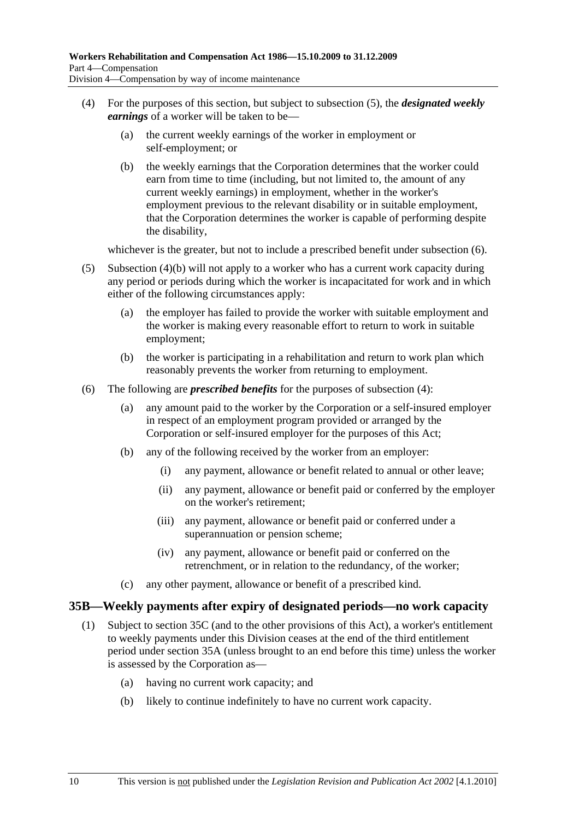- (4) For the purposes of this section, but subject to subsection (5), the *designated weekly earnings* of a worker will be taken to be—
	- (a) the current weekly earnings of the worker in employment or self-employment; or
	- (b) the weekly earnings that the Corporation determines that the worker could earn from time to time (including, but not limited to, the amount of any current weekly earnings) in employment, whether in the worker's employment previous to the relevant disability or in suitable employment, that the Corporation determines the worker is capable of performing despite the disability,

whichever is the greater, but not to include a prescribed benefit under subsection  $(6)$ .

- (5) Subsection (4)(b) will not apply to a worker who has a current work capacity during any period or periods during which the worker is incapacitated for work and in which either of the following circumstances apply:
	- (a) the employer has failed to provide the worker with suitable employment and the worker is making every reasonable effort to return to work in suitable employment;
	- (b) the worker is participating in a rehabilitation and return to work plan which reasonably prevents the worker from returning to employment.
- (6) The following are *prescribed benefits* for the purposes of subsection (4):
	- (a) any amount paid to the worker by the Corporation or a self-insured employer in respect of an employment program provided or arranged by the Corporation or self-insured employer for the purposes of this Act;
	- (b) any of the following received by the worker from an employer:
		- (i) any payment, allowance or benefit related to annual or other leave;
		- (ii) any payment, allowance or benefit paid or conferred by the employer on the worker's retirement;
		- (iii) any payment, allowance or benefit paid or conferred under a superannuation or pension scheme;
		- (iv) any payment, allowance or benefit paid or conferred on the retrenchment, or in relation to the redundancy, of the worker;
	- (c) any other payment, allowance or benefit of a prescribed kind.

### **35B—Weekly payments after expiry of designated periods—no work capacity**

- (1) Subject to section 35C (and to the other provisions of this Act), a worker's entitlement to weekly payments under this Division ceases at the end of the third entitlement period under section 35A (unless brought to an end before this time) unless the worker is assessed by the Corporation as—
	- (a) having no current work capacity; and
	- (b) likely to continue indefinitely to have no current work capacity.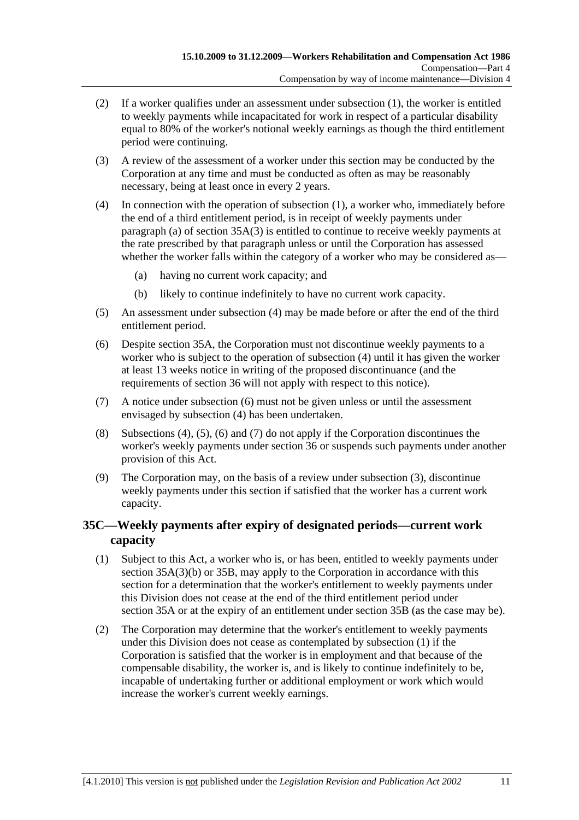- (2) If a worker qualifies under an assessment under subsection (1), the worker is entitled to weekly payments while incapacitated for work in respect of a particular disability equal to 80% of the worker's notional weekly earnings as though the third entitlement period were continuing.
- (3) A review of the assessment of a worker under this section may be conducted by the Corporation at any time and must be conducted as often as may be reasonably necessary, being at least once in every 2 years.
- (4) In connection with the operation of subsection (1), a worker who, immediately before the end of a third entitlement period, is in receipt of weekly payments under paragraph (a) of section  $35A(3)$  is entitled to continue to receive weekly payments at the rate prescribed by that paragraph unless or until the Corporation has assessed whether the worker falls within the category of a worker who may be considered as—
	- (a) having no current work capacity; and
	- (b) likely to continue indefinitely to have no current work capacity.
- (5) An assessment under subsection (4) may be made before or after the end of the third entitlement period.
- (6) Despite section 35A, the Corporation must not discontinue weekly payments to a worker who is subject to the operation of subsection (4) until it has given the worker at least 13 weeks notice in writing of the proposed discontinuance (and the requirements of section 36 will not apply with respect to this notice).
- (7) A notice under subsection (6) must not be given unless or until the assessment envisaged by subsection (4) has been undertaken.
- (8) Subsections (4), (5), (6) and (7) do not apply if the Corporation discontinues the worker's weekly payments under section 36 or suspends such payments under another provision of this Act.
- (9) The Corporation may, on the basis of a review under subsection (3), discontinue weekly payments under this section if satisfied that the worker has a current work capacity.

## **35C—Weekly payments after expiry of designated periods—current work capacity**

- (1) Subject to this Act, a worker who is, or has been, entitled to weekly payments under section 35A(3)(b) or 35B, may apply to the Corporation in accordance with this section for a determination that the worker's entitlement to weekly payments under this Division does not cease at the end of the third entitlement period under section 35A or at the expiry of an entitlement under section 35B (as the case may be).
- (2) The Corporation may determine that the worker's entitlement to weekly payments under this Division does not cease as contemplated by subsection (1) if the Corporation is satisfied that the worker is in employment and that because of the compensable disability, the worker is, and is likely to continue indefinitely to be, incapable of undertaking further or additional employment or work which would increase the worker's current weekly earnings.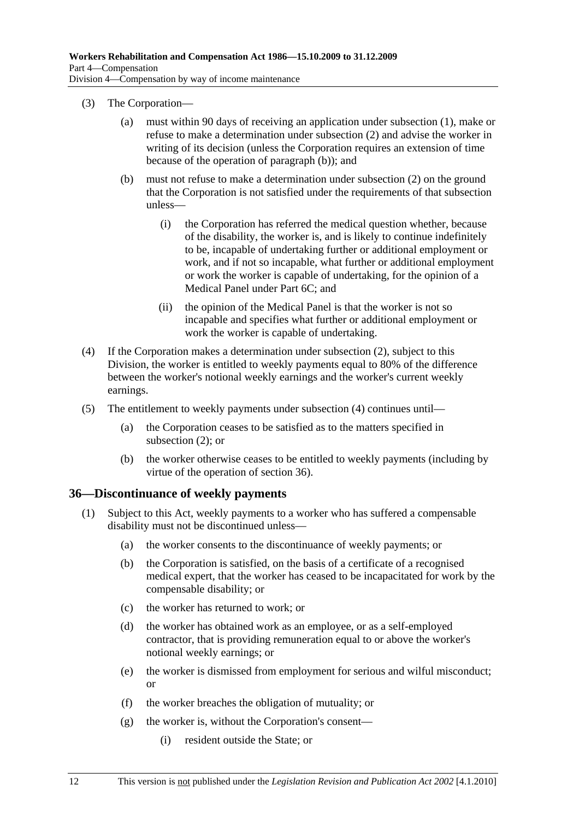- (3) The Corporation—
	- (a) must within 90 days of receiving an application under subsection (1), make or refuse to make a determination under subsection (2) and advise the worker in writing of its decision (unless the Corporation requires an extension of time because of the operation of paragraph (b)); and
	- (b) must not refuse to make a determination under subsection (2) on the ground that the Corporation is not satisfied under the requirements of that subsection unless—
		- (i) the Corporation has referred the medical question whether, because of the disability, the worker is, and is likely to continue indefinitely to be, incapable of undertaking further or additional employment or work, and if not so incapable, what further or additional employment or work the worker is capable of undertaking, for the opinion of a Medical Panel under Part 6C; and
		- (ii) the opinion of the Medical Panel is that the worker is not so incapable and specifies what further or additional employment or work the worker is capable of undertaking.
- (4) If the Corporation makes a determination under subsection (2), subject to this Division, the worker is entitled to weekly payments equal to 80% of the difference between the worker's notional weekly earnings and the worker's current weekly earnings.
- (5) The entitlement to weekly payments under subsection (4) continues until—
	- (a) the Corporation ceases to be satisfied as to the matters specified in subsection (2); or
	- (b) the worker otherwise ceases to be entitled to weekly payments (including by virtue of the operation of section 36).

### **36—Discontinuance of weekly payments**

- (1) Subject to this Act, weekly payments to a worker who has suffered a compensable disability must not be discontinued unless—
	- (a) the worker consents to the discontinuance of weekly payments; or
	- (b) the Corporation is satisfied, on the basis of a certificate of a recognised medical expert, that the worker has ceased to be incapacitated for work by the compensable disability; or
	- (c) the worker has returned to work; or
	- (d) the worker has obtained work as an employee, or as a self-employed contractor, that is providing remuneration equal to or above the worker's notional weekly earnings; or
	- (e) the worker is dismissed from employment for serious and wilful misconduct; or
	- (f) the worker breaches the obligation of mutuality; or
	- (g) the worker is, without the Corporation's consent—
		- (i) resident outside the State; or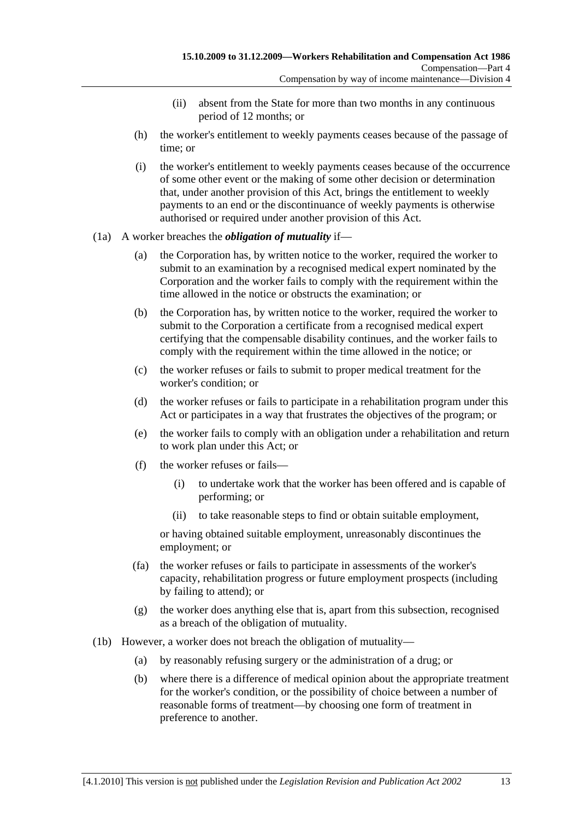- (ii) absent from the State for more than two months in any continuous period of 12 months; or
- (h) the worker's entitlement to weekly payments ceases because of the passage of time; or
- (i) the worker's entitlement to weekly payments ceases because of the occurrence of some other event or the making of some other decision or determination that, under another provision of this Act, brings the entitlement to weekly payments to an end or the discontinuance of weekly payments is otherwise authorised or required under another provision of this Act.

#### (1a) A worker breaches the *obligation of mutuality* if—

- (a) the Corporation has, by written notice to the worker, required the worker to submit to an examination by a recognised medical expert nominated by the Corporation and the worker fails to comply with the requirement within the time allowed in the notice or obstructs the examination; or
- (b) the Corporation has, by written notice to the worker, required the worker to submit to the Corporation a certificate from a recognised medical expert certifying that the compensable disability continues, and the worker fails to comply with the requirement within the time allowed in the notice; or
- (c) the worker refuses or fails to submit to proper medical treatment for the worker's condition; or
- (d) the worker refuses or fails to participate in a rehabilitation program under this Act or participates in a way that frustrates the objectives of the program; or
- (e) the worker fails to comply with an obligation under a rehabilitation and return to work plan under this Act; or
- (f) the worker refuses or fails—
	- (i) to undertake work that the worker has been offered and is capable of performing; or
	- (ii) to take reasonable steps to find or obtain suitable employment,

or having obtained suitable employment, unreasonably discontinues the employment; or

- (fa) the worker refuses or fails to participate in assessments of the worker's capacity, rehabilitation progress or future employment prospects (including by failing to attend); or
- (g) the worker does anything else that is, apart from this subsection, recognised as a breach of the obligation of mutuality.
- (1b) However, a worker does not breach the obligation of mutuality—
	- (a) by reasonably refusing surgery or the administration of a drug; or
	- (b) where there is a difference of medical opinion about the appropriate treatment for the worker's condition, or the possibility of choice between a number of reasonable forms of treatment—by choosing one form of treatment in preference to another.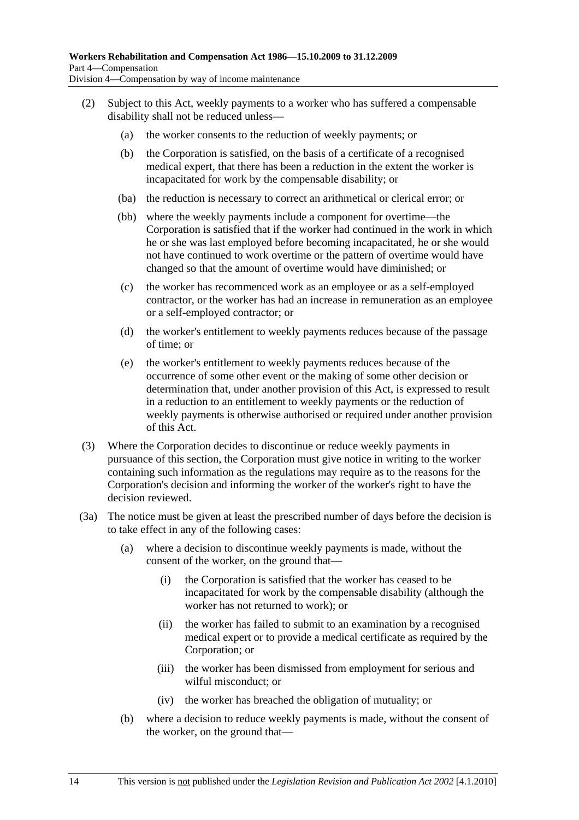- (2) Subject to this Act, weekly payments to a worker who has suffered a compensable disability shall not be reduced unless—
	- (a) the worker consents to the reduction of weekly payments; or
	- (b) the Corporation is satisfied, on the basis of a certificate of a recognised medical expert, that there has been a reduction in the extent the worker is incapacitated for work by the compensable disability; or
	- (ba) the reduction is necessary to correct an arithmetical or clerical error; or
	- (bb) where the weekly payments include a component for overtime—the Corporation is satisfied that if the worker had continued in the work in which he or she was last employed before becoming incapacitated, he or she would not have continued to work overtime or the pattern of overtime would have changed so that the amount of overtime would have diminished; or
	- (c) the worker has recommenced work as an employee or as a self-employed contractor, or the worker has had an increase in remuneration as an employee or a self-employed contractor; or
	- (d) the worker's entitlement to weekly payments reduces because of the passage of time; or
	- (e) the worker's entitlement to weekly payments reduces because of the occurrence of some other event or the making of some other decision or determination that, under another provision of this Act, is expressed to result in a reduction to an entitlement to weekly payments or the reduction of weekly payments is otherwise authorised or required under another provision of this Act.
- (3) Where the Corporation decides to discontinue or reduce weekly payments in pursuance of this section, the Corporation must give notice in writing to the worker containing such information as the regulations may require as to the reasons for the Corporation's decision and informing the worker of the worker's right to have the decision reviewed.
- (3a) The notice must be given at least the prescribed number of days before the decision is to take effect in any of the following cases:
	- (a) where a decision to discontinue weekly payments is made, without the consent of the worker, on the ground that—
		- (i) the Corporation is satisfied that the worker has ceased to be incapacitated for work by the compensable disability (although the worker has not returned to work); or
		- (ii) the worker has failed to submit to an examination by a recognised medical expert or to provide a medical certificate as required by the Corporation; or
		- (iii) the worker has been dismissed from employment for serious and wilful misconduct; or
		- (iv) the worker has breached the obligation of mutuality; or
	- (b) where a decision to reduce weekly payments is made, without the consent of the worker, on the ground that—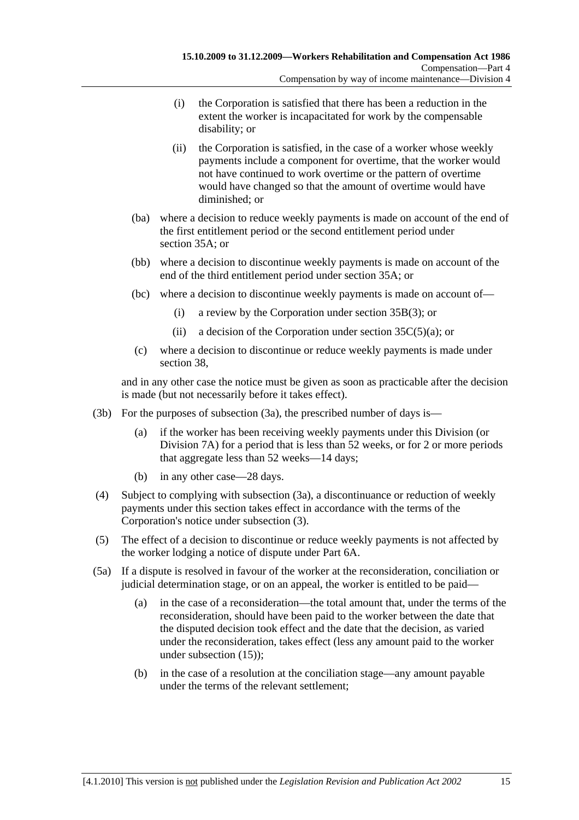- (i) the Corporation is satisfied that there has been a reduction in the extent the worker is incapacitated for work by the compensable disability; or
- (ii) the Corporation is satisfied, in the case of a worker whose weekly payments include a component for overtime, that the worker would not have continued to work overtime or the pattern of overtime would have changed so that the amount of overtime would have diminished; or
- (ba) where a decision to reduce weekly payments is made on account of the end of the first entitlement period or the second entitlement period under section 35A; or
- (bb) where a decision to discontinue weekly payments is made on account of the end of the third entitlement period under section 35A; or
- (bc) where a decision to discontinue weekly payments is made on account of—
	- (i) a review by the Corporation under section 35B(3); or
	- (ii) a decision of the Corporation under section  $35C(5)(a)$ ; or
- (c) where a decision to discontinue or reduce weekly payments is made under section 38,

and in any other case the notice must be given as soon as practicable after the decision is made (but not necessarily before it takes effect).

- (3b) For the purposes of subsection (3a), the prescribed number of days is—
	- (a) if the worker has been receiving weekly payments under this Division (or Division 7A) for a period that is less than 52 weeks, or for 2 or more periods that aggregate less than 52 weeks—14 days;
	- (b) in any other case—28 days.
- (4) Subject to complying with subsection (3a), a discontinuance or reduction of weekly payments under this section takes effect in accordance with the terms of the Corporation's notice under subsection (3).
- (5) The effect of a decision to discontinue or reduce weekly payments is not affected by the worker lodging a notice of dispute under Part 6A.
- (5a) If a dispute is resolved in favour of the worker at the reconsideration, conciliation or judicial determination stage, or on an appeal, the worker is entitled to be paid—
	- (a) in the case of a reconsideration—the total amount that, under the terms of the reconsideration, should have been paid to the worker between the date that the disputed decision took effect and the date that the decision, as varied under the reconsideration, takes effect (less any amount paid to the worker under subsection (15));
	- (b) in the case of a resolution at the conciliation stage—any amount payable under the terms of the relevant settlement;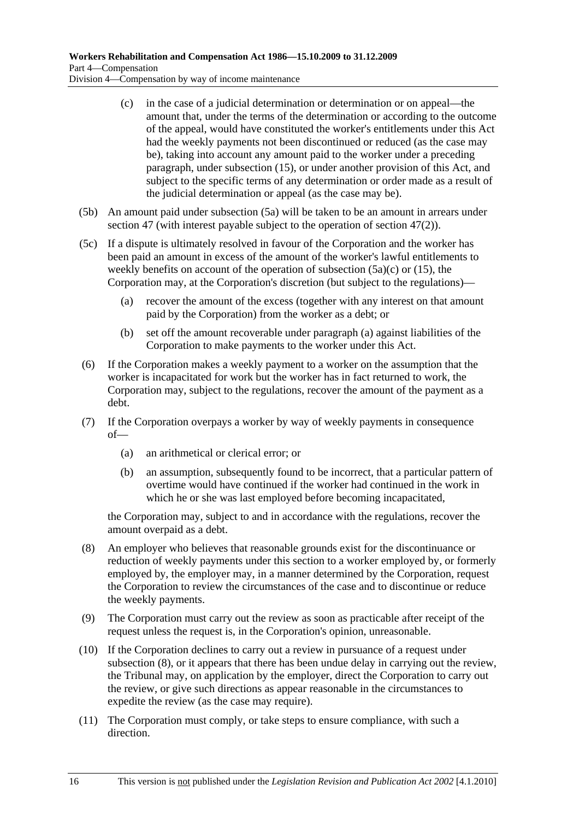- (c) in the case of a judicial determination or determination or on appeal—the amount that, under the terms of the determination or according to the outcome of the appeal, would have constituted the worker's entitlements under this Act had the weekly payments not been discontinued or reduced (as the case may be), taking into account any amount paid to the worker under a preceding paragraph, under subsection (15), or under another provision of this Act, and subject to the specific terms of any determination or order made as a result of the judicial determination or appeal (as the case may be).
- (5b) An amount paid under subsection (5a) will be taken to be an amount in arrears under section 47 (with interest payable subject to the operation of section 47(2)).
- (5c) If a dispute is ultimately resolved in favour of the Corporation and the worker has been paid an amount in excess of the amount of the worker's lawful entitlements to weekly benefits on account of the operation of subsection  $(5a)(c)$  or  $(15)$ , the Corporation may, at the Corporation's discretion (but subject to the regulations)—
	- (a) recover the amount of the excess (together with any interest on that amount paid by the Corporation) from the worker as a debt; or
	- (b) set off the amount recoverable under paragraph (a) against liabilities of the Corporation to make payments to the worker under this Act.
- (6) If the Corporation makes a weekly payment to a worker on the assumption that the worker is incapacitated for work but the worker has in fact returned to work, the Corporation may, subject to the regulations, recover the amount of the payment as a debt.
- (7) If the Corporation overpays a worker by way of weekly payments in consequence of—
	- (a) an arithmetical or clerical error; or
	- (b) an assumption, subsequently found to be incorrect, that a particular pattern of overtime would have continued if the worker had continued in the work in which he or she was last employed before becoming incapacitated,

the Corporation may, subject to and in accordance with the regulations, recover the amount overpaid as a debt.

- (8) An employer who believes that reasonable grounds exist for the discontinuance or reduction of weekly payments under this section to a worker employed by, or formerly employed by, the employer may, in a manner determined by the Corporation, request the Corporation to review the circumstances of the case and to discontinue or reduce the weekly payments.
- (9) The Corporation must carry out the review as soon as practicable after receipt of the request unless the request is, in the Corporation's opinion, unreasonable.
- (10) If the Corporation declines to carry out a review in pursuance of a request under subsection (8), or it appears that there has been undue delay in carrying out the review, the Tribunal may, on application by the employer, direct the Corporation to carry out the review, or give such directions as appear reasonable in the circumstances to expedite the review (as the case may require).
- (11) The Corporation must comply, or take steps to ensure compliance, with such a direction.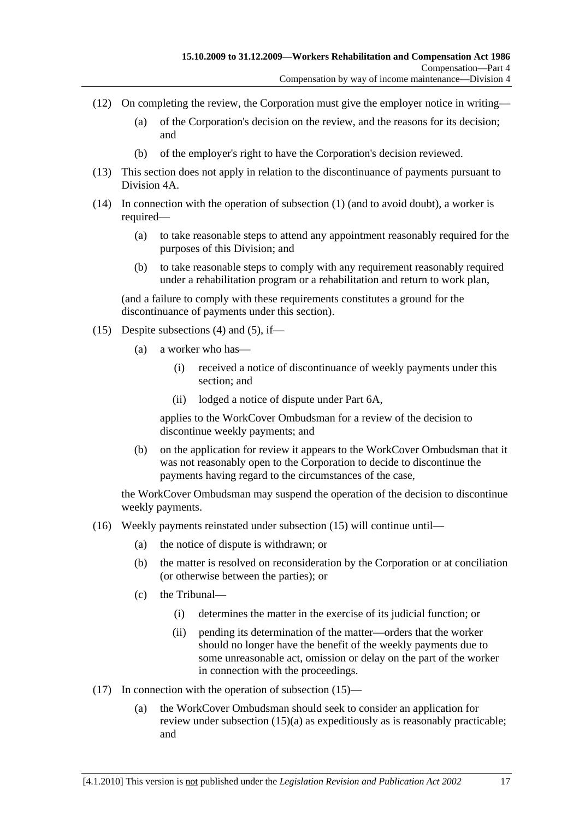- (12) On completing the review, the Corporation must give the employer notice in writing—
	- (a) of the Corporation's decision on the review, and the reasons for its decision; and
	- (b) of the employer's right to have the Corporation's decision reviewed.
- (13) This section does not apply in relation to the discontinuance of payments pursuant to Division 4A.
- (14) In connection with the operation of subsection (1) (and to avoid doubt), a worker is required—
	- (a) to take reasonable steps to attend any appointment reasonably required for the purposes of this Division; and
	- (b) to take reasonable steps to comply with any requirement reasonably required under a rehabilitation program or a rehabilitation and return to work plan,

(and a failure to comply with these requirements constitutes a ground for the discontinuance of payments under this section).

- (15) Despite subsections (4) and (5), if—
	- (a) a worker who has—
		- (i) received a notice of discontinuance of weekly payments under this section; and
		- (ii) lodged a notice of dispute under Part 6A,

applies to the WorkCover Ombudsman for a review of the decision to discontinue weekly payments; and

 (b) on the application for review it appears to the WorkCover Ombudsman that it was not reasonably open to the Corporation to decide to discontinue the payments having regard to the circumstances of the case,

the WorkCover Ombudsman may suspend the operation of the decision to discontinue weekly payments.

- (16) Weekly payments reinstated under subsection (15) will continue until—
	- (a) the notice of dispute is withdrawn; or
	- (b) the matter is resolved on reconsideration by the Corporation or at conciliation (or otherwise between the parties); or
	- (c) the Tribunal—
		- (i) determines the matter in the exercise of its judicial function; or
		- (ii) pending its determination of the matter—orders that the worker should no longer have the benefit of the weekly payments due to some unreasonable act, omission or delay on the part of the worker in connection with the proceedings.
- (17) In connection with the operation of subsection (15)—
	- (a) the WorkCover Ombudsman should seek to consider an application for review under subsection (15)(a) as expeditiously as is reasonably practicable; and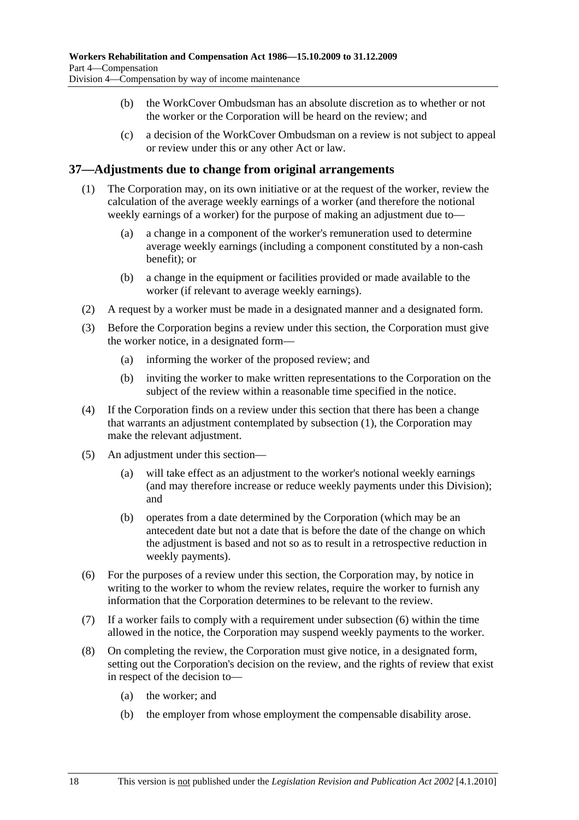- (b) the WorkCover Ombudsman has an absolute discretion as to whether or not the worker or the Corporation will be heard on the review; and
- (c) a decision of the WorkCover Ombudsman on a review is not subject to appeal or review under this or any other Act or law.

### **37—Adjustments due to change from original arrangements**

- (1) The Corporation may, on its own initiative or at the request of the worker, review the calculation of the average weekly earnings of a worker (and therefore the notional weekly earnings of a worker) for the purpose of making an adjustment due to—
	- (a) a change in a component of the worker's remuneration used to determine average weekly earnings (including a component constituted by a non-cash benefit); or
	- (b) a change in the equipment or facilities provided or made available to the worker (if relevant to average weekly earnings).
- (2) A request by a worker must be made in a designated manner and a designated form.
- (3) Before the Corporation begins a review under this section, the Corporation must give the worker notice, in a designated form—
	- (a) informing the worker of the proposed review; and
	- (b) inviting the worker to make written representations to the Corporation on the subject of the review within a reasonable time specified in the notice.
- (4) If the Corporation finds on a review under this section that there has been a change that warrants an adjustment contemplated by subsection (1), the Corporation may make the relevant adjustment.
- (5) An adjustment under this section—
	- (a) will take effect as an adjustment to the worker's notional weekly earnings (and may therefore increase or reduce weekly payments under this Division); and
	- (b) operates from a date determined by the Corporation (which may be an antecedent date but not a date that is before the date of the change on which the adjustment is based and not so as to result in a retrospective reduction in weekly payments).
- (6) For the purposes of a review under this section, the Corporation may, by notice in writing to the worker to whom the review relates, require the worker to furnish any information that the Corporation determines to be relevant to the review.
- (7) If a worker fails to comply with a requirement under subsection (6) within the time allowed in the notice, the Corporation may suspend weekly payments to the worker.
- (8) On completing the review, the Corporation must give notice, in a designated form, setting out the Corporation's decision on the review, and the rights of review that exist in respect of the decision to—
	- (a) the worker; and
	- (b) the employer from whose employment the compensable disability arose.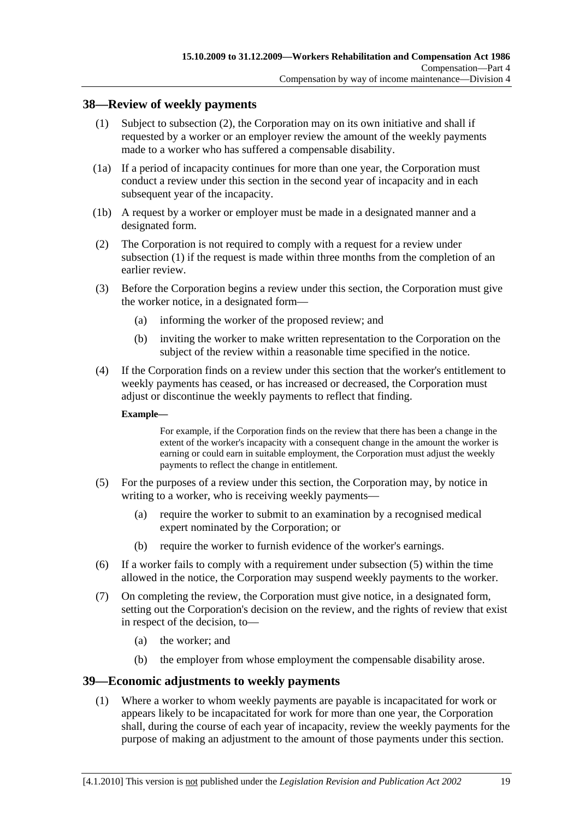### **38—Review of weekly payments**

- (1) Subject to subsection (2), the Corporation may on its own initiative and shall if requested by a worker or an employer review the amount of the weekly payments made to a worker who has suffered a compensable disability.
- (1a) If a period of incapacity continues for more than one year, the Corporation must conduct a review under this section in the second year of incapacity and in each subsequent year of the incapacity.
- (1b) A request by a worker or employer must be made in a designated manner and a designated form.
- (2) The Corporation is not required to comply with a request for a review under subsection (1) if the request is made within three months from the completion of an earlier review.
- (3) Before the Corporation begins a review under this section, the Corporation must give the worker notice, in a designated form—
	- (a) informing the worker of the proposed review; and
	- (b) inviting the worker to make written representation to the Corporation on the subject of the review within a reasonable time specified in the notice.
- (4) If the Corporation finds on a review under this section that the worker's entitlement to weekly payments has ceased, or has increased or decreased, the Corporation must adjust or discontinue the weekly payments to reflect that finding.

#### **Example—**

For example, if the Corporation finds on the review that there has been a change in the extent of the worker's incapacity with a consequent change in the amount the worker is earning or could earn in suitable employment, the Corporation must adjust the weekly payments to reflect the change in entitlement.

- (5) For the purposes of a review under this section, the Corporation may, by notice in writing to a worker, who is receiving weekly payments—
	- (a) require the worker to submit to an examination by a recognised medical expert nominated by the Corporation; or
	- (b) require the worker to furnish evidence of the worker's earnings.
- (6) If a worker fails to comply with a requirement under subsection (5) within the time allowed in the notice, the Corporation may suspend weekly payments to the worker.
- (7) On completing the review, the Corporation must give notice, in a designated form, setting out the Corporation's decision on the review, and the rights of review that exist in respect of the decision, to—
	- (a) the worker; and
	- (b) the employer from whose employment the compensable disability arose.

### **39—Economic adjustments to weekly payments**

 (1) Where a worker to whom weekly payments are payable is incapacitated for work or appears likely to be incapacitated for work for more than one year, the Corporation shall, during the course of each year of incapacity, review the weekly payments for the purpose of making an adjustment to the amount of those payments under this section.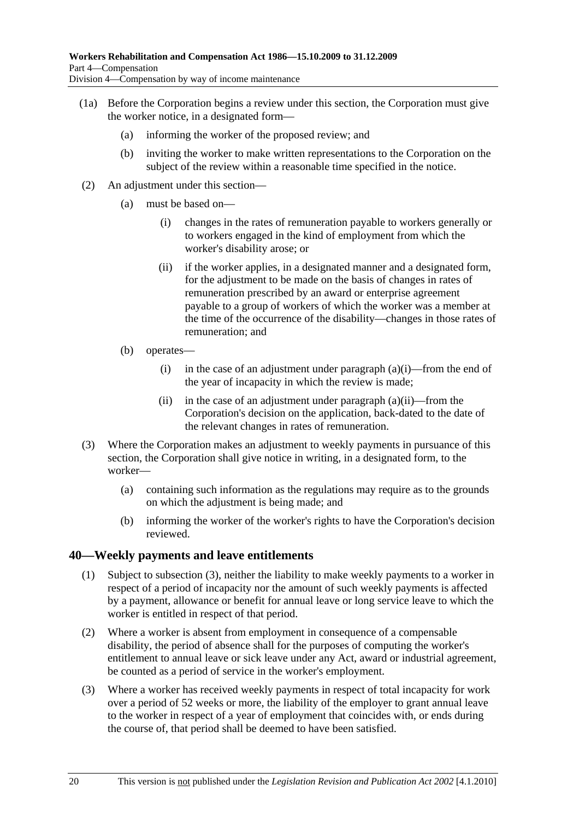- (1a) Before the Corporation begins a review under this section, the Corporation must give the worker notice, in a designated form—
	- (a) informing the worker of the proposed review; and
	- (b) inviting the worker to make written representations to the Corporation on the subject of the review within a reasonable time specified in the notice.
- (2) An adjustment under this section—
	- (a) must be based on—
		- (i) changes in the rates of remuneration payable to workers generally or to workers engaged in the kind of employment from which the worker's disability arose; or
		- (ii) if the worker applies, in a designated manner and a designated form, for the adjustment to be made on the basis of changes in rates of remuneration prescribed by an award or enterprise agreement payable to a group of workers of which the worker was a member at the time of the occurrence of the disability—changes in those rates of remuneration; and
	- (b) operates—
		- (i) in the case of an adjustment under paragraph  $(a)(i)$ —from the end of the year of incapacity in which the review is made;
		- (ii) in the case of an adjustment under paragraph  $(a)(ii)$ —from the Corporation's decision on the application, back-dated to the date of the relevant changes in rates of remuneration.
- (3) Where the Corporation makes an adjustment to weekly payments in pursuance of this section, the Corporation shall give notice in writing, in a designated form, to the worker—
	- (a) containing such information as the regulations may require as to the grounds on which the adjustment is being made; and
	- (b) informing the worker of the worker's rights to have the Corporation's decision reviewed.

### **40—Weekly payments and leave entitlements**

- (1) Subject to subsection (3), neither the liability to make weekly payments to a worker in respect of a period of incapacity nor the amount of such weekly payments is affected by a payment, allowance or benefit for annual leave or long service leave to which the worker is entitled in respect of that period.
- (2) Where a worker is absent from employment in consequence of a compensable disability, the period of absence shall for the purposes of computing the worker's entitlement to annual leave or sick leave under any Act, award or industrial agreement, be counted as a period of service in the worker's employment.
- (3) Where a worker has received weekly payments in respect of total incapacity for work over a period of 52 weeks or more, the liability of the employer to grant annual leave to the worker in respect of a year of employment that coincides with, or ends during the course of, that period shall be deemed to have been satisfied.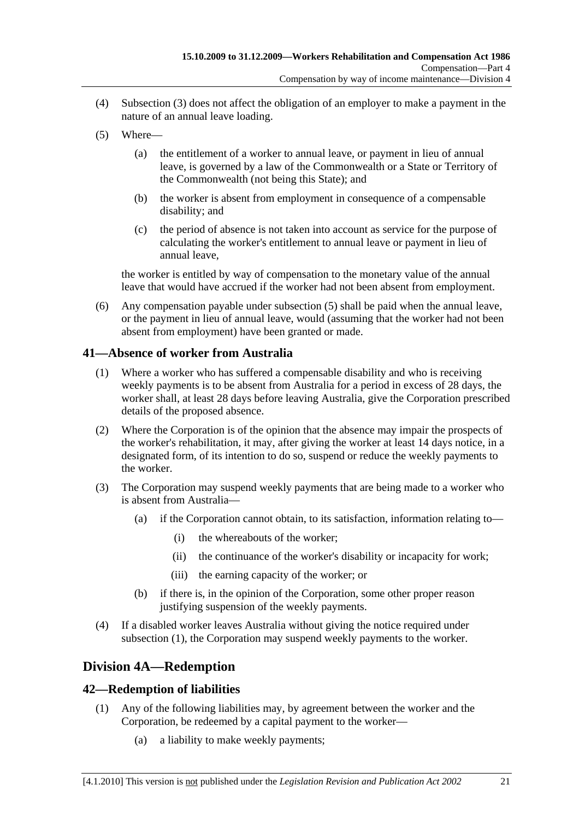- (4) Subsection (3) does not affect the obligation of an employer to make a payment in the nature of an annual leave loading.
- (5) Where—
	- (a) the entitlement of a worker to annual leave, or payment in lieu of annual leave, is governed by a law of the Commonwealth or a State or Territory of the Commonwealth (not being this State); and
	- (b) the worker is absent from employment in consequence of a compensable disability; and
	- (c) the period of absence is not taken into account as service for the purpose of calculating the worker's entitlement to annual leave or payment in lieu of annual leave,

the worker is entitled by way of compensation to the monetary value of the annual leave that would have accrued if the worker had not been absent from employment.

 (6) Any compensation payable under subsection (5) shall be paid when the annual leave, or the payment in lieu of annual leave, would (assuming that the worker had not been absent from employment) have been granted or made.

### **41—Absence of worker from Australia**

- (1) Where a worker who has suffered a compensable disability and who is receiving weekly payments is to be absent from Australia for a period in excess of 28 days, the worker shall, at least 28 days before leaving Australia, give the Corporation prescribed details of the proposed absence.
- (2) Where the Corporation is of the opinion that the absence may impair the prospects of the worker's rehabilitation, it may, after giving the worker at least 14 days notice, in a designated form, of its intention to do so, suspend or reduce the weekly payments to the worker.
- (3) The Corporation may suspend weekly payments that are being made to a worker who is absent from Australia—
	- (a) if the Corporation cannot obtain, to its satisfaction, information relating to—
		- (i) the whereabouts of the worker;
		- (ii) the continuance of the worker's disability or incapacity for work;
		- (iii) the earning capacity of the worker; or
	- (b) if there is, in the opinion of the Corporation, some other proper reason justifying suspension of the weekly payments.
- (4) If a disabled worker leaves Australia without giving the notice required under subsection (1), the Corporation may suspend weekly payments to the worker.

# **Division 4A—Redemption**

## **42—Redemption of liabilities**

- (1) Any of the following liabilities may, by agreement between the worker and the Corporation, be redeemed by a capital payment to the worker—
	- (a) a liability to make weekly payments;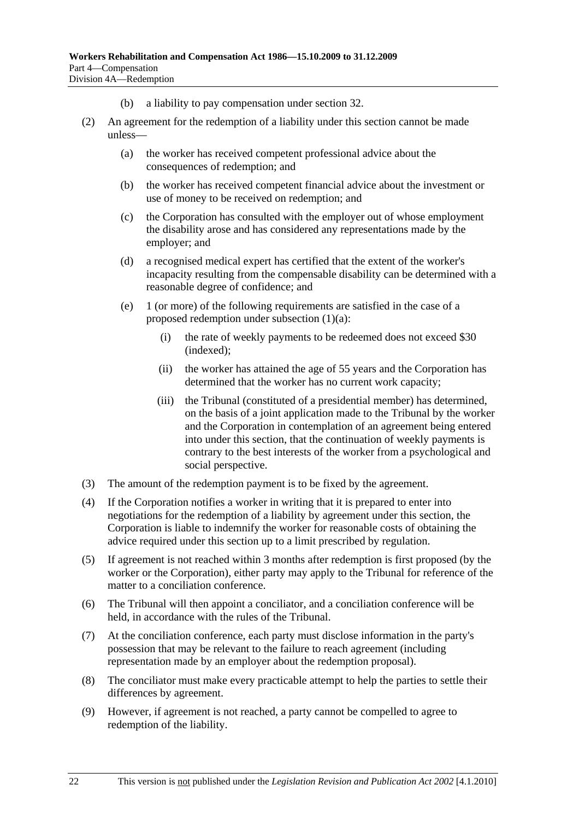- (b) a liability to pay compensation under section 32.
- (2) An agreement for the redemption of a liability under this section cannot be made unless—
	- (a) the worker has received competent professional advice about the consequences of redemption; and
	- (b) the worker has received competent financial advice about the investment or use of money to be received on redemption; and
	- (c) the Corporation has consulted with the employer out of whose employment the disability arose and has considered any representations made by the employer; and
	- (d) a recognised medical expert has certified that the extent of the worker's incapacity resulting from the compensable disability can be determined with a reasonable degree of confidence; and
	- (e) 1 (or more) of the following requirements are satisfied in the case of a proposed redemption under subsection (1)(a):
		- (i) the rate of weekly payments to be redeemed does not exceed \$30 (indexed);
		- (ii) the worker has attained the age of 55 years and the Corporation has determined that the worker has no current work capacity;
		- (iii) the Tribunal (constituted of a presidential member) has determined, on the basis of a joint application made to the Tribunal by the worker and the Corporation in contemplation of an agreement being entered into under this section, that the continuation of weekly payments is contrary to the best interests of the worker from a psychological and social perspective.
- (3) The amount of the redemption payment is to be fixed by the agreement.
- (4) If the Corporation notifies a worker in writing that it is prepared to enter into negotiations for the redemption of a liability by agreement under this section, the Corporation is liable to indemnify the worker for reasonable costs of obtaining the advice required under this section up to a limit prescribed by regulation.
- (5) If agreement is not reached within 3 months after redemption is first proposed (by the worker or the Corporation), either party may apply to the Tribunal for reference of the matter to a conciliation conference.
- (6) The Tribunal will then appoint a conciliator, and a conciliation conference will be held, in accordance with the rules of the Tribunal.
- (7) At the conciliation conference, each party must disclose information in the party's possession that may be relevant to the failure to reach agreement (including representation made by an employer about the redemption proposal).
- (8) The conciliator must make every practicable attempt to help the parties to settle their differences by agreement.
- (9) However, if agreement is not reached, a party cannot be compelled to agree to redemption of the liability.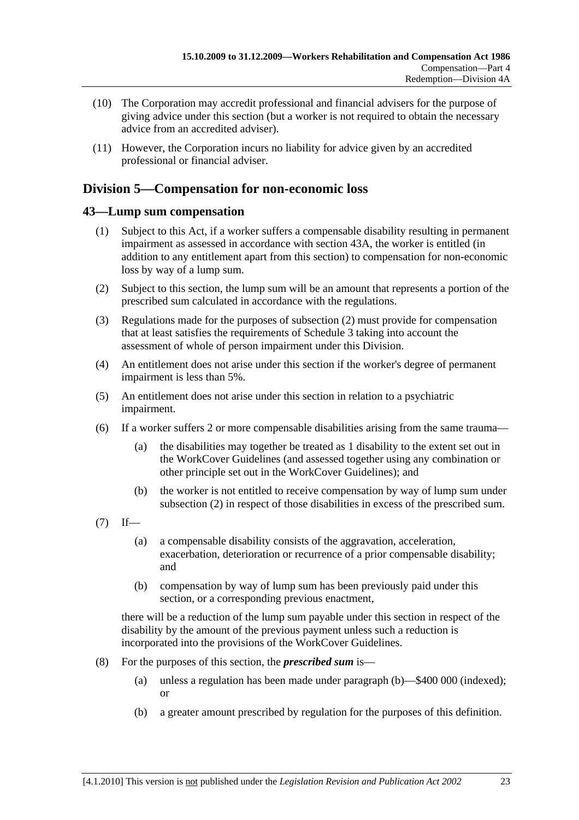- (10) The Corporation may accredit professional and financial advisers for the purpose of giving advice under this section (but a worker is not required to obtain the necessary advice from an accredited adviser).
- (11) However, the Corporation incurs no liability for advice given by an accredited professional or financial adviser.

# **Division 5—Compensation for non-economic loss**

## **43—Lump sum compensation**

- (1) Subject to this Act, if a worker suffers a compensable disability resulting in permanent impairment as assessed in accordance with section 43A, the worker is entitled (in addition to any entitlement apart from this section) to compensation for non-economic loss by way of a lump sum.
- (2) Subject to this section, the lump sum will be an amount that represents a portion of the prescribed sum calculated in accordance with the regulations.
- (3) Regulations made for the purposes of subsection (2) must provide for compensation that at least satisfies the requirements of Schedule 3 taking into account the assessment of whole of person impairment under this Division.
- (4) An entitlement does not arise under this section if the worker's degree of permanent impairment is less than 5%.
- (5) An entitlement does not arise under this section in relation to a psychiatric impairment.
- (6) If a worker suffers 2 or more compensable disabilities arising from the same trauma—
	- (a) the disabilities may together be treated as 1 disability to the extent set out in the WorkCover Guidelines (and assessed together using any combination or other principle set out in the WorkCover Guidelines); and
	- (b) the worker is not entitled to receive compensation by way of lump sum under subsection (2) in respect of those disabilities in excess of the prescribed sum.
- $(7)$  If—
	- (a) a compensable disability consists of the aggravation, acceleration, exacerbation, deterioration or recurrence of a prior compensable disability; and
	- (b) compensation by way of lump sum has been previously paid under this section, or a corresponding previous enactment,

there will be a reduction of the lump sum payable under this section in respect of the disability by the amount of the previous payment unless such a reduction is incorporated into the provisions of the WorkCover Guidelines.

- (8) For the purposes of this section, the *prescribed sum* is—
	- (a) unless a regulation has been made under paragraph (b)—\$400 000 (indexed); or
	- (b) a greater amount prescribed by regulation for the purposes of this definition.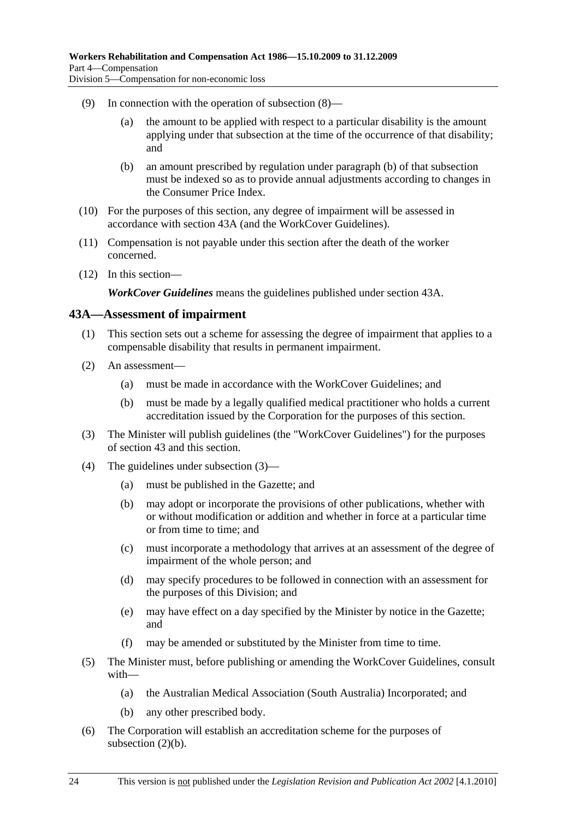- (9) In connection with the operation of subsection (8)—
	- (a) the amount to be applied with respect to a particular disability is the amount applying under that subsection at the time of the occurrence of that disability; and
	- (b) an amount prescribed by regulation under paragraph (b) of that subsection must be indexed so as to provide annual adjustments according to changes in the Consumer Price Index.
- (10) For the purposes of this section, any degree of impairment will be assessed in accordance with section 43A (and the WorkCover Guidelines).
- (11) Compensation is not payable under this section after the death of the worker concerned.
- (12) In this section—

*WorkCover Guidelines* means the guidelines published under section 43A.

#### **43A—Assessment of impairment**

- (1) This section sets out a scheme for assessing the degree of impairment that applies to a compensable disability that results in permanent impairment.
- (2) An assessment—
	- (a) must be made in accordance with the WorkCover Guidelines; and
	- (b) must be made by a legally qualified medical practitioner who holds a current accreditation issued by the Corporation for the purposes of this section.
- (3) The Minister will publish guidelines (the "WorkCover Guidelines") for the purposes of section 43 and this section.
- (4) The guidelines under subsection (3)—
	- (a) must be published in the Gazette; and
	- (b) may adopt or incorporate the provisions of other publications, whether with or without modification or addition and whether in force at a particular time or from time to time; and
	- (c) must incorporate a methodology that arrives at an assessment of the degree of impairment of the whole person; and
	- (d) may specify procedures to be followed in connection with an assessment for the purposes of this Division; and
	- (e) may have effect on a day specified by the Minister by notice in the Gazette; and
	- (f) may be amended or substituted by the Minister from time to time.
- (5) The Minister must, before publishing or amending the WorkCover Guidelines, consult with—
	- (a) the Australian Medical Association (South Australia) Incorporated; and
	- (b) any other prescribed body.
- (6) The Corporation will establish an accreditation scheme for the purposes of subsection (2)(b).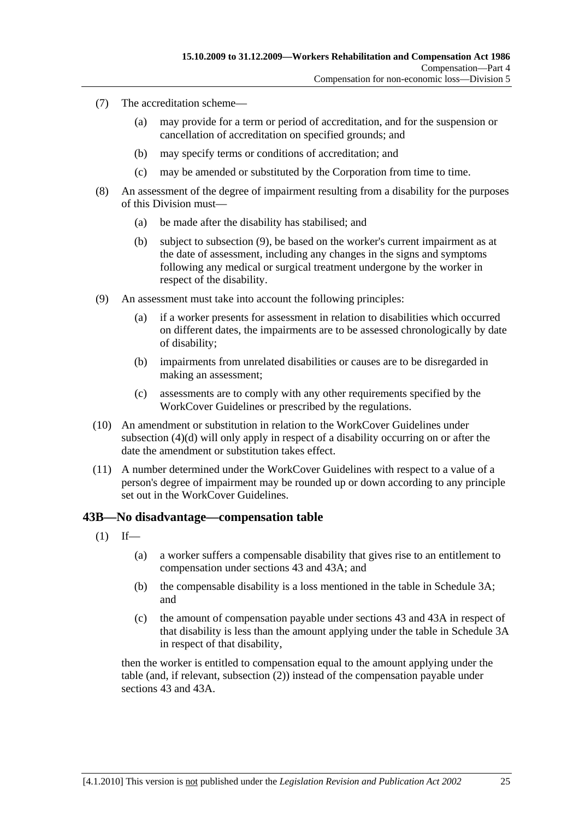- (7) The accreditation scheme—
	- (a) may provide for a term or period of accreditation, and for the suspension or cancellation of accreditation on specified grounds; and
	- (b) may specify terms or conditions of accreditation; and
	- (c) may be amended or substituted by the Corporation from time to time.
- (8) An assessment of the degree of impairment resulting from a disability for the purposes of this Division must—
	- (a) be made after the disability has stabilised; and
	- (b) subject to subsection (9), be based on the worker's current impairment as at the date of assessment, including any changes in the signs and symptoms following any medical or surgical treatment undergone by the worker in respect of the disability.
- (9) An assessment must take into account the following principles:
	- (a) if a worker presents for assessment in relation to disabilities which occurred on different dates, the impairments are to be assessed chronologically by date of disability;
	- (b) impairments from unrelated disabilities or causes are to be disregarded in making an assessment;
	- (c) assessments are to comply with any other requirements specified by the WorkCover Guidelines or prescribed by the regulations.
- (10) An amendment or substitution in relation to the WorkCover Guidelines under subsection (4)(d) will only apply in respect of a disability occurring on or after the date the amendment or substitution takes effect.
- (11) A number determined under the WorkCover Guidelines with respect to a value of a person's degree of impairment may be rounded up or down according to any principle set out in the WorkCover Guidelines.

#### **43B—No disadvantage—compensation table**

- $(1)$  If—
	- (a) a worker suffers a compensable disability that gives rise to an entitlement to compensation under sections 43 and 43A; and
	- (b) the compensable disability is a loss mentioned in the table in Schedule 3A; and
	- (c) the amount of compensation payable under sections 43 and 43A in respect of that disability is less than the amount applying under the table in Schedule 3A in respect of that disability,

then the worker is entitled to compensation equal to the amount applying under the table (and, if relevant, subsection (2)) instead of the compensation payable under sections 43 and 43A.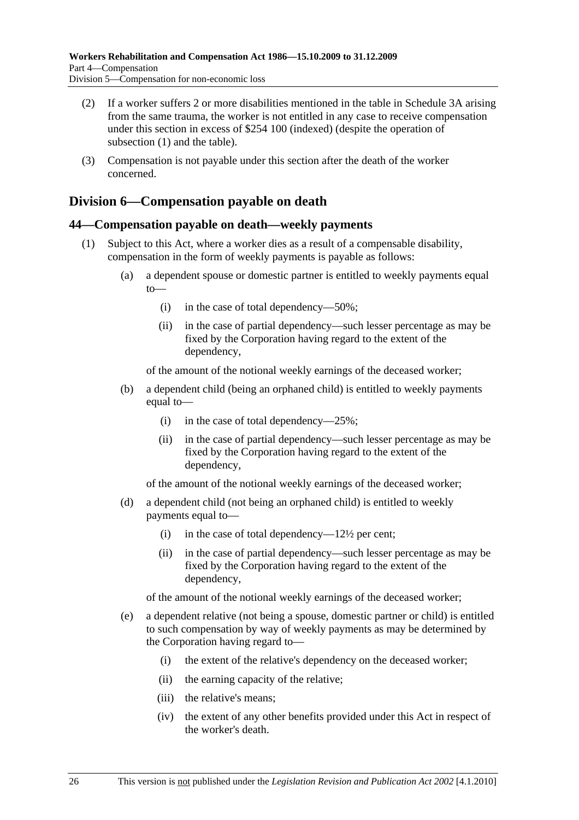- (2) If a worker suffers 2 or more disabilities mentioned in the table in Schedule 3A arising from the same trauma, the worker is not entitled in any case to receive compensation under this section in excess of \$254 100 (indexed) (despite the operation of subsection (1) and the table).
- (3) Compensation is not payable under this section after the death of the worker concerned.

## **Division 6—Compensation payable on death**

### **44—Compensation payable on death—weekly payments**

- (1) Subject to this Act, where a worker dies as a result of a compensable disability, compensation in the form of weekly payments is payable as follows:
	- (a) a dependent spouse or domestic partner is entitled to weekly payments equal to—
		- (i) in the case of total dependency—50%;
		- (ii) in the case of partial dependency—such lesser percentage as may be fixed by the Corporation having regard to the extent of the dependency,

of the amount of the notional weekly earnings of the deceased worker;

- (b) a dependent child (being an orphaned child) is entitled to weekly payments equal to—
	- (i) in the case of total dependency— $25\%$ ;
	- (ii) in the case of partial dependency—such lesser percentage as may be fixed by the Corporation having regard to the extent of the dependency,

of the amount of the notional weekly earnings of the deceased worker;

- (d) a dependent child (not being an orphaned child) is entitled to weekly payments equal to—
	- (i) in the case of total dependency— $12\frac{1}{2}$  per cent;
	- (ii) in the case of partial dependency—such lesser percentage as may be fixed by the Corporation having regard to the extent of the dependency,

of the amount of the notional weekly earnings of the deceased worker;

- (e) a dependent relative (not being a spouse, domestic partner or child) is entitled to such compensation by way of weekly payments as may be determined by the Corporation having regard to—
	- (i) the extent of the relative's dependency on the deceased worker;
	- (ii) the earning capacity of the relative;
	- (iii) the relative's means;
	- (iv) the extent of any other benefits provided under this Act in respect of the worker's death.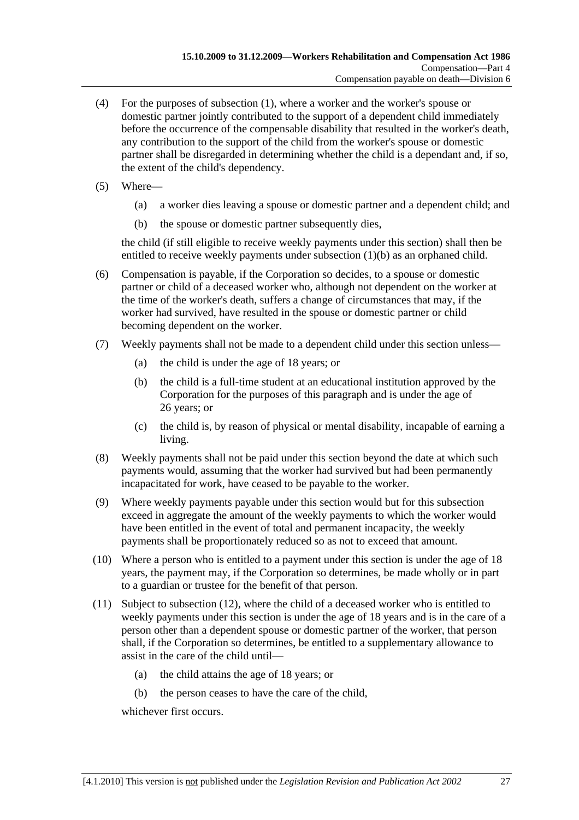- (4) For the purposes of subsection (1), where a worker and the worker's spouse or domestic partner jointly contributed to the support of a dependent child immediately before the occurrence of the compensable disability that resulted in the worker's death, any contribution to the support of the child from the worker's spouse or domestic partner shall be disregarded in determining whether the child is a dependant and, if so, the extent of the child's dependency.
- (5) Where—
	- (a) a worker dies leaving a spouse or domestic partner and a dependent child; and
	- (b) the spouse or domestic partner subsequently dies,

the child (if still eligible to receive weekly payments under this section) shall then be entitled to receive weekly payments under subsection (1)(b) as an orphaned child.

- (6) Compensation is payable, if the Corporation so decides, to a spouse or domestic partner or child of a deceased worker who, although not dependent on the worker at the time of the worker's death, suffers a change of circumstances that may, if the worker had survived, have resulted in the spouse or domestic partner or child becoming dependent on the worker.
- (7) Weekly payments shall not be made to a dependent child under this section unless—
	- (a) the child is under the age of 18 years; or
	- (b) the child is a full-time student at an educational institution approved by the Corporation for the purposes of this paragraph and is under the age of 26 years; or
	- (c) the child is, by reason of physical or mental disability, incapable of earning a living.
- (8) Weekly payments shall not be paid under this section beyond the date at which such payments would, assuming that the worker had survived but had been permanently incapacitated for work, have ceased to be payable to the worker.
- (9) Where weekly payments payable under this section would but for this subsection exceed in aggregate the amount of the weekly payments to which the worker would have been entitled in the event of total and permanent incapacity, the weekly payments shall be proportionately reduced so as not to exceed that amount.
- (10) Where a person who is entitled to a payment under this section is under the age of 18 years, the payment may, if the Corporation so determines, be made wholly or in part to a guardian or trustee for the benefit of that person.
- (11) Subject to subsection (12), where the child of a deceased worker who is entitled to weekly payments under this section is under the age of 18 years and is in the care of a person other than a dependent spouse or domestic partner of the worker, that person shall, if the Corporation so determines, be entitled to a supplementary allowance to assist in the care of the child until—
	- (a) the child attains the age of 18 years; or
	- (b) the person ceases to have the care of the child,

whichever first occurs.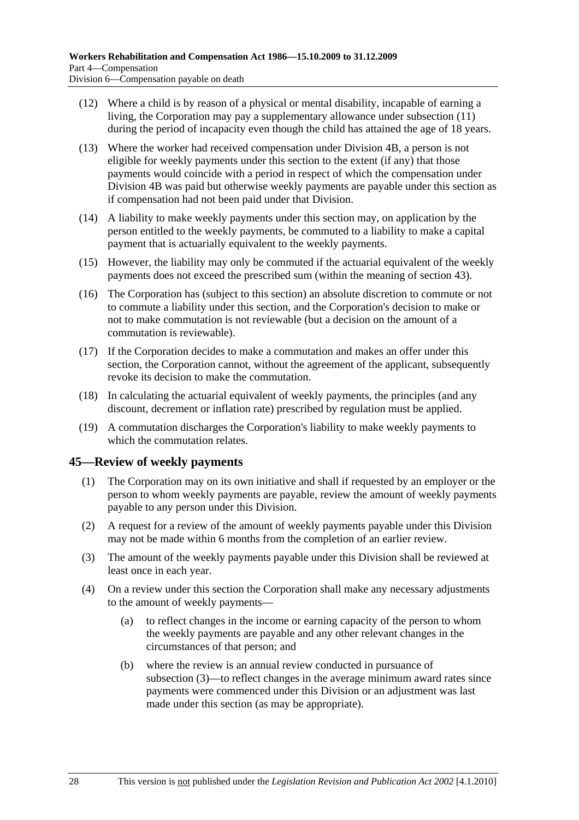- (12) Where a child is by reason of a physical or mental disability, incapable of earning a living, the Corporation may pay a supplementary allowance under subsection (11) during the period of incapacity even though the child has attained the age of 18 years.
- (13) Where the worker had received compensation under Division 4B, a person is not eligible for weekly payments under this section to the extent (if any) that those payments would coincide with a period in respect of which the compensation under Division 4B was paid but otherwise weekly payments are payable under this section as if compensation had not been paid under that Division.
- (14) A liability to make weekly payments under this section may, on application by the person entitled to the weekly payments, be commuted to a liability to make a capital payment that is actuarially equivalent to the weekly payments.
- (15) However, the liability may only be commuted if the actuarial equivalent of the weekly payments does not exceed the prescribed sum (within the meaning of section 43).
- (16) The Corporation has (subject to this section) an absolute discretion to commute or not to commute a liability under this section, and the Corporation's decision to make or not to make commutation is not reviewable (but a decision on the amount of a commutation is reviewable).
- (17) If the Corporation decides to make a commutation and makes an offer under this section, the Corporation cannot, without the agreement of the applicant, subsequently revoke its decision to make the commutation.
- (18) In calculating the actuarial equivalent of weekly payments, the principles (and any discount, decrement or inflation rate) prescribed by regulation must be applied.
- (19) A commutation discharges the Corporation's liability to make weekly payments to which the commutation relates.

## **45—Review of weekly payments**

- (1) The Corporation may on its own initiative and shall if requested by an employer or the person to whom weekly payments are payable, review the amount of weekly payments payable to any person under this Division.
- (2) A request for a review of the amount of weekly payments payable under this Division may not be made within 6 months from the completion of an earlier review.
- (3) The amount of the weekly payments payable under this Division shall be reviewed at least once in each year.
- (4) On a review under this section the Corporation shall make any necessary adjustments to the amount of weekly payments—
	- (a) to reflect changes in the income or earning capacity of the person to whom the weekly payments are payable and any other relevant changes in the circumstances of that person; and
	- (b) where the review is an annual review conducted in pursuance of subsection (3)—to reflect changes in the average minimum award rates since payments were commenced under this Division or an adjustment was last made under this section (as may be appropriate).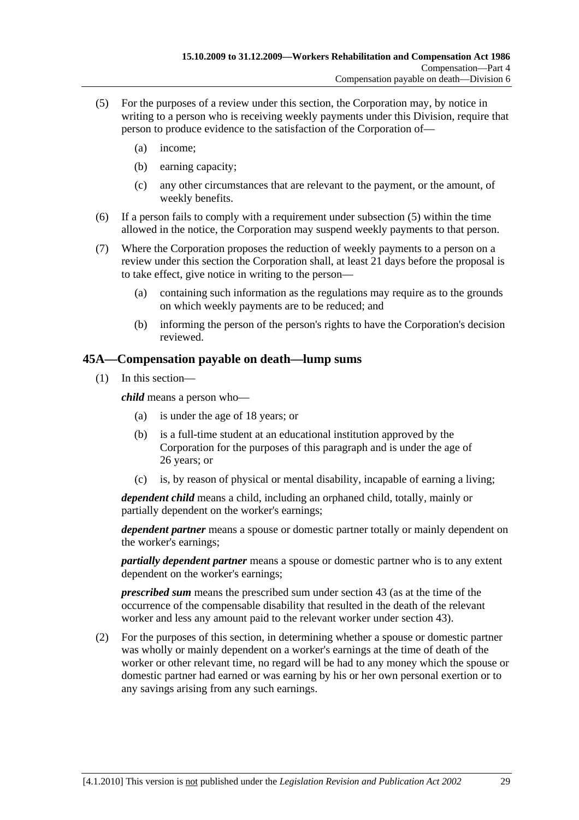- (5) For the purposes of a review under this section, the Corporation may, by notice in writing to a person who is receiving weekly payments under this Division, require that person to produce evidence to the satisfaction of the Corporation of—
	- (a) income;
	- (b) earning capacity;
	- (c) any other circumstances that are relevant to the payment, or the amount, of weekly benefits.
- (6) If a person fails to comply with a requirement under subsection (5) within the time allowed in the notice, the Corporation may suspend weekly payments to that person.
- (7) Where the Corporation proposes the reduction of weekly payments to a person on a review under this section the Corporation shall, at least 21 days before the proposal is to take effect, give notice in writing to the person—
	- (a) containing such information as the regulations may require as to the grounds on which weekly payments are to be reduced; and
	- (b) informing the person of the person's rights to have the Corporation's decision reviewed.

### **45A—Compensation payable on death—lump sums**

(1) In this section—

*child* means a person who—

- (a) is under the age of 18 years; or
- (b) is a full-time student at an educational institution approved by the Corporation for the purposes of this paragraph and is under the age of 26 years; or
- (c) is, by reason of physical or mental disability, incapable of earning a living;

*dependent child* means a child, including an orphaned child, totally, mainly or partially dependent on the worker's earnings;

*dependent partner* means a spouse or domestic partner totally or mainly dependent on the worker's earnings;

*partially dependent partner* means a spouse or domestic partner who is to any extent dependent on the worker's earnings;

*prescribed sum* means the prescribed sum under section 43 (as at the time of the occurrence of the compensable disability that resulted in the death of the relevant worker and less any amount paid to the relevant worker under section 43).

 (2) For the purposes of this section, in determining whether a spouse or domestic partner was wholly or mainly dependent on a worker's earnings at the time of death of the worker or other relevant time, no regard will be had to any money which the spouse or domestic partner had earned or was earning by his or her own personal exertion or to any savings arising from any such earnings.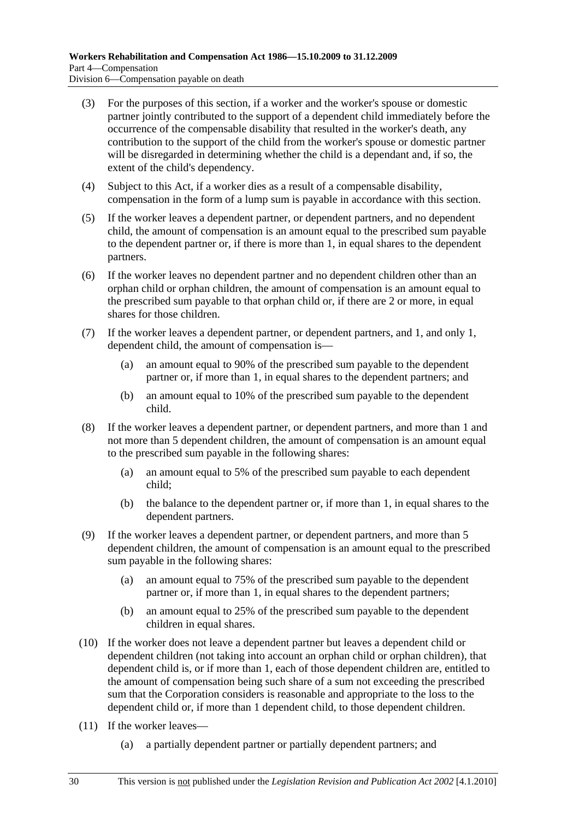- (3) For the purposes of this section, if a worker and the worker's spouse or domestic partner jointly contributed to the support of a dependent child immediately before the occurrence of the compensable disability that resulted in the worker's death, any contribution to the support of the child from the worker's spouse or domestic partner will be disregarded in determining whether the child is a dependant and, if so, the extent of the child's dependency.
- (4) Subject to this Act, if a worker dies as a result of a compensable disability, compensation in the form of a lump sum is payable in accordance with this section.
- (5) If the worker leaves a dependent partner, or dependent partners, and no dependent child, the amount of compensation is an amount equal to the prescribed sum payable to the dependent partner or, if there is more than 1, in equal shares to the dependent partners.
- (6) If the worker leaves no dependent partner and no dependent children other than an orphan child or orphan children, the amount of compensation is an amount equal to the prescribed sum payable to that orphan child or, if there are 2 or more, in equal shares for those children.
- (7) If the worker leaves a dependent partner, or dependent partners, and 1, and only 1, dependent child, the amount of compensation is—
	- (a) an amount equal to 90% of the prescribed sum payable to the dependent partner or, if more than 1, in equal shares to the dependent partners; and
	- (b) an amount equal to 10% of the prescribed sum payable to the dependent child.
- (8) If the worker leaves a dependent partner, or dependent partners, and more than 1 and not more than 5 dependent children, the amount of compensation is an amount equal to the prescribed sum payable in the following shares:
	- (a) an amount equal to 5% of the prescribed sum payable to each dependent child;
	- (b) the balance to the dependent partner or, if more than 1, in equal shares to the dependent partners.
- (9) If the worker leaves a dependent partner, or dependent partners, and more than 5 dependent children, the amount of compensation is an amount equal to the prescribed sum payable in the following shares:
	- (a) an amount equal to 75% of the prescribed sum payable to the dependent partner or, if more than 1, in equal shares to the dependent partners;
	- (b) an amount equal to 25% of the prescribed sum payable to the dependent children in equal shares.
- (10) If the worker does not leave a dependent partner but leaves a dependent child or dependent children (not taking into account an orphan child or orphan children), that dependent child is, or if more than 1, each of those dependent children are, entitled to the amount of compensation being such share of a sum not exceeding the prescribed sum that the Corporation considers is reasonable and appropriate to the loss to the dependent child or, if more than 1 dependent child, to those dependent children.
- (11) If the worker leaves—
	- (a) a partially dependent partner or partially dependent partners; and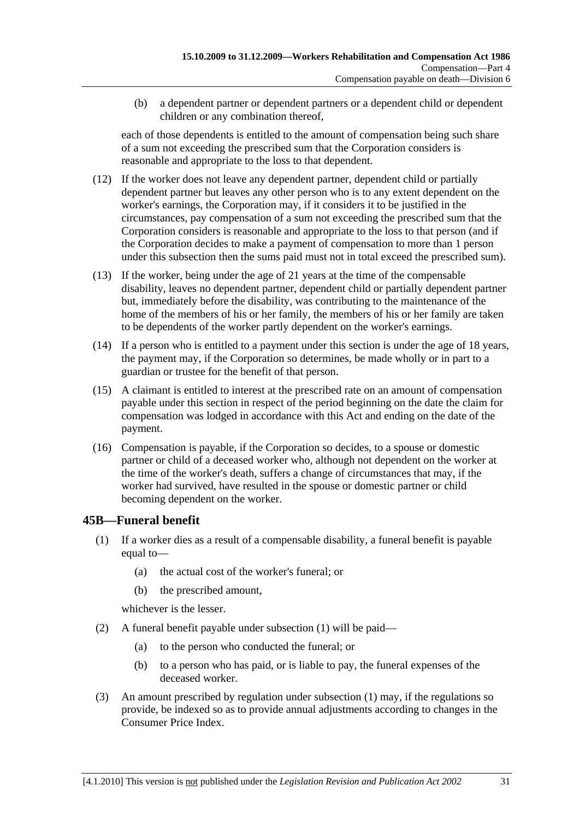(b) a dependent partner or dependent partners or a dependent child or dependent children or any combination thereof,

each of those dependents is entitled to the amount of compensation being such share of a sum not exceeding the prescribed sum that the Corporation considers is reasonable and appropriate to the loss to that dependent.

- (12) If the worker does not leave any dependent partner, dependent child or partially dependent partner but leaves any other person who is to any extent dependent on the worker's earnings, the Corporation may, if it considers it to be justified in the circumstances, pay compensation of a sum not exceeding the prescribed sum that the Corporation considers is reasonable and appropriate to the loss to that person (and if the Corporation decides to make a payment of compensation to more than 1 person under this subsection then the sums paid must not in total exceed the prescribed sum).
- (13) If the worker, being under the age of 21 years at the time of the compensable disability, leaves no dependent partner, dependent child or partially dependent partner but, immediately before the disability, was contributing to the maintenance of the home of the members of his or her family, the members of his or her family are taken to be dependents of the worker partly dependent on the worker's earnings.
- (14) If a person who is entitled to a payment under this section is under the age of 18 years, the payment may, if the Corporation so determines, be made wholly or in part to a guardian or trustee for the benefit of that person.
- (15) A claimant is entitled to interest at the prescribed rate on an amount of compensation payable under this section in respect of the period beginning on the date the claim for compensation was lodged in accordance with this Act and ending on the date of the payment.
- (16) Compensation is payable, if the Corporation so decides, to a spouse or domestic partner or child of a deceased worker who, although not dependent on the worker at the time of the worker's death, suffers a change of circumstances that may, if the worker had survived, have resulted in the spouse or domestic partner or child becoming dependent on the worker.

## **45B—Funeral benefit**

- (1) If a worker dies as a result of a compensable disability, a funeral benefit is payable equal to—
	- (a) the actual cost of the worker's funeral; or
	- (b) the prescribed amount,

whichever is the lesser.

- (2) A funeral benefit payable under subsection (1) will be paid—
	- (a) to the person who conducted the funeral; or
	- (b) to a person who has paid, or is liable to pay, the funeral expenses of the deceased worker.
- (3) An amount prescribed by regulation under subsection (1) may, if the regulations so provide, be indexed so as to provide annual adjustments according to changes in the Consumer Price Index.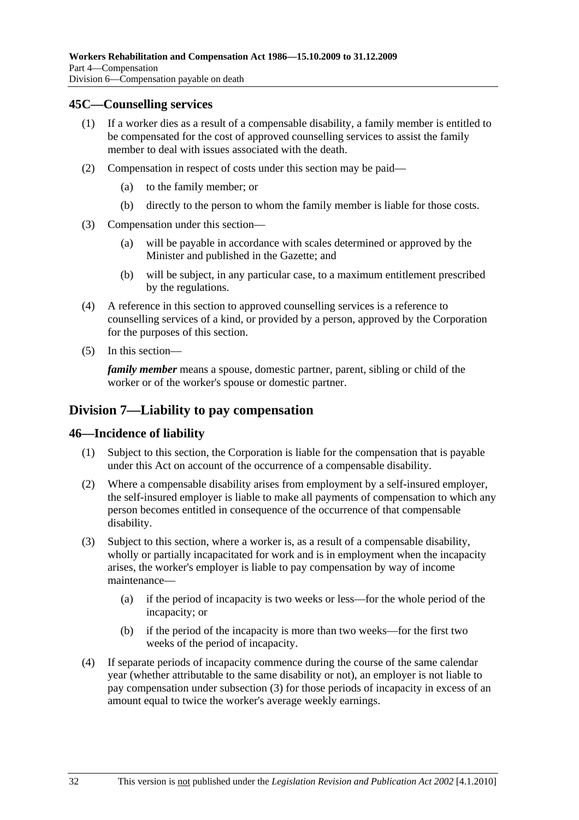#### **45C—Counselling services**

- (1) If a worker dies as a result of a compensable disability, a family member is entitled to be compensated for the cost of approved counselling services to assist the family member to deal with issues associated with the death.
- (2) Compensation in respect of costs under this section may be paid—
	- (a) to the family member; or
	- (b) directly to the person to whom the family member is liable for those costs.
- (3) Compensation under this section—
	- (a) will be payable in accordance with scales determined or approved by the Minister and published in the Gazette; and
	- (b) will be subject, in any particular case, to a maximum entitlement prescribed by the regulations.
- (4) A reference in this section to approved counselling services is a reference to counselling services of a kind, or provided by a person, approved by the Corporation for the purposes of this section.
- (5) In this section—

*family member* means a spouse, domestic partner, parent, sibling or child of the worker or of the worker's spouse or domestic partner.

### **Division 7—Liability to pay compensation**

#### **46—Incidence of liability**

- (1) Subject to this section, the Corporation is liable for the compensation that is payable under this Act on account of the occurrence of a compensable disability.
- (2) Where a compensable disability arises from employment by a self-insured employer, the self-insured employer is liable to make all payments of compensation to which any person becomes entitled in consequence of the occurrence of that compensable disability.
- (3) Subject to this section, where a worker is, as a result of a compensable disability, wholly or partially incapacitated for work and is in employment when the incapacity arises, the worker's employer is liable to pay compensation by way of income maintenance—
	- (a) if the period of incapacity is two weeks or less—for the whole period of the incapacity; or
	- (b) if the period of the incapacity is more than two weeks—for the first two weeks of the period of incapacity.
- (4) If separate periods of incapacity commence during the course of the same calendar year (whether attributable to the same disability or not), an employer is not liable to pay compensation under subsection (3) for those periods of incapacity in excess of an amount equal to twice the worker's average weekly earnings.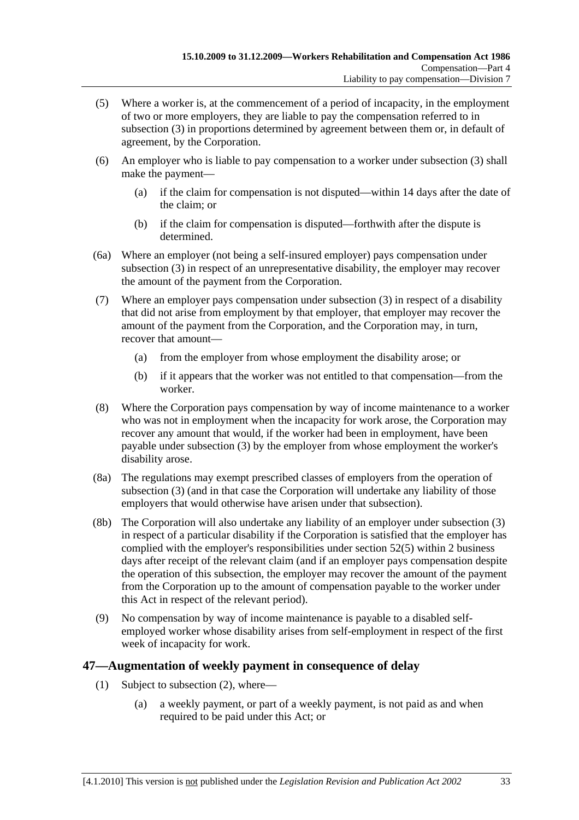- (5) Where a worker is, at the commencement of a period of incapacity, in the employment of two or more employers, they are liable to pay the compensation referred to in subsection (3) in proportions determined by agreement between them or, in default of agreement, by the Corporation.
- (6) An employer who is liable to pay compensation to a worker under subsection (3) shall make the payment—
	- (a) if the claim for compensation is not disputed—within 14 days after the date of the claim; or
	- (b) if the claim for compensation is disputed—forthwith after the dispute is determined.
- (6a) Where an employer (not being a self-insured employer) pays compensation under subsection (3) in respect of an unrepresentative disability, the employer may recover the amount of the payment from the Corporation.
- (7) Where an employer pays compensation under subsection (3) in respect of a disability that did not arise from employment by that employer, that employer may recover the amount of the payment from the Corporation, and the Corporation may, in turn, recover that amount—
	- (a) from the employer from whose employment the disability arose; or
	- (b) if it appears that the worker was not entitled to that compensation—from the worker.
- (8) Where the Corporation pays compensation by way of income maintenance to a worker who was not in employment when the incapacity for work arose, the Corporation may recover any amount that would, if the worker had been in employment, have been payable under subsection (3) by the employer from whose employment the worker's disability arose.
- (8a) The regulations may exempt prescribed classes of employers from the operation of subsection (3) (and in that case the Corporation will undertake any liability of those employers that would otherwise have arisen under that subsection).
- (8b) The Corporation will also undertake any liability of an employer under subsection (3) in respect of a particular disability if the Corporation is satisfied that the employer has complied with the employer's responsibilities under section 52(5) within 2 business days after receipt of the relevant claim (and if an employer pays compensation despite the operation of this subsection, the employer may recover the amount of the payment from the Corporation up to the amount of compensation payable to the worker under this Act in respect of the relevant period).
- (9) No compensation by way of income maintenance is payable to a disabled selfemployed worker whose disability arises from self-employment in respect of the first week of incapacity for work.

### **47—Augmentation of weekly payment in consequence of delay**

- (1) Subject to subsection (2), where—
	- (a) a weekly payment, or part of a weekly payment, is not paid as and when required to be paid under this Act; or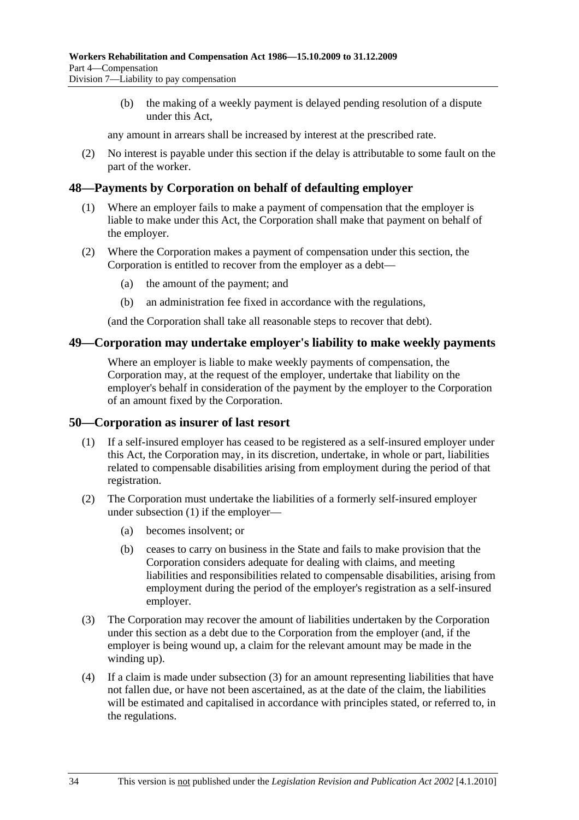(b) the making of a weekly payment is delayed pending resolution of a dispute under this Act,

any amount in arrears shall be increased by interest at the prescribed rate.

 (2) No interest is payable under this section if the delay is attributable to some fault on the part of the worker.

#### **48—Payments by Corporation on behalf of defaulting employer**

- (1) Where an employer fails to make a payment of compensation that the employer is liable to make under this Act, the Corporation shall make that payment on behalf of the employer.
- (2) Where the Corporation makes a payment of compensation under this section, the Corporation is entitled to recover from the employer as a debt—
	- (a) the amount of the payment; and
	- (b) an administration fee fixed in accordance with the regulations,

(and the Corporation shall take all reasonable steps to recover that debt).

#### **49—Corporation may undertake employer's liability to make weekly payments**

Where an employer is liable to make weekly payments of compensation, the Corporation may, at the request of the employer, undertake that liability on the employer's behalf in consideration of the payment by the employer to the Corporation of an amount fixed by the Corporation.

#### **50—Corporation as insurer of last resort**

- (1) If a self-insured employer has ceased to be registered as a self-insured employer under this Act, the Corporation may, in its discretion, undertake, in whole or part, liabilities related to compensable disabilities arising from employment during the period of that registration.
- (2) The Corporation must undertake the liabilities of a formerly self-insured employer under subsection (1) if the employer—
	- (a) becomes insolvent; or
	- (b) ceases to carry on business in the State and fails to make provision that the Corporation considers adequate for dealing with claims, and meeting liabilities and responsibilities related to compensable disabilities, arising from employment during the period of the employer's registration as a self-insured employer.
- (3) The Corporation may recover the amount of liabilities undertaken by the Corporation under this section as a debt due to the Corporation from the employer (and, if the employer is being wound up, a claim for the relevant amount may be made in the winding up).
- (4) If a claim is made under subsection (3) for an amount representing liabilities that have not fallen due, or have not been ascertained, as at the date of the claim, the liabilities will be estimated and capitalised in accordance with principles stated, or referred to, in the regulations.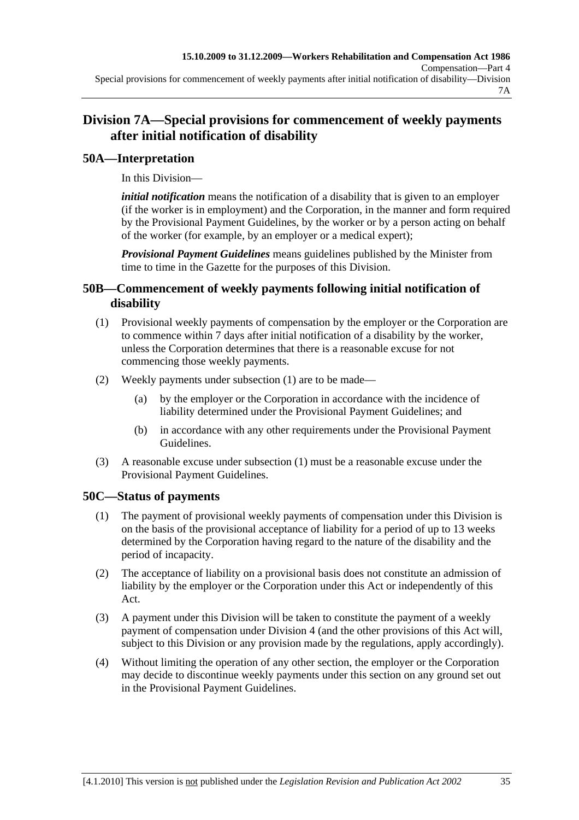# **Division 7A—Special provisions for commencement of weekly payments after initial notification of disability**

## **50A—Interpretation**

In this Division—

*initial notification* means the notification of a disability that is given to an employer (if the worker is in employment) and the Corporation, in the manner and form required by the Provisional Payment Guidelines, by the worker or by a person acting on behalf of the worker (for example, by an employer or a medical expert);

*Provisional Payment Guidelines* means guidelines published by the Minister from time to time in the Gazette for the purposes of this Division.

### **50B—Commencement of weekly payments following initial notification of disability**

- (1) Provisional weekly payments of compensation by the employer or the Corporation are to commence within 7 days after initial notification of a disability by the worker, unless the Corporation determines that there is a reasonable excuse for not commencing those weekly payments.
- (2) Weekly payments under subsection (1) are to be made—
	- (a) by the employer or the Corporation in accordance with the incidence of liability determined under the Provisional Payment Guidelines; and
	- (b) in accordance with any other requirements under the Provisional Payment Guidelines.
- (3) A reasonable excuse under subsection (1) must be a reasonable excuse under the Provisional Payment Guidelines.

# **50C—Status of payments**

- (1) The payment of provisional weekly payments of compensation under this Division is on the basis of the provisional acceptance of liability for a period of up to 13 weeks determined by the Corporation having regard to the nature of the disability and the period of incapacity.
- (2) The acceptance of liability on a provisional basis does not constitute an admission of liability by the employer or the Corporation under this Act or independently of this Act.
- (3) A payment under this Division will be taken to constitute the payment of a weekly payment of compensation under Division 4 (and the other provisions of this Act will, subject to this Division or any provision made by the regulations, apply accordingly).
- (4) Without limiting the operation of any other section, the employer or the Corporation may decide to discontinue weekly payments under this section on any ground set out in the Provisional Payment Guidelines.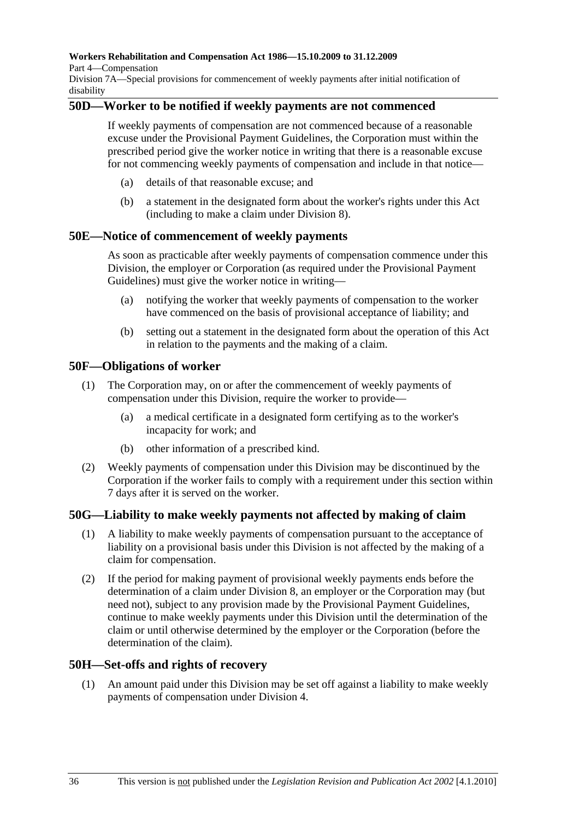**Workers Rehabilitation and Compensation Act 1986—15.10.2009 to 31.12.2009** 

Part 4—Compensation

Division 7A—Special provisions for commencement of weekly payments after initial notification of disability

### **50D—Worker to be notified if weekly payments are not commenced**

If weekly payments of compensation are not commenced because of a reasonable excuse under the Provisional Payment Guidelines, the Corporation must within the prescribed period give the worker notice in writing that there is a reasonable excuse for not commencing weekly payments of compensation and include in that notice—

- (a) details of that reasonable excuse; and
- (b) a statement in the designated form about the worker's rights under this Act (including to make a claim under Division 8).

### **50E—Notice of commencement of weekly payments**

As soon as practicable after weekly payments of compensation commence under this Division, the employer or Corporation (as required under the Provisional Payment Guidelines) must give the worker notice in writing—

- (a) notifying the worker that weekly payments of compensation to the worker have commenced on the basis of provisional acceptance of liability; and
- (b) setting out a statement in the designated form about the operation of this Act in relation to the payments and the making of a claim.

### **50F—Obligations of worker**

- (1) The Corporation may, on or after the commencement of weekly payments of compensation under this Division, require the worker to provide—
	- (a) a medical certificate in a designated form certifying as to the worker's incapacity for work; and
	- (b) other information of a prescribed kind.
- (2) Weekly payments of compensation under this Division may be discontinued by the Corporation if the worker fails to comply with a requirement under this section within 7 days after it is served on the worker.

### **50G—Liability to make weekly payments not affected by making of claim**

- (1) A liability to make weekly payments of compensation pursuant to the acceptance of liability on a provisional basis under this Division is not affected by the making of a claim for compensation.
- (2) If the period for making payment of provisional weekly payments ends before the determination of a claim under Division 8, an employer or the Corporation may (but need not), subject to any provision made by the Provisional Payment Guidelines, continue to make weekly payments under this Division until the determination of the claim or until otherwise determined by the employer or the Corporation (before the determination of the claim).

### **50H—Set-offs and rights of recovery**

 (1) An amount paid under this Division may be set off against a liability to make weekly payments of compensation under Division 4.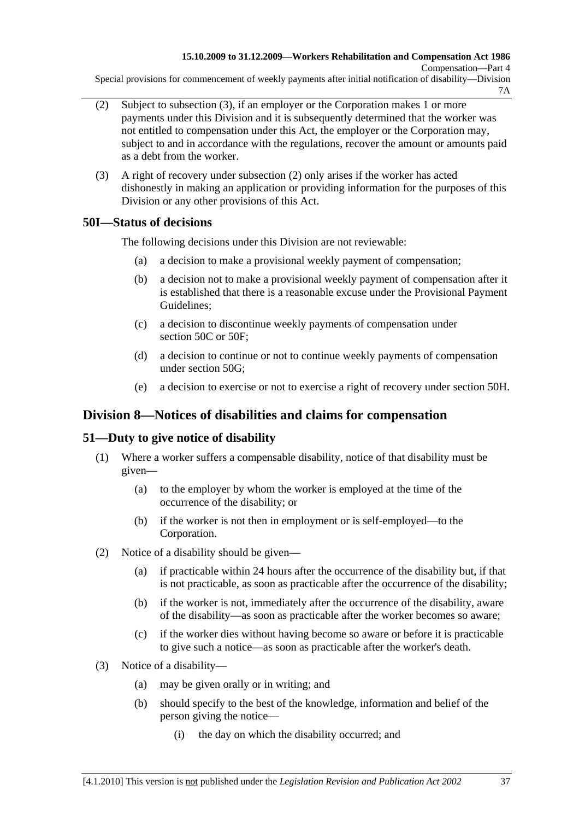Special provisions for commencement of weekly payments after initial notification of disability—Division 7A

- (2) Subject to subsection (3), if an employer or the Corporation makes 1 or more payments under this Division and it is subsequently determined that the worker was not entitled to compensation under this Act, the employer or the Corporation may, subject to and in accordance with the regulations, recover the amount or amounts paid as a debt from the worker.
- (3) A right of recovery under subsection (2) only arises if the worker has acted dishonestly in making an application or providing information for the purposes of this Division or any other provisions of this Act.

## **50I—Status of decisions**

The following decisions under this Division are not reviewable:

- (a) a decision to make a provisional weekly payment of compensation;
- (b) a decision not to make a provisional weekly payment of compensation after it is established that there is a reasonable excuse under the Provisional Payment Guidelines;
- (c) a decision to discontinue weekly payments of compensation under section 50C or 50F:
- (d) a decision to continue or not to continue weekly payments of compensation under section 50G;
- (e) a decision to exercise or not to exercise a right of recovery under section 50H.

# **Division 8—Notices of disabilities and claims for compensation**

# **51—Duty to give notice of disability**

- (1) Where a worker suffers a compensable disability, notice of that disability must be given—
	- (a) to the employer by whom the worker is employed at the time of the occurrence of the disability; or
	- (b) if the worker is not then in employment or is self-employed—to the Corporation.
- (2) Notice of a disability should be given—
	- (a) if practicable within 24 hours after the occurrence of the disability but, if that is not practicable, as soon as practicable after the occurrence of the disability;
	- (b) if the worker is not, immediately after the occurrence of the disability, aware of the disability—as soon as practicable after the worker becomes so aware;
	- (c) if the worker dies without having become so aware or before it is practicable to give such a notice—as soon as practicable after the worker's death.
- (3) Notice of a disability—
	- (a) may be given orally or in writing; and
	- (b) should specify to the best of the knowledge, information and belief of the person giving the notice—
		- (i) the day on which the disability occurred; and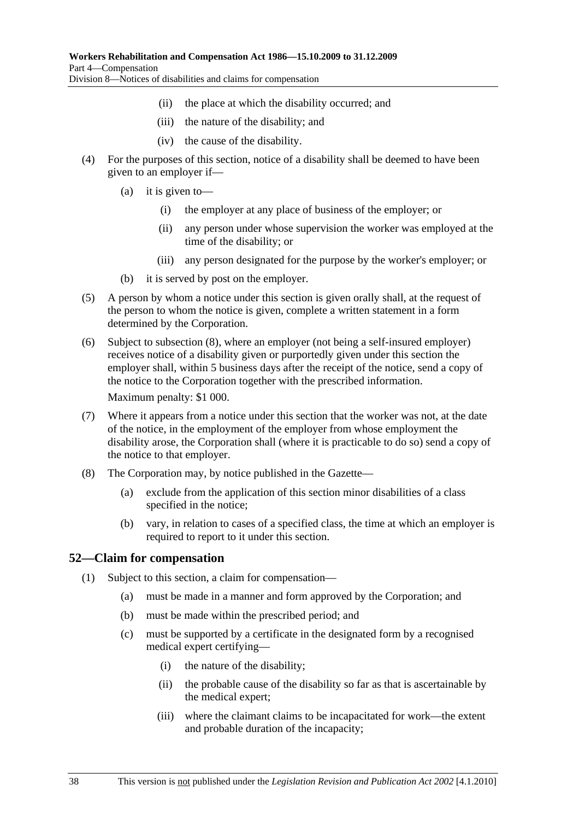- (ii) the place at which the disability occurred; and
- (iii) the nature of the disability; and
- (iv) the cause of the disability.
- (4) For the purposes of this section, notice of a disability shall be deemed to have been given to an employer if—
	- (a) it is given to—
		- (i) the employer at any place of business of the employer; or
		- (ii) any person under whose supervision the worker was employed at the time of the disability; or
		- (iii) any person designated for the purpose by the worker's employer; or
	- (b) it is served by post on the employer.
- (5) A person by whom a notice under this section is given orally shall, at the request of the person to whom the notice is given, complete a written statement in a form determined by the Corporation.
- (6) Subject to subsection (8), where an employer (not being a self-insured employer) receives notice of a disability given or purportedly given under this section the employer shall, within 5 business days after the receipt of the notice, send a copy of the notice to the Corporation together with the prescribed information.

Maximum penalty: \$1 000.

- (7) Where it appears from a notice under this section that the worker was not, at the date of the notice, in the employment of the employer from whose employment the disability arose, the Corporation shall (where it is practicable to do so) send a copy of the notice to that employer.
- (8) The Corporation may, by notice published in the Gazette—
	- (a) exclude from the application of this section minor disabilities of a class specified in the notice;
	- (b) vary, in relation to cases of a specified class, the time at which an employer is required to report to it under this section.

### **52—Claim for compensation**

- (1) Subject to this section, a claim for compensation—
	- (a) must be made in a manner and form approved by the Corporation; and
	- (b) must be made within the prescribed period; and
	- (c) must be supported by a certificate in the designated form by a recognised medical expert certifying—
		- (i) the nature of the disability;
		- (ii) the probable cause of the disability so far as that is ascertainable by the medical expert;
		- (iii) where the claimant claims to be incapacitated for work—the extent and probable duration of the incapacity;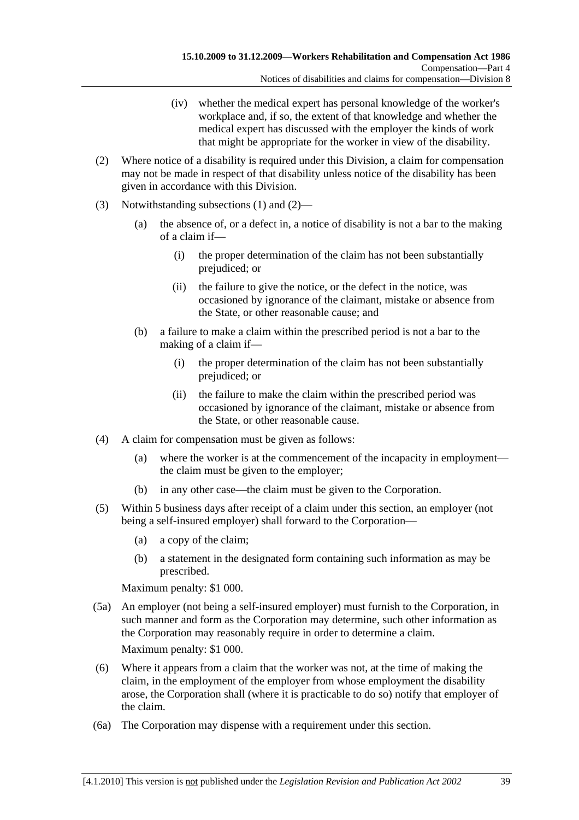- (iv) whether the medical expert has personal knowledge of the worker's workplace and, if so, the extent of that knowledge and whether the medical expert has discussed with the employer the kinds of work that might be appropriate for the worker in view of the disability.
- (2) Where notice of a disability is required under this Division, a claim for compensation may not be made in respect of that disability unless notice of the disability has been given in accordance with this Division.
- (3) Notwithstanding subsections (1) and (2)—
	- (a) the absence of, or a defect in, a notice of disability is not a bar to the making of a claim if—
		- (i) the proper determination of the claim has not been substantially prejudiced; or
		- (ii) the failure to give the notice, or the defect in the notice, was occasioned by ignorance of the claimant, mistake or absence from the State, or other reasonable cause; and
	- (b) a failure to make a claim within the prescribed period is not a bar to the making of a claim if—
		- (i) the proper determination of the claim has not been substantially prejudiced; or
		- (ii) the failure to make the claim within the prescribed period was occasioned by ignorance of the claimant, mistake or absence from the State, or other reasonable cause.
- (4) A claim for compensation must be given as follows:
	- (a) where the worker is at the commencement of the incapacity in employment the claim must be given to the employer;
	- (b) in any other case—the claim must be given to the Corporation.
- (5) Within 5 business days after receipt of a claim under this section, an employer (not being a self-insured employer) shall forward to the Corporation—
	- (a) a copy of the claim;
	- (b) a statement in the designated form containing such information as may be prescribed.

Maximum penalty: \$1 000.

 (5a) An employer (not being a self-insured employer) must furnish to the Corporation, in such manner and form as the Corporation may determine, such other information as the Corporation may reasonably require in order to determine a claim.

Maximum penalty: \$1 000.

- (6) Where it appears from a claim that the worker was not, at the time of making the claim, in the employment of the employer from whose employment the disability arose, the Corporation shall (where it is practicable to do so) notify that employer of the claim.
- (6a) The Corporation may dispense with a requirement under this section.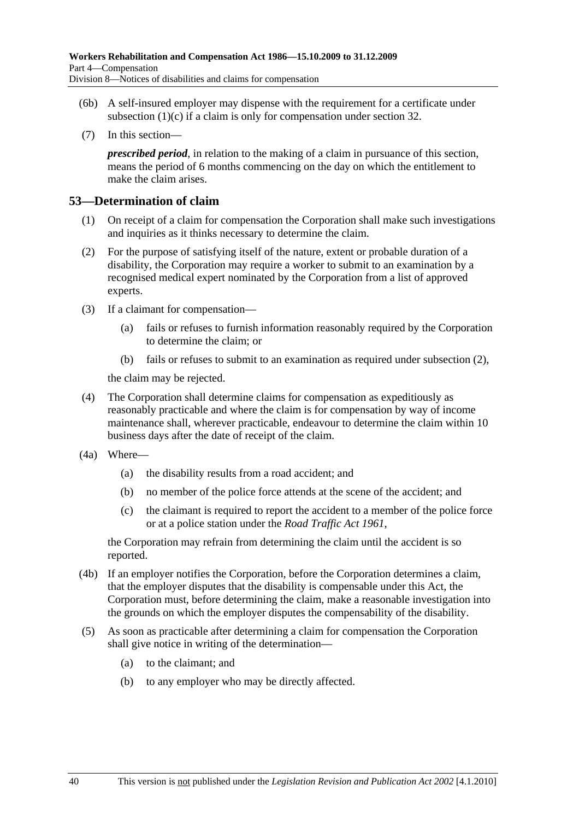- (6b) A self-insured employer may dispense with the requirement for a certificate under subsection  $(1)(c)$  if a claim is only for compensation under section 32.
- (7) In this section—

*prescribed period*, in relation to the making of a claim in pursuance of this section, means the period of 6 months commencing on the day on which the entitlement to make the claim arises.

#### **53—Determination of claim**

- (1) On receipt of a claim for compensation the Corporation shall make such investigations and inquiries as it thinks necessary to determine the claim.
- (2) For the purpose of satisfying itself of the nature, extent or probable duration of a disability, the Corporation may require a worker to submit to an examination by a recognised medical expert nominated by the Corporation from a list of approved experts.
- (3) If a claimant for compensation—
	- (a) fails or refuses to furnish information reasonably required by the Corporation to determine the claim; or
	- (b) fails or refuses to submit to an examination as required under subsection (2),

the claim may be rejected.

- (4) The Corporation shall determine claims for compensation as expeditiously as reasonably practicable and where the claim is for compensation by way of income maintenance shall, wherever practicable, endeavour to determine the claim within 10 business days after the date of receipt of the claim.
- (4a) Where—
	- (a) the disability results from a road accident; and
	- (b) no member of the police force attends at the scene of the accident; and
	- (c) the claimant is required to report the accident to a member of the police force or at a police station under the *Road Traffic Act 1961*,

the Corporation may refrain from determining the claim until the accident is so reported.

- (4b) If an employer notifies the Corporation, before the Corporation determines a claim, that the employer disputes that the disability is compensable under this Act, the Corporation must, before determining the claim, make a reasonable investigation into the grounds on which the employer disputes the compensability of the disability.
- (5) As soon as practicable after determining a claim for compensation the Corporation shall give notice in writing of the determination—
	- (a) to the claimant; and
	- (b) to any employer who may be directly affected.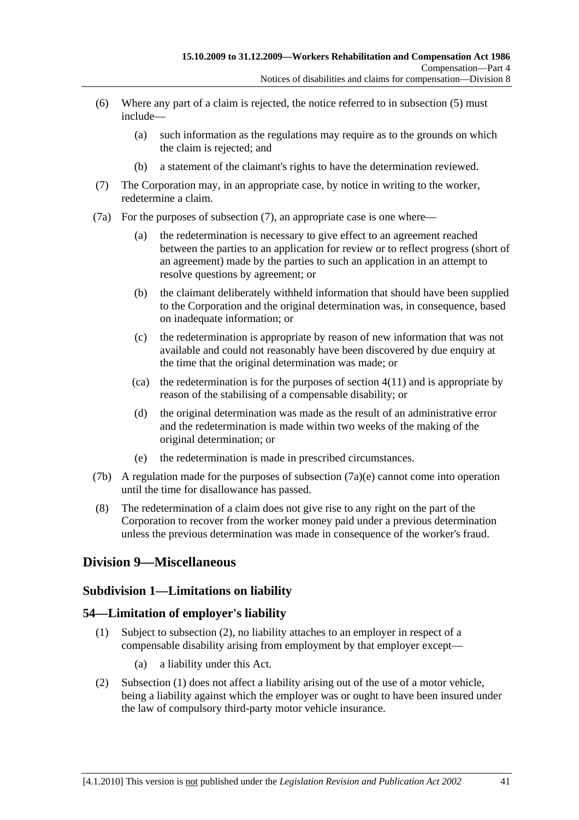- (6) Where any part of a claim is rejected, the notice referred to in subsection (5) must include—
	- (a) such information as the regulations may require as to the grounds on which the claim is rejected; and
	- (b) a statement of the claimant's rights to have the determination reviewed.
- (7) The Corporation may, in an appropriate case, by notice in writing to the worker, redetermine a claim.
- (7a) For the purposes of subsection (7), an appropriate case is one where—
	- (a) the redetermination is necessary to give effect to an agreement reached between the parties to an application for review or to reflect progress (short of an agreement) made by the parties to such an application in an attempt to resolve questions by agreement; or
	- (b) the claimant deliberately withheld information that should have been supplied to the Corporation and the original determination was, in consequence, based on inadequate information; or
	- (c) the redetermination is appropriate by reason of new information that was not available and could not reasonably have been discovered by due enquiry at the time that the original determination was made; or
	- (ca) the redetermination is for the purposes of section  $4(11)$  and is appropriate by reason of the stabilising of a compensable disability; or
	- (d) the original determination was made as the result of an administrative error and the redetermination is made within two weeks of the making of the original determination; or
	- (e) the redetermination is made in prescribed circumstances.
- (7b) A regulation made for the purposes of subsection  $(7a)(e)$  cannot come into operation until the time for disallowance has passed.
- (8) The redetermination of a claim does not give rise to any right on the part of the Corporation to recover from the worker money paid under a previous determination unless the previous determination was made in consequence of the worker's fraud.

### **Division 9—Miscellaneous**

#### **Subdivision 1—Limitations on liability**

#### **54—Limitation of employer's liability**

- (1) Subject to subsection (2), no liability attaches to an employer in respect of a compensable disability arising from employment by that employer except—
	- (a) a liability under this Act.
- (2) Subsection (1) does not affect a liability arising out of the use of a motor vehicle, being a liability against which the employer was or ought to have been insured under the law of compulsory third-party motor vehicle insurance.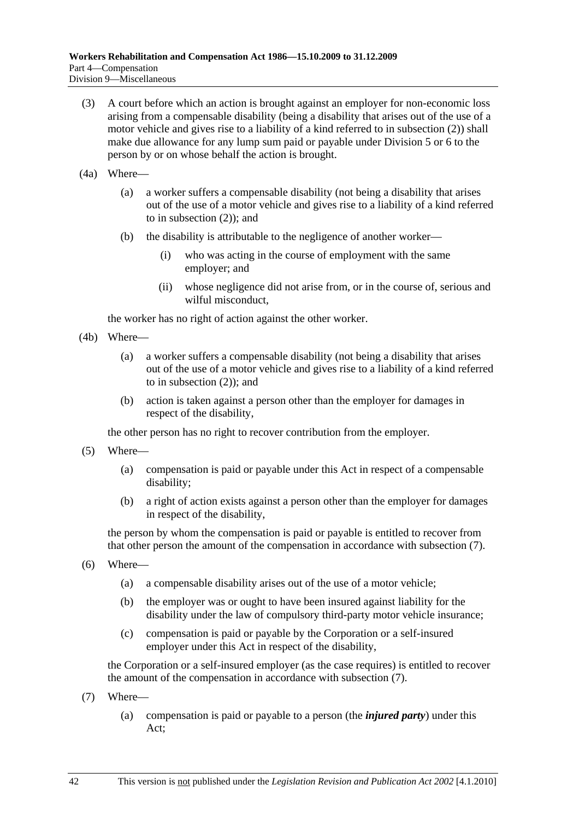- (3) A court before which an action is brought against an employer for non-economic loss arising from a compensable disability (being a disability that arises out of the use of a motor vehicle and gives rise to a liability of a kind referred to in subsection (2)) shall make due allowance for any lump sum paid or payable under Division 5 or 6 to the person by or on whose behalf the action is brought.
- (4a) Where—
	- (a) a worker suffers a compensable disability (not being a disability that arises out of the use of a motor vehicle and gives rise to a liability of a kind referred to in subsection (2)); and
	- (b) the disability is attributable to the negligence of another worker—
		- (i) who was acting in the course of employment with the same employer; and
		- (ii) whose negligence did not arise from, or in the course of, serious and wilful misconduct,

the worker has no right of action against the other worker.

- (4b) Where—
	- (a) a worker suffers a compensable disability (not being a disability that arises out of the use of a motor vehicle and gives rise to a liability of a kind referred to in subsection (2)); and
	- (b) action is taken against a person other than the employer for damages in respect of the disability,

the other person has no right to recover contribution from the employer.

- (5) Where—
	- (a) compensation is paid or payable under this Act in respect of a compensable disability;
	- (b) a right of action exists against a person other than the employer for damages in respect of the disability,

the person by whom the compensation is paid or payable is entitled to recover from that other person the amount of the compensation in accordance with subsection (7).

- (6) Where—
	- (a) a compensable disability arises out of the use of a motor vehicle;
	- (b) the employer was or ought to have been insured against liability for the disability under the law of compulsory third-party motor vehicle insurance;
	- (c) compensation is paid or payable by the Corporation or a self-insured employer under this Act in respect of the disability,

the Corporation or a self-insured employer (as the case requires) is entitled to recover the amount of the compensation in accordance with subsection (7).

- (7) Where—
	- (a) compensation is paid or payable to a person (the *injured party*) under this Act;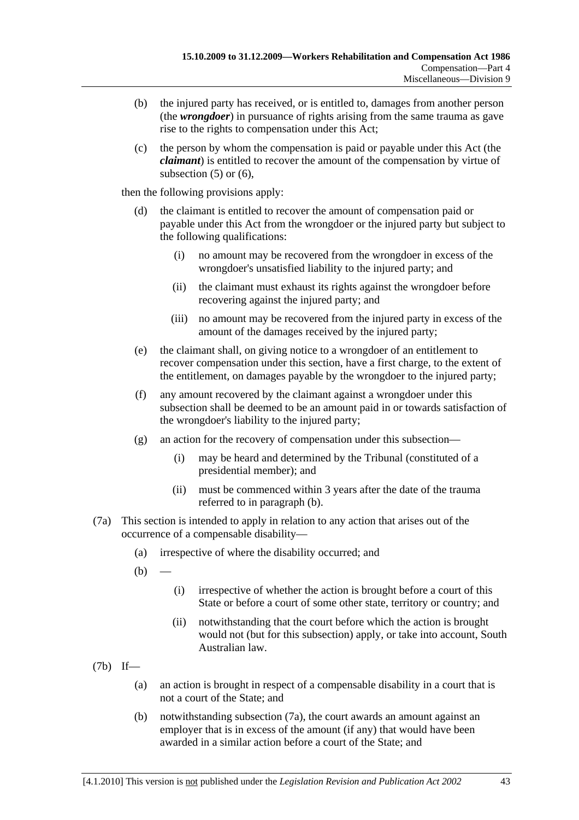- (b) the injured party has received, or is entitled to, damages from another person (the *wrongdoer*) in pursuance of rights arising from the same trauma as gave rise to the rights to compensation under this Act;
- (c) the person by whom the compensation is paid or payable under this Act (the *claimant*) is entitled to recover the amount of the compensation by virtue of subsection  $(5)$  or  $(6)$ ,

then the following provisions apply:

- (d) the claimant is entitled to recover the amount of compensation paid or payable under this Act from the wrongdoer or the injured party but subject to the following qualifications:
	- (i) no amount may be recovered from the wrongdoer in excess of the wrongdoer's unsatisfied liability to the injured party; and
	- (ii) the claimant must exhaust its rights against the wrongdoer before recovering against the injured party; and
	- (iii) no amount may be recovered from the injured party in excess of the amount of the damages received by the injured party;
- (e) the claimant shall, on giving notice to a wrongdoer of an entitlement to recover compensation under this section, have a first charge, to the extent of the entitlement, on damages payable by the wrongdoer to the injured party;
- (f) any amount recovered by the claimant against a wrongdoer under this subsection shall be deemed to be an amount paid in or towards satisfaction of the wrongdoer's liability to the injured party;
- (g) an action for the recovery of compensation under this subsection—
	- (i) may be heard and determined by the Tribunal (constituted of a presidential member); and
	- (ii) must be commenced within 3 years after the date of the trauma referred to in paragraph (b).
- (7a) This section is intended to apply in relation to any action that arises out of the occurrence of a compensable disability—
	- (a) irrespective of where the disability occurred; and
	- $(b)$ 
		- (i) irrespective of whether the action is brought before a court of this State or before a court of some other state, territory or country; and
		- (ii) notwithstanding that the court before which the action is brought would not (but for this subsection) apply, or take into account, South Australian law.
- (7b) If—
	- (a) an action is brought in respect of a compensable disability in a court that is not a court of the State; and
	- (b) notwithstanding subsection (7a), the court awards an amount against an employer that is in excess of the amount (if any) that would have been awarded in a similar action before a court of the State; and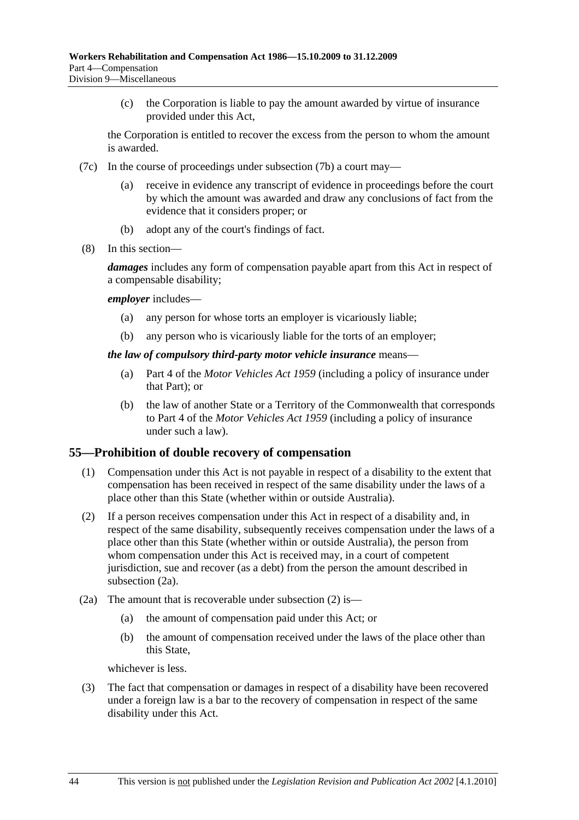(c) the Corporation is liable to pay the amount awarded by virtue of insurance provided under this Act,

the Corporation is entitled to recover the excess from the person to whom the amount is awarded.

- (7c) In the course of proceedings under subsection (7b) a court may
	- receive in evidence any transcript of evidence in proceedings before the court by which the amount was awarded and draw any conclusions of fact from the evidence that it considers proper; or
	- (b) adopt any of the court's findings of fact.
- (8) In this section—

*damages* includes any form of compensation payable apart from this Act in respect of a compensable disability;

#### *employer* includes—

- (a) any person for whose torts an employer is vicariously liable;
- (b) any person who is vicariously liable for the torts of an employer;

#### *the law of compulsory third-party motor vehicle insurance* means—

- (a) Part 4 of the *Motor Vehicles Act 1959* (including a policy of insurance under that Part); or
- (b) the law of another State or a Territory of the Commonwealth that corresponds to Part 4 of the *Motor Vehicles Act 1959* (including a policy of insurance under such a law).

#### **55—Prohibition of double recovery of compensation**

- (1) Compensation under this Act is not payable in respect of a disability to the extent that compensation has been received in respect of the same disability under the laws of a place other than this State (whether within or outside Australia).
- (2) If a person receives compensation under this Act in respect of a disability and, in respect of the same disability, subsequently receives compensation under the laws of a place other than this State (whether within or outside Australia), the person from whom compensation under this Act is received may, in a court of competent jurisdiction, sue and recover (as a debt) from the person the amount described in subsection (2a).
- (2a) The amount that is recoverable under subsection (2) is—
	- (a) the amount of compensation paid under this Act; or
	- (b) the amount of compensation received under the laws of the place other than this State,

whichever is less.

 (3) The fact that compensation or damages in respect of a disability have been recovered under a foreign law is a bar to the recovery of compensation in respect of the same disability under this Act.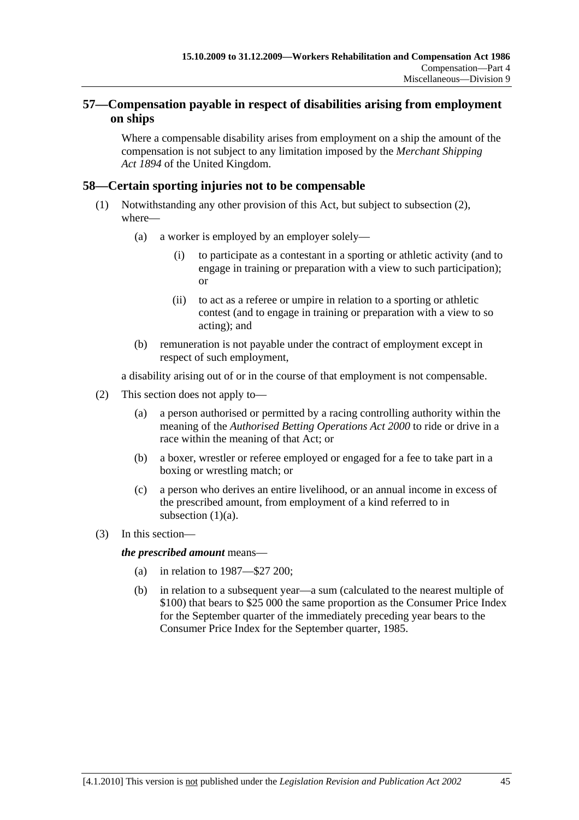### **57—Compensation payable in respect of disabilities arising from employment on ships**

Where a compensable disability arises from employment on a ship the amount of the compensation is not subject to any limitation imposed by the *Merchant Shipping Act 1894* of the United Kingdom.

### **58—Certain sporting injuries not to be compensable**

- (1) Notwithstanding any other provision of this Act, but subject to subsection (2), where—
	- (a) a worker is employed by an employer solely—
		- (i) to participate as a contestant in a sporting or athletic activity (and to engage in training or preparation with a view to such participation); or
		- (ii) to act as a referee or umpire in relation to a sporting or athletic contest (and to engage in training or preparation with a view to so acting); and
	- (b) remuneration is not payable under the contract of employment except in respect of such employment,

a disability arising out of or in the course of that employment is not compensable.

- (2) This section does not apply to—
	- (a) a person authorised or permitted by a racing controlling authority within the meaning of the *Authorised Betting Operations Act 2000* to ride or drive in a race within the meaning of that Act; or
	- (b) a boxer, wrestler or referee employed or engaged for a fee to take part in a boxing or wrestling match; or
	- (c) a person who derives an entire livelihood, or an annual income in excess of the prescribed amount, from employment of a kind referred to in subsection  $(1)(a)$ .
- (3) In this section—

*the prescribed amount* means—

- (a) in relation to 1987—\$27 200;
- (b) in relation to a subsequent year—a sum (calculated to the nearest multiple of \$100) that bears to \$25 000 the same proportion as the Consumer Price Index for the September quarter of the immediately preceding year bears to the Consumer Price Index for the September quarter, 1985.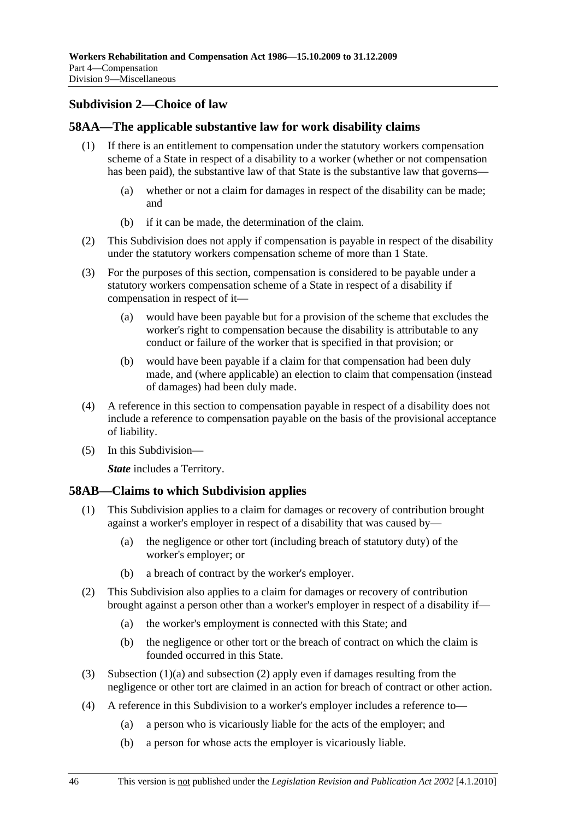### **Subdivision 2—Choice of law**

### **58AA—The applicable substantive law for work disability claims**

- (1) If there is an entitlement to compensation under the statutory workers compensation scheme of a State in respect of a disability to a worker (whether or not compensation has been paid), the substantive law of that State is the substantive law that governs—
	- (a) whether or not a claim for damages in respect of the disability can be made; and
	- (b) if it can be made, the determination of the claim.
- (2) This Subdivision does not apply if compensation is payable in respect of the disability under the statutory workers compensation scheme of more than 1 State.
- (3) For the purposes of this section, compensation is considered to be payable under a statutory workers compensation scheme of a State in respect of a disability if compensation in respect of it—
	- (a) would have been payable but for a provision of the scheme that excludes the worker's right to compensation because the disability is attributable to any conduct or failure of the worker that is specified in that provision; or
	- (b) would have been payable if a claim for that compensation had been duly made, and (where applicable) an election to claim that compensation (instead of damages) had been duly made.
- (4) A reference in this section to compensation payable in respect of a disability does not include a reference to compensation payable on the basis of the provisional acceptance of liability.
- (5) In this Subdivision—

*State* includes a Territory.

#### **58AB—Claims to which Subdivision applies**

- (1) This Subdivision applies to a claim for damages or recovery of contribution brought against a worker's employer in respect of a disability that was caused by—
	- (a) the negligence or other tort (including breach of statutory duty) of the worker's employer; or
	- (b) a breach of contract by the worker's employer.
- (2) This Subdivision also applies to a claim for damages or recovery of contribution brought against a person other than a worker's employer in respect of a disability if—
	- (a) the worker's employment is connected with this State; and
	- (b) the negligence or other tort or the breach of contract on which the claim is founded occurred in this State.
- (3) Subsection (1)(a) and subsection (2) apply even if damages resulting from the negligence or other tort are claimed in an action for breach of contract or other action.
- (4) A reference in this Subdivision to a worker's employer includes a reference to—
	- (a) a person who is vicariously liable for the acts of the employer; and
	- (b) a person for whose acts the employer is vicariously liable.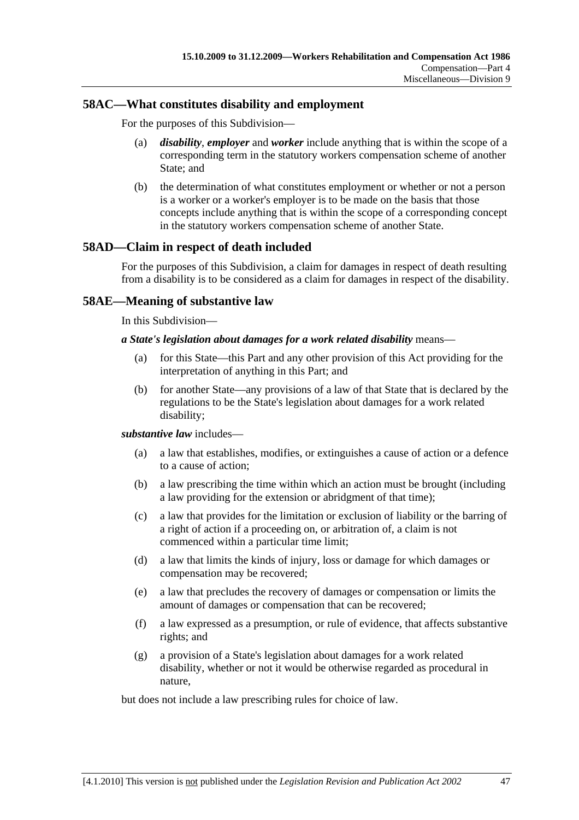### **58AC—What constitutes disability and employment**

For the purposes of this Subdivision—

- (a) *disability*, *employer* and *worker* include anything that is within the scope of a corresponding term in the statutory workers compensation scheme of another State; and
- (b) the determination of what constitutes employment or whether or not a person is a worker or a worker's employer is to be made on the basis that those concepts include anything that is within the scope of a corresponding concept in the statutory workers compensation scheme of another State.

### **58AD—Claim in respect of death included**

For the purposes of this Subdivision, a claim for damages in respect of death resulting from a disability is to be considered as a claim for damages in respect of the disability.

### **58AE—Meaning of substantive law**

In this Subdivision—

#### *a State's legislation about damages for a work related disability* means—

- (a) for this State—this Part and any other provision of this Act providing for the interpretation of anything in this Part; and
- (b) for another State—any provisions of a law of that State that is declared by the regulations to be the State's legislation about damages for a work related disability;

#### *substantive law* includes—

- (a) a law that establishes, modifies, or extinguishes a cause of action or a defence to a cause of action;
- (b) a law prescribing the time within which an action must be brought (including a law providing for the extension or abridgment of that time);
- (c) a law that provides for the limitation or exclusion of liability or the barring of a right of action if a proceeding on, or arbitration of, a claim is not commenced within a particular time limit;
- (d) a law that limits the kinds of injury, loss or damage for which damages or compensation may be recovered;
- (e) a law that precludes the recovery of damages or compensation or limits the amount of damages or compensation that can be recovered;
- (f) a law expressed as a presumption, or rule of evidence, that affects substantive rights; and
- (g) a provision of a State's legislation about damages for a work related disability, whether or not it would be otherwise regarded as procedural in nature,

but does not include a law prescribing rules for choice of law.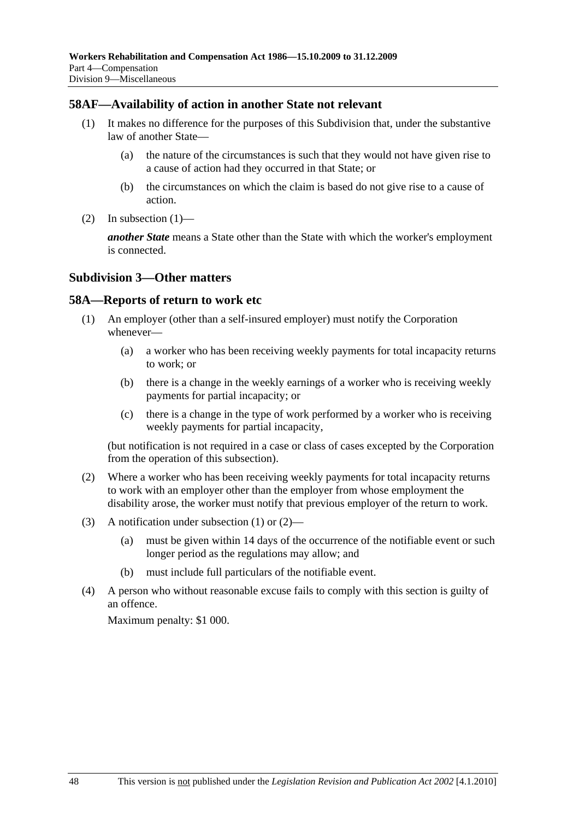#### **58AF—Availability of action in another State not relevant**

- (1) It makes no difference for the purposes of this Subdivision that, under the substantive law of another State—
	- (a) the nature of the circumstances is such that they would not have given rise to a cause of action had they occurred in that State; or
	- (b) the circumstances on which the claim is based do not give rise to a cause of action.
- (2) In subsection  $(1)$ —

*another State* means a State other than the State with which the worker's employment is connected.

#### **Subdivision 3—Other matters**

#### **58A—Reports of return to work etc**

- (1) An employer (other than a self-insured employer) must notify the Corporation whenever—
	- (a) a worker who has been receiving weekly payments for total incapacity returns to work; or
	- (b) there is a change in the weekly earnings of a worker who is receiving weekly payments for partial incapacity; or
	- (c) there is a change in the type of work performed by a worker who is receiving weekly payments for partial incapacity,

(but notification is not required in a case or class of cases excepted by the Corporation from the operation of this subsection).

- (2) Where a worker who has been receiving weekly payments for total incapacity returns to work with an employer other than the employer from whose employment the disability arose, the worker must notify that previous employer of the return to work.
- (3) A notification under subsection (1) or (2)—
	- (a) must be given within 14 days of the occurrence of the notifiable event or such longer period as the regulations may allow; and
	- (b) must include full particulars of the notifiable event.
- (4) A person who without reasonable excuse fails to comply with this section is guilty of an offence.

Maximum penalty: \$1 000.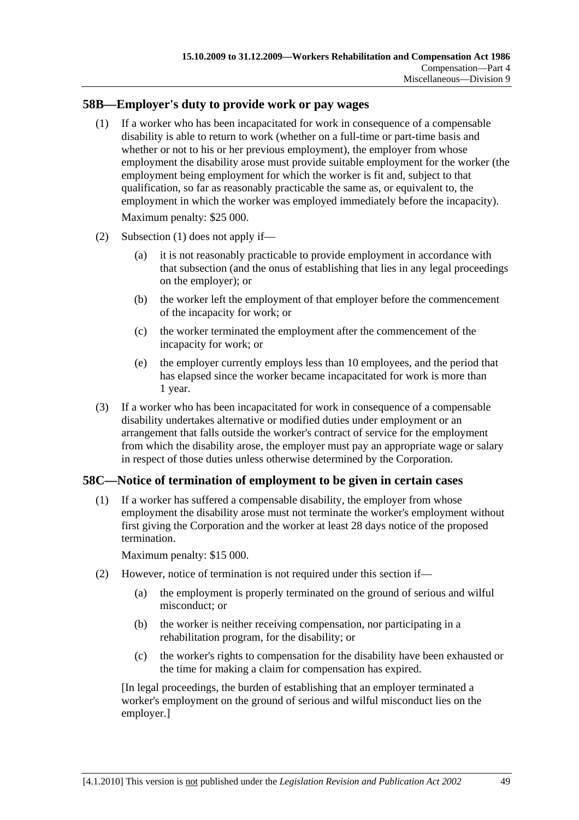### **58B—Employer's duty to provide work or pay wages**

 (1) If a worker who has been incapacitated for work in consequence of a compensable disability is able to return to work (whether on a full-time or part-time basis and whether or not to his or her previous employment), the employer from whose employment the disability arose must provide suitable employment for the worker (the employment being employment for which the worker is fit and, subject to that qualification, so far as reasonably practicable the same as, or equivalent to, the employment in which the worker was employed immediately before the incapacity).

Maximum penalty: \$25 000.

- (2) Subsection (1) does not apply if—
	- (a) it is not reasonably practicable to provide employment in accordance with that subsection (and the onus of establishing that lies in any legal proceedings on the employer); or
	- (b) the worker left the employment of that employer before the commencement of the incapacity for work; or
	- (c) the worker terminated the employment after the commencement of the incapacity for work; or
	- (e) the employer currently employs less than 10 employees, and the period that has elapsed since the worker became incapacitated for work is more than 1 year.
- (3) If a worker who has been incapacitated for work in consequence of a compensable disability undertakes alternative or modified duties under employment or an arrangement that falls outside the worker's contract of service for the employment from which the disability arose, the employer must pay an appropriate wage or salary in respect of those duties unless otherwise determined by the Corporation.

### **58C—Notice of termination of employment to be given in certain cases**

 (1) If a worker has suffered a compensable disability, the employer from whose employment the disability arose must not terminate the worker's employment without first giving the Corporation and the worker at least 28 days notice of the proposed termination.

Maximum penalty: \$15 000.

- (2) However, notice of termination is not required under this section if—
	- (a) the employment is properly terminated on the ground of serious and wilful misconduct; or
	- (b) the worker is neither receiving compensation, nor participating in a rehabilitation program, for the disability; or
	- (c) the worker's rights to compensation for the disability have been exhausted or the time for making a claim for compensation has expired.

[In legal proceedings, the burden of establishing that an employer terminated a worker's employment on the ground of serious and wilful misconduct lies on the employer.]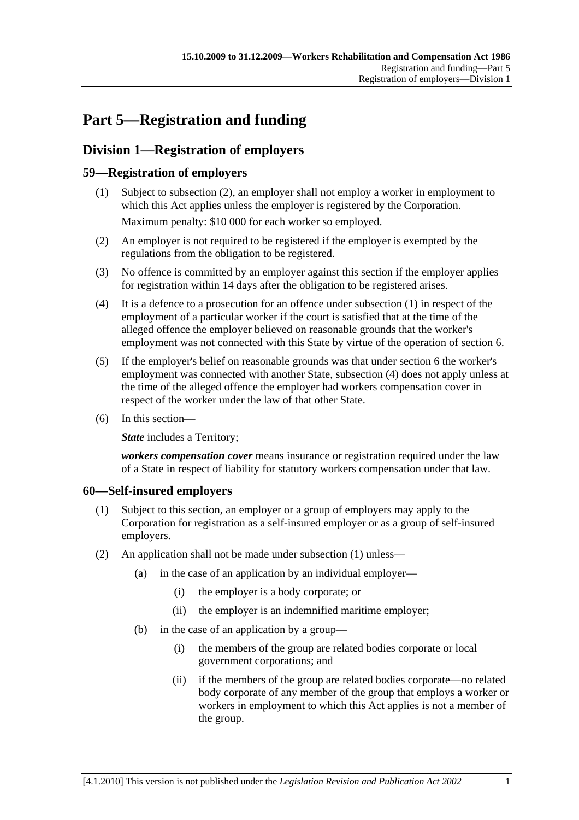# **Part 5—Registration and funding**

# **Division 1—Registration of employers**

### **59—Registration of employers**

- (1) Subject to subsection (2), an employer shall not employ a worker in employment to which this Act applies unless the employer is registered by the Corporation. Maximum penalty: \$10 000 for each worker so employed.
- (2) An employer is not required to be registered if the employer is exempted by the regulations from the obligation to be registered.
- (3) No offence is committed by an employer against this section if the employer applies for registration within 14 days after the obligation to be registered arises.
- (4) It is a defence to a prosecution for an offence under subsection (1) in respect of the employment of a particular worker if the court is satisfied that at the time of the alleged offence the employer believed on reasonable grounds that the worker's employment was not connected with this State by virtue of the operation of section 6.
- (5) If the employer's belief on reasonable grounds was that under section 6 the worker's employment was connected with another State, subsection (4) does not apply unless at the time of the alleged offence the employer had workers compensation cover in respect of the worker under the law of that other State.
- (6) In this section—

**State** includes a Territory;

*workers compensation cover* means insurance or registration required under the law of a State in respect of liability for statutory workers compensation under that law.

### **60—Self-insured employers**

- (1) Subject to this section, an employer or a group of employers may apply to the Corporation for registration as a self-insured employer or as a group of self-insured employers.
- (2) An application shall not be made under subsection (1) unless—
	- (a) in the case of an application by an individual employer—
		- (i) the employer is a body corporate; or
		- (ii) the employer is an indemnified maritime employer;
	- (b) in the case of an application by a group—
		- (i) the members of the group are related bodies corporate or local government corporations; and
		- (ii) if the members of the group are related bodies corporate—no related body corporate of any member of the group that employs a worker or workers in employment to which this Act applies is not a member of the group.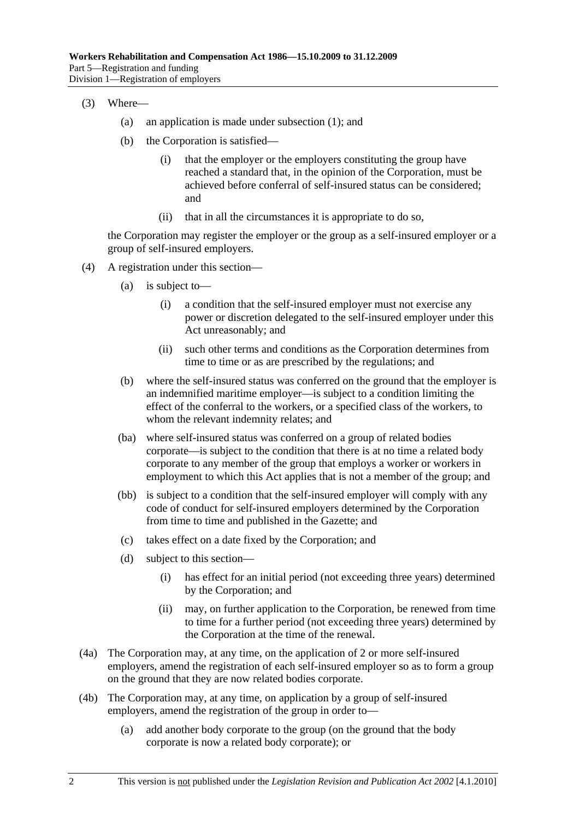- (3) Where—
	- (a) an application is made under subsection (1); and
	- (b) the Corporation is satisfied—
		- (i) that the employer or the employers constituting the group have reached a standard that, in the opinion of the Corporation, must be achieved before conferral of self-insured status can be considered; and
		- (ii) that in all the circumstances it is appropriate to do so,

the Corporation may register the employer or the group as a self-insured employer or a group of self-insured employers.

- (4) A registration under this section—
	- (a) is subject to—
		- (i) a condition that the self-insured employer must not exercise any power or discretion delegated to the self-insured employer under this Act unreasonably; and
		- (ii) such other terms and conditions as the Corporation determines from time to time or as are prescribed by the regulations; and
	- (b) where the self-insured status was conferred on the ground that the employer is an indemnified maritime employer—is subject to a condition limiting the effect of the conferral to the workers, or a specified class of the workers, to whom the relevant indemnity relates; and
	- (ba) where self-insured status was conferred on a group of related bodies corporate—is subject to the condition that there is at no time a related body corporate to any member of the group that employs a worker or workers in employment to which this Act applies that is not a member of the group; and
	- (bb) is subject to a condition that the self-insured employer will comply with any code of conduct for self-insured employers determined by the Corporation from time to time and published in the Gazette; and
	- (c) takes effect on a date fixed by the Corporation; and
	- (d) subject to this section—
		- (i) has effect for an initial period (not exceeding three years) determined by the Corporation; and
		- (ii) may, on further application to the Corporation, be renewed from time to time for a further period (not exceeding three years) determined by the Corporation at the time of the renewal.
- (4a) The Corporation may, at any time, on the application of 2 or more self-insured employers, amend the registration of each self-insured employer so as to form a group on the ground that they are now related bodies corporate.
- (4b) The Corporation may, at any time, on application by a group of self-insured employers, amend the registration of the group in order to—
	- (a) add another body corporate to the group (on the ground that the body corporate is now a related body corporate); or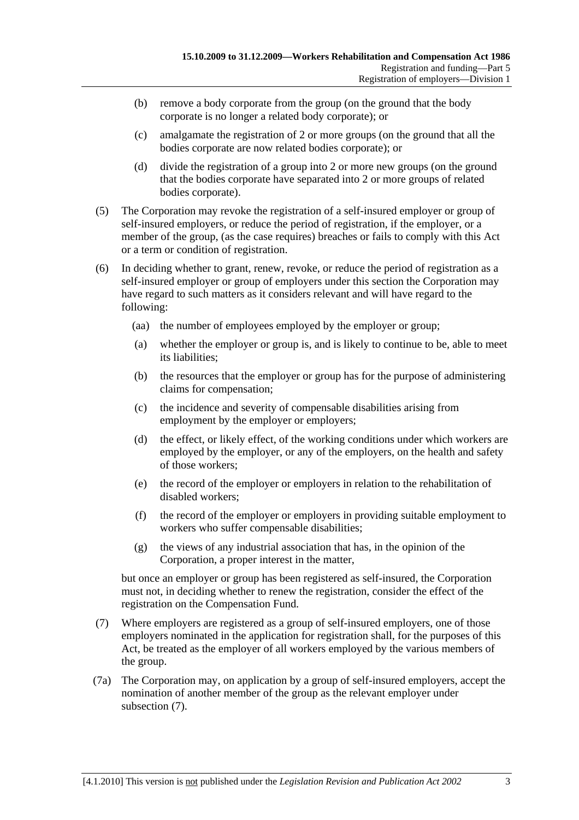- (b) remove a body corporate from the group (on the ground that the body corporate is no longer a related body corporate); or
- (c) amalgamate the registration of 2 or more groups (on the ground that all the bodies corporate are now related bodies corporate); or
- (d) divide the registration of a group into 2 or more new groups (on the ground that the bodies corporate have separated into 2 or more groups of related bodies corporate).
- (5) The Corporation may revoke the registration of a self-insured employer or group of self-insured employers, or reduce the period of registration, if the employer, or a member of the group, (as the case requires) breaches or fails to comply with this Act or a term or condition of registration.
- (6) In deciding whether to grant, renew, revoke, or reduce the period of registration as a self-insured employer or group of employers under this section the Corporation may have regard to such matters as it considers relevant and will have regard to the following:
	- (aa) the number of employees employed by the employer or group;
	- (a) whether the employer or group is, and is likely to continue to be, able to meet its liabilities;
	- (b) the resources that the employer or group has for the purpose of administering claims for compensation;
	- (c) the incidence and severity of compensable disabilities arising from employment by the employer or employers;
	- (d) the effect, or likely effect, of the working conditions under which workers are employed by the employer, or any of the employers, on the health and safety of those workers;
	- (e) the record of the employer or employers in relation to the rehabilitation of disabled workers;
	- (f) the record of the employer or employers in providing suitable employment to workers who suffer compensable disabilities;
	- (g) the views of any industrial association that has, in the opinion of the Corporation, a proper interest in the matter,

but once an employer or group has been registered as self-insured, the Corporation must not, in deciding whether to renew the registration, consider the effect of the registration on the Compensation Fund.

- (7) Where employers are registered as a group of self-insured employers, one of those employers nominated in the application for registration shall, for the purposes of this Act, be treated as the employer of all workers employed by the various members of the group.
- (7a) The Corporation may, on application by a group of self-insured employers, accept the nomination of another member of the group as the relevant employer under subsection (7).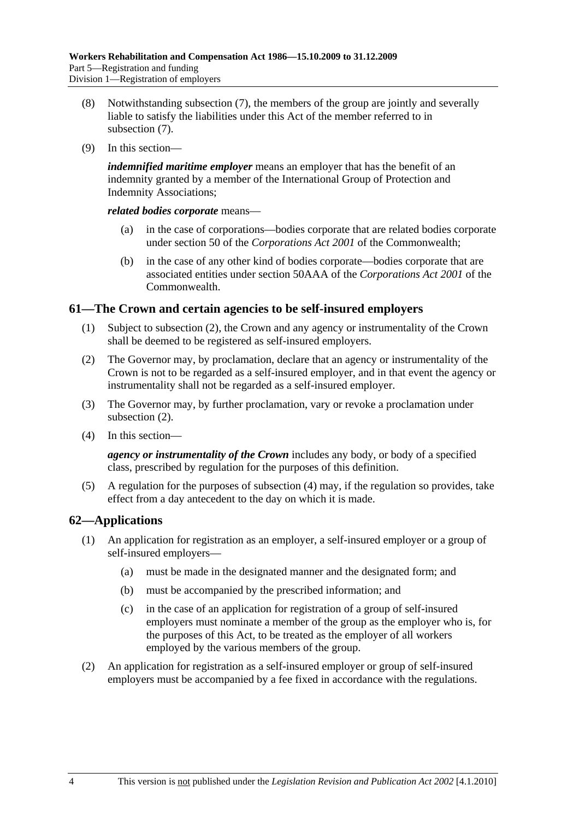- (8) Notwithstanding subsection (7), the members of the group are jointly and severally liable to satisfy the liabilities under this Act of the member referred to in subsection (7).
- (9) In this section—

*indemnified maritime employer* means an employer that has the benefit of an indemnity granted by a member of the International Group of Protection and Indemnity Associations;

*related bodies corporate* means—

- (a) in the case of corporations—bodies corporate that are related bodies corporate under section 50 of the *Corporations Act 2001* of the Commonwealth;
- (b) in the case of any other kind of bodies corporate—bodies corporate that are associated entities under section 50AAA of the *Corporations Act 2001* of the **Commonwealth**

### **61—The Crown and certain agencies to be self-insured employers**

- (1) Subject to subsection (2), the Crown and any agency or instrumentality of the Crown shall be deemed to be registered as self-insured employers.
- (2) The Governor may, by proclamation, declare that an agency or instrumentality of the Crown is not to be regarded as a self-insured employer, and in that event the agency or instrumentality shall not be regarded as a self-insured employer.
- (3) The Governor may, by further proclamation, vary or revoke a proclamation under subsection (2).
- (4) In this section—

*agency or instrumentality of the Crown* includes any body, or body of a specified class, prescribed by regulation for the purposes of this definition.

 (5) A regulation for the purposes of subsection (4) may, if the regulation so provides, take effect from a day antecedent to the day on which it is made.

### **62—Applications**

- (1) An application for registration as an employer, a self-insured employer or a group of self-insured employers—
	- (a) must be made in the designated manner and the designated form; and
	- (b) must be accompanied by the prescribed information; and
	- (c) in the case of an application for registration of a group of self-insured employers must nominate a member of the group as the employer who is, for the purposes of this Act, to be treated as the employer of all workers employed by the various members of the group.
- (2) An application for registration as a self-insured employer or group of self-insured employers must be accompanied by a fee fixed in accordance with the regulations.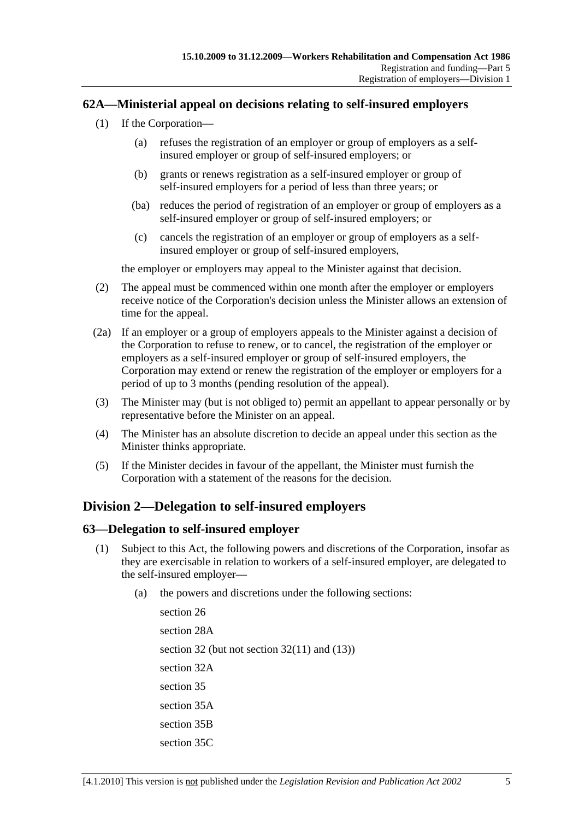### **62A—Ministerial appeal on decisions relating to self-insured employers**

- (1) If the Corporation—
	- (a) refuses the registration of an employer or group of employers as a selfinsured employer or group of self-insured employers; or
	- (b) grants or renews registration as a self-insured employer or group of self-insured employers for a period of less than three years; or
	- (ba) reduces the period of registration of an employer or group of employers as a self-insured employer or group of self-insured employers; or
	- (c) cancels the registration of an employer or group of employers as a selfinsured employer or group of self-insured employers,

the employer or employers may appeal to the Minister against that decision.

- (2) The appeal must be commenced within one month after the employer or employers receive notice of the Corporation's decision unless the Minister allows an extension of time for the appeal.
- (2a) If an employer or a group of employers appeals to the Minister against a decision of the Corporation to refuse to renew, or to cancel, the registration of the employer or employers as a self-insured employer or group of self-insured employers, the Corporation may extend or renew the registration of the employer or employers for a period of up to 3 months (pending resolution of the appeal).
- (3) The Minister may (but is not obliged to) permit an appellant to appear personally or by representative before the Minister on an appeal.
- (4) The Minister has an absolute discretion to decide an appeal under this section as the Minister thinks appropriate.
- (5) If the Minister decides in favour of the appellant, the Minister must furnish the Corporation with a statement of the reasons for the decision.

### **Division 2—Delegation to self-insured employers**

### **63—Delegation to self-insured employer**

- (1) Subject to this Act, the following powers and discretions of the Corporation, insofar as they are exercisable in relation to workers of a self-insured employer, are delegated to the self-insured employer—
	- (a) the powers and discretions under the following sections:

section 26 section 28A section 32 (but not section 32(11) and (13)) section 32A section 35 section 35A section 35B section 35C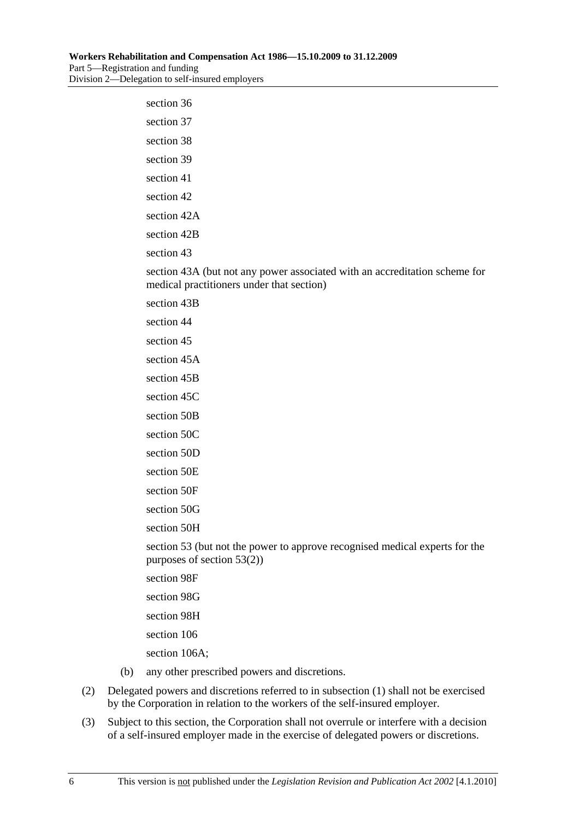| section 36                                                                                                              |
|-------------------------------------------------------------------------------------------------------------------------|
| section 37                                                                                                              |
| section 38                                                                                                              |
| section 39                                                                                                              |
| section 41                                                                                                              |
| section 42                                                                                                              |
| section 42A                                                                                                             |
| section 42B                                                                                                             |
| section 43                                                                                                              |
| section 43A (but not any power associated with an accreditation scheme for<br>medical practitioners under that section) |
| section 43B                                                                                                             |
| section 44                                                                                                              |
| section 45                                                                                                              |
| section 45A                                                                                                             |
| section 45B                                                                                                             |
| section 45C                                                                                                             |
| section 50B                                                                                                             |
| section 50C                                                                                                             |
| section 50D                                                                                                             |
| section 50E                                                                                                             |
| section 50F                                                                                                             |
| section 50G                                                                                                             |
| section 50H                                                                                                             |
| section 53 (but not the power to approve recognised medical experts for the<br>purposes of section $53(2)$ )            |
| section 98F                                                                                                             |
| section 98G                                                                                                             |
| section 98H                                                                                                             |

section 106

section 106A;

- (b) any other prescribed powers and discretions.
- (2) Delegated powers and discretions referred to in subsection (1) shall not be exercised by the Corporation in relation to the workers of the self-insured employer.
- (3) Subject to this section, the Corporation shall not overrule or interfere with a decision of a self-insured employer made in the exercise of delegated powers or discretions.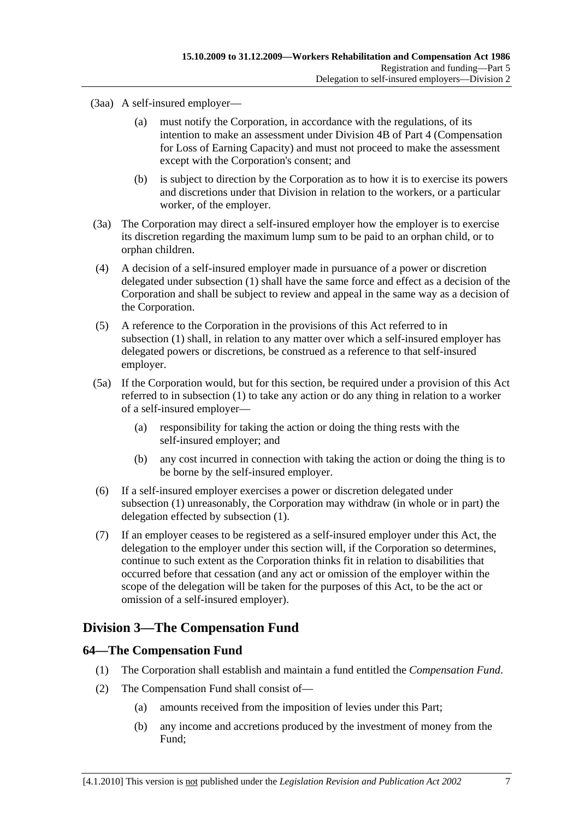(3aa) A self-insured employer—

- (a) must notify the Corporation, in accordance with the regulations, of its intention to make an assessment under Division 4B of Part 4 (Compensation for Loss of Earning Capacity) and must not proceed to make the assessment except with the Corporation's consent; and
- (b) is subject to direction by the Corporation as to how it is to exercise its powers and discretions under that Division in relation to the workers, or a particular worker, of the employer.
- (3a) The Corporation may direct a self-insured employer how the employer is to exercise its discretion regarding the maximum lump sum to be paid to an orphan child, or to orphan children.
- (4) A decision of a self-insured employer made in pursuance of a power or discretion delegated under subsection (1) shall have the same force and effect as a decision of the Corporation and shall be subject to review and appeal in the same way as a decision of the Corporation.
- (5) A reference to the Corporation in the provisions of this Act referred to in subsection (1) shall, in relation to any matter over which a self-insured employer has delegated powers or discretions, be construed as a reference to that self-insured employer.
- (5a) If the Corporation would, but for this section, be required under a provision of this Act referred to in subsection (1) to take any action or do any thing in relation to a worker of a self-insured employer—
	- (a) responsibility for taking the action or doing the thing rests with the self-insured employer; and
	- (b) any cost incurred in connection with taking the action or doing the thing is to be borne by the self-insured employer.
- (6) If a self-insured employer exercises a power or discretion delegated under subsection (1) unreasonably, the Corporation may withdraw (in whole or in part) the delegation effected by subsection (1).
- (7) If an employer ceases to be registered as a self-insured employer under this Act, the delegation to the employer under this section will, if the Corporation so determines, continue to such extent as the Corporation thinks fit in relation to disabilities that occurred before that cessation (and any act or omission of the employer within the scope of the delegation will be taken for the purposes of this Act, to be the act or omission of a self-insured employer).

# **Division 3—The Compensation Fund**

### **64—The Compensation Fund**

- (1) The Corporation shall establish and maintain a fund entitled the *Compensation Fund*.
- (2) The Compensation Fund shall consist of—
	- (a) amounts received from the imposition of levies under this Part;
	- (b) any income and accretions produced by the investment of money from the Fund;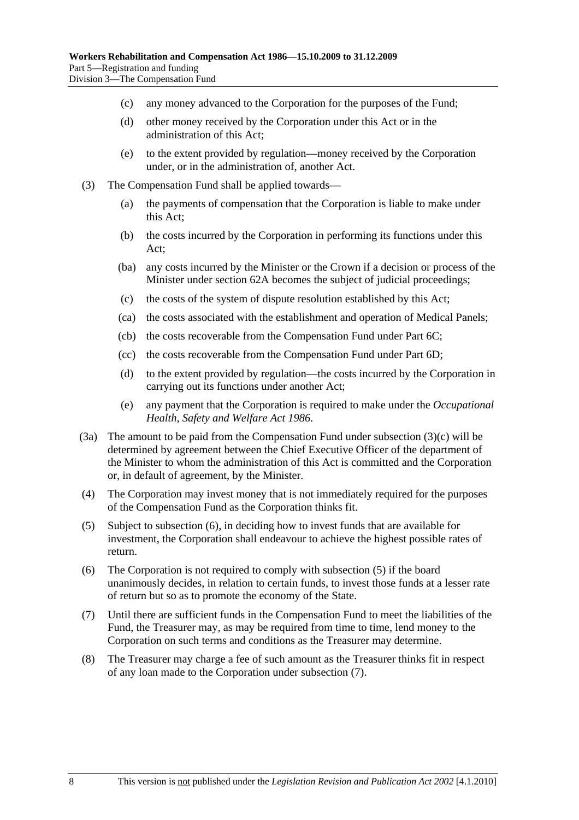- (c) any money advanced to the Corporation for the purposes of the Fund;
- (d) other money received by the Corporation under this Act or in the administration of this Act;
- (e) to the extent provided by regulation—money received by the Corporation under, or in the administration of, another Act.
- (3) The Compensation Fund shall be applied towards—
	- (a) the payments of compensation that the Corporation is liable to make under this Act;
	- (b) the costs incurred by the Corporation in performing its functions under this Act;
	- (ba) any costs incurred by the Minister or the Crown if a decision or process of the Minister under section 62A becomes the subject of judicial proceedings;
	- (c) the costs of the system of dispute resolution established by this Act;
	- (ca) the costs associated with the establishment and operation of Medical Panels;
	- (cb) the costs recoverable from the Compensation Fund under Part 6C;
	- (cc) the costs recoverable from the Compensation Fund under Part 6D;
	- (d) to the extent provided by regulation—the costs incurred by the Corporation in carrying out its functions under another Act;
	- (e) any payment that the Corporation is required to make under the *Occupational Health, Safety and Welfare Act 1986*.
- (3a) The amount to be paid from the Compensation Fund under subsection (3)(c) will be determined by agreement between the Chief Executive Officer of the department of the Minister to whom the administration of this Act is committed and the Corporation or, in default of agreement, by the Minister.
- (4) The Corporation may invest money that is not immediately required for the purposes of the Compensation Fund as the Corporation thinks fit.
- (5) Subject to subsection (6), in deciding how to invest funds that are available for investment, the Corporation shall endeavour to achieve the highest possible rates of return.
- (6) The Corporation is not required to comply with subsection (5) if the board unanimously decides, in relation to certain funds, to invest those funds at a lesser rate of return but so as to promote the economy of the State.
- (7) Until there are sufficient funds in the Compensation Fund to meet the liabilities of the Fund, the Treasurer may, as may be required from time to time, lend money to the Corporation on such terms and conditions as the Treasurer may determine.
- (8) The Treasurer may charge a fee of such amount as the Treasurer thinks fit in respect of any loan made to the Corporation under subsection (7).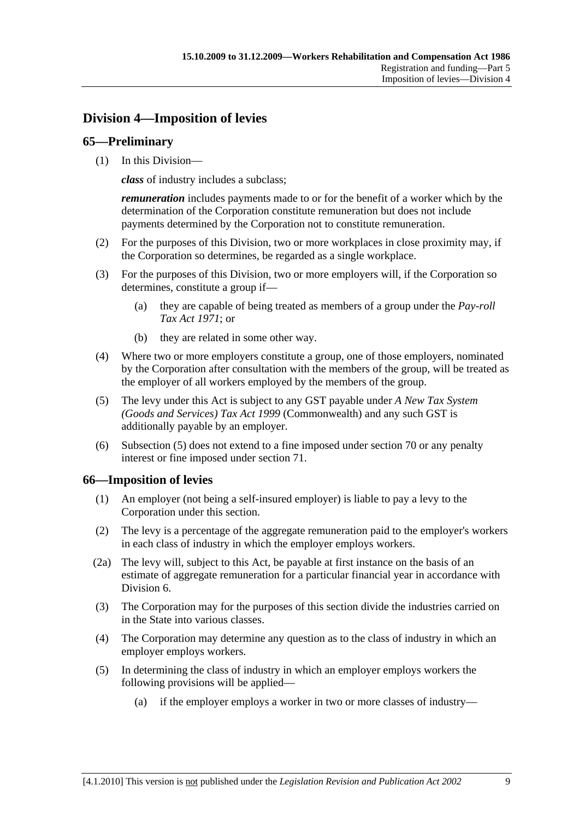# **Division 4—Imposition of levies**

### **65—Preliminary**

(1) In this Division—

*class* of industry includes a subclass;

*remuneration* includes payments made to or for the benefit of a worker which by the determination of the Corporation constitute remuneration but does not include payments determined by the Corporation not to constitute remuneration.

- (2) For the purposes of this Division, two or more workplaces in close proximity may, if the Corporation so determines, be regarded as a single workplace.
- (3) For the purposes of this Division, two or more employers will, if the Corporation so determines, constitute a group if—
	- (a) they are capable of being treated as members of a group under the *Pay-roll Tax Act 1971*; or
	- (b) they are related in some other way.
- (4) Where two or more employers constitute a group, one of those employers, nominated by the Corporation after consultation with the members of the group, will be treated as the employer of all workers employed by the members of the group.
- (5) The levy under this Act is subject to any GST payable under *A New Tax System (Goods and Services) Tax Act 1999* (Commonwealth) and any such GST is additionally payable by an employer.
- (6) Subsection (5) does not extend to a fine imposed under section 70 or any penalty interest or fine imposed under section 71.

### **66—Imposition of levies**

- (1) An employer (not being a self-insured employer) is liable to pay a levy to the Corporation under this section.
- (2) The levy is a percentage of the aggregate remuneration paid to the employer's workers in each class of industry in which the employer employs workers.
- (2a) The levy will, subject to this Act, be payable at first instance on the basis of an estimate of aggregate remuneration for a particular financial year in accordance with Division 6.
- (3) The Corporation may for the purposes of this section divide the industries carried on in the State into various classes.
- (4) The Corporation may determine any question as to the class of industry in which an employer employs workers.
- (5) In determining the class of industry in which an employer employs workers the following provisions will be applied—
	- (a) if the employer employs a worker in two or more classes of industry—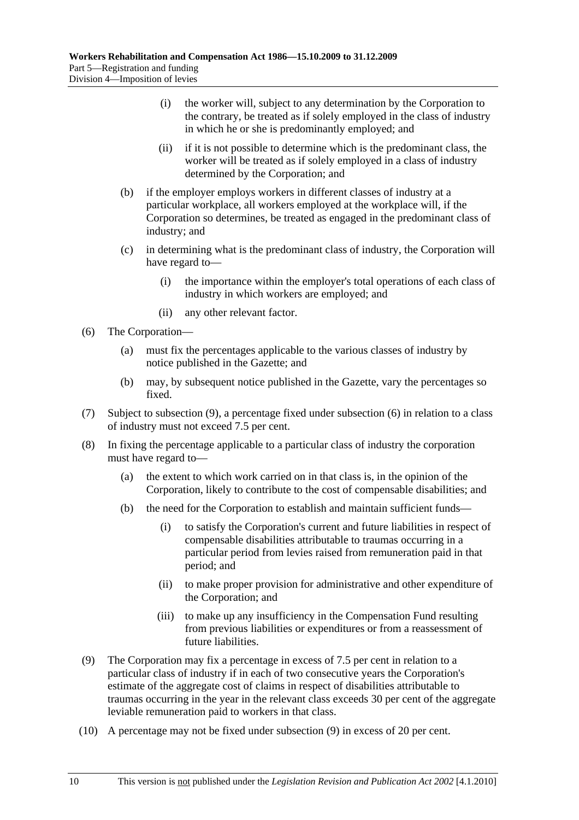- (i) the worker will, subject to any determination by the Corporation to the contrary, be treated as if solely employed in the class of industry in which he or she is predominantly employed; and
- (ii) if it is not possible to determine which is the predominant class, the worker will be treated as if solely employed in a class of industry determined by the Corporation; and
- (b) if the employer employs workers in different classes of industry at a particular workplace, all workers employed at the workplace will, if the Corporation so determines, be treated as engaged in the predominant class of industry; and
- (c) in determining what is the predominant class of industry, the Corporation will have regard to—
	- (i) the importance within the employer's total operations of each class of industry in which workers are employed; and
	- (ii) any other relevant factor.
- (6) The Corporation—
	- (a) must fix the percentages applicable to the various classes of industry by notice published in the Gazette; and
	- (b) may, by subsequent notice published in the Gazette, vary the percentages so fixed.
- (7) Subject to subsection (9), a percentage fixed under subsection (6) in relation to a class of industry must not exceed 7.5 per cent.
- (8) In fixing the percentage applicable to a particular class of industry the corporation must have regard to—
	- (a) the extent to which work carried on in that class is, in the opinion of the Corporation, likely to contribute to the cost of compensable disabilities; and
	- (b) the need for the Corporation to establish and maintain sufficient funds—
		- (i) to satisfy the Corporation's current and future liabilities in respect of compensable disabilities attributable to traumas occurring in a particular period from levies raised from remuneration paid in that period; and
		- (ii) to make proper provision for administrative and other expenditure of the Corporation; and
		- (iii) to make up any insufficiency in the Compensation Fund resulting from previous liabilities or expenditures or from a reassessment of future liabilities.
- (9) The Corporation may fix a percentage in excess of 7.5 per cent in relation to a particular class of industry if in each of two consecutive years the Corporation's estimate of the aggregate cost of claims in respect of disabilities attributable to traumas occurring in the year in the relevant class exceeds 30 per cent of the aggregate leviable remuneration paid to workers in that class.
- (10) A percentage may not be fixed under subsection (9) in excess of 20 per cent.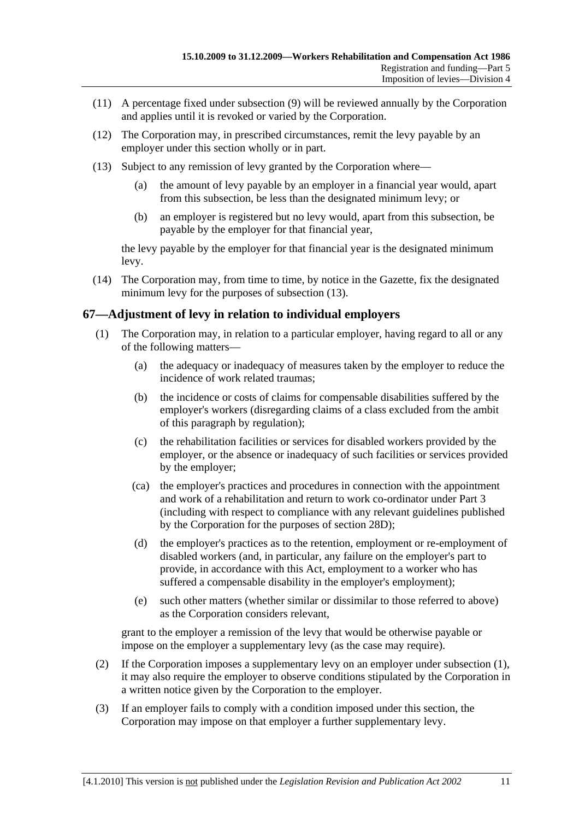- (11) A percentage fixed under subsection (9) will be reviewed annually by the Corporation and applies until it is revoked or varied by the Corporation.
- (12) The Corporation may, in prescribed circumstances, remit the levy payable by an employer under this section wholly or in part.
- (13) Subject to any remission of levy granted by the Corporation where—
	- (a) the amount of levy payable by an employer in a financial year would, apart from this subsection, be less than the designated minimum levy; or
	- (b) an employer is registered but no levy would, apart from this subsection, be payable by the employer for that financial year,

the levy payable by the employer for that financial year is the designated minimum levy.

 (14) The Corporation may, from time to time, by notice in the Gazette, fix the designated minimum levy for the purposes of subsection (13).

### **67—Adjustment of levy in relation to individual employers**

- (1) The Corporation may, in relation to a particular employer, having regard to all or any of the following matters—
	- (a) the adequacy or inadequacy of measures taken by the employer to reduce the incidence of work related traumas;
	- (b) the incidence or costs of claims for compensable disabilities suffered by the employer's workers (disregarding claims of a class excluded from the ambit of this paragraph by regulation);
	- (c) the rehabilitation facilities or services for disabled workers provided by the employer, or the absence or inadequacy of such facilities or services provided by the employer;
	- (ca) the employer's practices and procedures in connection with the appointment and work of a rehabilitation and return to work co-ordinator under Part 3 (including with respect to compliance with any relevant guidelines published by the Corporation for the purposes of section 28D);
	- (d) the employer's practices as to the retention, employment or re-employment of disabled workers (and, in particular, any failure on the employer's part to provide, in accordance with this Act, employment to a worker who has suffered a compensable disability in the employer's employment);
	- (e) such other matters (whether similar or dissimilar to those referred to above) as the Corporation considers relevant,

grant to the employer a remission of the levy that would be otherwise payable or impose on the employer a supplementary levy (as the case may require).

- (2) If the Corporation imposes a supplementary levy on an employer under subsection (1), it may also require the employer to observe conditions stipulated by the Corporation in a written notice given by the Corporation to the employer.
- (3) If an employer fails to comply with a condition imposed under this section, the Corporation may impose on that employer a further supplementary levy.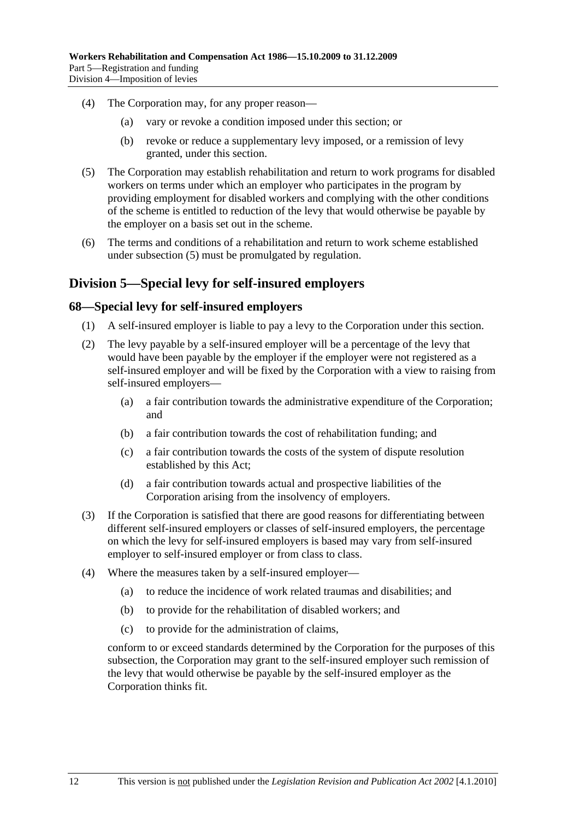- (4) The Corporation may, for any proper reason—
	- (a) vary or revoke a condition imposed under this section; or
	- (b) revoke or reduce a supplementary levy imposed, or a remission of levy granted, under this section.
- (5) The Corporation may establish rehabilitation and return to work programs for disabled workers on terms under which an employer who participates in the program by providing employment for disabled workers and complying with the other conditions of the scheme is entitled to reduction of the levy that would otherwise be payable by the employer on a basis set out in the scheme.
- (6) The terms and conditions of a rehabilitation and return to work scheme established under subsection (5) must be promulgated by regulation.

### **Division 5—Special levy for self-insured employers**

#### **68—Special levy for self-insured employers**

- (1) A self-insured employer is liable to pay a levy to the Corporation under this section.
- (2) The levy payable by a self-insured employer will be a percentage of the levy that would have been payable by the employer if the employer were not registered as a self-insured employer and will be fixed by the Corporation with a view to raising from self-insured employers—
	- (a) a fair contribution towards the administrative expenditure of the Corporation; and
	- (b) a fair contribution towards the cost of rehabilitation funding; and
	- (c) a fair contribution towards the costs of the system of dispute resolution established by this Act;
	- (d) a fair contribution towards actual and prospective liabilities of the Corporation arising from the insolvency of employers.
- (3) If the Corporation is satisfied that there are good reasons for differentiating between different self-insured employers or classes of self-insured employers, the percentage on which the levy for self-insured employers is based may vary from self-insured employer to self-insured employer or from class to class.
- (4) Where the measures taken by a self-insured employer—
	- (a) to reduce the incidence of work related traumas and disabilities; and
	- (b) to provide for the rehabilitation of disabled workers; and
	- (c) to provide for the administration of claims,

conform to or exceed standards determined by the Corporation for the purposes of this subsection, the Corporation may grant to the self-insured employer such remission of the levy that would otherwise be payable by the self-insured employer as the Corporation thinks fit.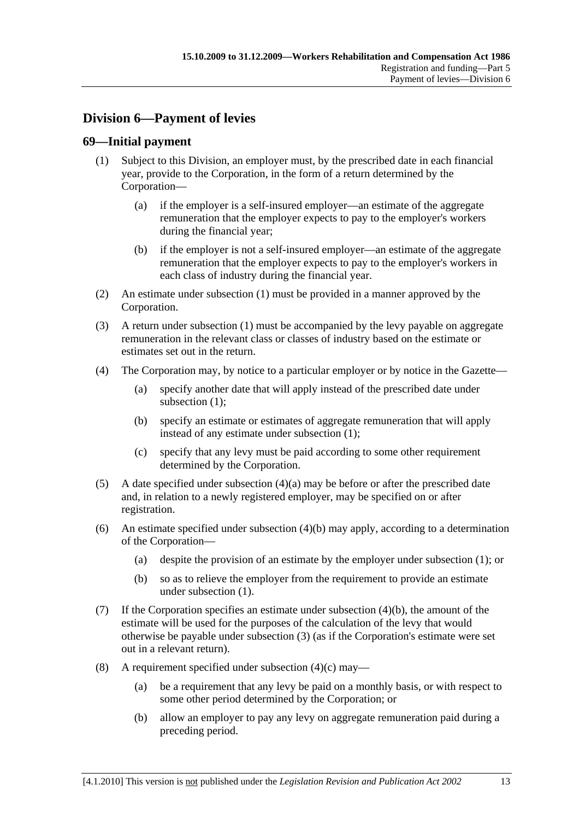# **Division 6—Payment of levies**

### **69—Initial payment**

- (1) Subject to this Division, an employer must, by the prescribed date in each financial year, provide to the Corporation, in the form of a return determined by the Corporation—
	- (a) if the employer is a self-insured employer—an estimate of the aggregate remuneration that the employer expects to pay to the employer's workers during the financial year;
	- (b) if the employer is not a self-insured employer—an estimate of the aggregate remuneration that the employer expects to pay to the employer's workers in each class of industry during the financial year.
- (2) An estimate under subsection (1) must be provided in a manner approved by the Corporation.
- (3) A return under subsection (1) must be accompanied by the levy payable on aggregate remuneration in the relevant class or classes of industry based on the estimate or estimates set out in the return.
- (4) The Corporation may, by notice to a particular employer or by notice in the Gazette—
	- (a) specify another date that will apply instead of the prescribed date under subsection (1):
	- (b) specify an estimate or estimates of aggregate remuneration that will apply instead of any estimate under subsection (1);
	- (c) specify that any levy must be paid according to some other requirement determined by the Corporation.
- (5) A date specified under subsection (4)(a) may be before or after the prescribed date and, in relation to a newly registered employer, may be specified on or after registration.
- (6) An estimate specified under subsection (4)(b) may apply, according to a determination of the Corporation—
	- (a) despite the provision of an estimate by the employer under subsection (1); or
	- (b) so as to relieve the employer from the requirement to provide an estimate under subsection (1).
- (7) If the Corporation specifies an estimate under subsection (4)(b), the amount of the estimate will be used for the purposes of the calculation of the levy that would otherwise be payable under subsection (3) (as if the Corporation's estimate were set out in a relevant return).
- (8) A requirement specified under subsection  $(4)(c)$  may—
	- (a) be a requirement that any levy be paid on a monthly basis, or with respect to some other period determined by the Corporation; or
	- (b) allow an employer to pay any levy on aggregate remuneration paid during a preceding period.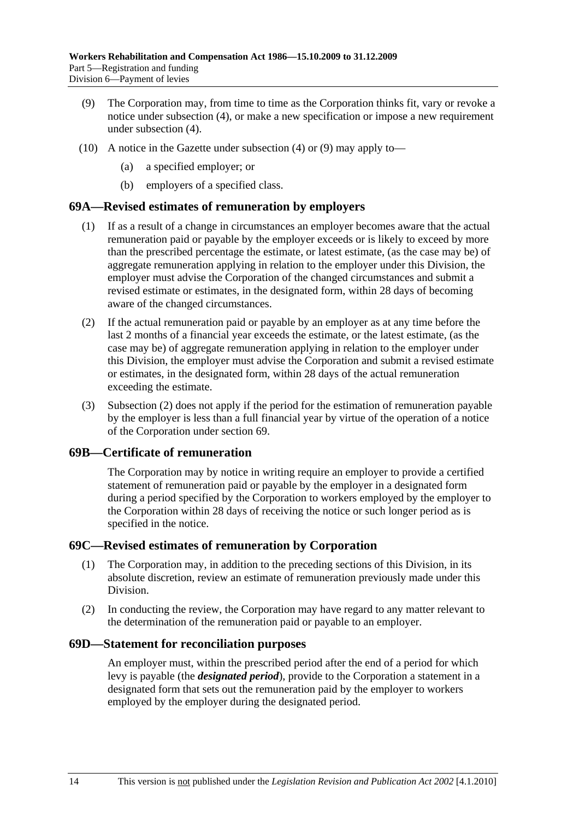- (9) The Corporation may, from time to time as the Corporation thinks fit, vary or revoke a notice under subsection (4), or make a new specification or impose a new requirement under subsection (4).
- (10) A notice in the Gazette under subsection (4) or (9) may apply to—
	- (a) a specified employer; or
	- (b) employers of a specified class.

#### **69A—Revised estimates of remuneration by employers**

- (1) If as a result of a change in circumstances an employer becomes aware that the actual remuneration paid or payable by the employer exceeds or is likely to exceed by more than the prescribed percentage the estimate, or latest estimate, (as the case may be) of aggregate remuneration applying in relation to the employer under this Division, the employer must advise the Corporation of the changed circumstances and submit a revised estimate or estimates, in the designated form, within 28 days of becoming aware of the changed circumstances.
- (2) If the actual remuneration paid or payable by an employer as at any time before the last 2 months of a financial year exceeds the estimate, or the latest estimate, (as the case may be) of aggregate remuneration applying in relation to the employer under this Division, the employer must advise the Corporation and submit a revised estimate or estimates, in the designated form, within 28 days of the actual remuneration exceeding the estimate.
- (3) Subsection (2) does not apply if the period for the estimation of remuneration payable by the employer is less than a full financial year by virtue of the operation of a notice of the Corporation under section 69.

#### **69B—Certificate of remuneration**

The Corporation may by notice in writing require an employer to provide a certified statement of remuneration paid or payable by the employer in a designated form during a period specified by the Corporation to workers employed by the employer to the Corporation within 28 days of receiving the notice or such longer period as is specified in the notice.

#### **69C—Revised estimates of remuneration by Corporation**

- (1) The Corporation may, in addition to the preceding sections of this Division, in its absolute discretion, review an estimate of remuneration previously made under this Division.
- (2) In conducting the review, the Corporation may have regard to any matter relevant to the determination of the remuneration paid or payable to an employer.

#### **69D—Statement for reconciliation purposes**

An employer must, within the prescribed period after the end of a period for which levy is payable (the *designated period*), provide to the Corporation a statement in a designated form that sets out the remuneration paid by the employer to workers employed by the employer during the designated period.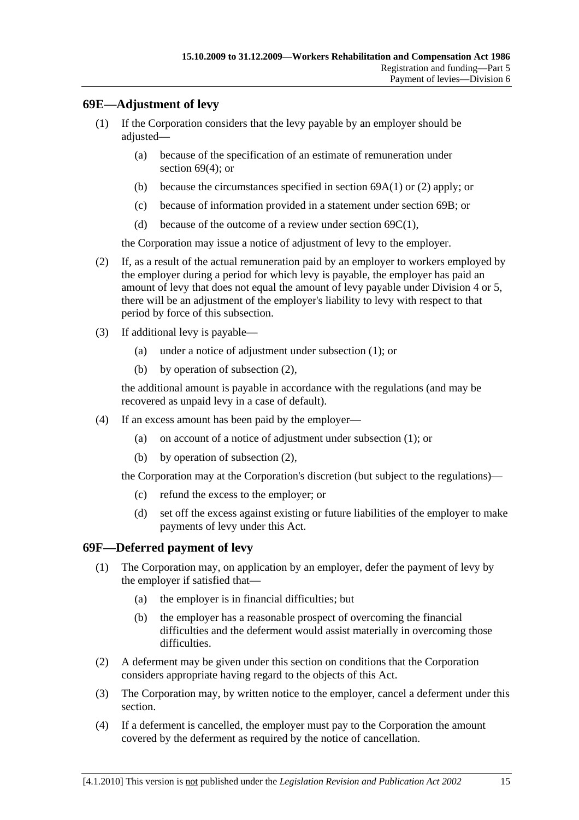### **69E—Adjustment of levy**

- (1) If the Corporation considers that the levy payable by an employer should be adjusted—
	- (a) because of the specification of an estimate of remuneration under section 69(4); or
	- (b) because the circumstances specified in section 69A(1) or (2) apply; or
	- (c) because of information provided in a statement under section 69B; or
	- (d) because of the outcome of a review under section  $69C(1)$ ,

the Corporation may issue a notice of adjustment of levy to the employer.

- (2) If, as a result of the actual remuneration paid by an employer to workers employed by the employer during a period for which levy is payable, the employer has paid an amount of levy that does not equal the amount of levy payable under Division 4 or 5, there will be an adjustment of the employer's liability to levy with respect to that period by force of this subsection.
- (3) If additional levy is payable—
	- (a) under a notice of adjustment under subsection (1); or
	- (b) by operation of subsection (2),

the additional amount is payable in accordance with the regulations (and may be recovered as unpaid levy in a case of default).

- (4) If an excess amount has been paid by the employer—
	- (a) on account of a notice of adjustment under subsection (1); or
	- (b) by operation of subsection (2),

the Corporation may at the Corporation's discretion (but subject to the regulations)—

- (c) refund the excess to the employer; or
- (d) set off the excess against existing or future liabilities of the employer to make payments of levy under this Act.

#### **69F—Deferred payment of levy**

- (1) The Corporation may, on application by an employer, defer the payment of levy by the employer if satisfied that—
	- (a) the employer is in financial difficulties; but
	- (b) the employer has a reasonable prospect of overcoming the financial difficulties and the deferment would assist materially in overcoming those difficulties.
- (2) A deferment may be given under this section on conditions that the Corporation considers appropriate having regard to the objects of this Act.
- (3) The Corporation may, by written notice to the employer, cancel a deferment under this section.
- (4) If a deferment is cancelled, the employer must pay to the Corporation the amount covered by the deferment as required by the notice of cancellation.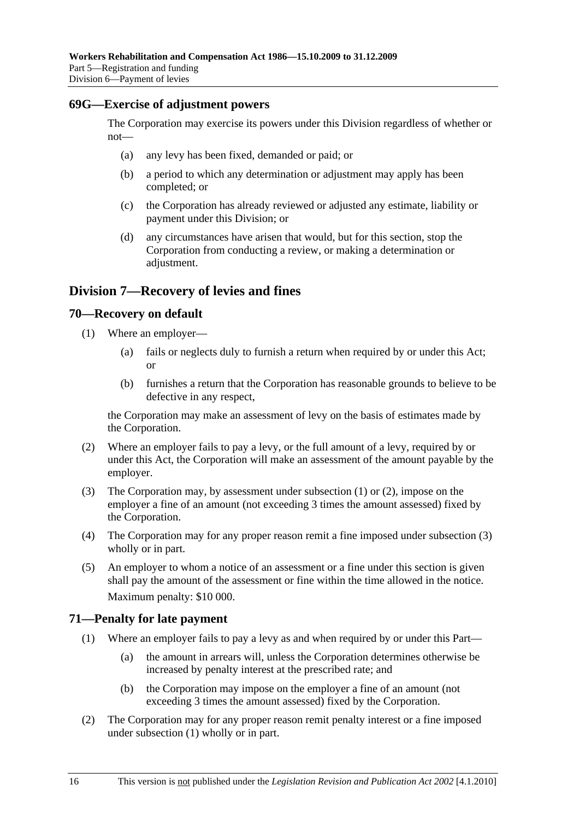#### **69G—Exercise of adjustment powers**

The Corporation may exercise its powers under this Division regardless of whether or not—

- (a) any levy has been fixed, demanded or paid; or
- (b) a period to which any determination or adjustment may apply has been completed; or
- (c) the Corporation has already reviewed or adjusted any estimate, liability or payment under this Division; or
- (d) any circumstances have arisen that would, but for this section, stop the Corporation from conducting a review, or making a determination or adjustment.

### **Division 7—Recovery of levies and fines**

#### **70—Recovery on default**

- (1) Where an employer—
	- (a) fails or neglects duly to furnish a return when required by or under this Act; or
	- (b) furnishes a return that the Corporation has reasonable grounds to believe to be defective in any respect,

the Corporation may make an assessment of levy on the basis of estimates made by the Corporation.

- (2) Where an employer fails to pay a levy, or the full amount of a levy, required by or under this Act, the Corporation will make an assessment of the amount payable by the employer.
- (3) The Corporation may, by assessment under subsection (1) or (2), impose on the employer a fine of an amount (not exceeding 3 times the amount assessed) fixed by the Corporation.
- (4) The Corporation may for any proper reason remit a fine imposed under subsection (3) wholly or in part.
- (5) An employer to whom a notice of an assessment or a fine under this section is given shall pay the amount of the assessment or fine within the time allowed in the notice. Maximum penalty: \$10 000.

### **71—Penalty for late payment**

- (1) Where an employer fails to pay a levy as and when required by or under this Part—
	- (a) the amount in arrears will, unless the Corporation determines otherwise be increased by penalty interest at the prescribed rate; and
	- (b) the Corporation may impose on the employer a fine of an amount (not exceeding 3 times the amount assessed) fixed by the Corporation.
- (2) The Corporation may for any proper reason remit penalty interest or a fine imposed under subsection (1) wholly or in part.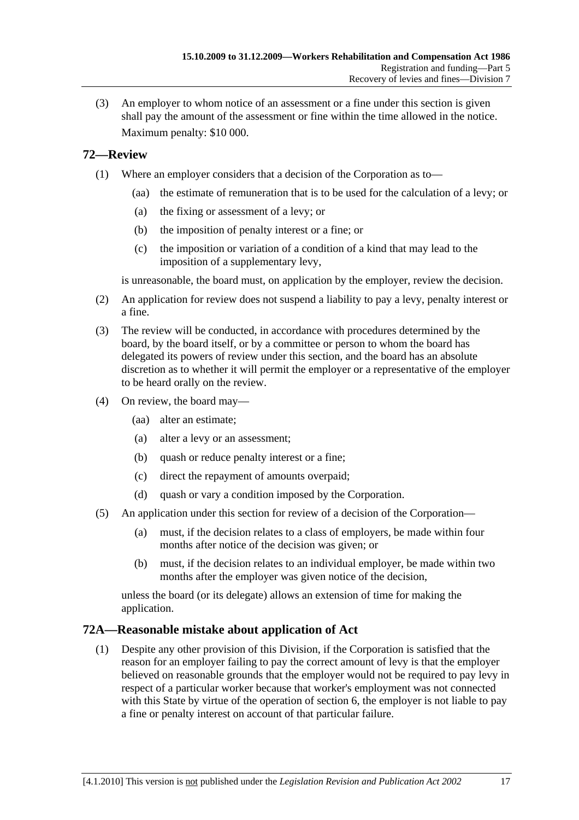(3) An employer to whom notice of an assessment or a fine under this section is given shall pay the amount of the assessment or fine within the time allowed in the notice. Maximum penalty: \$10 000.

### **72—Review**

- (1) Where an employer considers that a decision of the Corporation as to—
	- (aa) the estimate of remuneration that is to be used for the calculation of a levy; or
	- (a) the fixing or assessment of a levy; or
	- (b) the imposition of penalty interest or a fine; or
	- (c) the imposition or variation of a condition of a kind that may lead to the imposition of a supplementary levy,

is unreasonable, the board must, on application by the employer, review the decision.

- (2) An application for review does not suspend a liability to pay a levy, penalty interest or a fine.
- (3) The review will be conducted, in accordance with procedures determined by the board, by the board itself, or by a committee or person to whom the board has delegated its powers of review under this section, and the board has an absolute discretion as to whether it will permit the employer or a representative of the employer to be heard orally on the review.
- (4) On review, the board may—
	- (aa) alter an estimate;
	- (a) alter a levy or an assessment;
	- (b) quash or reduce penalty interest or a fine;
	- (c) direct the repayment of amounts overpaid;
	- (d) quash or vary a condition imposed by the Corporation.
- (5) An application under this section for review of a decision of the Corporation—
	- (a) must, if the decision relates to a class of employers, be made within four months after notice of the decision was given; or
	- (b) must, if the decision relates to an individual employer, be made within two months after the employer was given notice of the decision,

unless the board (or its delegate) allows an extension of time for making the application.

### **72A—Reasonable mistake about application of Act**

 (1) Despite any other provision of this Division, if the Corporation is satisfied that the reason for an employer failing to pay the correct amount of levy is that the employer believed on reasonable grounds that the employer would not be required to pay levy in respect of a particular worker because that worker's employment was not connected with this State by virtue of the operation of section 6, the employer is not liable to pay a fine or penalty interest on account of that particular failure.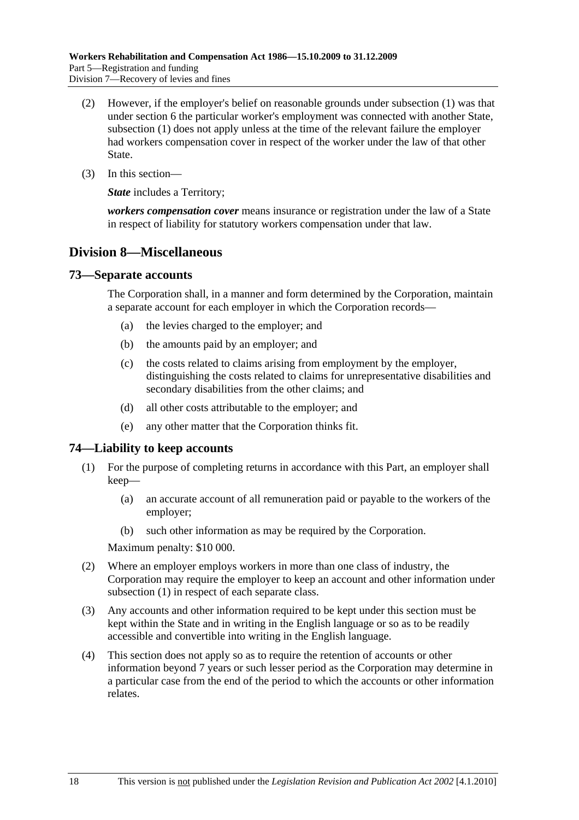- (2) However, if the employer's belief on reasonable grounds under subsection (1) was that under section 6 the particular worker's employment was connected with another State, subsection (1) does not apply unless at the time of the relevant failure the employer had workers compensation cover in respect of the worker under the law of that other State.
- (3) In this section—

*State* includes a Territory:

*workers compensation cover* means insurance or registration under the law of a State in respect of liability for statutory workers compensation under that law.

### **Division 8—Miscellaneous**

#### **73—Separate accounts**

The Corporation shall, in a manner and form determined by the Corporation, maintain a separate account for each employer in which the Corporation records—

- (a) the levies charged to the employer; and
- (b) the amounts paid by an employer; and
- (c) the costs related to claims arising from employment by the employer, distinguishing the costs related to claims for unrepresentative disabilities and secondary disabilities from the other claims; and
- (d) all other costs attributable to the employer; and
- (e) any other matter that the Corporation thinks fit.

### **74—Liability to keep accounts**

- (1) For the purpose of completing returns in accordance with this Part, an employer shall keep—
	- (a) an accurate account of all remuneration paid or payable to the workers of the employer;
	- (b) such other information as may be required by the Corporation.

Maximum penalty: \$10 000.

- (2) Where an employer employs workers in more than one class of industry, the Corporation may require the employer to keep an account and other information under subsection (1) in respect of each separate class.
- (3) Any accounts and other information required to be kept under this section must be kept within the State and in writing in the English language or so as to be readily accessible and convertible into writing in the English language.
- (4) This section does not apply so as to require the retention of accounts or other information beyond 7 years or such lesser period as the Corporation may determine in a particular case from the end of the period to which the accounts or other information relates.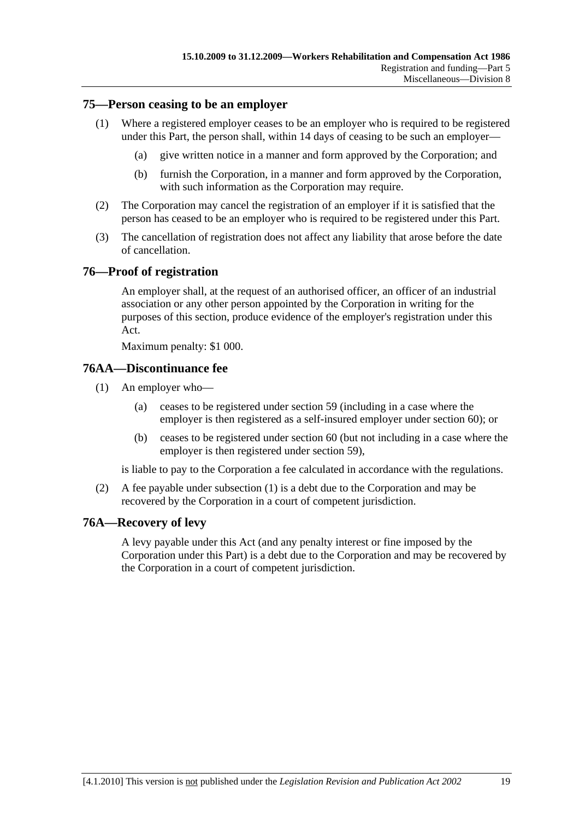#### **75—Person ceasing to be an employer**

- (1) Where a registered employer ceases to be an employer who is required to be registered under this Part, the person shall, within 14 days of ceasing to be such an employer—
	- (a) give written notice in a manner and form approved by the Corporation; and
	- (b) furnish the Corporation, in a manner and form approved by the Corporation, with such information as the Corporation may require.
- (2) The Corporation may cancel the registration of an employer if it is satisfied that the person has ceased to be an employer who is required to be registered under this Part.
- (3) The cancellation of registration does not affect any liability that arose before the date of cancellation.

#### **76—Proof of registration**

An employer shall, at the request of an authorised officer, an officer of an industrial association or any other person appointed by the Corporation in writing for the purposes of this section, produce evidence of the employer's registration under this Act.

Maximum penalty: \$1 000.

#### **76AA—Discontinuance fee**

- (1) An employer who—
	- (a) ceases to be registered under section 59 (including in a case where the employer is then registered as a self-insured employer under section 60); or
	- (b) ceases to be registered under section 60 (but not including in a case where the employer is then registered under section 59),

is liable to pay to the Corporation a fee calculated in accordance with the regulations.

 (2) A fee payable under subsection (1) is a debt due to the Corporation and may be recovered by the Corporation in a court of competent jurisdiction.

### **76A—Recovery of levy**

A levy payable under this Act (and any penalty interest or fine imposed by the Corporation under this Part) is a debt due to the Corporation and may be recovered by the Corporation in a court of competent jurisdiction.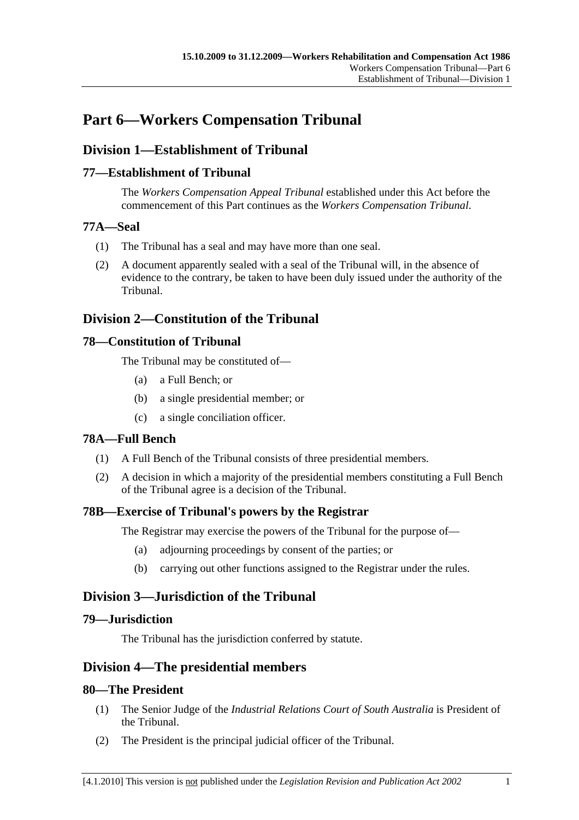# **Part 6—Workers Compensation Tribunal**

# **Division 1—Establishment of Tribunal**

### **77—Establishment of Tribunal**

The *Workers Compensation Appeal Tribunal* established under this Act before the commencement of this Part continues as the *Workers Compensation Tribunal*.

#### **77A—Seal**

- (1) The Tribunal has a seal and may have more than one seal.
- (2) A document apparently sealed with a seal of the Tribunal will, in the absence of evidence to the contrary, be taken to have been duly issued under the authority of the Tribunal.

### **Division 2—Constitution of the Tribunal**

### **78—Constitution of Tribunal**

The Tribunal may be constituted of—

- (a) a Full Bench; or
- (b) a single presidential member; or
- (c) a single conciliation officer.

### **78A—Full Bench**

- (1) A Full Bench of the Tribunal consists of three presidential members.
- (2) A decision in which a majority of the presidential members constituting a Full Bench of the Tribunal agree is a decision of the Tribunal.

### **78B—Exercise of Tribunal's powers by the Registrar**

The Registrar may exercise the powers of the Tribunal for the purpose of—

- (a) adjourning proceedings by consent of the parties; or
- (b) carrying out other functions assigned to the Registrar under the rules.

# **Division 3—Jurisdiction of the Tribunal**

### **79—Jurisdiction**

The Tribunal has the jurisdiction conferred by statute.

### **Division 4—The presidential members**

### **80—The President**

- (1) The Senior Judge of the *Industrial Relations Court of South Australia* is President of the Tribunal.
- (2) The President is the principal judicial officer of the Tribunal.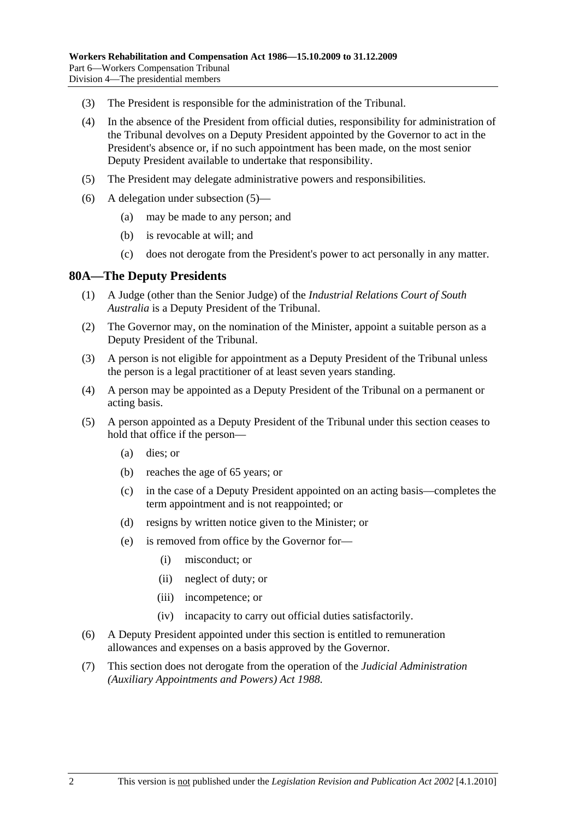- (3) The President is responsible for the administration of the Tribunal.
- (4) In the absence of the President from official duties, responsibility for administration of the Tribunal devolves on a Deputy President appointed by the Governor to act in the President's absence or, if no such appointment has been made, on the most senior Deputy President available to undertake that responsibility.
- (5) The President may delegate administrative powers and responsibilities.
- (6) A delegation under subsection (5)—
	- (a) may be made to any person; and
	- (b) is revocable at will; and
	- (c) does not derogate from the President's power to act personally in any matter.

#### **80A—The Deputy Presidents**

- (1) A Judge (other than the Senior Judge) of the *Industrial Relations Court of South Australia* is a Deputy President of the Tribunal.
- (2) The Governor may, on the nomination of the Minister, appoint a suitable person as a Deputy President of the Tribunal.
- (3) A person is not eligible for appointment as a Deputy President of the Tribunal unless the person is a legal practitioner of at least seven years standing.
- (4) A person may be appointed as a Deputy President of the Tribunal on a permanent or acting basis.
- (5) A person appointed as a Deputy President of the Tribunal under this section ceases to hold that office if the person—
	- (a) dies; or
	- (b) reaches the age of 65 years; or
	- (c) in the case of a Deputy President appointed on an acting basis—completes the term appointment and is not reappointed; or
	- (d) resigns by written notice given to the Minister; or
	- (e) is removed from office by the Governor for—
		- (i) misconduct; or
		- (ii) neglect of duty; or
		- (iii) incompetence; or
		- (iv) incapacity to carry out official duties satisfactorily.
- (6) A Deputy President appointed under this section is entitled to remuneration allowances and expenses on a basis approved by the Governor.
- (7) This section does not derogate from the operation of the *Judicial Administration (Auxiliary Appointments and Powers) Act 1988*.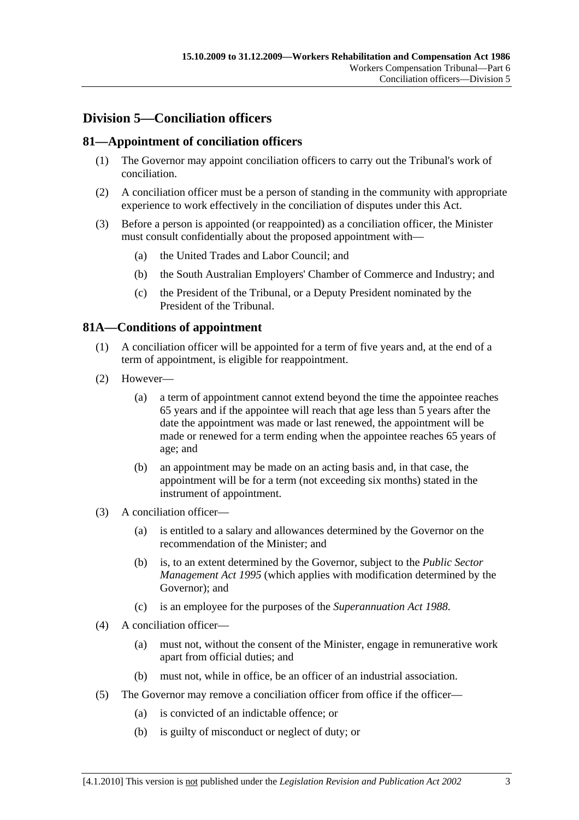# **Division 5—Conciliation officers**

### **81—Appointment of conciliation officers**

- (1) The Governor may appoint conciliation officers to carry out the Tribunal's work of conciliation.
- (2) A conciliation officer must be a person of standing in the community with appropriate experience to work effectively in the conciliation of disputes under this Act.
- (3) Before a person is appointed (or reappointed) as a conciliation officer, the Minister must consult confidentially about the proposed appointment with—
	- (a) the United Trades and Labor Council; and
	- (b) the South Australian Employers' Chamber of Commerce and Industry; and
	- (c) the President of the Tribunal, or a Deputy President nominated by the President of the Tribunal.

### **81A—Conditions of appointment**

- (1) A conciliation officer will be appointed for a term of five years and, at the end of a term of appointment, is eligible for reappointment.
- (2) However—
	- (a) a term of appointment cannot extend beyond the time the appointee reaches 65 years and if the appointee will reach that age less than 5 years after the date the appointment was made or last renewed, the appointment will be made or renewed for a term ending when the appointee reaches 65 years of age; and
	- (b) an appointment may be made on an acting basis and, in that case, the appointment will be for a term (not exceeding six months) stated in the instrument of appointment.
- (3) A conciliation officer—
	- (a) is entitled to a salary and allowances determined by the Governor on the recommendation of the Minister; and
	- (b) is, to an extent determined by the Governor, subject to the *Public Sector Management Act 1995* (which applies with modification determined by the Governor); and
	- (c) is an employee for the purposes of the *Superannuation Act 1988*.
- (4) A conciliation officer—
	- (a) must not, without the consent of the Minister, engage in remunerative work apart from official duties; and
	- (b) must not, while in office, be an officer of an industrial association.
- (5) The Governor may remove a conciliation officer from office if the officer—
	- (a) is convicted of an indictable offence; or
	- (b) is guilty of misconduct or neglect of duty; or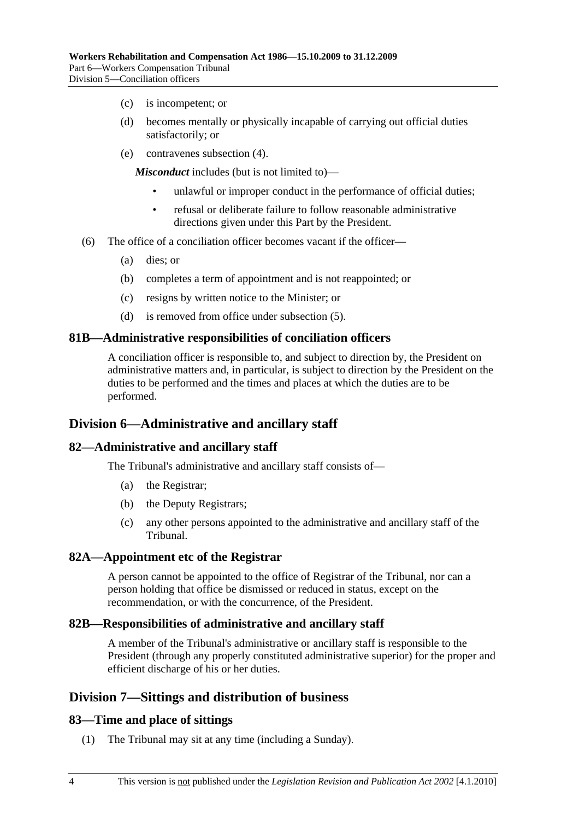- (c) is incompetent; or
- (d) becomes mentally or physically incapable of carrying out official duties satisfactorily; or
- (e) contravenes subsection (4).

*Misconduct* includes (but is not limited to)—

- unlawful or improper conduct in the performance of official duties;
- refusal or deliberate failure to follow reasonable administrative directions given under this Part by the President.
- (6) The office of a conciliation officer becomes vacant if the officer—
	- (a) dies; or
	- (b) completes a term of appointment and is not reappointed; or
	- (c) resigns by written notice to the Minister; or
	- (d) is removed from office under subsection (5).

#### **81B—Administrative responsibilities of conciliation officers**

A conciliation officer is responsible to, and subject to direction by, the President on administrative matters and, in particular, is subject to direction by the President on the duties to be performed and the times and places at which the duties are to be performed.

### **Division 6—Administrative and ancillary staff**

#### **82—Administrative and ancillary staff**

The Tribunal's administrative and ancillary staff consists of—

- (a) the Registrar;
- (b) the Deputy Registrars;
- (c) any other persons appointed to the administrative and ancillary staff of the Tribunal.

#### **82A—Appointment etc of the Registrar**

A person cannot be appointed to the office of Registrar of the Tribunal, nor can a person holding that office be dismissed or reduced in status, except on the recommendation, or with the concurrence, of the President.

#### **82B—Responsibilities of administrative and ancillary staff**

A member of the Tribunal's administrative or ancillary staff is responsible to the President (through any properly constituted administrative superior) for the proper and efficient discharge of his or her duties.

### **Division 7—Sittings and distribution of business**

#### **83—Time and place of sittings**

(1) The Tribunal may sit at any time (including a Sunday).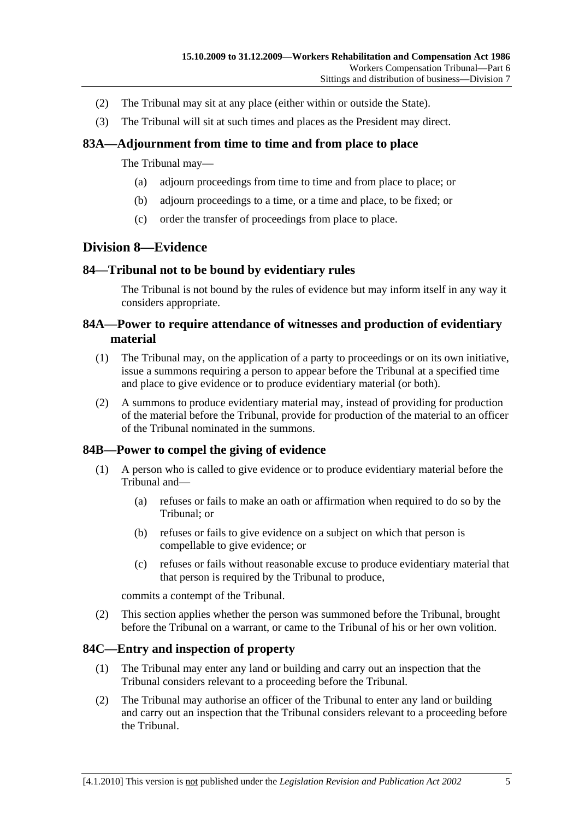- (2) The Tribunal may sit at any place (either within or outside the State).
- (3) The Tribunal will sit at such times and places as the President may direct.

### **83A—Adjournment from time to time and from place to place**

The Tribunal may—

- (a) adjourn proceedings from time to time and from place to place; or
- (b) adjourn proceedings to a time, or a time and place, to be fixed; or
- (c) order the transfer of proceedings from place to place.

### **Division 8—Evidence**

### **84—Tribunal not to be bound by evidentiary rules**

The Tribunal is not bound by the rules of evidence but may inform itself in any way it considers appropriate.

### **84A—Power to require attendance of witnesses and production of evidentiary material**

- (1) The Tribunal may, on the application of a party to proceedings or on its own initiative, issue a summons requiring a person to appear before the Tribunal at a specified time and place to give evidence or to produce evidentiary material (or both).
- (2) A summons to produce evidentiary material may, instead of providing for production of the material before the Tribunal, provide for production of the material to an officer of the Tribunal nominated in the summons.

### **84B—Power to compel the giving of evidence**

- (1) A person who is called to give evidence or to produce evidentiary material before the Tribunal and—
	- (a) refuses or fails to make an oath or affirmation when required to do so by the Tribunal; or
	- (b) refuses or fails to give evidence on a subject on which that person is compellable to give evidence; or
	- (c) refuses or fails without reasonable excuse to produce evidentiary material that that person is required by the Tribunal to produce,

commits a contempt of the Tribunal.

 (2) This section applies whether the person was summoned before the Tribunal, brought before the Tribunal on a warrant, or came to the Tribunal of his or her own volition.

### **84C—Entry and inspection of property**

- (1) The Tribunal may enter any land or building and carry out an inspection that the Tribunal considers relevant to a proceeding before the Tribunal.
- (2) The Tribunal may authorise an officer of the Tribunal to enter any land or building and carry out an inspection that the Tribunal considers relevant to a proceeding before the Tribunal.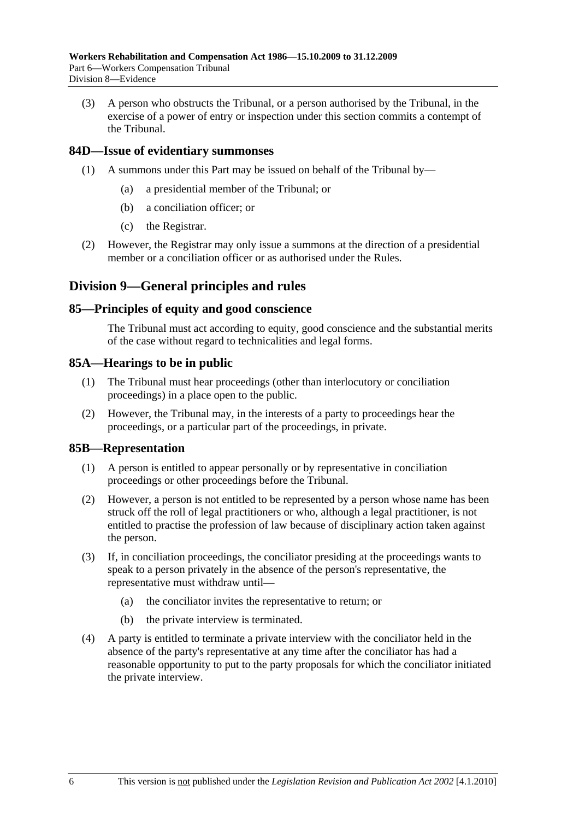(3) A person who obstructs the Tribunal, or a person authorised by the Tribunal, in the exercise of a power of entry or inspection under this section commits a contempt of the Tribunal.

### **84D—Issue of evidentiary summonses**

- (1) A summons under this Part may be issued on behalf of the Tribunal by—
	- (a) a presidential member of the Tribunal; or
	- (b) a conciliation officer; or
	- (c) the Registrar.
- (2) However, the Registrar may only issue a summons at the direction of a presidential member or a conciliation officer or as authorised under the Rules.

### **Division 9—General principles and rules**

#### **85—Principles of equity and good conscience**

The Tribunal must act according to equity, good conscience and the substantial merits of the case without regard to technicalities and legal forms.

#### **85A—Hearings to be in public**

- (1) The Tribunal must hear proceedings (other than interlocutory or conciliation proceedings) in a place open to the public.
- (2) However, the Tribunal may, in the interests of a party to proceedings hear the proceedings, or a particular part of the proceedings, in private.

#### **85B—Representation**

- (1) A person is entitled to appear personally or by representative in conciliation proceedings or other proceedings before the Tribunal.
- (2) However, a person is not entitled to be represented by a person whose name has been struck off the roll of legal practitioners or who, although a legal practitioner, is not entitled to practise the profession of law because of disciplinary action taken against the person.
- (3) If, in conciliation proceedings, the conciliator presiding at the proceedings wants to speak to a person privately in the absence of the person's representative, the representative must withdraw until—
	- (a) the conciliator invites the representative to return; or
	- (b) the private interview is terminated.
- (4) A party is entitled to terminate a private interview with the conciliator held in the absence of the party's representative at any time after the conciliator has had a reasonable opportunity to put to the party proposals for which the conciliator initiated the private interview.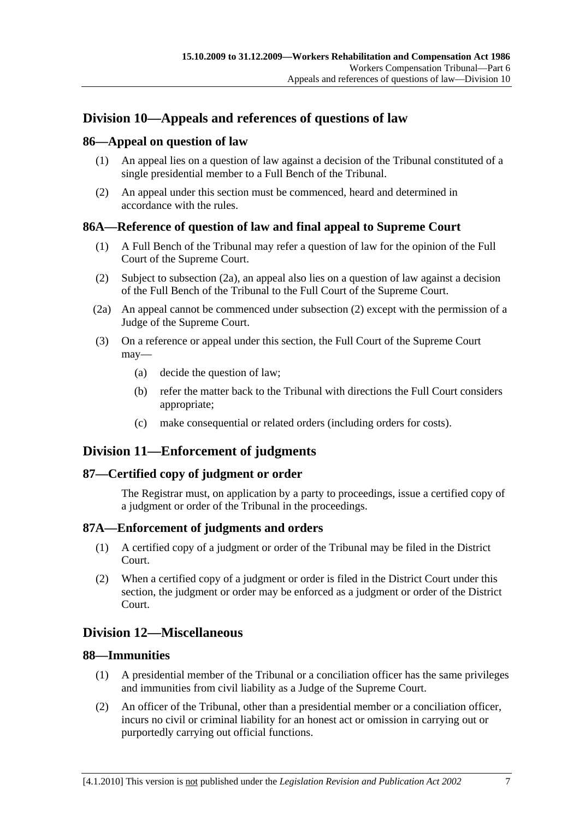# **Division 10—Appeals and references of questions of law**

#### **86—Appeal on question of law**

- (1) An appeal lies on a question of law against a decision of the Tribunal constituted of a single presidential member to a Full Bench of the Tribunal.
- (2) An appeal under this section must be commenced, heard and determined in accordance with the rules.

#### **86A—Reference of question of law and final appeal to Supreme Court**

- (1) A Full Bench of the Tribunal may refer a question of law for the opinion of the Full Court of the Supreme Court.
- (2) Subject to subsection (2a), an appeal also lies on a question of law against a decision of the Full Bench of the Tribunal to the Full Court of the Supreme Court.
- (2a) An appeal cannot be commenced under subsection (2) except with the permission of a Judge of the Supreme Court.
- (3) On a reference or appeal under this section, the Full Court of the Supreme Court may—
	- (a) decide the question of law;
	- (b) refer the matter back to the Tribunal with directions the Full Court considers appropriate;
	- (c) make consequential or related orders (including orders for costs).

# **Division 11—Enforcement of judgments**

#### **87—Certified copy of judgment or order**

The Registrar must, on application by a party to proceedings, issue a certified copy of a judgment or order of the Tribunal in the proceedings.

#### **87A—Enforcement of judgments and orders**

- (1) A certified copy of a judgment or order of the Tribunal may be filed in the District Court.
- (2) When a certified copy of a judgment or order is filed in the District Court under this section, the judgment or order may be enforced as a judgment or order of the District Court.

# **Division 12—Miscellaneous**

#### **88—Immunities**

- (1) A presidential member of the Tribunal or a conciliation officer has the same privileges and immunities from civil liability as a Judge of the Supreme Court.
- (2) An officer of the Tribunal, other than a presidential member or a conciliation officer, incurs no civil or criminal liability for an honest act or omission in carrying out or purportedly carrying out official functions.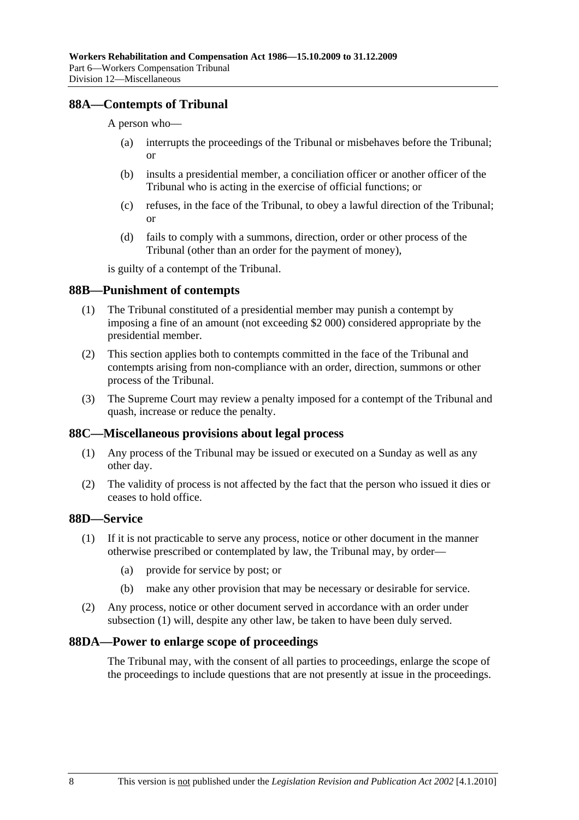#### **88A—Contempts of Tribunal**

A person who—

- (a) interrupts the proceedings of the Tribunal or misbehaves before the Tribunal; or
- (b) insults a presidential member, a conciliation officer or another officer of the Tribunal who is acting in the exercise of official functions; or
- (c) refuses, in the face of the Tribunal, to obey a lawful direction of the Tribunal; or
- (d) fails to comply with a summons, direction, order or other process of the Tribunal (other than an order for the payment of money),

is guilty of a contempt of the Tribunal.

#### **88B—Punishment of contempts**

- (1) The Tribunal constituted of a presidential member may punish a contempt by imposing a fine of an amount (not exceeding \$2 000) considered appropriate by the presidential member.
- (2) This section applies both to contempts committed in the face of the Tribunal and contempts arising from non-compliance with an order, direction, summons or other process of the Tribunal.
- (3) The Supreme Court may review a penalty imposed for a contempt of the Tribunal and quash, increase or reduce the penalty.

#### **88C—Miscellaneous provisions about legal process**

- (1) Any process of the Tribunal may be issued or executed on a Sunday as well as any other day.
- (2) The validity of process is not affected by the fact that the person who issued it dies or ceases to hold office.

## **88D—Service**

- (1) If it is not practicable to serve any process, notice or other document in the manner otherwise prescribed or contemplated by law, the Tribunal may, by order—
	- (a) provide for service by post; or
	- (b) make any other provision that may be necessary or desirable for service.
- (2) Any process, notice or other document served in accordance with an order under subsection (1) will, despite any other law, be taken to have been duly served.

#### **88DA—Power to enlarge scope of proceedings**

The Tribunal may, with the consent of all parties to proceedings, enlarge the scope of the proceedings to include questions that are not presently at issue in the proceedings.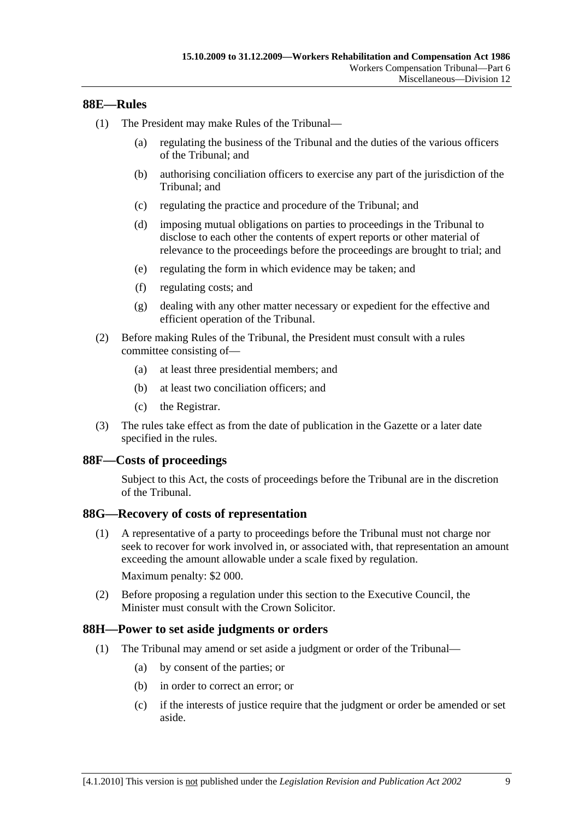#### **88E—Rules**

- (1) The President may make Rules of the Tribunal—
	- (a) regulating the business of the Tribunal and the duties of the various officers of the Tribunal; and
	- (b) authorising conciliation officers to exercise any part of the jurisdiction of the Tribunal; and
	- (c) regulating the practice and procedure of the Tribunal; and
	- (d) imposing mutual obligations on parties to proceedings in the Tribunal to disclose to each other the contents of expert reports or other material of relevance to the proceedings before the proceedings are brought to trial; and
	- (e) regulating the form in which evidence may be taken; and
	- (f) regulating costs; and
	- (g) dealing with any other matter necessary or expedient for the effective and efficient operation of the Tribunal.
- (2) Before making Rules of the Tribunal, the President must consult with a rules committee consisting of—
	- (a) at least three presidential members; and
	- (b) at least two conciliation officers; and
	- (c) the Registrar.
- (3) The rules take effect as from the date of publication in the Gazette or a later date specified in the rules.

#### **88F—Costs of proceedings**

Subject to this Act, the costs of proceedings before the Tribunal are in the discretion of the Tribunal.

#### **88G—Recovery of costs of representation**

 (1) A representative of a party to proceedings before the Tribunal must not charge nor seek to recover for work involved in, or associated with, that representation an amount exceeding the amount allowable under a scale fixed by regulation.

Maximum penalty: \$2 000.

 (2) Before proposing a regulation under this section to the Executive Council, the Minister must consult with the Crown Solicitor.

#### **88H—Power to set aside judgments or orders**

- (1) The Tribunal may amend or set aside a judgment or order of the Tribunal—
	- (a) by consent of the parties; or
	- (b) in order to correct an error; or
	- (c) if the interests of justice require that the judgment or order be amended or set aside.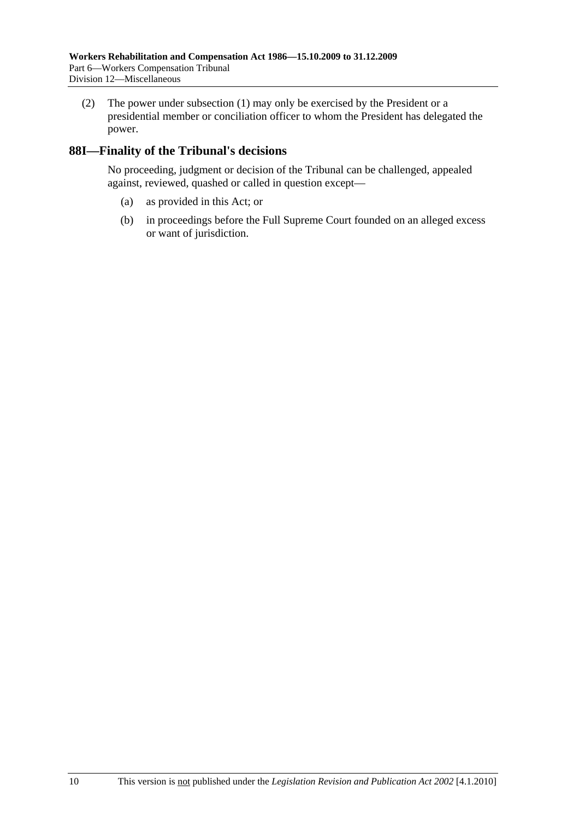(2) The power under subsection (1) may only be exercised by the President or a presidential member or conciliation officer to whom the President has delegated the power.

### **88I—Finality of the Tribunal's decisions**

No proceeding, judgment or decision of the Tribunal can be challenged, appealed against, reviewed, quashed or called in question except—

- (a) as provided in this Act; or
- (b) in proceedings before the Full Supreme Court founded on an alleged excess or want of jurisdiction.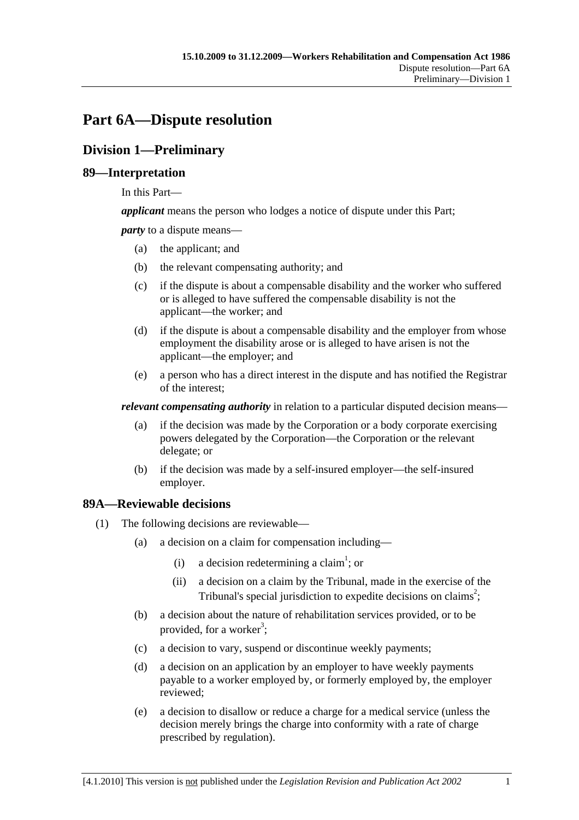# **Part 6A—Dispute resolution**

# **Division 1—Preliminary**

## **89—Interpretation**

In this Part—

*applicant* means the person who lodges a notice of dispute under this Part;

*party* to a dispute means—

- (a) the applicant; and
- (b) the relevant compensating authority; and
- (c) if the dispute is about a compensable disability and the worker who suffered or is alleged to have suffered the compensable disability is not the applicant—the worker; and
- (d) if the dispute is about a compensable disability and the employer from whose employment the disability arose or is alleged to have arisen is not the applicant—the employer; and
- (e) a person who has a direct interest in the dispute and has notified the Registrar of the interest;

*relevant compensating authority* in relation to a particular disputed decision means—

- (a) if the decision was made by the Corporation or a body corporate exercising powers delegated by the Corporation—the Corporation or the relevant delegate; or
- (b) if the decision was made by a self-insured employer—the self-insured employer.

# **89A—Reviewable decisions**

- (1) The following decisions are reviewable—
	- (a) a decision on a claim for compensation including—
		- (i) a decision redetermining a claim<sup>1</sup>; or
			- (ii) a decision on a claim by the Tribunal, made in the exercise of the Tribunal's special jurisdiction to expedite decisions on claims<sup>2</sup>;
	- (b) a decision about the nature of rehabilitation services provided, or to be provided, for a worker<sup>3</sup>;
	- (c) a decision to vary, suspend or discontinue weekly payments;
	- (d) a decision on an application by an employer to have weekly payments payable to a worker employed by, or formerly employed by, the employer reviewed;
	- (e) a decision to disallow or reduce a charge for a medical service (unless the decision merely brings the charge into conformity with a rate of charge prescribed by regulation).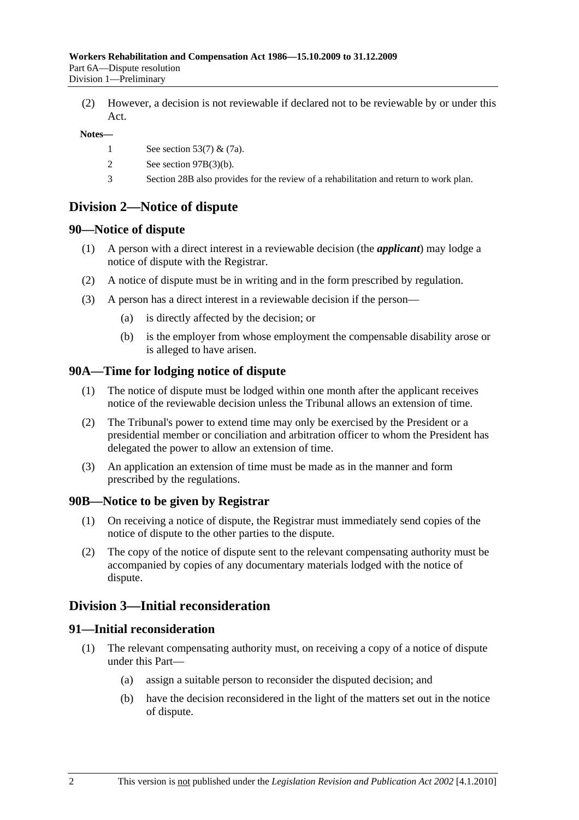(2) However, a decision is not reviewable if declared not to be reviewable by or under this Act.

#### **Notes—**

- 1 See section 53(7) & (7a).
- 2 See section 97B(3)(b).
- 3 Section 28B also provides for the review of a rehabilitation and return to work plan.

# **Division 2—Notice of dispute**

#### **90—Notice of dispute**

- (1) A person with a direct interest in a reviewable decision (the *applicant*) may lodge a notice of dispute with the Registrar.
- (2) A notice of dispute must be in writing and in the form prescribed by regulation.
- (3) A person has a direct interest in a reviewable decision if the person—
	- (a) is directly affected by the decision; or
	- (b) is the employer from whose employment the compensable disability arose or is alleged to have arisen.

#### **90A—Time for lodging notice of dispute**

- (1) The notice of dispute must be lodged within one month after the applicant receives notice of the reviewable decision unless the Tribunal allows an extension of time.
- (2) The Tribunal's power to extend time may only be exercised by the President or a presidential member or conciliation and arbitration officer to whom the President has delegated the power to allow an extension of time.
- (3) An application an extension of time must be made as in the manner and form prescribed by the regulations.

#### **90B—Notice to be given by Registrar**

- (1) On receiving a notice of dispute, the Registrar must immediately send copies of the notice of dispute to the other parties to the dispute.
- (2) The copy of the notice of dispute sent to the relevant compensating authority must be accompanied by copies of any documentary materials lodged with the notice of dispute.

# **Division 3—Initial reconsideration**

## **91—Initial reconsideration**

- (1) The relevant compensating authority must, on receiving a copy of a notice of dispute under this Part—
	- (a) assign a suitable person to reconsider the disputed decision; and
	- (b) have the decision reconsidered in the light of the matters set out in the notice of dispute.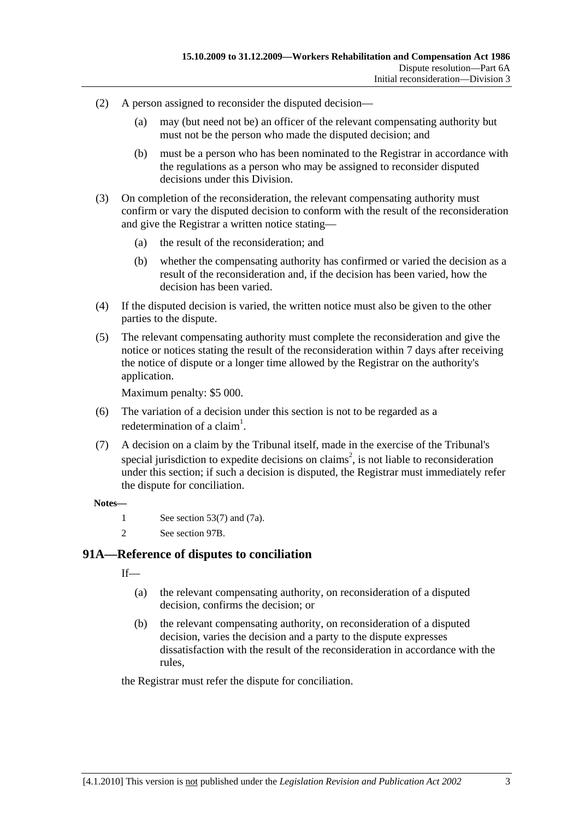- (2) A person assigned to reconsider the disputed decision—
	- (a) may (but need not be) an officer of the relevant compensating authority but must not be the person who made the disputed decision; and
	- (b) must be a person who has been nominated to the Registrar in accordance with the regulations as a person who may be assigned to reconsider disputed decisions under this Division.
- (3) On completion of the reconsideration, the relevant compensating authority must confirm or vary the disputed decision to conform with the result of the reconsideration and give the Registrar a written notice stating—
	- (a) the result of the reconsideration; and
	- (b) whether the compensating authority has confirmed or varied the decision as a result of the reconsideration and, if the decision has been varied, how the decision has been varied.
- (4) If the disputed decision is varied, the written notice must also be given to the other parties to the dispute.
- (5) The relevant compensating authority must complete the reconsideration and give the notice or notices stating the result of the reconsideration within 7 days after receiving the notice of dispute or a longer time allowed by the Registrar on the authority's application.

Maximum penalty: \$5 000.

- (6) The variation of a decision under this section is not to be regarded as a redetermination of a claim<sup>1</sup>.
- (7) A decision on a claim by the Tribunal itself, made in the exercise of the Tribunal's special jurisdiction to expedite decisions on claims<sup>2</sup>, is not liable to reconsideration under this section; if such a decision is disputed, the Registrar must immediately refer the dispute for conciliation.

#### **Notes—**

- 1 See section 53(7) and (7a).
- 2 See section 97B.

### **91A—Reference of disputes to conciliation**

 $If$ <sub>—</sub>

- (a) the relevant compensating authority, on reconsideration of a disputed decision, confirms the decision; or
- (b) the relevant compensating authority, on reconsideration of a disputed decision, varies the decision and a party to the dispute expresses dissatisfaction with the result of the reconsideration in accordance with the rules,

the Registrar must refer the dispute for conciliation.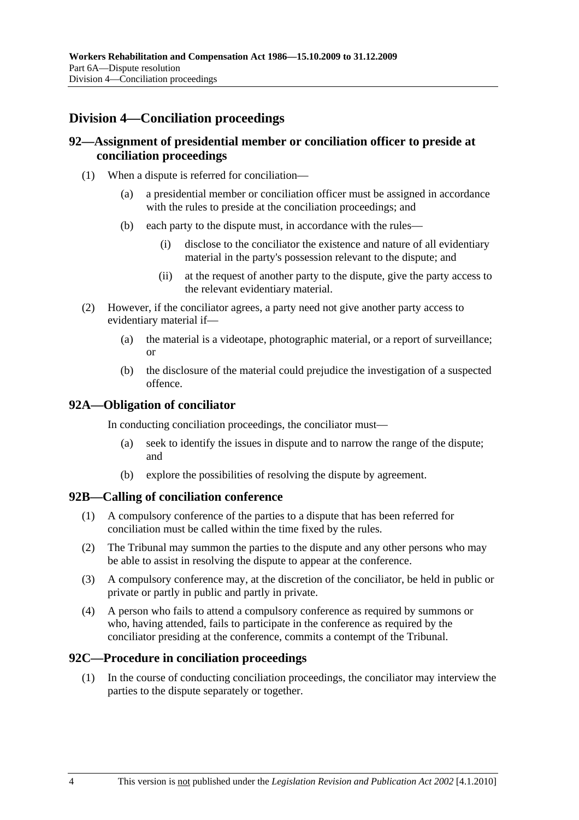# **Division 4—Conciliation proceedings**

#### **92—Assignment of presidential member or conciliation officer to preside at conciliation proceedings**

- (1) When a dispute is referred for conciliation—
	- (a) a presidential member or conciliation officer must be assigned in accordance with the rules to preside at the conciliation proceedings; and
	- (b) each party to the dispute must, in accordance with the rules—
		- (i) disclose to the conciliator the existence and nature of all evidentiary material in the party's possession relevant to the dispute; and
		- (ii) at the request of another party to the dispute, give the party access to the relevant evidentiary material.
- (2) However, if the conciliator agrees, a party need not give another party access to evidentiary material if—
	- (a) the material is a videotape, photographic material, or a report of surveillance; or
	- (b) the disclosure of the material could prejudice the investigation of a suspected offence.

#### **92A—Obligation of conciliator**

In conducting conciliation proceedings, the conciliator must—

- (a) seek to identify the issues in dispute and to narrow the range of the dispute; and
- (b) explore the possibilities of resolving the dispute by agreement.

#### **92B—Calling of conciliation conference**

- (1) A compulsory conference of the parties to a dispute that has been referred for conciliation must be called within the time fixed by the rules.
- (2) The Tribunal may summon the parties to the dispute and any other persons who may be able to assist in resolving the dispute to appear at the conference.
- (3) A compulsory conference may, at the discretion of the conciliator, be held in public or private or partly in public and partly in private.
- (4) A person who fails to attend a compulsory conference as required by summons or who, having attended, fails to participate in the conference as required by the conciliator presiding at the conference, commits a contempt of the Tribunal.

#### **92C—Procedure in conciliation proceedings**

 (1) In the course of conducting conciliation proceedings, the conciliator may interview the parties to the dispute separately or together.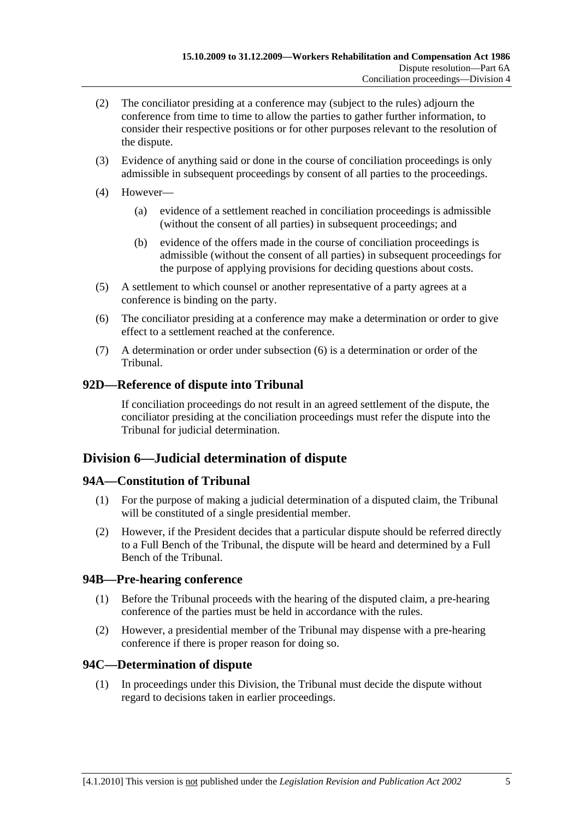- (2) The conciliator presiding at a conference may (subject to the rules) adjourn the conference from time to time to allow the parties to gather further information, to consider their respective positions or for other purposes relevant to the resolution of the dispute.
- (3) Evidence of anything said or done in the course of conciliation proceedings is only admissible in subsequent proceedings by consent of all parties to the proceedings.
- (4) However—
	- (a) evidence of a settlement reached in conciliation proceedings is admissible (without the consent of all parties) in subsequent proceedings; and
	- (b) evidence of the offers made in the course of conciliation proceedings is admissible (without the consent of all parties) in subsequent proceedings for the purpose of applying provisions for deciding questions about costs.
- (5) A settlement to which counsel or another representative of a party agrees at a conference is binding on the party.
- (6) The conciliator presiding at a conference may make a determination or order to give effect to a settlement reached at the conference.
- (7) A determination or order under subsection (6) is a determination or order of the Tribunal.

# **92D—Reference of dispute into Tribunal**

If conciliation proceedings do not result in an agreed settlement of the dispute, the conciliator presiding at the conciliation proceedings must refer the dispute into the Tribunal for judicial determination.

# **Division 6—Judicial determination of dispute**

#### **94A—Constitution of Tribunal**

- (1) For the purpose of making a judicial determination of a disputed claim, the Tribunal will be constituted of a single presidential member.
- (2) However, if the President decides that a particular dispute should be referred directly to a Full Bench of the Tribunal, the dispute will be heard and determined by a Full Bench of the Tribunal.

#### **94B—Pre-hearing conference**

- (1) Before the Tribunal proceeds with the hearing of the disputed claim, a pre-hearing conference of the parties must be held in accordance with the rules.
- (2) However, a presidential member of the Tribunal may dispense with a pre-hearing conference if there is proper reason for doing so.

# **94C—Determination of dispute**

 (1) In proceedings under this Division, the Tribunal must decide the dispute without regard to decisions taken in earlier proceedings.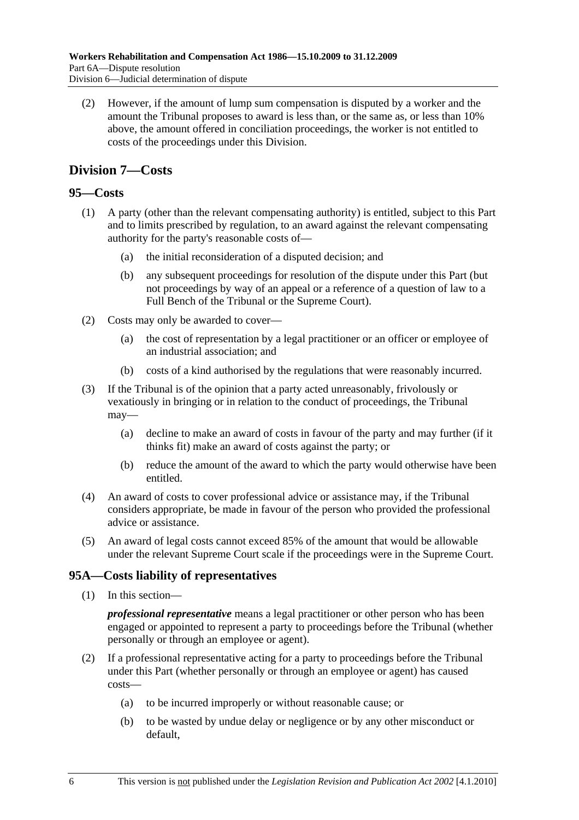(2) However, if the amount of lump sum compensation is disputed by a worker and the amount the Tribunal proposes to award is less than, or the same as, or less than 10% above, the amount offered in conciliation proceedings, the worker is not entitled to costs of the proceedings under this Division.

# **Division 7—Costs**

### **95—Costs**

- (1) A party (other than the relevant compensating authority) is entitled, subject to this Part and to limits prescribed by regulation, to an award against the relevant compensating authority for the party's reasonable costs of—
	- (a) the initial reconsideration of a disputed decision; and
	- (b) any subsequent proceedings for resolution of the dispute under this Part (but not proceedings by way of an appeal or a reference of a question of law to a Full Bench of the Tribunal or the Supreme Court).
- (2) Costs may only be awarded to cover—
	- (a) the cost of representation by a legal practitioner or an officer or employee of an industrial association; and
	- (b) costs of a kind authorised by the regulations that were reasonably incurred.
- (3) If the Tribunal is of the opinion that a party acted unreasonably, frivolously or vexatiously in bringing or in relation to the conduct of proceedings, the Tribunal may—
	- (a) decline to make an award of costs in favour of the party and may further (if it thinks fit) make an award of costs against the party; or
	- (b) reduce the amount of the award to which the party would otherwise have been entitled.
- (4) An award of costs to cover professional advice or assistance may, if the Tribunal considers appropriate, be made in favour of the person who provided the professional advice or assistance.
- (5) An award of legal costs cannot exceed 85% of the amount that would be allowable under the relevant Supreme Court scale if the proceedings were in the Supreme Court.

# **95A—Costs liability of representatives**

(1) In this section—

*professional representative* means a legal practitioner or other person who has been engaged or appointed to represent a party to proceedings before the Tribunal (whether personally or through an employee or agent).

- (2) If a professional representative acting for a party to proceedings before the Tribunal under this Part (whether personally or through an employee or agent) has caused costs—
	- (a) to be incurred improperly or without reasonable cause; or
	- (b) to be wasted by undue delay or negligence or by any other misconduct or default,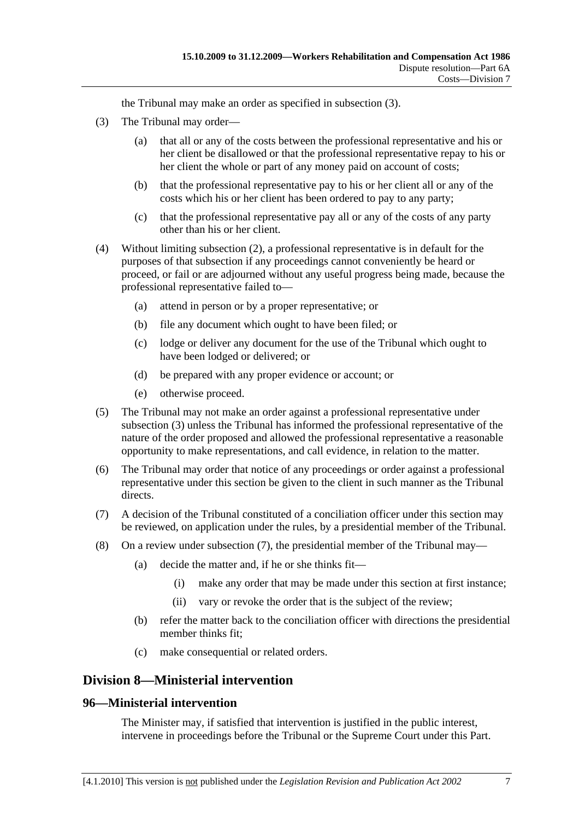the Tribunal may make an order as specified in subsection (3).

- (3) The Tribunal may order—
	- (a) that all or any of the costs between the professional representative and his or her client be disallowed or that the professional representative repay to his or her client the whole or part of any money paid on account of costs;
	- (b) that the professional representative pay to his or her client all or any of the costs which his or her client has been ordered to pay to any party;
	- (c) that the professional representative pay all or any of the costs of any party other than his or her client.
- (4) Without limiting subsection (2), a professional representative is in default for the purposes of that subsection if any proceedings cannot conveniently be heard or proceed, or fail or are adjourned without any useful progress being made, because the professional representative failed to—
	- (a) attend in person or by a proper representative; or
	- (b) file any document which ought to have been filed; or
	- (c) lodge or deliver any document for the use of the Tribunal which ought to have been lodged or delivered; or
	- (d) be prepared with any proper evidence or account; or
	- (e) otherwise proceed.
- (5) The Tribunal may not make an order against a professional representative under subsection (3) unless the Tribunal has informed the professional representative of the nature of the order proposed and allowed the professional representative a reasonable opportunity to make representations, and call evidence, in relation to the matter.
- (6) The Tribunal may order that notice of any proceedings or order against a professional representative under this section be given to the client in such manner as the Tribunal directs.
- (7) A decision of the Tribunal constituted of a conciliation officer under this section may be reviewed, on application under the rules, by a presidential member of the Tribunal.
- (8) On a review under subsection (7), the presidential member of the Tribunal may—
	- (a) decide the matter and, if he or she thinks fit—
		- (i) make any order that may be made under this section at first instance;
		- (ii) vary or revoke the order that is the subject of the review;
	- (b) refer the matter back to the conciliation officer with directions the presidential member thinks fit;
	- (c) make consequential or related orders.

#### **Division 8—Ministerial intervention**

#### **96—Ministerial intervention**

The Minister may, if satisfied that intervention is justified in the public interest, intervene in proceedings before the Tribunal or the Supreme Court under this Part.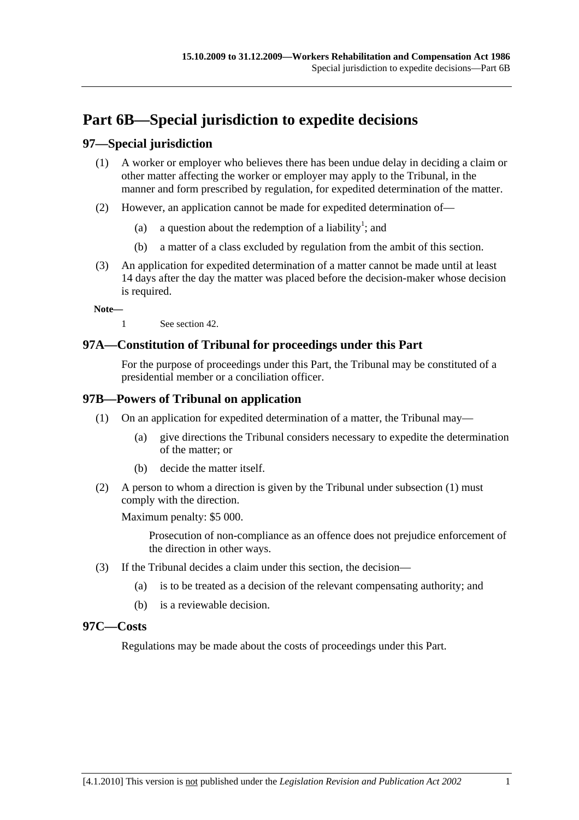# **Part 6B—Special jurisdiction to expedite decisions**

## **97—Special jurisdiction**

- (1) A worker or employer who believes there has been undue delay in deciding a claim or other matter affecting the worker or employer may apply to the Tribunal, in the manner and form prescribed by regulation, for expedited determination of the matter.
- (2) However, an application cannot be made for expedited determination of—
	- (a) a question about the redemption of a liability<sup>1</sup>; and
		- (b) a matter of a class excluded by regulation from the ambit of this section.
- (3) An application for expedited determination of a matter cannot be made until at least 14 days after the day the matter was placed before the decision-maker whose decision is required.

**Note—** 

1 See section 42.

### **97A—Constitution of Tribunal for proceedings under this Part**

For the purpose of proceedings under this Part, the Tribunal may be constituted of a presidential member or a conciliation officer.

#### **97B—Powers of Tribunal on application**

- (1) On an application for expedited determination of a matter, the Tribunal may—
	- (a) give directions the Tribunal considers necessary to expedite the determination of the matter; or
	- (b) decide the matter itself.
- (2) A person to whom a direction is given by the Tribunal under subsection (1) must comply with the direction.

Maximum penalty: \$5 000.

Prosecution of non-compliance as an offence does not prejudice enforcement of the direction in other ways.

- (3) If the Tribunal decides a claim under this section, the decision—
	- (a) is to be treated as a decision of the relevant compensating authority; and
	- (b) is a reviewable decision.

#### **97C—Costs**

Regulations may be made about the costs of proceedings under this Part.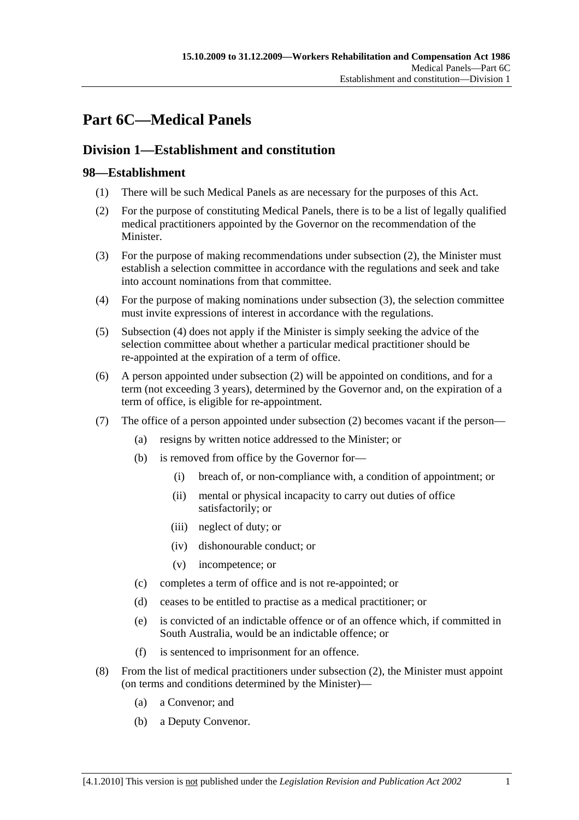# **Part 6C—Medical Panels**

# **Division 1—Establishment and constitution**

# **98—Establishment**

- (1) There will be such Medical Panels as are necessary for the purposes of this Act.
- (2) For the purpose of constituting Medical Panels, there is to be a list of legally qualified medical practitioners appointed by the Governor on the recommendation of the Minister.
- (3) For the purpose of making recommendations under subsection (2), the Minister must establish a selection committee in accordance with the regulations and seek and take into account nominations from that committee.
- (4) For the purpose of making nominations under subsection (3), the selection committee must invite expressions of interest in accordance with the regulations.
- (5) Subsection (4) does not apply if the Minister is simply seeking the advice of the selection committee about whether a particular medical practitioner should be re-appointed at the expiration of a term of office.
- (6) A person appointed under subsection (2) will be appointed on conditions, and for a term (not exceeding 3 years), determined by the Governor and, on the expiration of a term of office, is eligible for re-appointment.
- (7) The office of a person appointed under subsection (2) becomes vacant if the person—
	- (a) resigns by written notice addressed to the Minister; or
	- (b) is removed from office by the Governor for—
		- (i) breach of, or non-compliance with, a condition of appointment; or
		- (ii) mental or physical incapacity to carry out duties of office satisfactorily; or
		- (iii) neglect of duty; or
		- (iv) dishonourable conduct; or
		- (v) incompetence; or
	- (c) completes a term of office and is not re-appointed; or
	- (d) ceases to be entitled to practise as a medical practitioner; or
	- (e) is convicted of an indictable offence or of an offence which, if committed in South Australia, would be an indictable offence; or
	- (f) is sentenced to imprisonment for an offence.
- (8) From the list of medical practitioners under subsection (2), the Minister must appoint (on terms and conditions determined by the Minister)—
	- (a) a Convenor; and
	- (b) a Deputy Convenor.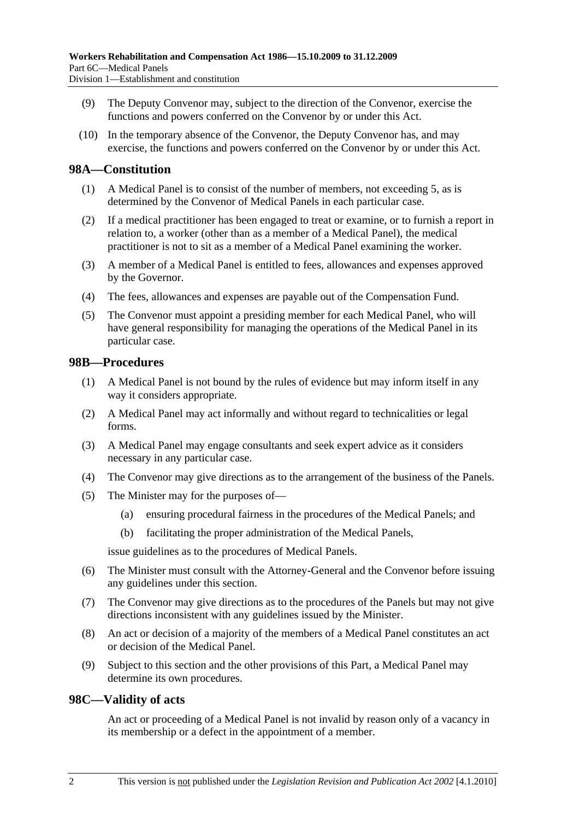- (9) The Deputy Convenor may, subject to the direction of the Convenor, exercise the functions and powers conferred on the Convenor by or under this Act.
- (10) In the temporary absence of the Convenor, the Deputy Convenor has, and may exercise, the functions and powers conferred on the Convenor by or under this Act.

#### **98A—Constitution**

- (1) A Medical Panel is to consist of the number of members, not exceeding 5, as is determined by the Convenor of Medical Panels in each particular case.
- (2) If a medical practitioner has been engaged to treat or examine, or to furnish a report in relation to, a worker (other than as a member of a Medical Panel), the medical practitioner is not to sit as a member of a Medical Panel examining the worker.
- (3) A member of a Medical Panel is entitled to fees, allowances and expenses approved by the Governor.
- (4) The fees, allowances and expenses are payable out of the Compensation Fund.
- (5) The Convenor must appoint a presiding member for each Medical Panel, who will have general responsibility for managing the operations of the Medical Panel in its particular case.

#### **98B—Procedures**

- (1) A Medical Panel is not bound by the rules of evidence but may inform itself in any way it considers appropriate.
- (2) A Medical Panel may act informally and without regard to technicalities or legal forms.
- (3) A Medical Panel may engage consultants and seek expert advice as it considers necessary in any particular case.
- (4) The Convenor may give directions as to the arrangement of the business of the Panels.
- (5) The Minister may for the purposes of—
	- (a) ensuring procedural fairness in the procedures of the Medical Panels; and
	- (b) facilitating the proper administration of the Medical Panels,

issue guidelines as to the procedures of Medical Panels.

- (6) The Minister must consult with the Attorney-General and the Convenor before issuing any guidelines under this section.
- (7) The Convenor may give directions as to the procedures of the Panels but may not give directions inconsistent with any guidelines issued by the Minister.
- (8) An act or decision of a majority of the members of a Medical Panel constitutes an act or decision of the Medical Panel.
- (9) Subject to this section and the other provisions of this Part, a Medical Panel may determine its own procedures.

#### **98C—Validity of acts**

An act or proceeding of a Medical Panel is not invalid by reason only of a vacancy in its membership or a defect in the appointment of a member.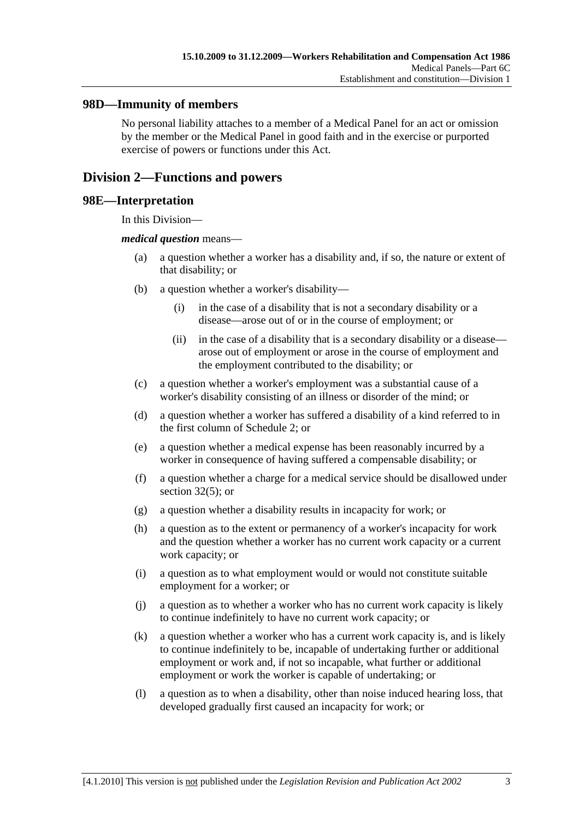#### **98D—Immunity of members**

No personal liability attaches to a member of a Medical Panel for an act or omission by the member or the Medical Panel in good faith and in the exercise or purported exercise of powers or functions under this Act.

# **Division 2—Functions and powers**

#### **98E—Interpretation**

In this Division—

#### *medical question* means—

- (a) a question whether a worker has a disability and, if so, the nature or extent of that disability; or
- (b) a question whether a worker's disability—
	- (i) in the case of a disability that is not a secondary disability or a disease—arose out of or in the course of employment; or
	- (ii) in the case of a disability that is a secondary disability or a disease arose out of employment or arose in the course of employment and the employment contributed to the disability; or
- (c) a question whether a worker's employment was a substantial cause of a worker's disability consisting of an illness or disorder of the mind; or
- (d) a question whether a worker has suffered a disability of a kind referred to in the first column of Schedule 2; or
- (e) a question whether a medical expense has been reasonably incurred by a worker in consequence of having suffered a compensable disability; or
- (f) a question whether a charge for a medical service should be disallowed under section  $32(5)$ ; or
- (g) a question whether a disability results in incapacity for work; or
- (h) a question as to the extent or permanency of a worker's incapacity for work and the question whether a worker has no current work capacity or a current work capacity; or
- (i) a question as to what employment would or would not constitute suitable employment for a worker; or
- (j) a question as to whether a worker who has no current work capacity is likely to continue indefinitely to have no current work capacity; or
- (k) a question whether a worker who has a current work capacity is, and is likely to continue indefinitely to be, incapable of undertaking further or additional employment or work and, if not so incapable, what further or additional employment or work the worker is capable of undertaking; or
- (l) a question as to when a disability, other than noise induced hearing loss, that developed gradually first caused an incapacity for work; or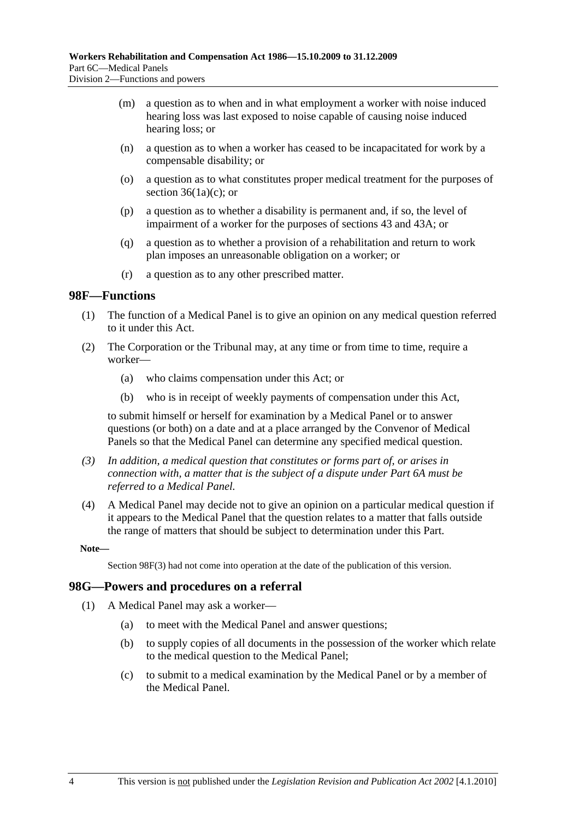- (m) a question as to when and in what employment a worker with noise induced hearing loss was last exposed to noise capable of causing noise induced hearing loss; or
- (n) a question as to when a worker has ceased to be incapacitated for work by a compensable disability; or
- (o) a question as to what constitutes proper medical treatment for the purposes of section  $36(1a)(c)$ ; or
- (p) a question as to whether a disability is permanent and, if so, the level of impairment of a worker for the purposes of sections 43 and 43A; or
- (q) a question as to whether a provision of a rehabilitation and return to work plan imposes an unreasonable obligation on a worker; or
- (r) a question as to any other prescribed matter.

#### **98F—Functions**

- (1) The function of a Medical Panel is to give an opinion on any medical question referred to it under this Act.
- (2) The Corporation or the Tribunal may, at any time or from time to time, require a worker—
	- (a) who claims compensation under this Act; or
	- (b) who is in receipt of weekly payments of compensation under this Act,

to submit himself or herself for examination by a Medical Panel or to answer questions (or both) on a date and at a place arranged by the Convenor of Medical Panels so that the Medical Panel can determine any specified medical question.

- *(3) In addition, a medical question that constitutes or forms part of, or arises in connection with, a matter that is the subject of a dispute under Part 6A must be referred to a Medical Panel.*
- (4) A Medical Panel may decide not to give an opinion on a particular medical question if it appears to the Medical Panel that the question relates to a matter that falls outside the range of matters that should be subject to determination under this Part.

**Note—** 

Section 98F(3) had not come into operation at the date of the publication of this version.

#### **98G—Powers and procedures on a referral**

- (1) A Medical Panel may ask a worker—
	- (a) to meet with the Medical Panel and answer questions;
	- (b) to supply copies of all documents in the possession of the worker which relate to the medical question to the Medical Panel;
	- (c) to submit to a medical examination by the Medical Panel or by a member of the Medical Panel.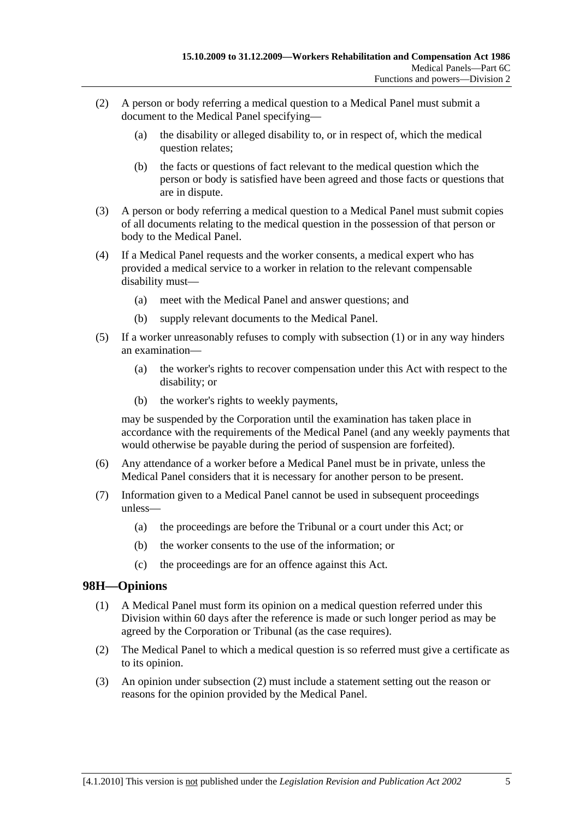- (2) A person or body referring a medical question to a Medical Panel must submit a document to the Medical Panel specifying—
	- (a) the disability or alleged disability to, or in respect of, which the medical question relates;
	- (b) the facts or questions of fact relevant to the medical question which the person or body is satisfied have been agreed and those facts or questions that are in dispute.
- (3) A person or body referring a medical question to a Medical Panel must submit copies of all documents relating to the medical question in the possession of that person or body to the Medical Panel.
- (4) If a Medical Panel requests and the worker consents, a medical expert who has provided a medical service to a worker in relation to the relevant compensable disability must—
	- (a) meet with the Medical Panel and answer questions; and
	- (b) supply relevant documents to the Medical Panel.
- (5) If a worker unreasonably refuses to comply with subsection (1) or in any way hinders an examination—
	- (a) the worker's rights to recover compensation under this Act with respect to the disability; or
	- (b) the worker's rights to weekly payments,

may be suspended by the Corporation until the examination has taken place in accordance with the requirements of the Medical Panel (and any weekly payments that would otherwise be payable during the period of suspension are forfeited).

- (6) Any attendance of a worker before a Medical Panel must be in private, unless the Medical Panel considers that it is necessary for another person to be present.
- (7) Information given to a Medical Panel cannot be used in subsequent proceedings unless—
	- (a) the proceedings are before the Tribunal or a court under this Act; or
	- (b) the worker consents to the use of the information; or
	- (c) the proceedings are for an offence against this Act.

# **98H—Opinions**

- (1) A Medical Panel must form its opinion on a medical question referred under this Division within 60 days after the reference is made or such longer period as may be agreed by the Corporation or Tribunal (as the case requires).
- (2) The Medical Panel to which a medical question is so referred must give a certificate as to its opinion.
- (3) An opinion under subsection (2) must include a statement setting out the reason or reasons for the opinion provided by the Medical Panel.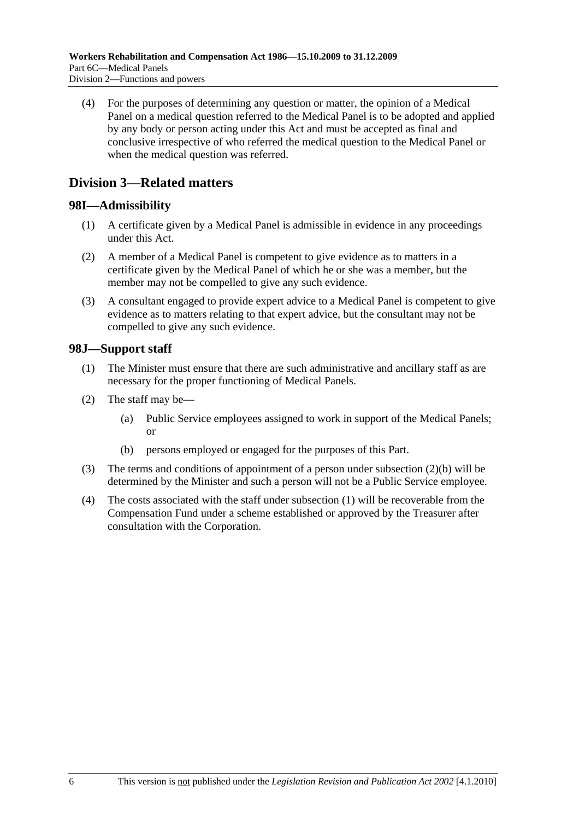(4) For the purposes of determining any question or matter, the opinion of a Medical Panel on a medical question referred to the Medical Panel is to be adopted and applied by any body or person acting under this Act and must be accepted as final and conclusive irrespective of who referred the medical question to the Medical Panel or when the medical question was referred.

# **Division 3—Related matters**

### **98I—Admissibility**

- (1) A certificate given by a Medical Panel is admissible in evidence in any proceedings under this Act.
- (2) A member of a Medical Panel is competent to give evidence as to matters in a certificate given by the Medical Panel of which he or she was a member, but the member may not be compelled to give any such evidence.
- (3) A consultant engaged to provide expert advice to a Medical Panel is competent to give evidence as to matters relating to that expert advice, but the consultant may not be compelled to give any such evidence.

### **98J—Support staff**

- (1) The Minister must ensure that there are such administrative and ancillary staff as are necessary for the proper functioning of Medical Panels.
- (2) The staff may be—
	- (a) Public Service employees assigned to work in support of the Medical Panels; or
	- (b) persons employed or engaged for the purposes of this Part.
- (3) The terms and conditions of appointment of a person under subsection (2)(b) will be determined by the Minister and such a person will not be a Public Service employee.
- (4) The costs associated with the staff under subsection (1) will be recoverable from the Compensation Fund under a scheme established or approved by the Treasurer after consultation with the Corporation.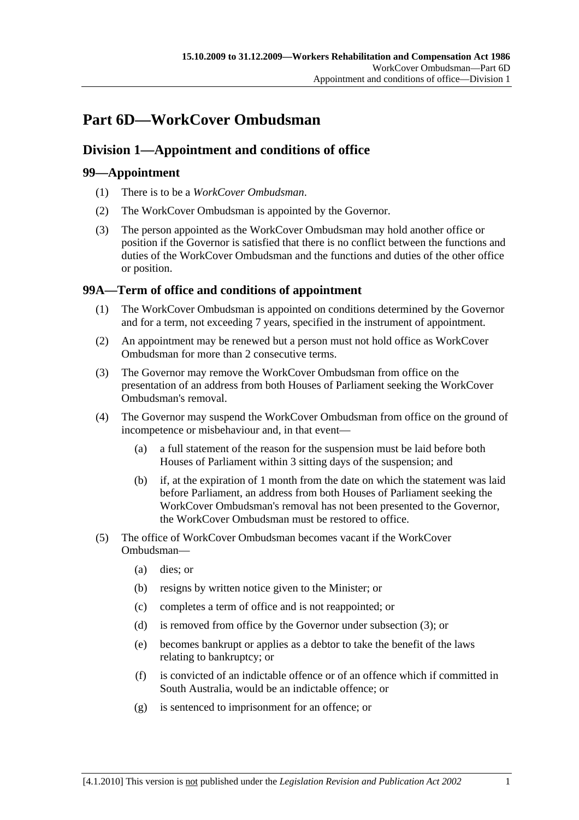# **Part 6D—WorkCover Ombudsman**

# **Division 1—Appointment and conditions of office**

# **99—Appointment**

- (1) There is to be a *WorkCover Ombudsman*.
- (2) The WorkCover Ombudsman is appointed by the Governor.
- (3) The person appointed as the WorkCover Ombudsman may hold another office or position if the Governor is satisfied that there is no conflict between the functions and duties of the WorkCover Ombudsman and the functions and duties of the other office or position.

# **99A—Term of office and conditions of appointment**

- (1) The WorkCover Ombudsman is appointed on conditions determined by the Governor and for a term, not exceeding 7 years, specified in the instrument of appointment.
- (2) An appointment may be renewed but a person must not hold office as WorkCover Ombudsman for more than 2 consecutive terms.
- (3) The Governor may remove the WorkCover Ombudsman from office on the presentation of an address from both Houses of Parliament seeking the WorkCover Ombudsman's removal.
- (4) The Governor may suspend the WorkCover Ombudsman from office on the ground of incompetence or misbehaviour and, in that event—
	- (a) a full statement of the reason for the suspension must be laid before both Houses of Parliament within 3 sitting days of the suspension; and
	- (b) if, at the expiration of 1 month from the date on which the statement was laid before Parliament, an address from both Houses of Parliament seeking the WorkCover Ombudsman's removal has not been presented to the Governor, the WorkCover Ombudsman must be restored to office.
- (5) The office of WorkCover Ombudsman becomes vacant if the WorkCover Ombudsman—
	- (a) dies; or
	- (b) resigns by written notice given to the Minister; or
	- (c) completes a term of office and is not reappointed; or
	- (d) is removed from office by the Governor under subsection (3); or
	- (e) becomes bankrupt or applies as a debtor to take the benefit of the laws relating to bankruptcy; or
	- (f) is convicted of an indictable offence or of an offence which if committed in South Australia, would be an indictable offence; or
	- (g) is sentenced to imprisonment for an offence; or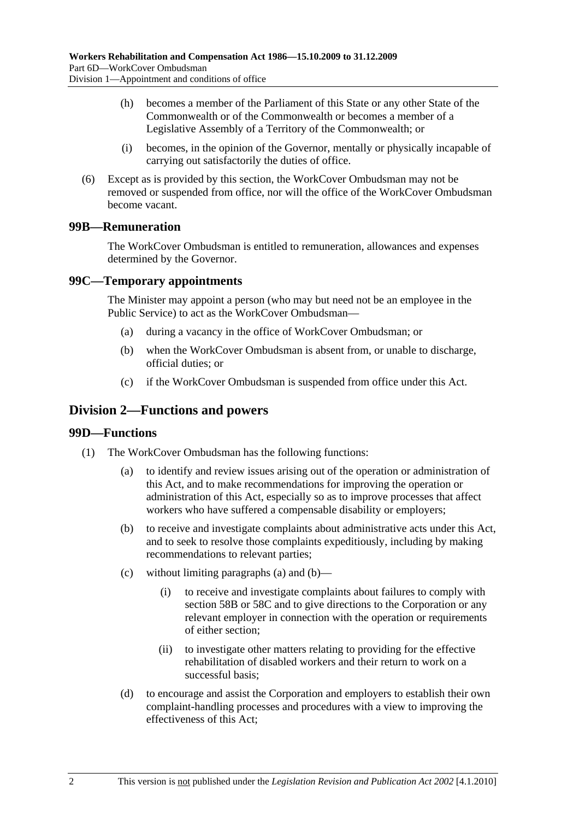- (h) becomes a member of the Parliament of this State or any other State of the Commonwealth or of the Commonwealth or becomes a member of a Legislative Assembly of a Territory of the Commonwealth; or
- (i) becomes, in the opinion of the Governor, mentally or physically incapable of carrying out satisfactorily the duties of office.
- (6) Except as is provided by this section, the WorkCover Ombudsman may not be removed or suspended from office, nor will the office of the WorkCover Ombudsman become vacant.

### **99B—Remuneration**

The WorkCover Ombudsman is entitled to remuneration, allowances and expenses determined by the Governor.

#### **99C—Temporary appointments**

The Minister may appoint a person (who may but need not be an employee in the Public Service) to act as the WorkCover Ombudsman—

- (a) during a vacancy in the office of WorkCover Ombudsman; or
- (b) when the WorkCover Ombudsman is absent from, or unable to discharge, official duties; or
- (c) if the WorkCover Ombudsman is suspended from office under this Act.

# **Division 2—Functions and powers**

#### **99D—Functions**

- (1) The WorkCover Ombudsman has the following functions:
	- (a) to identify and review issues arising out of the operation or administration of this Act, and to make recommendations for improving the operation or administration of this Act, especially so as to improve processes that affect workers who have suffered a compensable disability or employers;
	- (b) to receive and investigate complaints about administrative acts under this Act, and to seek to resolve those complaints expeditiously, including by making recommendations to relevant parties;
	- (c) without limiting paragraphs (a) and (b)—
		- (i) to receive and investigate complaints about failures to comply with section 58B or 58C and to give directions to the Corporation or any relevant employer in connection with the operation or requirements of either section;
		- (ii) to investigate other matters relating to providing for the effective rehabilitation of disabled workers and their return to work on a successful basis;
	- (d) to encourage and assist the Corporation and employers to establish their own complaint-handling processes and procedures with a view to improving the effectiveness of this Act;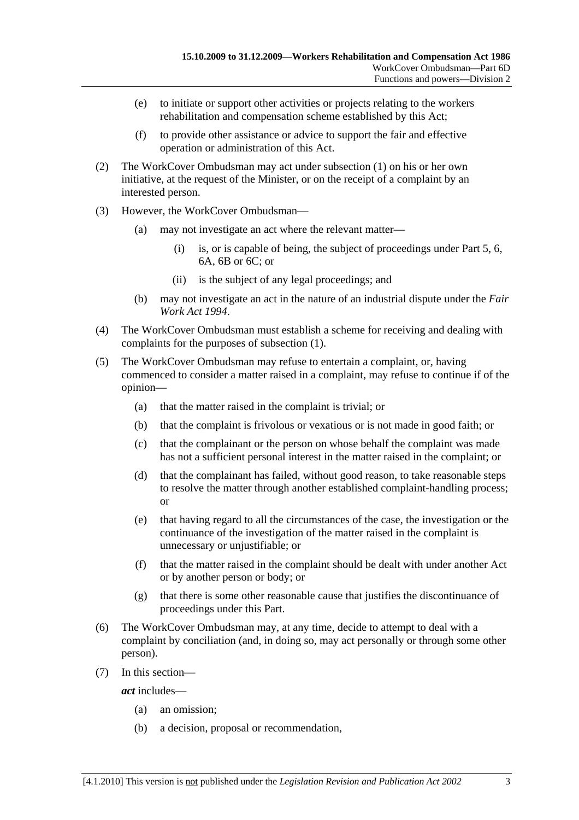- (e) to initiate or support other activities or projects relating to the workers rehabilitation and compensation scheme established by this Act;
- (f) to provide other assistance or advice to support the fair and effective operation or administration of this Act.
- (2) The WorkCover Ombudsman may act under subsection (1) on his or her own initiative, at the request of the Minister, or on the receipt of a complaint by an interested person.
- (3) However, the WorkCover Ombudsman—
	- (a) may not investigate an act where the relevant matter—
		- (i) is, or is capable of being, the subject of proceedings under Part 5, 6, 6A, 6B or 6C; or
		- (ii) is the subject of any legal proceedings; and
	- (b) may not investigate an act in the nature of an industrial dispute under the *Fair Work Act 1994*.
- (4) The WorkCover Ombudsman must establish a scheme for receiving and dealing with complaints for the purposes of subsection (1).
- (5) The WorkCover Ombudsman may refuse to entertain a complaint, or, having commenced to consider a matter raised in a complaint, may refuse to continue if of the opinion—
	- (a) that the matter raised in the complaint is trivial; or
	- (b) that the complaint is frivolous or vexatious or is not made in good faith; or
	- (c) that the complainant or the person on whose behalf the complaint was made has not a sufficient personal interest in the matter raised in the complaint; or
	- (d) that the complainant has failed, without good reason, to take reasonable steps to resolve the matter through another established complaint-handling process; or
	- (e) that having regard to all the circumstances of the case, the investigation or the continuance of the investigation of the matter raised in the complaint is unnecessary or unjustifiable; or
	- (f) that the matter raised in the complaint should be dealt with under another Act or by another person or body; or
	- (g) that there is some other reasonable cause that justifies the discontinuance of proceedings under this Part.
- (6) The WorkCover Ombudsman may, at any time, decide to attempt to deal with a complaint by conciliation (and, in doing so, may act personally or through some other person).
- (7) In this section—

*act* includes—

- (a) an omission;
- (b) a decision, proposal or recommendation,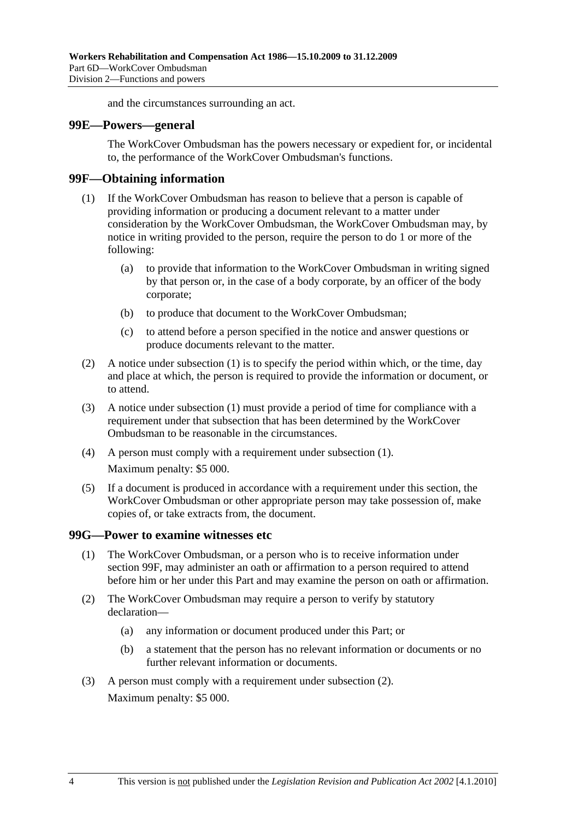and the circumstances surrounding an act.

#### **99E—Powers—general**

The WorkCover Ombudsman has the powers necessary or expedient for, or incidental to, the performance of the WorkCover Ombudsman's functions.

#### **99F—Obtaining information**

- (1) If the WorkCover Ombudsman has reason to believe that a person is capable of providing information or producing a document relevant to a matter under consideration by the WorkCover Ombudsman, the WorkCover Ombudsman may, by notice in writing provided to the person, require the person to do 1 or more of the following:
	- (a) to provide that information to the WorkCover Ombudsman in writing signed by that person or, in the case of a body corporate, by an officer of the body corporate;
	- (b) to produce that document to the WorkCover Ombudsman;
	- (c) to attend before a person specified in the notice and answer questions or produce documents relevant to the matter.
- (2) A notice under subsection (1) is to specify the period within which, or the time, day and place at which, the person is required to provide the information or document, or to attend.
- (3) A notice under subsection (1) must provide a period of time for compliance with a requirement under that subsection that has been determined by the WorkCover Ombudsman to be reasonable in the circumstances.
- (4) A person must comply with a requirement under subsection (1). Maximum penalty: \$5 000.
- (5) If a document is produced in accordance with a requirement under this section, the WorkCover Ombudsman or other appropriate person may take possession of, make copies of, or take extracts from, the document.

#### **99G—Power to examine witnesses etc**

- (1) The WorkCover Ombudsman, or a person who is to receive information under section 99F, may administer an oath or affirmation to a person required to attend before him or her under this Part and may examine the person on oath or affirmation.
- (2) The WorkCover Ombudsman may require a person to verify by statutory declaration—
	- (a) any information or document produced under this Part; or
	- (b) a statement that the person has no relevant information or documents or no further relevant information or documents.
- (3) A person must comply with a requirement under subsection (2). Maximum penalty: \$5 000.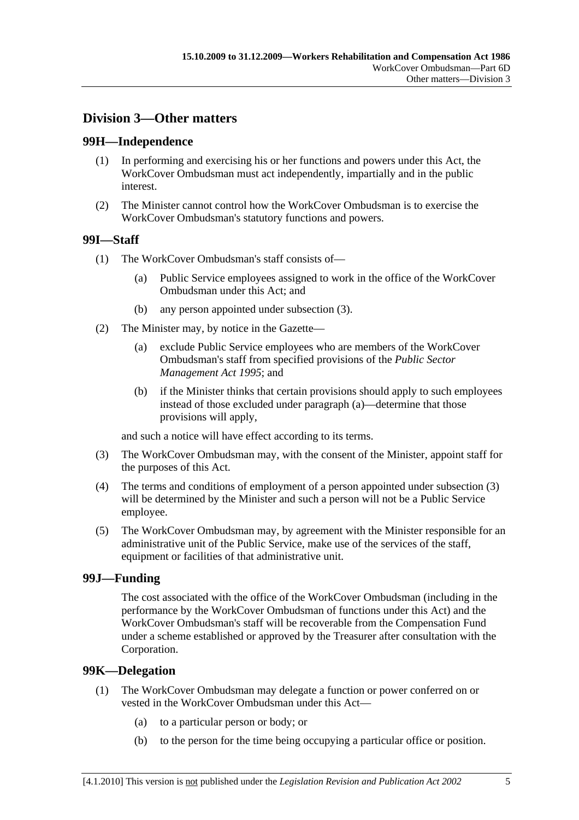# **Division 3—Other matters**

#### **99H—Independence**

- (1) In performing and exercising his or her functions and powers under this Act, the WorkCover Ombudsman must act independently, impartially and in the public interest.
- (2) The Minister cannot control how the WorkCover Ombudsman is to exercise the WorkCover Ombudsman's statutory functions and powers.

#### **99I—Staff**

- (1) The WorkCover Ombudsman's staff consists of—
	- (a) Public Service employees assigned to work in the office of the WorkCover Ombudsman under this Act; and
	- (b) any person appointed under subsection (3).
- (2) The Minister may, by notice in the Gazette—
	- (a) exclude Public Service employees who are members of the WorkCover Ombudsman's staff from specified provisions of the *Public Sector Management Act 1995*; and
	- (b) if the Minister thinks that certain provisions should apply to such employees instead of those excluded under paragraph (a)—determine that those provisions will apply,

and such a notice will have effect according to its terms.

- (3) The WorkCover Ombudsman may, with the consent of the Minister, appoint staff for the purposes of this Act.
- (4) The terms and conditions of employment of a person appointed under subsection (3) will be determined by the Minister and such a person will not be a Public Service employee.
- (5) The WorkCover Ombudsman may, by agreement with the Minister responsible for an administrative unit of the Public Service, make use of the services of the staff, equipment or facilities of that administrative unit.

#### **99J—Funding**

The cost associated with the office of the WorkCover Ombudsman (including in the performance by the WorkCover Ombudsman of functions under this Act) and the WorkCover Ombudsman's staff will be recoverable from the Compensation Fund under a scheme established or approved by the Treasurer after consultation with the Corporation.

#### **99K—Delegation**

- (1) The WorkCover Ombudsman may delegate a function or power conferred on or vested in the WorkCover Ombudsman under this Act—
	- (a) to a particular person or body; or
	- (b) to the person for the time being occupying a particular office or position.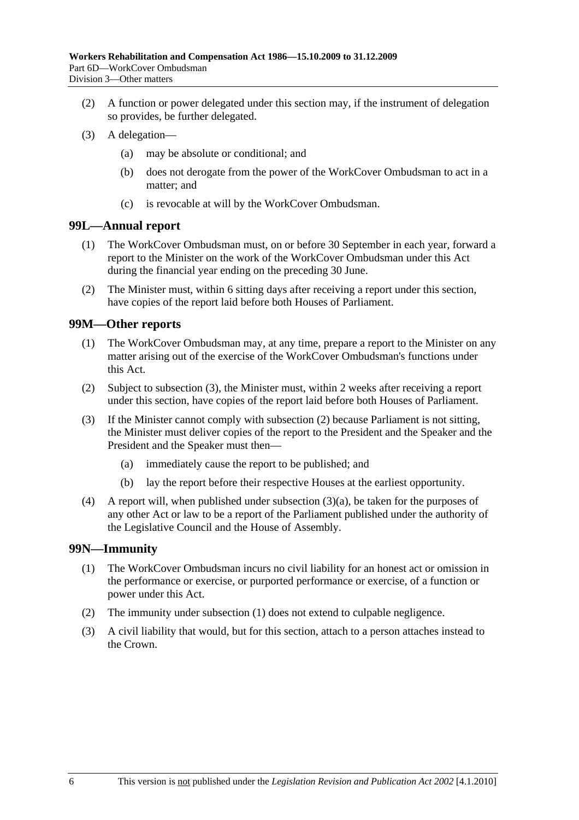- (2) A function or power delegated under this section may, if the instrument of delegation so provides, be further delegated.
- (3) A delegation—
	- (a) may be absolute or conditional; and
	- (b) does not derogate from the power of the WorkCover Ombudsman to act in a matter; and
	- (c) is revocable at will by the WorkCover Ombudsman.

#### **99L—Annual report**

- (1) The WorkCover Ombudsman must, on or before 30 September in each year, forward a report to the Minister on the work of the WorkCover Ombudsman under this Act during the financial year ending on the preceding 30 June.
- (2) The Minister must, within 6 sitting days after receiving a report under this section, have copies of the report laid before both Houses of Parliament.

#### **99M—Other reports**

- (1) The WorkCover Ombudsman may, at any time, prepare a report to the Minister on any matter arising out of the exercise of the WorkCover Ombudsman's functions under this Act.
- (2) Subject to subsection (3), the Minister must, within 2 weeks after receiving a report under this section, have copies of the report laid before both Houses of Parliament.
- (3) If the Minister cannot comply with subsection (2) because Parliament is not sitting, the Minister must deliver copies of the report to the President and the Speaker and the President and the Speaker must then—
	- (a) immediately cause the report to be published; and
	- (b) lay the report before their respective Houses at the earliest opportunity.
- (4) A report will, when published under subsection (3)(a), be taken for the purposes of any other Act or law to be a report of the Parliament published under the authority of the Legislative Council and the House of Assembly.

#### **99N—Immunity**

- (1) The WorkCover Ombudsman incurs no civil liability for an honest act or omission in the performance or exercise, or purported performance or exercise, of a function or power under this Act.
- (2) The immunity under subsection (1) does not extend to culpable negligence.
- (3) A civil liability that would, but for this section, attach to a person attaches instead to the Crown.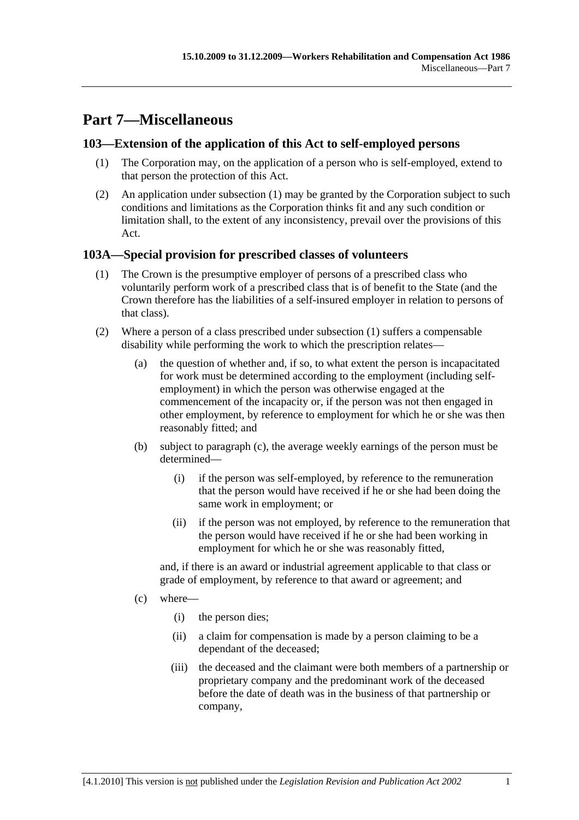# **Part 7—Miscellaneous**

## **103—Extension of the application of this Act to self-employed persons**

- (1) The Corporation may, on the application of a person who is self-employed, extend to that person the protection of this Act.
- (2) An application under subsection (1) may be granted by the Corporation subject to such conditions and limitations as the Corporation thinks fit and any such condition or limitation shall, to the extent of any inconsistency, prevail over the provisions of this Act.

### **103A—Special provision for prescribed classes of volunteers**

- (1) The Crown is the presumptive employer of persons of a prescribed class who voluntarily perform work of a prescribed class that is of benefit to the State (and the Crown therefore has the liabilities of a self-insured employer in relation to persons of that class).
- (2) Where a person of a class prescribed under subsection (1) suffers a compensable disability while performing the work to which the prescription relates—
	- (a) the question of whether and, if so, to what extent the person is incapacitated for work must be determined according to the employment (including selfemployment) in which the person was otherwise engaged at the commencement of the incapacity or, if the person was not then engaged in other employment, by reference to employment for which he or she was then reasonably fitted; and
	- (b) subject to paragraph (c), the average weekly earnings of the person must be determined—
		- (i) if the person was self-employed, by reference to the remuneration that the person would have received if he or she had been doing the same work in employment; or
		- (ii) if the person was not employed, by reference to the remuneration that the person would have received if he or she had been working in employment for which he or she was reasonably fitted,

and, if there is an award or industrial agreement applicable to that class or grade of employment, by reference to that award or agreement; and

- (c) where—
	- (i) the person dies;
	- (ii) a claim for compensation is made by a person claiming to be a dependant of the deceased;
	- (iii) the deceased and the claimant were both members of a partnership or proprietary company and the predominant work of the deceased before the date of death was in the business of that partnership or company,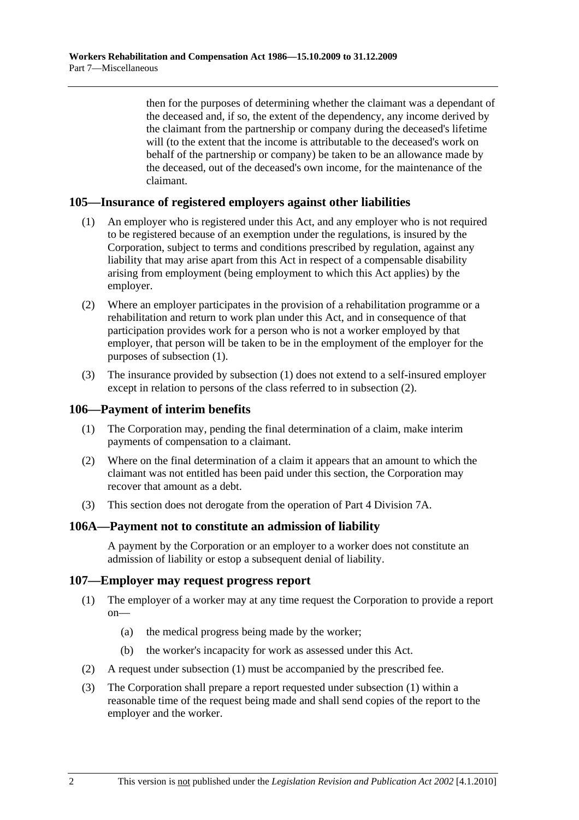then for the purposes of determining whether the claimant was a dependant of the deceased and, if so, the extent of the dependency, any income derived by the claimant from the partnership or company during the deceased's lifetime will (to the extent that the income is attributable to the deceased's work on behalf of the partnership or company) be taken to be an allowance made by the deceased, out of the deceased's own income, for the maintenance of the claimant.

#### **105—Insurance of registered employers against other liabilities**

- (1) An employer who is registered under this Act, and any employer who is not required to be registered because of an exemption under the regulations, is insured by the Corporation, subject to terms and conditions prescribed by regulation, against any liability that may arise apart from this Act in respect of a compensable disability arising from employment (being employment to which this Act applies) by the employer.
- (2) Where an employer participates in the provision of a rehabilitation programme or a rehabilitation and return to work plan under this Act, and in consequence of that participation provides work for a person who is not a worker employed by that employer, that person will be taken to be in the employment of the employer for the purposes of subsection (1).
- (3) The insurance provided by subsection (1) does not extend to a self-insured employer except in relation to persons of the class referred to in subsection (2).

#### **106—Payment of interim benefits**

- (1) The Corporation may, pending the final determination of a claim, make interim payments of compensation to a claimant.
- (2) Where on the final determination of a claim it appears that an amount to which the claimant was not entitled has been paid under this section, the Corporation may recover that amount as a debt.
- (3) This section does not derogate from the operation of Part 4 Division 7A.

#### **106A—Payment not to constitute an admission of liability**

A payment by the Corporation or an employer to a worker does not constitute an admission of liability or estop a subsequent denial of liability.

#### **107—Employer may request progress report**

- (1) The employer of a worker may at any time request the Corporation to provide a report on—
	- (a) the medical progress being made by the worker;
	- (b) the worker's incapacity for work as assessed under this Act.
- (2) A request under subsection (1) must be accompanied by the prescribed fee.
- (3) The Corporation shall prepare a report requested under subsection (1) within a reasonable time of the request being made and shall send copies of the report to the employer and the worker.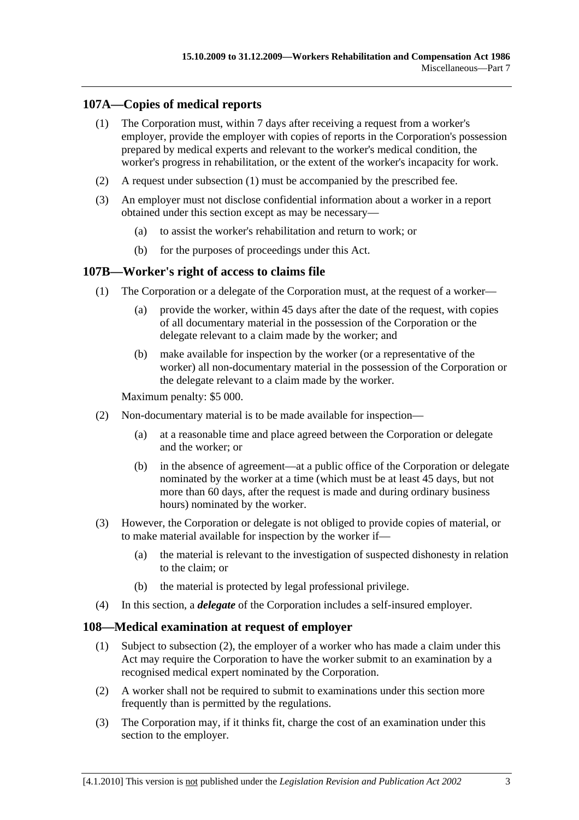# **107A—Copies of medical reports**

- (1) The Corporation must, within 7 days after receiving a request from a worker's employer, provide the employer with copies of reports in the Corporation's possession prepared by medical experts and relevant to the worker's medical condition, the worker's progress in rehabilitation, or the extent of the worker's incapacity for work.
- (2) A request under subsection (1) must be accompanied by the prescribed fee.
- (3) An employer must not disclose confidential information about a worker in a report obtained under this section except as may be necessary—
	- (a) to assist the worker's rehabilitation and return to work; or
	- (b) for the purposes of proceedings under this Act.

# **107B—Worker's right of access to claims file**

- (1) The Corporation or a delegate of the Corporation must, at the request of a worker—
	- (a) provide the worker, within 45 days after the date of the request, with copies of all documentary material in the possession of the Corporation or the delegate relevant to a claim made by the worker; and
	- (b) make available for inspection by the worker (or a representative of the worker) all non-documentary material in the possession of the Corporation or the delegate relevant to a claim made by the worker.

Maximum penalty: \$5 000.

- (2) Non-documentary material is to be made available for inspection—
	- (a) at a reasonable time and place agreed between the Corporation or delegate and the worker; or
	- (b) in the absence of agreement—at a public office of the Corporation or delegate nominated by the worker at a time (which must be at least 45 days, but not more than 60 days, after the request is made and during ordinary business hours) nominated by the worker.
- (3) However, the Corporation or delegate is not obliged to provide copies of material, or to make material available for inspection by the worker if—
	- (a) the material is relevant to the investigation of suspected dishonesty in relation to the claim; or
	- (b) the material is protected by legal professional privilege.
- (4) In this section, a *delegate* of the Corporation includes a self-insured employer.

#### **108—Medical examination at request of employer**

- (1) Subject to subsection (2), the employer of a worker who has made a claim under this Act may require the Corporation to have the worker submit to an examination by a recognised medical expert nominated by the Corporation.
- (2) A worker shall not be required to submit to examinations under this section more frequently than is permitted by the regulations.
- (3) The Corporation may, if it thinks fit, charge the cost of an examination under this section to the employer.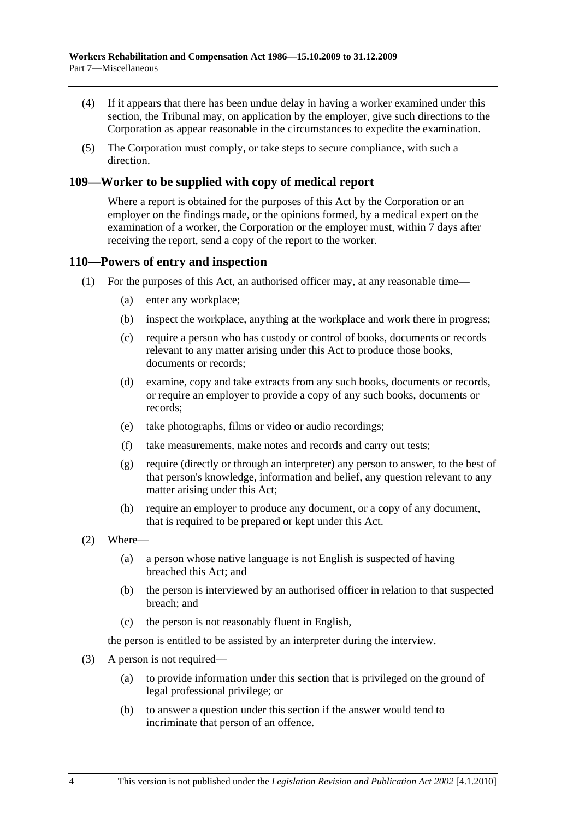- (4) If it appears that there has been undue delay in having a worker examined under this section, the Tribunal may, on application by the employer, give such directions to the Corporation as appear reasonable in the circumstances to expedite the examination.
- (5) The Corporation must comply, or take steps to secure compliance, with such a direction.

#### **109—Worker to be supplied with copy of medical report**

Where a report is obtained for the purposes of this Act by the Corporation or an employer on the findings made, or the opinions formed, by a medical expert on the examination of a worker, the Corporation or the employer must, within 7 days after receiving the report, send a copy of the report to the worker.

#### **110—Powers of entry and inspection**

- (1) For the purposes of this Act, an authorised officer may, at any reasonable time—
	- (a) enter any workplace;
	- (b) inspect the workplace, anything at the workplace and work there in progress;
	- (c) require a person who has custody or control of books, documents or records relevant to any matter arising under this Act to produce those books, documents or records;
	- (d) examine, copy and take extracts from any such books, documents or records, or require an employer to provide a copy of any such books, documents or records;
	- (e) take photographs, films or video or audio recordings;
	- (f) take measurements, make notes and records and carry out tests;
	- (g) require (directly or through an interpreter) any person to answer, to the best of that person's knowledge, information and belief, any question relevant to any matter arising under this Act;
	- (h) require an employer to produce any document, or a copy of any document, that is required to be prepared or kept under this Act.
- (2) Where—
	- (a) a person whose native language is not English is suspected of having breached this Act; and
	- (b) the person is interviewed by an authorised officer in relation to that suspected breach; and
	- (c) the person is not reasonably fluent in English,

the person is entitled to be assisted by an interpreter during the interview.

- (3) A person is not required—
	- (a) to provide information under this section that is privileged on the ground of legal professional privilege; or
	- (b) to answer a question under this section if the answer would tend to incriminate that person of an offence.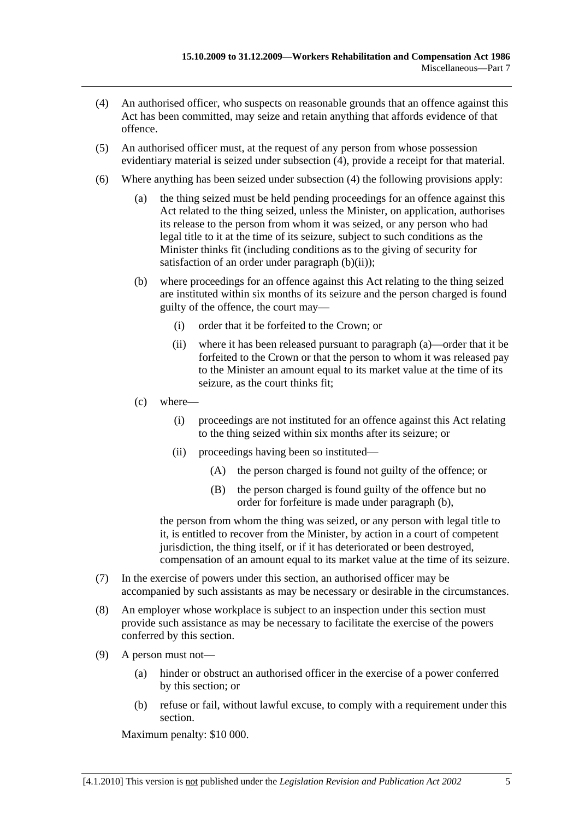- (4) An authorised officer, who suspects on reasonable grounds that an offence against this Act has been committed, may seize and retain anything that affords evidence of that offence.
- (5) An authorised officer must, at the request of any person from whose possession evidentiary material is seized under subsection (4), provide a receipt for that material.
- (6) Where anything has been seized under subsection (4) the following provisions apply:
	- (a) the thing seized must be held pending proceedings for an offence against this Act related to the thing seized, unless the Minister, on application, authorises its release to the person from whom it was seized, or any person who had legal title to it at the time of its seizure, subject to such conditions as the Minister thinks fit (including conditions as to the giving of security for satisfaction of an order under paragraph  $(b)(ii)$ ;
	- (b) where proceedings for an offence against this Act relating to the thing seized are instituted within six months of its seizure and the person charged is found guilty of the offence, the court may—
		- (i) order that it be forfeited to the Crown; or
		- (ii) where it has been released pursuant to paragraph (a)—order that it be forfeited to the Crown or that the person to whom it was released pay to the Minister an amount equal to its market value at the time of its seizure, as the court thinks fit;
	- (c) where—
		- (i) proceedings are not instituted for an offence against this Act relating to the thing seized within six months after its seizure; or
		- (ii) proceedings having been so instituted—
			- (A) the person charged is found not guilty of the offence; or
			- (B) the person charged is found guilty of the offence but no order for forfeiture is made under paragraph (b),

the person from whom the thing was seized, or any person with legal title to it, is entitled to recover from the Minister, by action in a court of competent jurisdiction, the thing itself, or if it has deteriorated or been destroyed, compensation of an amount equal to its market value at the time of its seizure.

- (7) In the exercise of powers under this section, an authorised officer may be accompanied by such assistants as may be necessary or desirable in the circumstances.
- (8) An employer whose workplace is subject to an inspection under this section must provide such assistance as may be necessary to facilitate the exercise of the powers conferred by this section.
- (9) A person must not—
	- (a) hinder or obstruct an authorised officer in the exercise of a power conferred by this section; or
	- (b) refuse or fail, without lawful excuse, to comply with a requirement under this section.

Maximum penalty: \$10 000.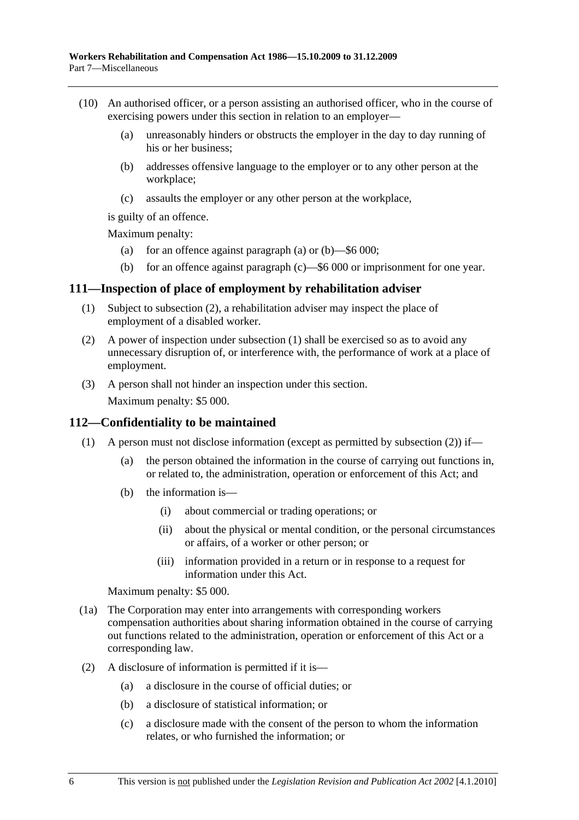- (10) An authorised officer, or a person assisting an authorised officer, who in the course of exercising powers under this section in relation to an employer—
	- (a) unreasonably hinders or obstructs the employer in the day to day running of his or her business;
	- (b) addresses offensive language to the employer or to any other person at the workplace;
	- (c) assaults the employer or any other person at the workplace,

is guilty of an offence.

Maximum penalty:

- (a) for an offence against paragraph (a) or  $(b)$ —\$6 000;
- (b) for an offence against paragraph (c)—\$6 000 or imprisonment for one year.

#### **111—Inspection of place of employment by rehabilitation adviser**

- (1) Subject to subsection (2), a rehabilitation adviser may inspect the place of employment of a disabled worker.
- (2) A power of inspection under subsection (1) shall be exercised so as to avoid any unnecessary disruption of, or interference with, the performance of work at a place of employment.
- (3) A person shall not hinder an inspection under this section.

Maximum penalty: \$5 000.

#### **112—Confidentiality to be maintained**

- (1) A person must not disclose information (except as permitted by subsection (2)) if—
	- (a) the person obtained the information in the course of carrying out functions in, or related to, the administration, operation or enforcement of this Act; and
	- (b) the information is—
		- (i) about commercial or trading operations; or
		- (ii) about the physical or mental condition, or the personal circumstances or affairs, of a worker or other person; or
		- (iii) information provided in a return or in response to a request for information under this Act.

Maximum penalty: \$5 000.

- (1a) The Corporation may enter into arrangements with corresponding workers compensation authorities about sharing information obtained in the course of carrying out functions related to the administration, operation or enforcement of this Act or a corresponding law.
- (2) A disclosure of information is permitted if it is—
	- (a) a disclosure in the course of official duties; or
	- (b) a disclosure of statistical information; or
	- (c) a disclosure made with the consent of the person to whom the information relates, or who furnished the information; or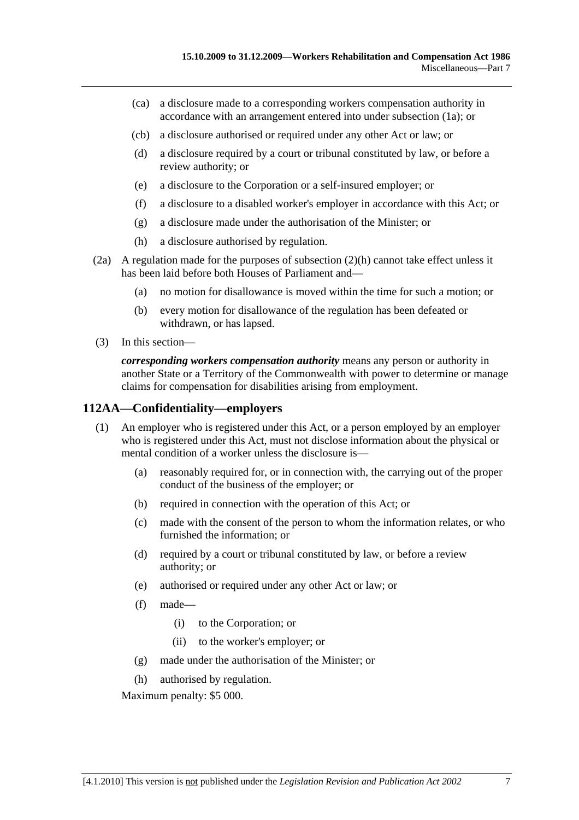- (ca) a disclosure made to a corresponding workers compensation authority in accordance with an arrangement entered into under subsection (1a); or
- (cb) a disclosure authorised or required under any other Act or law; or
- (d) a disclosure required by a court or tribunal constituted by law, or before a review authority; or
- (e) a disclosure to the Corporation or a self-insured employer; or
- (f) a disclosure to a disabled worker's employer in accordance with this Act; or
- (g) a disclosure made under the authorisation of the Minister; or
- (h) a disclosure authorised by regulation.
- (2a) A regulation made for the purposes of subsection (2)(h) cannot take effect unless it has been laid before both Houses of Parliament and—
	- (a) no motion for disallowance is moved within the time for such a motion; or
	- (b) every motion for disallowance of the regulation has been defeated or withdrawn, or has lapsed.
- (3) In this section—

*corresponding workers compensation authority* means any person or authority in another State or a Territory of the Commonwealth with power to determine or manage claims for compensation for disabilities arising from employment.

#### **112AA—Confidentiality—employers**

- (1) An employer who is registered under this Act, or a person employed by an employer who is registered under this Act, must not disclose information about the physical or mental condition of a worker unless the disclosure is—
	- (a) reasonably required for, or in connection with, the carrying out of the proper conduct of the business of the employer; or
	- (b) required in connection with the operation of this Act; or
	- (c) made with the consent of the person to whom the information relates, or who furnished the information; or
	- (d) required by a court or tribunal constituted by law, or before a review authority; or
	- (e) authorised or required under any other Act or law; or
	- (f) made—
		- (i) to the Corporation; or
		- (ii) to the worker's employer; or
	- (g) made under the authorisation of the Minister; or
	- (h) authorised by regulation.

Maximum penalty: \$5 000.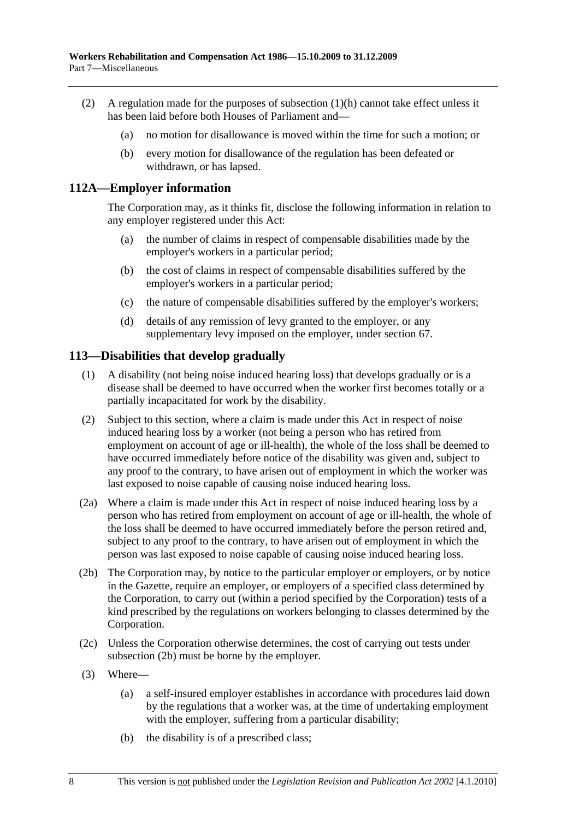- (2) A regulation made for the purposes of subsection (1)(h) cannot take effect unless it has been laid before both Houses of Parliament and—
	- (a) no motion for disallowance is moved within the time for such a motion; or
	- (b) every motion for disallowance of the regulation has been defeated or withdrawn, or has lapsed.

#### **112A—Employer information**

The Corporation may, as it thinks fit, disclose the following information in relation to any employer registered under this Act:

- (a) the number of claims in respect of compensable disabilities made by the employer's workers in a particular period;
- (b) the cost of claims in respect of compensable disabilities suffered by the employer's workers in a particular period;
- (c) the nature of compensable disabilities suffered by the employer's workers;
- (d) details of any remission of levy granted to the employer, or any supplementary levy imposed on the employer, under section 67.

#### **113—Disabilities that develop gradually**

- (1) A disability (not being noise induced hearing loss) that develops gradually or is a disease shall be deemed to have occurred when the worker first becomes totally or a partially incapacitated for work by the disability.
- (2) Subject to this section, where a claim is made under this Act in respect of noise induced hearing loss by a worker (not being a person who has retired from employment on account of age or ill-health), the whole of the loss shall be deemed to have occurred immediately before notice of the disability was given and, subject to any proof to the contrary, to have arisen out of employment in which the worker was last exposed to noise capable of causing noise induced hearing loss.
- (2a) Where a claim is made under this Act in respect of noise induced hearing loss by a person who has retired from employment on account of age or ill-health, the whole of the loss shall be deemed to have occurred immediately before the person retired and, subject to any proof to the contrary, to have arisen out of employment in which the person was last exposed to noise capable of causing noise induced hearing loss.
- (2b) The Corporation may, by notice to the particular employer or employers, or by notice in the Gazette, require an employer, or employers of a specified class determined by the Corporation, to carry out (within a period specified by the Corporation) tests of a kind prescribed by the regulations on workers belonging to classes determined by the Corporation.
- (2c) Unless the Corporation otherwise determines, the cost of carrying out tests under subsection (2b) must be borne by the employer.
- (3) Where—
	- (a) a self-insured employer establishes in accordance with procedures laid down by the regulations that a worker was, at the time of undertaking employment with the employer, suffering from a particular disability;
	- (b) the disability is of a prescribed class;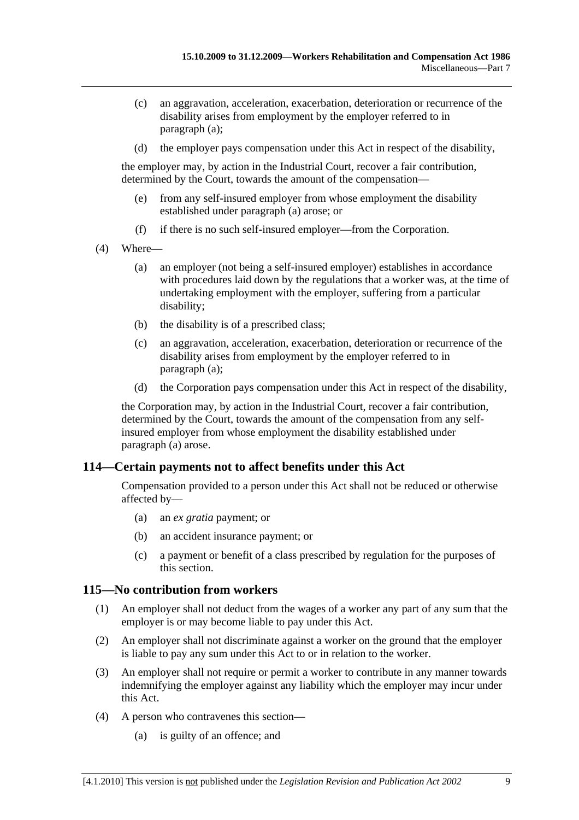- (c) an aggravation, acceleration, exacerbation, deterioration or recurrence of the disability arises from employment by the employer referred to in paragraph (a);
- (d) the employer pays compensation under this Act in respect of the disability,

the employer may, by action in the Industrial Court, recover a fair contribution, determined by the Court, towards the amount of the compensation—

- (e) from any self-insured employer from whose employment the disability established under paragraph (a) arose; or
- (f) if there is no such self-insured employer—from the Corporation.
- (4) Where—
	- (a) an employer (not being a self-insured employer) establishes in accordance with procedures laid down by the regulations that a worker was, at the time of undertaking employment with the employer, suffering from a particular disability;
	- (b) the disability is of a prescribed class;
	- (c) an aggravation, acceleration, exacerbation, deterioration or recurrence of the disability arises from employment by the employer referred to in paragraph (a);
	- (d) the Corporation pays compensation under this Act in respect of the disability,

the Corporation may, by action in the Industrial Court, recover a fair contribution, determined by the Court, towards the amount of the compensation from any selfinsured employer from whose employment the disability established under paragraph (a) arose.

#### **114—Certain payments not to affect benefits under this Act**

Compensation provided to a person under this Act shall not be reduced or otherwise affected by—

- (a) an *ex gratia* payment; or
- (b) an accident insurance payment; or
- (c) a payment or benefit of a class prescribed by regulation for the purposes of this section.

#### **115—No contribution from workers**

- (1) An employer shall not deduct from the wages of a worker any part of any sum that the employer is or may become liable to pay under this Act.
- (2) An employer shall not discriminate against a worker on the ground that the employer is liable to pay any sum under this Act to or in relation to the worker.
- (3) An employer shall not require or permit a worker to contribute in any manner towards indemnifying the employer against any liability which the employer may incur under this Act.
- (4) A person who contravenes this section—
	- (a) is guilty of an offence; and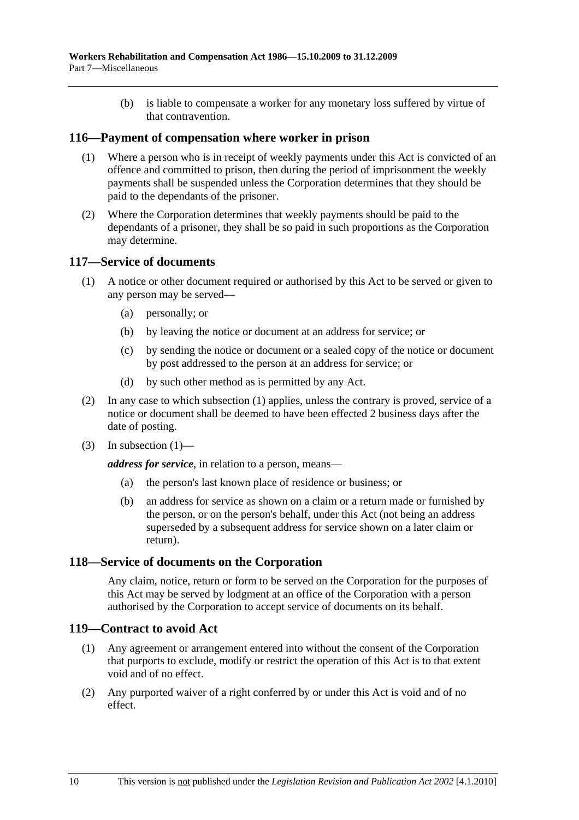(b) is liable to compensate a worker for any monetary loss suffered by virtue of that contravention.

#### **116—Payment of compensation where worker in prison**

- (1) Where a person who is in receipt of weekly payments under this Act is convicted of an offence and committed to prison, then during the period of imprisonment the weekly payments shall be suspended unless the Corporation determines that they should be paid to the dependants of the prisoner.
- (2) Where the Corporation determines that weekly payments should be paid to the dependants of a prisoner, they shall be so paid in such proportions as the Corporation may determine.

#### **117—Service of documents**

- (1) A notice or other document required or authorised by this Act to be served or given to any person may be served—
	- (a) personally; or
	- (b) by leaving the notice or document at an address for service; or
	- (c) by sending the notice or document or a sealed copy of the notice or document by post addressed to the person at an address for service; or
	- (d) by such other method as is permitted by any Act.
- (2) In any case to which subsection (1) applies, unless the contrary is proved, service of a notice or document shall be deemed to have been effected 2 business days after the date of posting.
- $(3)$  In subsection  $(1)$ —

*address for service*, in relation to a person, means—

- (a) the person's last known place of residence or business; or
- (b) an address for service as shown on a claim or a return made or furnished by the person, or on the person's behalf, under this Act (not being an address superseded by a subsequent address for service shown on a later claim or return).

#### **118—Service of documents on the Corporation**

Any claim, notice, return or form to be served on the Corporation for the purposes of this Act may be served by lodgment at an office of the Corporation with a person authorised by the Corporation to accept service of documents on its behalf.

#### **119—Contract to avoid Act**

- (1) Any agreement or arrangement entered into without the consent of the Corporation that purports to exclude, modify or restrict the operation of this Act is to that extent void and of no effect.
- (2) Any purported waiver of a right conferred by or under this Act is void and of no effect.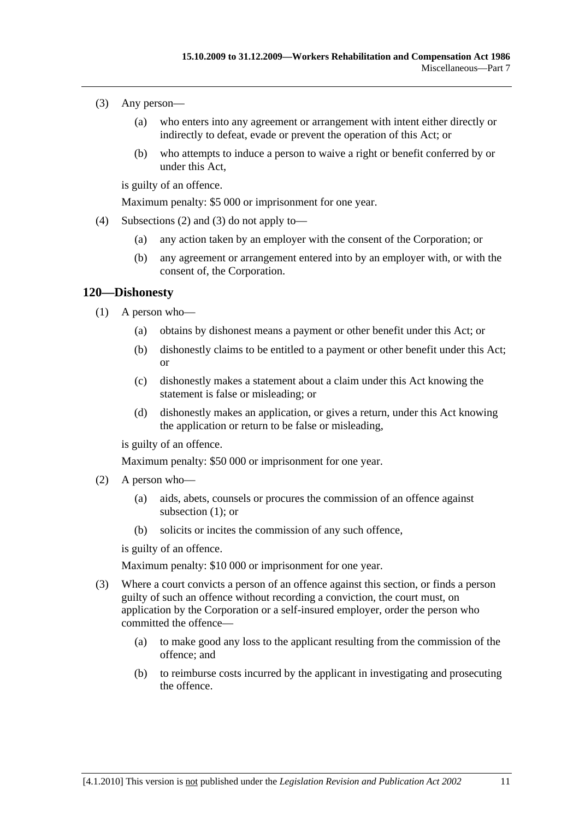- (3) Any person—
	- (a) who enters into any agreement or arrangement with intent either directly or indirectly to defeat, evade or prevent the operation of this Act; or
	- (b) who attempts to induce a person to waive a right or benefit conferred by or under this Act,

is guilty of an offence.

Maximum penalty: \$5 000 or imprisonment for one year.

- (4) Subsections (2) and (3) do not apply to—
	- (a) any action taken by an employer with the consent of the Corporation; or
	- (b) any agreement or arrangement entered into by an employer with, or with the consent of, the Corporation.

#### **120—Dishonesty**

- (1) A person who—
	- (a) obtains by dishonest means a payment or other benefit under this Act; or
	- (b) dishonestly claims to be entitled to a payment or other benefit under this Act; or
	- (c) dishonestly makes a statement about a claim under this Act knowing the statement is false or misleading; or
	- (d) dishonestly makes an application, or gives a return, under this Act knowing the application or return to be false or misleading,

is guilty of an offence.

Maximum penalty: \$50 000 or imprisonment for one year.

- (2) A person who—
	- (a) aids, abets, counsels or procures the commission of an offence against subsection (1); or
	- (b) solicits or incites the commission of any such offence,

is guilty of an offence.

Maximum penalty: \$10 000 or imprisonment for one year.

- (3) Where a court convicts a person of an offence against this section, or finds a person guilty of such an offence without recording a conviction, the court must, on application by the Corporation or a self-insured employer, order the person who committed the offence—
	- (a) to make good any loss to the applicant resulting from the commission of the offence; and
	- (b) to reimburse costs incurred by the applicant in investigating and prosecuting the offence.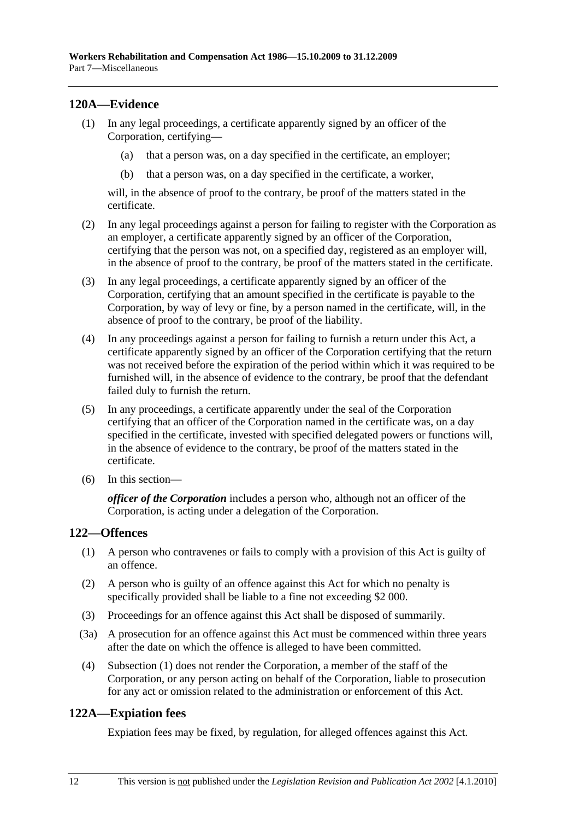### **120A—Evidence**

- (1) In any legal proceedings, a certificate apparently signed by an officer of the Corporation, certifying—
	- (a) that a person was, on a day specified in the certificate, an employer;
	- (b) that a person was, on a day specified in the certificate, a worker,

will, in the absence of proof to the contrary, be proof of the matters stated in the certificate.

- (2) In any legal proceedings against a person for failing to register with the Corporation as an employer, a certificate apparently signed by an officer of the Corporation, certifying that the person was not, on a specified day, registered as an employer will, in the absence of proof to the contrary, be proof of the matters stated in the certificate.
- (3) In any legal proceedings, a certificate apparently signed by an officer of the Corporation, certifying that an amount specified in the certificate is payable to the Corporation, by way of levy or fine, by a person named in the certificate, will, in the absence of proof to the contrary, be proof of the liability.
- (4) In any proceedings against a person for failing to furnish a return under this Act, a certificate apparently signed by an officer of the Corporation certifying that the return was not received before the expiration of the period within which it was required to be furnished will, in the absence of evidence to the contrary, be proof that the defendant failed duly to furnish the return.
- (5) In any proceedings, a certificate apparently under the seal of the Corporation certifying that an officer of the Corporation named in the certificate was, on a day specified in the certificate, invested with specified delegated powers or functions will, in the absence of evidence to the contrary, be proof of the matters stated in the certificate.
- (6) In this section—

*officer of the Corporation* includes a person who, although not an officer of the Corporation, is acting under a delegation of the Corporation.

### **122—Offences**

- (1) A person who contravenes or fails to comply with a provision of this Act is guilty of an offence.
- (2) A person who is guilty of an offence against this Act for which no penalty is specifically provided shall be liable to a fine not exceeding \$2 000.
- (3) Proceedings for an offence against this Act shall be disposed of summarily.
- (3a) A prosecution for an offence against this Act must be commenced within three years after the date on which the offence is alleged to have been committed.
- (4) Subsection (1) does not render the Corporation, a member of the staff of the Corporation, or any person acting on behalf of the Corporation, liable to prosecution for any act or omission related to the administration or enforcement of this Act.

### **122A—Expiation fees**

Expiation fees may be fixed, by regulation, for alleged offences against this Act.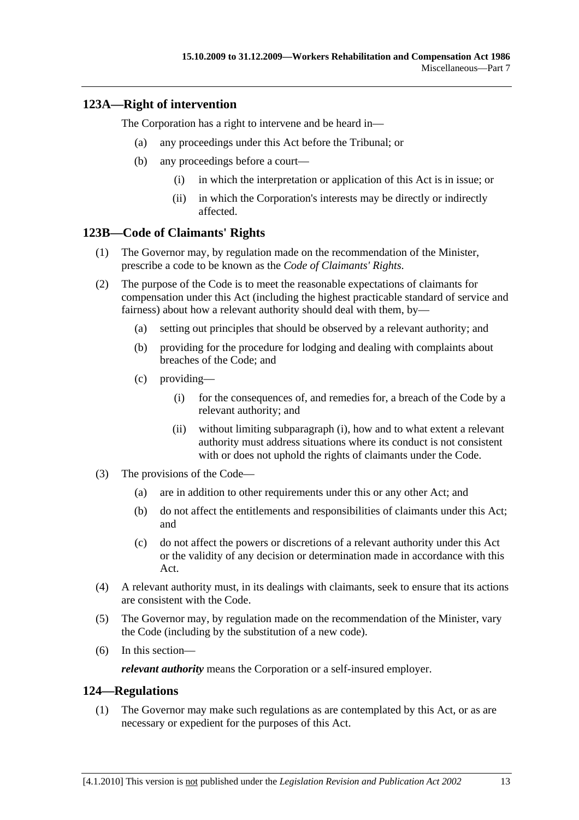### **123A—Right of intervention**

The Corporation has a right to intervene and be heard in—

- (a) any proceedings under this Act before the Tribunal; or
- (b) any proceedings before a court—
	- (i) in which the interpretation or application of this Act is in issue; or
	- (ii) in which the Corporation's interests may be directly or indirectly affected.

### **123B—Code of Claimants' Rights**

- (1) The Governor may, by regulation made on the recommendation of the Minister, prescribe a code to be known as the *Code of Claimants' Rights*.
- (2) The purpose of the Code is to meet the reasonable expectations of claimants for compensation under this Act (including the highest practicable standard of service and fairness) about how a relevant authority should deal with them, by—
	- (a) setting out principles that should be observed by a relevant authority; and
	- (b) providing for the procedure for lodging and dealing with complaints about breaches of the Code; and
	- (c) providing—
		- (i) for the consequences of, and remedies for, a breach of the Code by a relevant authority; and
		- (ii) without limiting subparagraph (i), how and to what extent a relevant authority must address situations where its conduct is not consistent with or does not uphold the rights of claimants under the Code.
- (3) The provisions of the Code—
	- (a) are in addition to other requirements under this or any other Act; and
	- (b) do not affect the entitlements and responsibilities of claimants under this Act; and
	- (c) do not affect the powers or discretions of a relevant authority under this Act or the validity of any decision or determination made in accordance with this Act.
- (4) A relevant authority must, in its dealings with claimants, seek to ensure that its actions are consistent with the Code.
- (5) The Governor may, by regulation made on the recommendation of the Minister, vary the Code (including by the substitution of a new code).
- (6) In this section—

*relevant authority* means the Corporation or a self-insured employer.

#### **124—Regulations**

 (1) The Governor may make such regulations as are contemplated by this Act, or as are necessary or expedient for the purposes of this Act.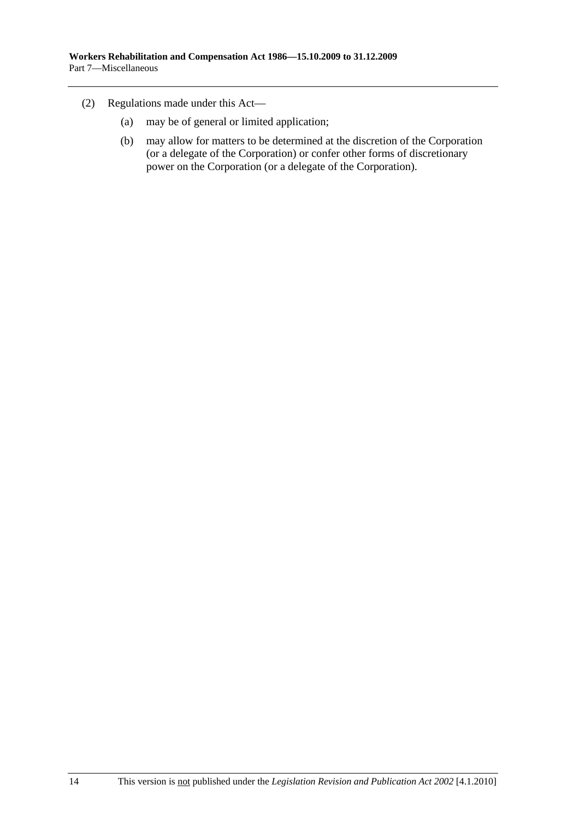- (2) Regulations made under this Act—
	- (a) may be of general or limited application;
	- (b) may allow for matters to be determined at the discretion of the Corporation (or a delegate of the Corporation) or confer other forms of discretionary power on the Corporation (or a delegate of the Corporation).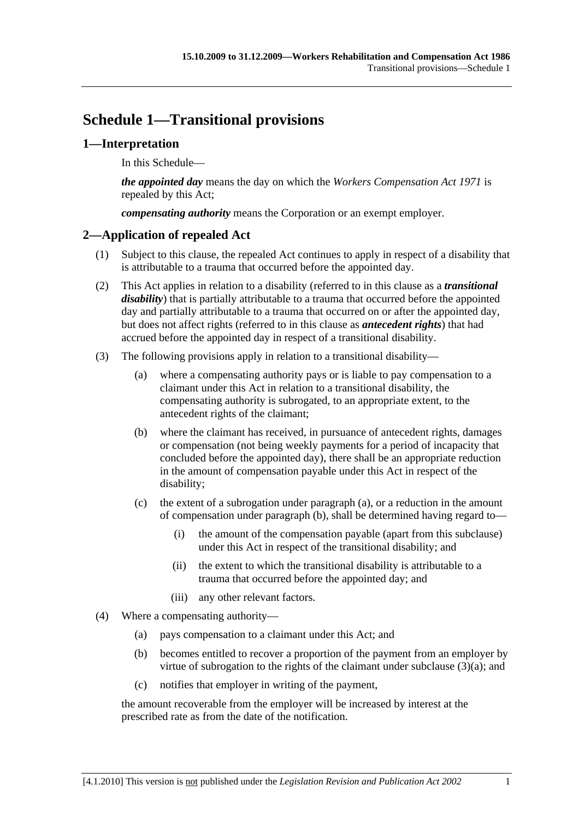# **Schedule 1—Transitional provisions**

### **1—Interpretation**

In this Schedule—

*the appointed day* means the day on which the *Workers Compensation Act 1971* is repealed by this Act;

*compensating authority* means the Corporation or an exempt employer.

### **2—Application of repealed Act**

- (1) Subject to this clause, the repealed Act continues to apply in respect of a disability that is attributable to a trauma that occurred before the appointed day.
- (2) This Act applies in relation to a disability (referred to in this clause as a *transitional disability*) that is partially attributable to a trauma that occurred before the appointed day and partially attributable to a trauma that occurred on or after the appointed day, but does not affect rights (referred to in this clause as *antecedent rights*) that had accrued before the appointed day in respect of a transitional disability.
- (3) The following provisions apply in relation to a transitional disability—
	- (a) where a compensating authority pays or is liable to pay compensation to a claimant under this Act in relation to a transitional disability, the compensating authority is subrogated, to an appropriate extent, to the antecedent rights of the claimant;
	- (b) where the claimant has received, in pursuance of antecedent rights, damages or compensation (not being weekly payments for a period of incapacity that concluded before the appointed day), there shall be an appropriate reduction in the amount of compensation payable under this Act in respect of the disability;
	- (c) the extent of a subrogation under paragraph (a), or a reduction in the amount of compensation under paragraph (b), shall be determined having regard to—
		- (i) the amount of the compensation payable (apart from this subclause) under this Act in respect of the transitional disability; and
		- (ii) the extent to which the transitional disability is attributable to a trauma that occurred before the appointed day; and
		- (iii) any other relevant factors.
- (4) Where a compensating authority—
	- (a) pays compensation to a claimant under this Act; and
	- (b) becomes entitled to recover a proportion of the payment from an employer by virtue of subrogation to the rights of the claimant under subclause (3)(a); and
	- (c) notifies that employer in writing of the payment,

the amount recoverable from the employer will be increased by interest at the prescribed rate as from the date of the notification.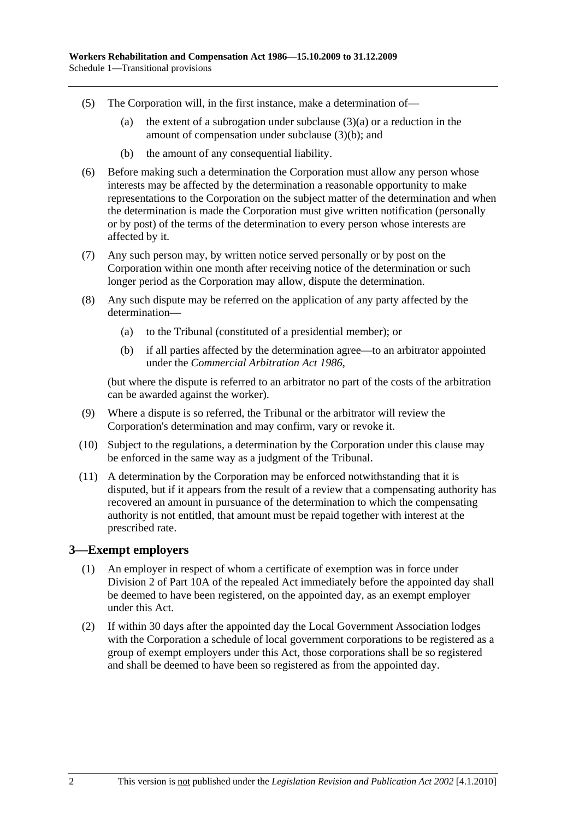- (5) The Corporation will, in the first instance, make a determination of—
	- (a) the extent of a subrogation under subclause  $(3)(a)$  or a reduction in the amount of compensation under subclause (3)(b); and
	- (b) the amount of any consequential liability.
- (6) Before making such a determination the Corporation must allow any person whose interests may be affected by the determination a reasonable opportunity to make representations to the Corporation on the subject matter of the determination and when the determination is made the Corporation must give written notification (personally or by post) of the terms of the determination to every person whose interests are affected by it.
- (7) Any such person may, by written notice served personally or by post on the Corporation within one month after receiving notice of the determination or such longer period as the Corporation may allow, dispute the determination.
- (8) Any such dispute may be referred on the application of any party affected by the determination—
	- (a) to the Tribunal (constituted of a presidential member); or
	- (b) if all parties affected by the determination agree—to an arbitrator appointed under the *Commercial Arbitration Act 1986*,

(but where the dispute is referred to an arbitrator no part of the costs of the arbitration can be awarded against the worker).

- (9) Where a dispute is so referred, the Tribunal or the arbitrator will review the Corporation's determination and may confirm, vary or revoke it.
- (10) Subject to the regulations, a determination by the Corporation under this clause may be enforced in the same way as a judgment of the Tribunal.
- (11) A determination by the Corporation may be enforced notwithstanding that it is disputed, but if it appears from the result of a review that a compensating authority has recovered an amount in pursuance of the determination to which the compensating authority is not entitled, that amount must be repaid together with interest at the prescribed rate.

#### **3—Exempt employers**

- (1) An employer in respect of whom a certificate of exemption was in force under Division 2 of Part 10A of the repealed Act immediately before the appointed day shall be deemed to have been registered, on the appointed day, as an exempt employer under this Act.
- (2) If within 30 days after the appointed day the Local Government Association lodges with the Corporation a schedule of local government corporations to be registered as a group of exempt employers under this Act, those corporations shall be so registered and shall be deemed to have been so registered as from the appointed day.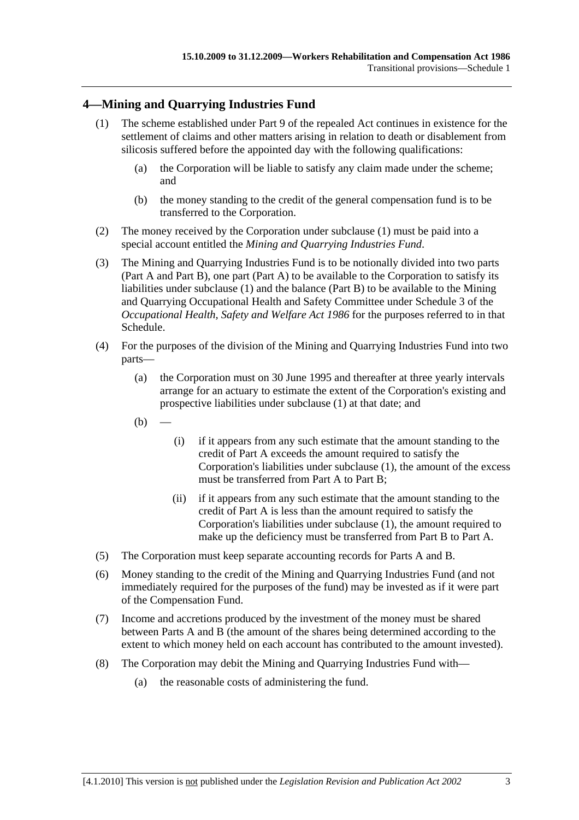## **4—Mining and Quarrying Industries Fund**

- (1) The scheme established under Part 9 of the repealed Act continues in existence for the settlement of claims and other matters arising in relation to death or disablement from silicosis suffered before the appointed day with the following qualifications:
	- (a) the Corporation will be liable to satisfy any claim made under the scheme; and
	- (b) the money standing to the credit of the general compensation fund is to be transferred to the Corporation.
- (2) The money received by the Corporation under subclause (1) must be paid into a special account entitled the *Mining and Quarrying Industries Fund*.
- (3) The Mining and Quarrying Industries Fund is to be notionally divided into two parts (Part A and Part B), one part (Part A) to be available to the Corporation to satisfy its liabilities under subclause (1) and the balance (Part B) to be available to the Mining and Quarrying Occupational Health and Safety Committee under Schedule 3 of the *Occupational Health, Safety and Welfare Act 1986* for the purposes referred to in that Schedule.
- (4) For the purposes of the division of the Mining and Quarrying Industries Fund into two parts—
	- (a) the Corporation must on 30 June 1995 and thereafter at three yearly intervals arrange for an actuary to estimate the extent of the Corporation's existing and prospective liabilities under subclause (1) at that date; and
	- $(b)$
- (i) if it appears from any such estimate that the amount standing to the credit of Part A exceeds the amount required to satisfy the Corporation's liabilities under subclause (1), the amount of the excess must be transferred from Part A to Part B;
- (ii) if it appears from any such estimate that the amount standing to the credit of Part A is less than the amount required to satisfy the Corporation's liabilities under subclause (1), the amount required to make up the deficiency must be transferred from Part B to Part A.
- (5) The Corporation must keep separate accounting records for Parts A and B.
- (6) Money standing to the credit of the Mining and Quarrying Industries Fund (and not immediately required for the purposes of the fund) may be invested as if it were part of the Compensation Fund.
- (7) Income and accretions produced by the investment of the money must be shared between Parts A and B (the amount of the shares being determined according to the extent to which money held on each account has contributed to the amount invested).
- (8) The Corporation may debit the Mining and Quarrying Industries Fund with—
	- (a) the reasonable costs of administering the fund.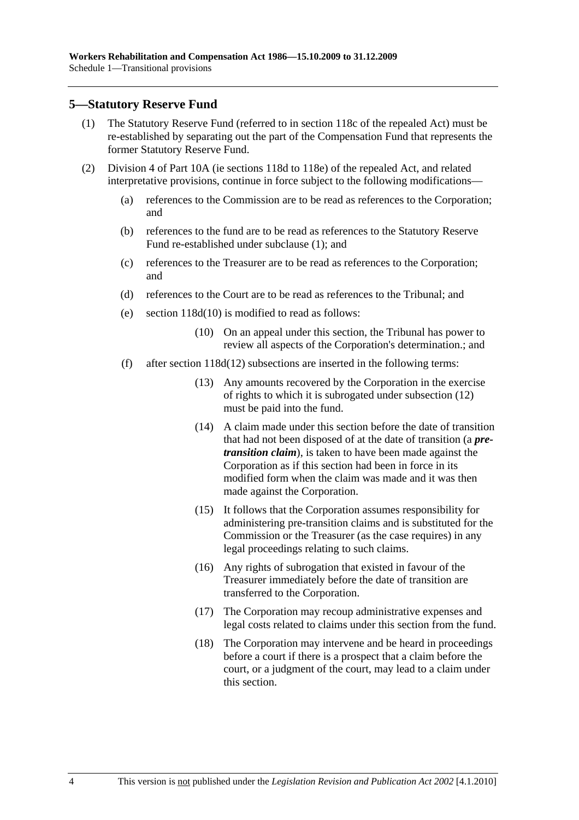### **5—Statutory Reserve Fund**

- (1) The Statutory Reserve Fund (referred to in section 118c of the repealed Act) must be re-established by separating out the part of the Compensation Fund that represents the former Statutory Reserve Fund.
- (2) Division 4 of Part 10A (ie sections 118d to 118e) of the repealed Act, and related interpretative provisions, continue in force subject to the following modifications—
	- (a) references to the Commission are to be read as references to the Corporation; and
	- (b) references to the fund are to be read as references to the Statutory Reserve Fund re-established under subclause (1); and
	- (c) references to the Treasurer are to be read as references to the Corporation; and
	- (d) references to the Court are to be read as references to the Tribunal; and
	- (e) section 118d(10) is modified to read as follows:
		- (10) On an appeal under this section, the Tribunal has power to review all aspects of the Corporation's determination.; and
	- (f) after section 118d(12) subsections are inserted in the following terms:
		- (13) Any amounts recovered by the Corporation in the exercise of rights to which it is subrogated under subsection (12) must be paid into the fund.
		- (14) A claim made under this section before the date of transition that had not been disposed of at the date of transition (a *pretransition claim*), is taken to have been made against the Corporation as if this section had been in force in its modified form when the claim was made and it was then made against the Corporation.
		- (15) It follows that the Corporation assumes responsibility for administering pre-transition claims and is substituted for the Commission or the Treasurer (as the case requires) in any legal proceedings relating to such claims.
		- (16) Any rights of subrogation that existed in favour of the Treasurer immediately before the date of transition are transferred to the Corporation.
		- (17) The Corporation may recoup administrative expenses and legal costs related to claims under this section from the fund.
		- (18) The Corporation may intervene and be heard in proceedings before a court if there is a prospect that a claim before the court, or a judgment of the court, may lead to a claim under this section.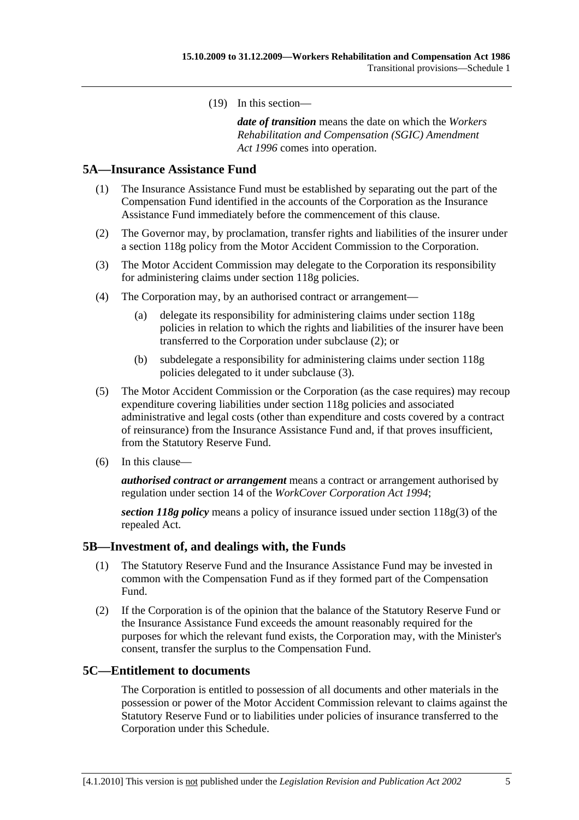(19) In this section—

*date of transition* means the date on which the *Workers Rehabilitation and Compensation (SGIC) Amendment Act 1996* comes into operation.

### **5A—Insurance Assistance Fund**

- (1) The Insurance Assistance Fund must be established by separating out the part of the Compensation Fund identified in the accounts of the Corporation as the Insurance Assistance Fund immediately before the commencement of this clause.
- (2) The Governor may, by proclamation, transfer rights and liabilities of the insurer under a section 118g policy from the Motor Accident Commission to the Corporation.
- (3) The Motor Accident Commission may delegate to the Corporation its responsibility for administering claims under section 118g policies.
- (4) The Corporation may, by an authorised contract or arrangement—
	- (a) delegate its responsibility for administering claims under section 118g policies in relation to which the rights and liabilities of the insurer have been transferred to the Corporation under subclause (2); or
	- (b) subdelegate a responsibility for administering claims under section 118g policies delegated to it under subclause (3).
- (5) The Motor Accident Commission or the Corporation (as the case requires) may recoup expenditure covering liabilities under section 118g policies and associated administrative and legal costs (other than expenditure and costs covered by a contract of reinsurance) from the Insurance Assistance Fund and, if that proves insufficient, from the Statutory Reserve Fund.
- (6) In this clause—

*authorised contract or arrangement* means a contract or arrangement authorised by regulation under section 14 of the *WorkCover Corporation Act 1994*;

*section 118g policy* means a policy of insurance issued under section 118g(3) of the repealed Act.

#### **5B—Investment of, and dealings with, the Funds**

- (1) The Statutory Reserve Fund and the Insurance Assistance Fund may be invested in common with the Compensation Fund as if they formed part of the Compensation Fund.
- (2) If the Corporation is of the opinion that the balance of the Statutory Reserve Fund or the Insurance Assistance Fund exceeds the amount reasonably required for the purposes for which the relevant fund exists, the Corporation may, with the Minister's consent, transfer the surplus to the Compensation Fund.

#### **5C—Entitlement to documents**

The Corporation is entitled to possession of all documents and other materials in the possession or power of the Motor Accident Commission relevant to claims against the Statutory Reserve Fund or to liabilities under policies of insurance transferred to the Corporation under this Schedule.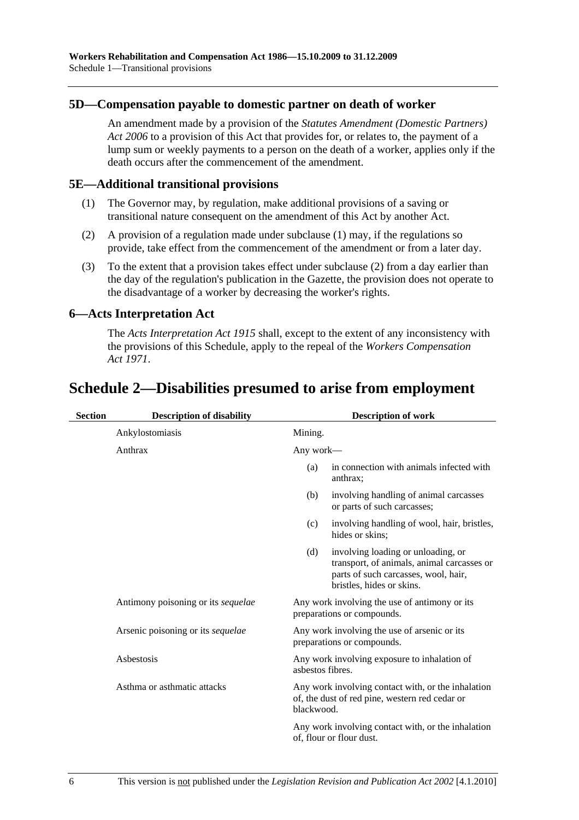### **5D—Compensation payable to domestic partner on death of worker**

An amendment made by a provision of the *Statutes Amendment (Domestic Partners) Act 2006* to a provision of this Act that provides for, or relates to, the payment of a lump sum or weekly payments to a person on the death of a worker, applies only if the death occurs after the commencement of the amendment.

#### **5E—Additional transitional provisions**

- (1) The Governor may, by regulation, make additional provisions of a saving or transitional nature consequent on the amendment of this Act by another Act.
- (2) A provision of a regulation made under subclause (1) may, if the regulations so provide, take effect from the commencement of the amendment or from a later day.
- (3) To the extent that a provision takes effect under subclause (2) from a day earlier than the day of the regulation's publication in the Gazette, the provision does not operate to the disadvantage of a worker by decreasing the worker's rights.

### **6—Acts Interpretation Act**

The *Acts Interpretation Act 1915* shall, except to the extent of any inconsistency with the provisions of this Schedule, apply to the repeal of the *Workers Compensation Act 1971*.

# **Schedule 2—Disabilities presumed to arise from employment**

| <b>Section</b> | <b>Description of disability</b>   | <b>Description of work</b> |                                                                                                                                                       |
|----------------|------------------------------------|----------------------------|-------------------------------------------------------------------------------------------------------------------------------------------------------|
|                | Ankylostomiasis                    | Mining.                    |                                                                                                                                                       |
|                | Anthrax                            | Any work—                  |                                                                                                                                                       |
|                |                                    | (a)                        | in connection with animals infected with<br>anthrax;                                                                                                  |
|                |                                    | (b)                        | involving handling of animal carcasses<br>or parts of such carcasses;                                                                                 |
|                |                                    | (c)                        | involving handling of wool, hair, bristles,<br>hides or skins:                                                                                        |
|                |                                    | (d)                        | involving loading or unloading, or<br>transport, of animals, animal carcasses or<br>parts of such carcasses, wool, hair,<br>bristles, hides or skins. |
|                | Antimony poisoning or its sequelae |                            | Any work involving the use of antimony or its<br>preparations or compounds.                                                                           |
|                | Arsenic poisoning or its sequelae  |                            | Any work involving the use of arsenic or its<br>preparations or compounds.                                                                            |
|                | Asbestosis                         | asbestos fibres.           | Any work involving exposure to inhalation of                                                                                                          |
|                | Asthma or asthmatic attacks        | blackwood.                 | Any work involving contact with, or the inhalation<br>of, the dust of red pine, western red cedar or                                                  |
|                |                                    |                            | Any work involving contact with, or the inhalation<br>of, flour or flour dust.                                                                        |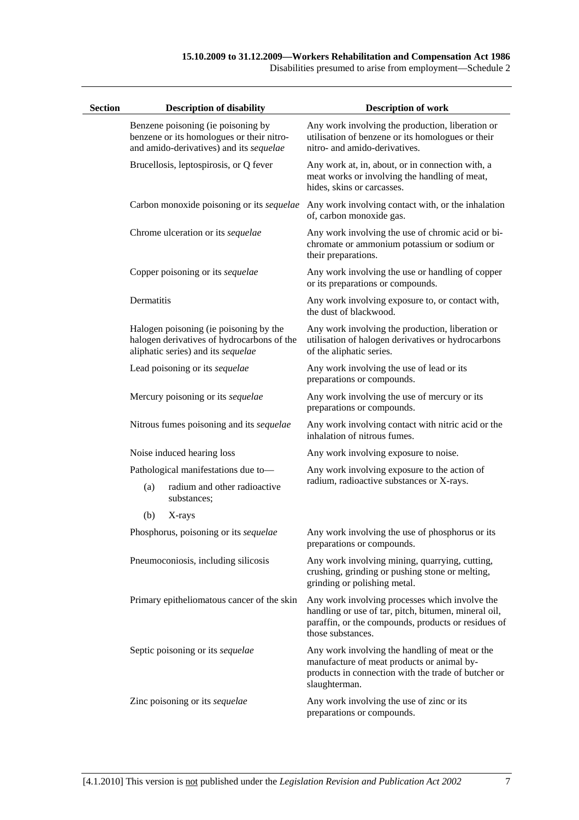Disabilities presumed to arise from employment—Schedule 2

| <b>Section</b> |                                        | <b>Description of disability</b>                                                                                           | <b>Description of work</b>                                                                                                                                                         |
|----------------|----------------------------------------|----------------------------------------------------------------------------------------------------------------------------|------------------------------------------------------------------------------------------------------------------------------------------------------------------------------------|
|                |                                        | Benzene poisoning (ie poisoning by<br>benzene or its homologues or their nitro-<br>and amido-derivatives) and its sequelae | Any work involving the production, liberation or<br>utilisation of benzene or its homologues or their<br>nitro- and amido-derivatives.                                             |
|                | Brucellosis, leptospirosis, or Q fever |                                                                                                                            | Any work at, in, about, or in connection with, a<br>meat works or involving the handling of meat,<br>hides, skins or carcasses.                                                    |
|                |                                        | Carbon monoxide poisoning or its sequelae                                                                                  | Any work involving contact with, or the inhalation<br>of, carbon monoxide gas.                                                                                                     |
|                |                                        | Chrome ulceration or its sequelae                                                                                          | Any work involving the use of chromic acid or bi-<br>chromate or ammonium potassium or sodium or<br>their preparations.                                                            |
|                |                                        | Copper poisoning or its sequelae                                                                                           | Any work involving the use or handling of copper<br>or its preparations or compounds.                                                                                              |
|                | Dermatitis                             |                                                                                                                            | Any work involving exposure to, or contact with,<br>the dust of blackwood.                                                                                                         |
|                |                                        | Halogen poisoning (ie poisoning by the<br>halogen derivatives of hydrocarbons of the<br>aliphatic series) and its sequelae | Any work involving the production, liberation or<br>utilisation of halogen derivatives or hydrocarbons<br>of the aliphatic series.                                                 |
|                |                                        | Lead poisoning or its sequelae                                                                                             | Any work involving the use of lead or its<br>preparations or compounds.                                                                                                            |
|                |                                        | Mercury poisoning or its sequelae                                                                                          | Any work involving the use of mercury or its<br>preparations or compounds.                                                                                                         |
|                |                                        | Nitrous fumes poisoning and its sequelae                                                                                   | Any work involving contact with nitric acid or the<br>inhalation of nitrous fumes.                                                                                                 |
|                |                                        | Noise induced hearing loss                                                                                                 | Any work involving exposure to noise.                                                                                                                                              |
|                |                                        | Pathological manifestations due to-                                                                                        | Any work involving exposure to the action of                                                                                                                                       |
|                | (a)                                    | radium and other radioactive<br>substances;                                                                                | radium, radioactive substances or X-rays.                                                                                                                                          |
|                | (b)                                    | X-rays                                                                                                                     |                                                                                                                                                                                    |
|                |                                        | Phosphorus, poisoning or its sequelae                                                                                      | Any work involving the use of phosphorus or its<br>preparations or compounds.                                                                                                      |
|                |                                        | Pneumoconiosis, including silicosis                                                                                        | Any work involving mining, quarrying, cutting,<br>crushing, grinding or pushing stone or melting,<br>grinding or polishing metal.                                                  |
|                |                                        | Primary epitheliomatous cancer of the skin                                                                                 | Any work involving processes which involve the<br>handling or use of tar, pitch, bitumen, mineral oil,<br>paraffin, or the compounds, products or residues of<br>those substances. |
|                |                                        | Septic poisoning or its sequelae                                                                                           | Any work involving the handling of meat or the<br>manufacture of meat products or animal by-<br>products in connection with the trade of butcher or<br>slaughterman.               |
|                |                                        | Zinc poisoning or its sequelae                                                                                             | Any work involving the use of zinc or its<br>preparations or compounds.                                                                                                            |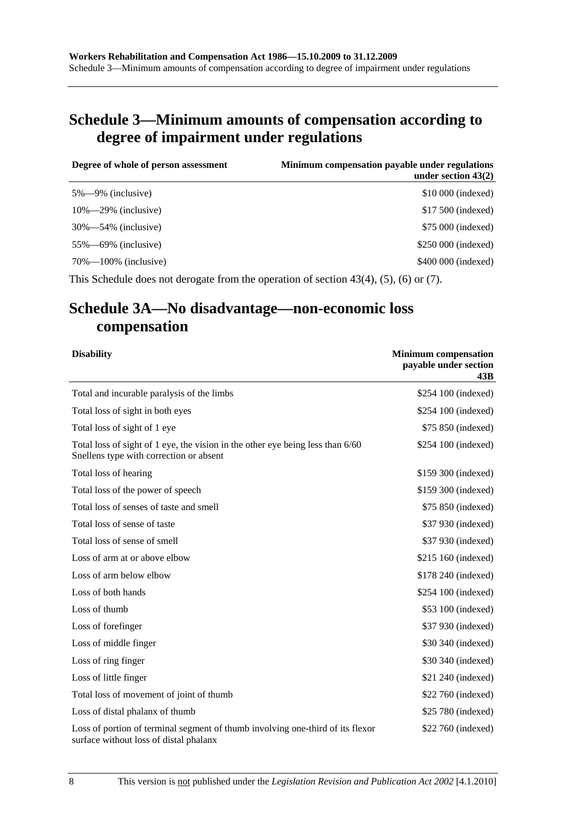# **Schedule 3—Minimum amounts of compensation according to degree of impairment under regulations**

| Degree of whole of person assessment<br>Minimum compensation payable under regulations<br>under section $43(2)$ |  |
|-----------------------------------------------------------------------------------------------------------------|--|
| \$10,000 (indexed)<br>$5\% - 9\%$ (inclusive)                                                                   |  |
| $10\% - 29\%$ (inclusive)<br>\$17,500 (indexed)                                                                 |  |
| \$75 000 (indexed)<br>$30\% - 54\%$ (inclusive)                                                                 |  |
| \$250 000 (indexed)<br>$55\% - 69\%$ (inclusive)                                                                |  |
| \$400 000 (indexed)<br>$70\% - 100\%$ (inclusive)                                                               |  |

This Schedule does not derogate from the operation of section 43(4), (5), (6) or (7).

# **Schedule 3A—No disadvantage—non-economic loss compensation**

| <b>Disability</b>                                                                                                         | <b>Minimum compensation</b><br>payable under section<br>43B |
|---------------------------------------------------------------------------------------------------------------------------|-------------------------------------------------------------|
| Total and incurable paralysis of the limbs                                                                                | \$254 100 (indexed)                                         |
| Total loss of sight in both eyes                                                                                          | \$254 100 (indexed)                                         |
| Total loss of sight of 1 eye                                                                                              | \$75 850 (indexed)                                          |
| Total loss of sight of 1 eye, the vision in the other eye being less than 6/60<br>Snellens type with correction or absent | \$254 100 (indexed)                                         |
| Total loss of hearing                                                                                                     | \$159 300 (indexed)                                         |
| Total loss of the power of speech                                                                                         | \$159 300 (indexed)                                         |
| Total loss of senses of taste and smell                                                                                   | \$75 850 (indexed)                                          |
| Total loss of sense of taste                                                                                              | \$37 930 (indexed)                                          |
| Total loss of sense of smell                                                                                              | \$37 930 (indexed)                                          |
| Loss of arm at or above elbow                                                                                             | \$215 160 (indexed)                                         |
| Loss of arm below elbow                                                                                                   | \$178 240 (indexed)                                         |
| Loss of both hands                                                                                                        | \$254 100 (indexed)                                         |
| Loss of thumb                                                                                                             | \$53 100 (indexed)                                          |
| Loss of forefinger                                                                                                        | \$37 930 (indexed)                                          |
| Loss of middle finger                                                                                                     | \$30 340 (indexed)                                          |
| Loss of ring finger                                                                                                       | \$30 340 (indexed)                                          |
| Loss of little finger                                                                                                     | \$21 240 (indexed)                                          |
| Total loss of movement of joint of thumb                                                                                  | \$22 760 (indexed)                                          |
| Loss of distal phalanx of thumb                                                                                           | \$25 780 (indexed)                                          |
| Loss of portion of terminal segment of thumb involving one-third of its flexor<br>surface without loss of distal phalanx  | \$22 760 (indexed)                                          |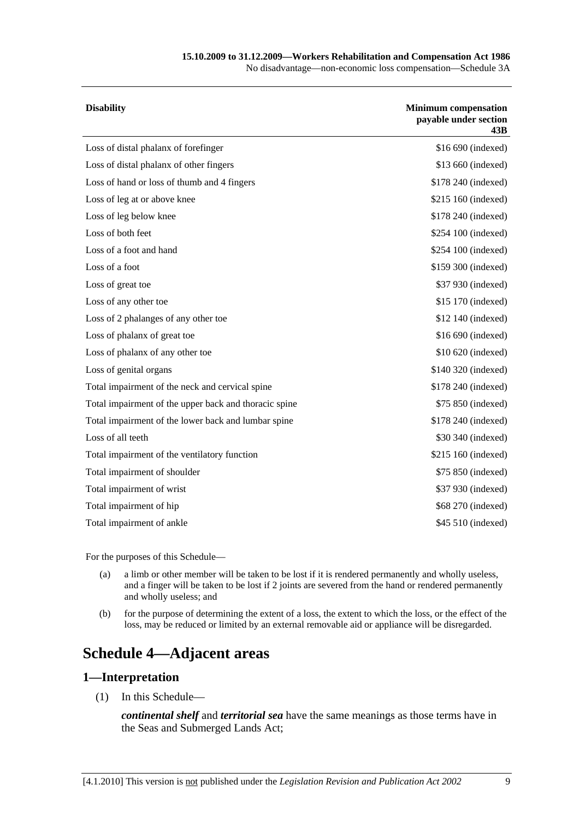## **15.10.2009 to 31.12.2009—Workers Rehabilitation and Compensation Act 1986**

No disadvantage—non-economic loss compensation—Schedule 3A

| <b>Disability</b>                                     | <b>Minimum compensation</b><br>payable under section<br>43B |
|-------------------------------------------------------|-------------------------------------------------------------|
| Loss of distal phalanx of forefinger                  | \$16 690 (indexed)                                          |
| Loss of distal phalanx of other fingers               | \$13 660 (indexed)                                          |
| Loss of hand or loss of thumb and 4 fingers           | \$178 240 (indexed)                                         |
| Loss of leg at or above knee                          | \$215 160 (indexed)                                         |
| Loss of leg below knee                                | \$178 240 (indexed)                                         |
| Loss of both feet                                     | \$254 100 (indexed)                                         |
| Loss of a foot and hand                               | \$254 100 (indexed)                                         |
| Loss of a foot                                        | \$159 300 (indexed)                                         |
| Loss of great toe                                     | \$37 930 (indexed)                                          |
| Loss of any other toe                                 | \$15 170 (indexed)                                          |
| Loss of 2 phalanges of any other toe                  | \$12 140 (indexed)                                          |
| Loss of phalanx of great toe                          | \$16 690 (indexed)                                          |
| Loss of phalanx of any other toe                      | \$10 620 (indexed)                                          |
| Loss of genital organs                                | \$140 320 (indexed)                                         |
| Total impairment of the neck and cervical spine       | \$178 240 (indexed)                                         |
| Total impairment of the upper back and thoracic spine | \$75 850 (indexed)                                          |
| Total impairment of the lower back and lumbar spine   | \$178 240 (indexed)                                         |
| Loss of all teeth                                     | \$30 340 (indexed)                                          |
| Total impairment of the ventilatory function          | \$215 160 (indexed)                                         |
| Total impairment of shoulder                          | \$75 850 (indexed)                                          |
| Total impairment of wrist                             | \$37 930 (indexed)                                          |
| Total impairment of hip                               | \$68 270 (indexed)                                          |
| Total impairment of ankle                             | \$45 510 (indexed)                                          |
|                                                       |                                                             |

For the purposes of this Schedule—

- (a) a limb or other member will be taken to be lost if it is rendered permanently and wholly useless, and a finger will be taken to be lost if 2 joints are severed from the hand or rendered permanently and wholly useless; and
- (b) for the purpose of determining the extent of a loss, the extent to which the loss, or the effect of the loss, may be reduced or limited by an external removable aid or appliance will be disregarded.

# **Schedule 4—Adjacent areas**

#### **1—Interpretation**

(1) In this Schedule—

*continental shelf* and *territorial sea* have the same meanings as those terms have in the Seas and Submerged Lands Act;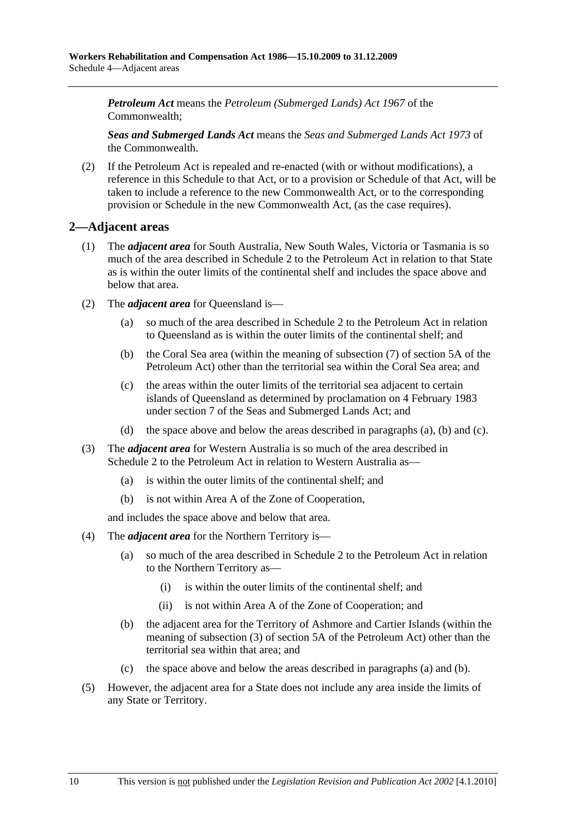*Petroleum Act* means the *Petroleum (Submerged Lands) Act 1967* of the Commonwealth;

*Seas and Submerged Lands Act* means the *Seas and Submerged Lands Act 1973* of the Commonwealth.

 (2) If the Petroleum Act is repealed and re-enacted (with or without modifications), a reference in this Schedule to that Act, or to a provision or Schedule of that Act, will be taken to include a reference to the new Commonwealth Act, or to the corresponding provision or Schedule in the new Commonwealth Act, (as the case requires).

### **2—Adjacent areas**

- (1) The *adjacent area* for South Australia, New South Wales, Victoria or Tasmania is so much of the area described in Schedule 2 to the Petroleum Act in relation to that State as is within the outer limits of the continental shelf and includes the space above and below that area.
- (2) The *adjacent area* for Queensland is—
	- (a) so much of the area described in Schedule 2 to the Petroleum Act in relation to Queensland as is within the outer limits of the continental shelf; and
	- (b) the Coral Sea area (within the meaning of subsection (7) of section 5A of the Petroleum Act) other than the territorial sea within the Coral Sea area; and
	- (c) the areas within the outer limits of the territorial sea adjacent to certain islands of Queensland as determined by proclamation on 4 February 1983 under section 7 of the Seas and Submerged Lands Act; and
	- (d) the space above and below the areas described in paragraphs (a), (b) and (c).
- (3) The *adjacent area* for Western Australia is so much of the area described in Schedule 2 to the Petroleum Act in relation to Western Australia as—
	- (a) is within the outer limits of the continental shelf; and
	- (b) is not within Area A of the Zone of Cooperation,

and includes the space above and below that area.

- (4) The *adjacent area* for the Northern Territory is—
	- (a) so much of the area described in Schedule 2 to the Petroleum Act in relation to the Northern Territory as—
		- (i) is within the outer limits of the continental shelf; and
		- (ii) is not within Area A of the Zone of Cooperation; and
	- (b) the adjacent area for the Territory of Ashmore and Cartier Islands (within the meaning of subsection (3) of section 5A of the Petroleum Act) other than the territorial sea within that area; and
	- (c) the space above and below the areas described in paragraphs (a) and (b).
- (5) However, the adjacent area for a State does not include any area inside the limits of any State or Territory.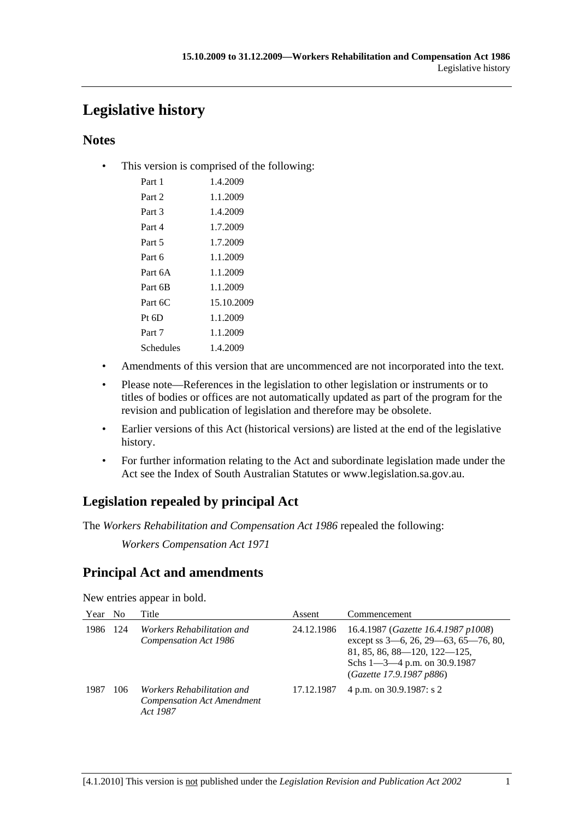# **Legislative history**

# **Notes**

• This version is comprised of the following:

| Part 1    | 1.4.2009   |
|-----------|------------|
| Part 2    | 1.1.2009   |
| Part 3    | 1.4.2009   |
| Part 4    | 1.7.2009   |
| Part 5    | 1.7.2009   |
| Part 6    | 1.1.2009   |
| Part 6A   | 1.1.2009   |
| Part 6B   | 1.1.2009   |
| Part 6C   | 15.10.2009 |
| $Pt\;6D$  | 1.1.2009   |
| Part 7    | 1.1.2009   |
| Schedules | 1.4.2009   |

- Amendments of this version that are uncommenced are not incorporated into the text.
- Please note—References in the legislation to other legislation or instruments or to titles of bodies or offices are not automatically updated as part of the program for the revision and publication of legislation and therefore may be obsolete.
- Earlier versions of this Act (historical versions) are listed at the end of the legislative history.
- For further information relating to the Act and subordinate legislation made under the Act see the Index of South Australian Statutes or www.legislation.sa.gov.au.

# **Legislation repealed by principal Act**

The *Workers Rehabilitation and Compensation Act 1986* repealed the following:

*Workers Compensation Act 1971*

# **Principal Act and amendments**

New entries appear in bold.

| Year No |     | Title                                                                              | Assent     | Commencement                                                                                                                                                                        |
|---------|-----|------------------------------------------------------------------------------------|------------|-------------------------------------------------------------------------------------------------------------------------------------------------------------------------------------|
| 1986    | 124 | <i>Workers Rehabilitation and</i><br>Compensation Act 1986                         | 24.12.1986 | 16.4.1987 (Gazette 16.4.1987 p1008)<br>except ss 3–6, 26, 29–63, 65–76, 80,<br>$81, 85, 86, 88 - 120, 122 - 125,$<br>Schs $1 - 3 - 4$ p.m. on 30.9.1987<br>(Gazette 17.9.1987 p886) |
| 1987    | 106 | <i>Workers Rehabilitation and</i><br><b>Compensation Act Amendment</b><br>Act 1987 | 17.12.1987 | 4 p.m. on 30.9.1987: s 2                                                                                                                                                            |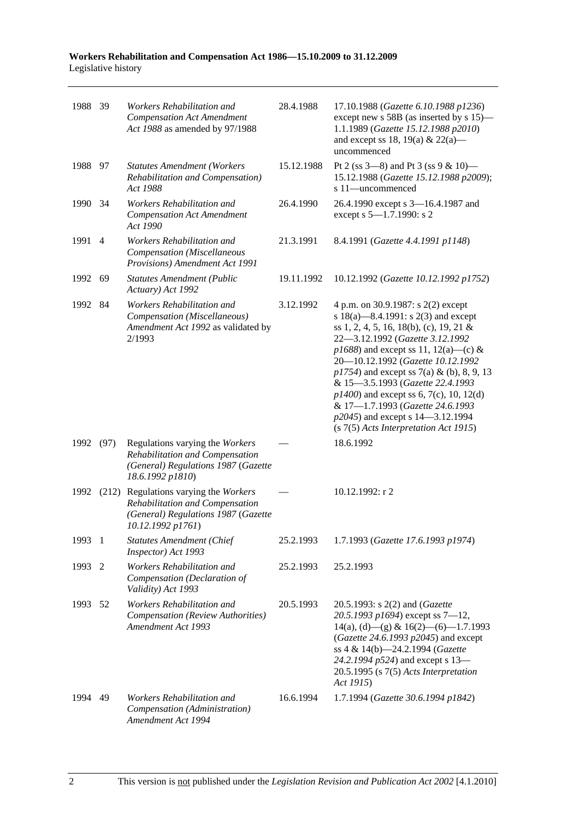| 1988 39 |                | Workers Rehabilitation and<br><b>Compensation Act Amendment</b><br>Act 1988 as amended by 97/1988                                    | 28.4.1988  | 17.10.1988 (Gazette 6.10.1988 p1236)<br>except new s 58B (as inserted by s 15)—<br>1.1.1989 (Gazette 15.12.1988 p2010)<br>and except ss 18, 19(a) & 22(a)—<br>uncommenced                                                                                                                                                                                                                                                                                                                       |
|---------|----------------|--------------------------------------------------------------------------------------------------------------------------------------|------------|-------------------------------------------------------------------------------------------------------------------------------------------------------------------------------------------------------------------------------------------------------------------------------------------------------------------------------------------------------------------------------------------------------------------------------------------------------------------------------------------------|
| 1988 97 |                | <b>Statutes Amendment (Workers</b><br>Rehabilitation and Compensation)<br>Act 1988                                                   | 15.12.1988 | Pt 2 (ss $3-8$ ) and Pt 3 (ss $9 & 10$ )<br>15.12.1988 (Gazette 15.12.1988 p2009);<br>s 11-uncommenced                                                                                                                                                                                                                                                                                                                                                                                          |
| 1990    | -34            | Workers Rehabilitation and<br><b>Compensation Act Amendment</b><br>Act 1990                                                          | 26.4.1990  | 26.4.1990 except s 3-16.4.1987 and<br>except s 5-1.7.1990: s 2                                                                                                                                                                                                                                                                                                                                                                                                                                  |
| 1991    | $\overline{4}$ | Workers Rehabilitation and<br>Compensation (Miscellaneous<br>Provisions) Amendment Act 1991                                          | 21.3.1991  | 8.4.1991 (Gazette 4.4.1991 p1148)                                                                                                                                                                                                                                                                                                                                                                                                                                                               |
| 1992    | 69             | <b>Statutes Amendment (Public</b><br>Actuary) Act 1992                                                                               | 19.11.1992 | 10.12.1992 (Gazette 10.12.1992 p1752)                                                                                                                                                                                                                                                                                                                                                                                                                                                           |
| 1992    | 84             | Workers Rehabilitation and<br>Compensation (Miscellaneous)<br>Amendment Act 1992 as validated by<br>2/1993                           | 3.12.1992  | 4 p.m. on 30.9.1987: s 2(2) except<br>s $18(a)$ —8.4.1991: s $2(3)$ and except<br>ss 1, 2, 4, 5, 16, 18(b), (c), 19, 21 &<br>22-3.12.1992 (Gazette 3.12.1992<br>$p1688$ ) and except ss 11, 12(a)—(c) &<br>20-10.12.1992 (Gazette 10.12.1992<br>$p1754$ ) and except ss 7(a) & (b), 8, 9, 13<br>& 15-3.5.1993 (Gazette 22.4.1993<br>$p1400$ ) and except ss 6, 7(c), 10, 12(d)<br>& 17-1.7.1993 (Gazette 24.6.1993<br>p2045) and except s 14–3.12.1994<br>(s 7(5) Acts Interpretation Act 1915) |
| 1992    | (97)           | Regulations varying the Workers<br>Rehabilitation and Compensation<br>(General) Regulations 1987 (Gazette<br>18.6.1992 p1810)        |            | 18.6.1992                                                                                                                                                                                                                                                                                                                                                                                                                                                                                       |
| 1992    |                | (212) Regulations varying the Workers<br>Rehabilitation and Compensation<br>(General) Regulations 1987 (Gazette<br>10.12.1992 p1761) |            | 10.12.1992: r 2                                                                                                                                                                                                                                                                                                                                                                                                                                                                                 |
| 1993 1  |                | <b>Statutes Amendment (Chief</b><br>Inspector) Act 1993                                                                              | 25.2.1993  | 1.7.1993 (Gazette 17.6.1993 p1974)                                                                                                                                                                                                                                                                                                                                                                                                                                                              |
| 1993    | -2             | Workers Rehabilitation and<br>Compensation (Declaration of<br>Validity) Act 1993                                                     | 25.2.1993  | 25.2.1993                                                                                                                                                                                                                                                                                                                                                                                                                                                                                       |
| 1993    | 52             | Workers Rehabilitation and<br>Compensation (Review Authorities)<br>Amendment Act 1993                                                | 20.5.1993  | 20.5.1993: s 2(2) and (Gazette<br>20.5.1993 p1694) except ss $7-12$ ,<br>$14(a)$ , (d) - (g) & $16(2)$ - (6) - 1.7.1993<br>(Gazette 24.6.1993 p2045) and except<br>ss 4 & 14(b)-24.2.1994 (Gazette<br>24.2.1994 p524) and except s 13-<br>$20.5.1995$ (s $7(5)$ Acts Interpretation<br>Act 1915)                                                                                                                                                                                                |
| 1994    | 49             | <i>Workers Rehabilitation and</i><br>Compensation (Administration)<br>Amendment Act 1994                                             | 16.6.1994  | 1.7.1994 (Gazette 30.6.1994 p1842)                                                                                                                                                                                                                                                                                                                                                                                                                                                              |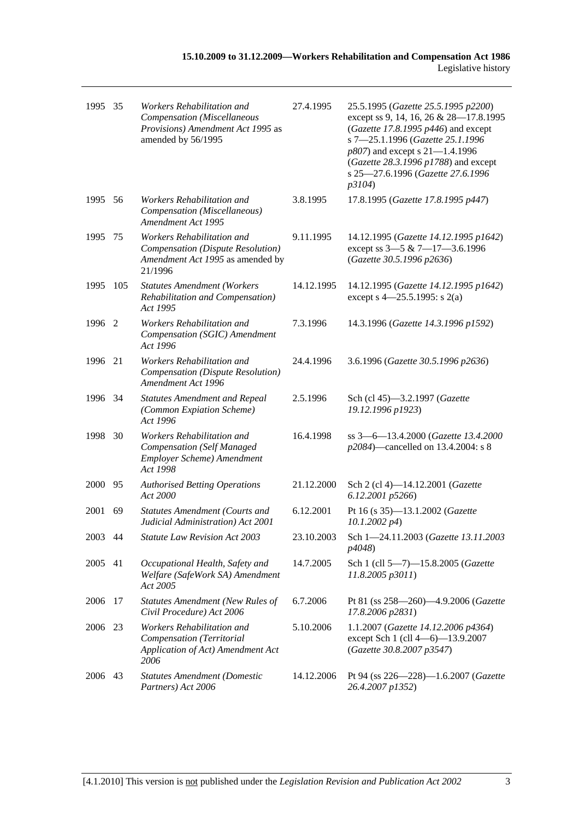| 1995 35 |      | Workers Rehabilitation and<br>Compensation (Miscellaneous<br>Provisions) Amendment Act 1995 as<br>amended by 56/1995 | 27.4.1995  | 25.5.1995 (Gazette 25.5.1995 p2200)<br>except ss 9, 14, 16, 26 & 28-17.8.1995<br>(Gazette 17.8.1995 p446) and except<br>s 7-25.1.1996 (Gazette 25.1.1996<br>p807) and except s 21-1.4.1996<br>(Gazette 28.3.1996 p1788) and except<br>s 25-27.6.1996 (Gazette 27.6.1996<br>p3104) |
|---------|------|----------------------------------------------------------------------------------------------------------------------|------------|-----------------------------------------------------------------------------------------------------------------------------------------------------------------------------------------------------------------------------------------------------------------------------------|
| 1995 56 |      | Workers Rehabilitation and<br>Compensation (Miscellaneous)<br>Amendment Act 1995                                     | 3.8.1995   | 17.8.1995 (Gazette 17.8.1995 p447)                                                                                                                                                                                                                                                |
| 1995    | 75   | Workers Rehabilitation and<br>Compensation (Dispute Resolution)<br>Amendment Act 1995 as amended by<br>21/1996       | 9.11.1995  | 14.12.1995 (Gazette 14.12.1995 p1642)<br>except ss 3-5 & 7-17-3.6.1996<br>(Gazette 30.5.1996 p2636)                                                                                                                                                                               |
| 1995    | 105  | <b>Statutes Amendment (Workers</b><br>Rehabilitation and Compensation)<br>Act 1995                                   | 14.12.1995 | 14.12.1995 (Gazette 14.12.1995 p1642)<br>except s 4–25.5.1995: s 2(a)                                                                                                                                                                                                             |
| 1996    | -2   | Workers Rehabilitation and<br>Compensation (SGIC) Amendment<br>Act 1996                                              | 7.3.1996   | 14.3.1996 (Gazette 14.3.1996 p1592)                                                                                                                                                                                                                                               |
| 1996    | 21   | Workers Rehabilitation and<br>Compensation (Dispute Resolution)<br>Amendment Act 1996                                | 24.4.1996  | 3.6.1996 (Gazette 30.5.1996 p2636)                                                                                                                                                                                                                                                |
| 1996 34 |      | <b>Statutes Amendment and Repeal</b><br>(Common Expiation Scheme)<br>Act 1996                                        | 2.5.1996   | Sch (cl 45)-3.2.1997 (Gazette<br>19.12.1996 p1923)                                                                                                                                                                                                                                |
| 1998    | - 30 | Workers Rehabilitation and<br><b>Compensation</b> (Self Managed<br>Employer Scheme) Amendment<br>Act 1998            | 16.4.1998  | ss 3-6-13.4.2000 (Gazette 13.4.2000<br>p2084)—cancelled on 13.4.2004: s 8                                                                                                                                                                                                         |
| 2000    | 95   | <b>Authorised Betting Operations</b><br>Act 2000                                                                     | 21.12.2000 | Sch 2 (cl 4)-14.12.2001 (Gazette<br>6.12.2001 p5266)                                                                                                                                                                                                                              |
| 2001    | 69   | <b>Statutes Amendment (Courts and</b><br>Judicial Administration) Act 2001                                           | 6.12.2001  | Pt 16 (s 35)-13.1.2002 (Gazette<br>$10.1.2002\ p4$                                                                                                                                                                                                                                |
| 2003 44 |      | <b>Statute Law Revision Act 2003</b>                                                                                 | 23.10.2003 | Sch 1-24.11.2003 (Gazette 13.11.2003<br>p4048)                                                                                                                                                                                                                                    |
| 2005    | 41   | Occupational Health, Safety and<br>Welfare (SafeWork SA) Amendment<br>Act 2005                                       | 14.7.2005  | Sch 1 (cll 5-7)-15.8.2005 (Gazette<br>11.8.2005 p3011)                                                                                                                                                                                                                            |
| 2006    | 17   | <b>Statutes Amendment (New Rules of</b><br>Civil Procedure) Act 2006                                                 | 6.7.2006   | Pt 81 (ss 258-260)-4.9.2006 (Gazette<br>17.8.2006 p2831)                                                                                                                                                                                                                          |
| 2006    | -23  | Workers Rehabilitation and<br>Compensation (Territorial<br>Application of Act) Amendment Act<br>2006                 | 5.10.2006  | 1.1.2007 (Gazette 14.12.2006 p4364)<br>except Sch 1 (cll 4-6)-13.9.2007<br>(Gazette 30.8.2007 p3547)                                                                                                                                                                              |
| 2006    | 43   | <b>Statutes Amendment (Domestic</b><br>Partners) Act 2006                                                            | 14.12.2006 | Pt 94 (ss 226-228)-1.6.2007 (Gazette<br>26.4.2007 p1352)                                                                                                                                                                                                                          |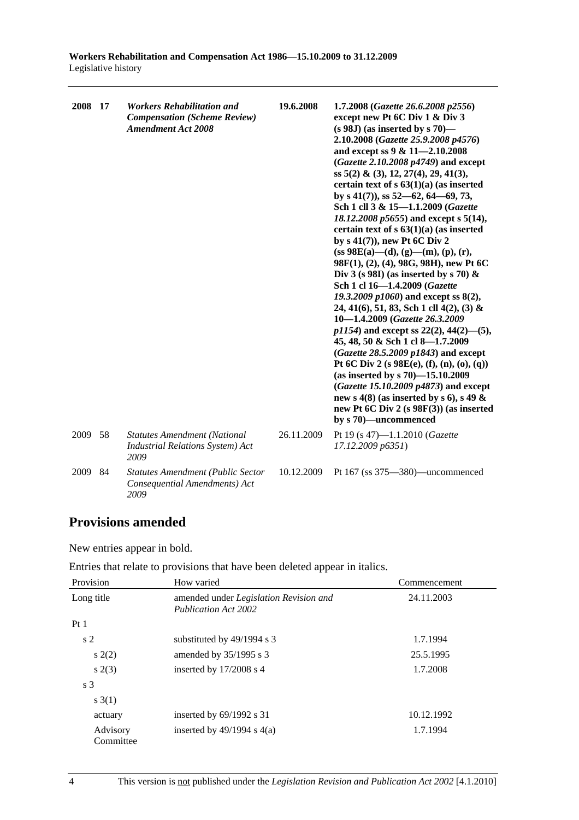| 2008 17 |    | <b>Workers Rehabilitation and</b><br><b>Compensation (Scheme Review)</b><br><b>Amendment Act 2008</b> | 19.6.2008  | 1.7.2008 (Gazette 26.6.2008 p2556)<br>except new Pt 6C Div 1 & Div 3<br>$(s 98J)$ (as inserted by s 70)—<br>2.10.2008 (Gazette 25.9.2008 p4576)<br>and except ss 9 & 11-2.10.2008<br>(Gazette 2.10.2008 p4749) and except<br>ss $5(2)$ & (3), 12, 27(4), 29, 41(3),<br>certain text of $s$ 63(1)(a) (as inserted<br>by s $41(7)$ , ss $52-62$ , $64-69$ , 73,<br>Sch 1 cll 3 & 15-1.1.2009 (Gazette<br>18.12.2008 p5655) and except s 5(14),<br>certain text of $s$ 63(1)(a) (as inserted<br>by $s(41(7))$ , new Pt 6C Div 2<br>$(ss 98E(a) - (d), (g) - (m), (p), (r),$<br>98F(1), (2), (4), 98G, 98H), new Pt 6C<br>Div 3 (s 98I) (as inserted by s 70) $\&$<br>Sch 1 cl 16-1.4.2009 (Gazette<br>19.3.2009 p1060) and except ss $8(2)$ ,<br>24, 41(6), 51, 83, Sch 1 cll 4(2), (3) &<br>10-1.4.2009 (Gazette 26.3.2009)<br>$p1154$ ) and except ss 22(2), 44(2)-(5),<br>45, 48, 50 & Sch 1 cl 8-1.7.2009<br>$(Gazette 28.5.2009 p1843)$ and except<br>Pt 6C Div 2 (s $98E(e)$ , (f), (n), (o), (q))<br>(as inserted by s $70$ )-15.10.2009<br>(Gazette 15.10.2009 p4873) and except<br>new s 4(8) (as inserted by s 6), s 49 $\&$<br>new Pt 6C Div 2 (s 98F(3)) (as inserted<br>by s 70)-uncommenced |
|---------|----|-------------------------------------------------------------------------------------------------------|------------|--------------------------------------------------------------------------------------------------------------------------------------------------------------------------------------------------------------------------------------------------------------------------------------------------------------------------------------------------------------------------------------------------------------------------------------------------------------------------------------------------------------------------------------------------------------------------------------------------------------------------------------------------------------------------------------------------------------------------------------------------------------------------------------------------------------------------------------------------------------------------------------------------------------------------------------------------------------------------------------------------------------------------------------------------------------------------------------------------------------------------------------------------------------------------------------------------------|
| 2009    | 58 | <b>Statutes Amendment (National</b><br><b>Industrial Relations System) Act</b><br>2009                | 26.11.2009 | Pt 19 (s 47)-1.1.2010 (Gazette<br>17.12.2009 p6351)                                                                                                                                                                                                                                                                                                                                                                                                                                                                                                                                                                                                                                                                                                                                                                                                                                                                                                                                                                                                                                                                                                                                                    |
| 2009    | 84 | <b>Statutes Amendment (Public Sector</b><br>Consequential Amendments) Act<br>2009                     | 10.12.2009 | Pt 167 (ss 375-380)-uncommenced                                                                                                                                                                                                                                                                                                                                                                                                                                                                                                                                                                                                                                                                                                                                                                                                                                                                                                                                                                                                                                                                                                                                                                        |

# **Provisions amended**

New entries appear in bold.

|  | Entries that relate to provisions that have been deleted appear in italics. |  |  |
|--|-----------------------------------------------------------------------------|--|--|
|--|-----------------------------------------------------------------------------|--|--|

| Provision             | How varied                                                                   | Commencement |
|-----------------------|------------------------------------------------------------------------------|--------------|
| Long title            | amended under <i>Legislation Revision and</i><br><b>Publication Act 2002</b> | 24.11.2003   |
| Pt1                   |                                                                              |              |
| s <sub>2</sub>        | substituted by $49/1994$ s 3                                                 | 1.7.1994     |
| s(2)                  | amended by 35/1995 s 3                                                       | 25.5.1995    |
| s(2(3))               | inserted by $17/2008$ s 4                                                    | 1.7.2008     |
| s <sub>3</sub>        |                                                                              |              |
| s(3(1))               |                                                                              |              |
| actuary               | inserted by $69/1992$ s 31                                                   | 10.12.1992   |
| Advisory<br>Committee | inserted by $49/1994$ s $4(a)$                                               | 1.7.1994     |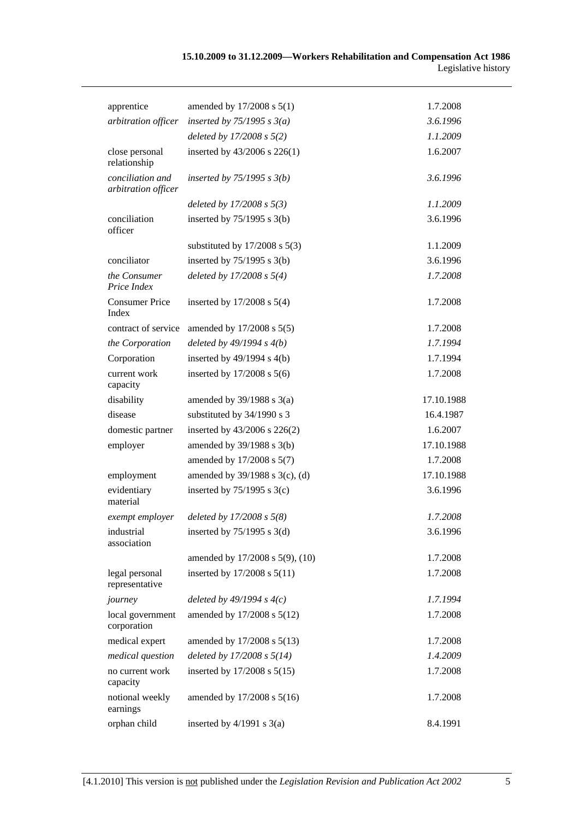| apprentice                              | amended by 17/2008 s 5(1)         | 1.7.2008   |
|-----------------------------------------|-----------------------------------|------------|
| arbitration officer                     | inserted by $75/1995$ s $3(a)$    | 3.6.1996   |
|                                         | deleted by $17/2008 s 5(2)$       | 1.1.2009   |
| close personal<br>relationship          | inserted by 43/2006 s 226(1)      | 1.6.2007   |
| conciliation and<br>arbitration officer | inserted by $75/1995 s 3(b)$      | 3.6.1996   |
|                                         | deleted by $17/2008 s 5(3)$       | 1.1.2009   |
| conciliation<br>officer                 | inserted by $75/1995$ s $3(b)$    | 3.6.1996   |
|                                         | substituted by $17/2008$ s $5(3)$ | 1.1.2009   |
| conciliator                             | inserted by $75/1995$ s 3(b)      | 3.6.1996   |
| the Consumer<br>Price Index             | deleted by $17/2008 s 5(4)$       | 1.7.2008   |
| <b>Consumer Price</b><br>Index          | inserted by $17/2008$ s $5(4)$    | 1.7.2008   |
| contract of service                     | amended by 17/2008 s 5(5)         | 1.7.2008   |
| the Corporation                         | deleted by $49/1994 s 4(b)$       | 1.7.1994   |
| Corporation                             | inserted by $49/1994$ s $4(b)$    | 1.7.1994   |
| current work<br>capacity                | inserted by $17/2008$ s $5(6)$    | 1.7.2008   |
| disability                              | amended by $39/1988$ s $3(a)$     | 17.10.1988 |
| disease                                 | substituted by 34/1990 s 3        | 16.4.1987  |
| domestic partner                        | inserted by 43/2006 s 226(2)      | 1.6.2007   |
| employer                                | amended by 39/1988 s 3(b)         | 17.10.1988 |
|                                         | amended by 17/2008 s 5(7)         | 1.7.2008   |
| employment                              | amended by 39/1988 s 3(c), (d)    | 17.10.1988 |
| evidentiary<br>material                 | inserted by $75/1995$ s 3(c)      | 3.6.1996   |
| exempt employer                         | deleted by $17/2008 s 5(8)$       | 1.7.2008   |
| industrial<br>association               | inserted by $75/1995$ s 3(d)      | 3.6.1996   |
|                                         | amended by 17/2008 s 5(9), (10)   | 1.7.2008   |
| legal personal<br>representative        | inserted by 17/2008 s 5(11)       | 1.7.2008   |
| journey                                 | deleted by $49/1994 s 4(c)$       | 1.7.1994   |
| local government<br>corporation         | amended by 17/2008 s 5(12)        | 1.7.2008   |
| medical expert                          | amended by 17/2008 s 5(13)        | 1.7.2008   |
| medical question                        | deleted by 17/2008 s 5(14)        | 1.4.2009   |
| no current work<br>capacity             | inserted by 17/2008 s 5(15)       | 1.7.2008   |
| notional weekly<br>earnings             | amended by 17/2008 s 5(16)        | 1.7.2008   |
| orphan child                            | inserted by $4/1991$ s $3(a)$     | 8.4.1991   |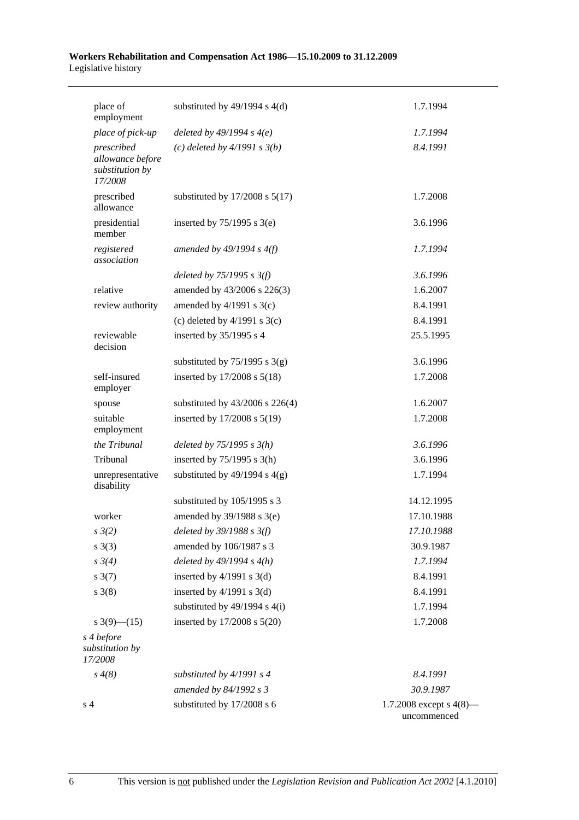| place of<br>employment                                       | substituted by $49/1994$ s $4(d)$   | 1.7.1994                                  |
|--------------------------------------------------------------|-------------------------------------|-------------------------------------------|
| place of pick-up                                             | deleted by $49/1994 s 4(e)$         | 1.7.1994                                  |
| prescribed<br>allowance before<br>substitution by<br>17/2008 | (c) deleted by $4/1991 s 3(b)$      | 8.4.1991                                  |
| prescribed<br>allowance                                      | substituted by $17/2008$ s $5(17)$  | 1.7.2008                                  |
| presidential<br>member                                       | inserted by $75/1995$ s 3(e)        | 3.6.1996                                  |
| registered<br>association                                    | amended by $49/1994 s 4(f)$         | 1.7.1994                                  |
|                                                              | deleted by $75/1995$ s $3(f)$       | 3.6.1996                                  |
| relative                                                     | amended by 43/2006 s 226(3)         | 1.6.2007                                  |
| review authority                                             | amended by $4/1991$ s 3(c)          | 8.4.1991                                  |
|                                                              | (c) deleted by $4/1991$ s 3(c)      | 8.4.1991                                  |
| reviewable<br>decision                                       | inserted by 35/1995 s 4             | 25.5.1995                                 |
|                                                              | substituted by $75/1995$ s 3(g)     | 3.6.1996                                  |
| self-insured<br>employer                                     | inserted by 17/2008 s 5(18)         | 1.7.2008                                  |
| spouse                                                       | substituted by $43/2006$ s $226(4)$ | 1.6.2007                                  |
| suitable<br>employment                                       | inserted by 17/2008 s 5(19)         | 1.7.2008                                  |
| the Tribunal                                                 | deleted by $75/1995 s 3(h)$         | 3.6.1996                                  |
| Tribunal                                                     | inserted by $75/1995$ s 3(h)        | 3.6.1996                                  |
| unrepresentative<br>disability                               | substituted by $49/1994$ s $4(g)$   | 1.7.1994                                  |
|                                                              | substituted by 105/1995 s 3         | 14.12.1995                                |
| worker                                                       | amended by $39/1988$ s $3(e)$       | 17.10.1988                                |
| $s \frac{3}{2}$                                              | deleted by $39/1988$ s $3(f)$       | 17.10.1988                                |
| $s \; 3(3)$                                                  | amended by 106/1987 s 3             | 30.9.1987                                 |
| $s \frac{3}{4}$                                              | deleted by $49/1994 s 4(h)$         | 1.7.1994                                  |
| $s \frac{3(7)}{2}$                                           | inserted by $4/1991$ s $3(d)$       | 8.4.1991                                  |
| $s \; 3(8)$                                                  | inserted by $4/1991$ s $3(d)$       | 8.4.1991                                  |
|                                                              | substituted by $49/1994$ s $4(i)$   | 1.7.1994                                  |
| s $3(9)$ — $(15)$                                            | inserted by 17/2008 s 5(20)         | 1.7.2008                                  |
| s 4 before<br>substitution by<br>17/2008                     |                                     |                                           |
| $s \, 4(8)$                                                  | substituted by $4/1991 s 4$         | 8.4.1991                                  |
|                                                              | amended by 84/1992 s 3              | 30.9.1987                                 |
| s <sub>4</sub>                                               | substituted by 17/2008 s 6          | 1.7.2008 except s $4(8)$ —<br>uncommenced |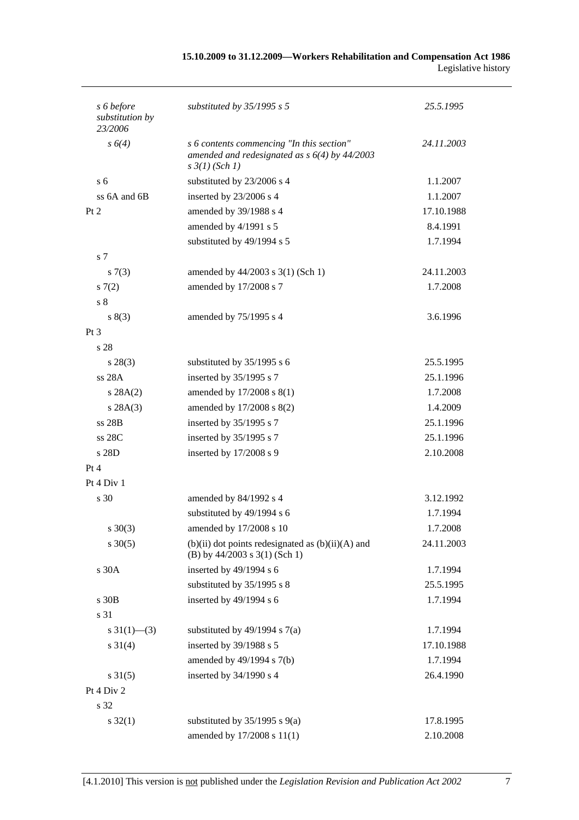| 15.10.2009 to 31.12.2009—Workers Rehabilitation and Compensation Act 1986 |  |
|---------------------------------------------------------------------------|--|
| Legislative history                                                       |  |

| s 6 before<br>substitution by | substituted by $35/1995$ s 5                                                                                            | 25.5.1995  |
|-------------------------------|-------------------------------------------------------------------------------------------------------------------------|------------|
| 23/2006                       |                                                                                                                         |            |
| s 6(4)                        | s 6 contents commencing "In this section"<br>amended and redesignated as $s$ 6(4) by 44/2003<br>$s \frac{3}{1} (Sch 1)$ | 24.11.2003 |
| s <sub>6</sub>                | substituted by 23/2006 s 4                                                                                              | 1.1.2007   |
| ss $6A$ and $6B$              | inserted by 23/2006 s 4                                                                                                 | 1.1.2007   |
| Pt 2                          | amended by 39/1988 s 4                                                                                                  | 17.10.1988 |
|                               | amended by 4/1991 s 5                                                                                                   | 8.4.1991   |
|                               | substituted by 49/1994 s 5                                                                                              | 1.7.1994   |
| s <sub>7</sub>                |                                                                                                                         |            |
| s(7(3))                       | amended by $44/2003$ s 3(1) (Sch 1)                                                                                     | 24.11.2003 |
| 57(2)                         | amended by 17/2008 s 7                                                                                                  | 1.7.2008   |
| s <sub>8</sub>                |                                                                                                                         |            |
| s(3)                          | amended by 75/1995 s 4                                                                                                  | 3.6.1996   |
| $Pt\,3$                       |                                                                                                                         |            |
| s 28                          |                                                                                                                         |            |
| $s\,28(3)$                    | substituted by 35/1995 s 6                                                                                              | 25.5.1995  |
| ss 28A                        | inserted by 35/1995 s 7                                                                                                 | 25.1.1996  |
| s 28A(2)                      | amended by 17/2008 s 8(1)                                                                                               | 1.7.2008   |
| s 28A(3)                      | amended by 17/2008 s 8(2)                                                                                               | 1.4.2009   |
| ss 28B                        | inserted by 35/1995 s 7                                                                                                 | 25.1.1996  |
| ss 28C                        | inserted by 35/1995 s 7                                                                                                 | 25.1.1996  |
| s 28D                         | inserted by 17/2008 s 9                                                                                                 | 2.10.2008  |
| Pt 4                          |                                                                                                                         |            |
| Pt 4 Div 1                    |                                                                                                                         |            |
| s 30                          | amended by 84/1992 s 4                                                                                                  | 3.12.1992  |
|                               | substituted by 49/1994 s 6                                                                                              | 1.7.1994   |
| $s \ 30(3)$                   | amended by $17/2008$ s 10                                                                                               | 1.7.2008   |
| $s \ 30(5)$                   | $(b)(ii)$ dot points redesignated as $(b)(ii)(A)$ and<br>(B) by $44/2003$ s $3(1)$ (Sch 1)                              | 24.11.2003 |
| s 30A                         | inserted by 49/1994 s 6                                                                                                 | 1.7.1994   |
|                               | substituted by 35/1995 s 8                                                                                              | 25.5.1995  |
| s 30B                         | inserted by 49/1994 s 6                                                                                                 | 1.7.1994   |
| s 31                          |                                                                                                                         |            |
| $s \frac{31(1)}{6}$ (3)       | substituted by $49/1994$ s $7(a)$                                                                                       | 1.7.1994   |
| $s \ 31(4)$                   | inserted by 39/1988 s 5                                                                                                 | 17.10.1988 |
|                               | amended by 49/1994 s 7(b)                                                                                               | 1.7.1994   |
| $s \, 31(5)$                  | inserted by 34/1990 s 4                                                                                                 | 26.4.1990  |
| Pt 4 Div 2                    |                                                                                                                         |            |
| s 32                          |                                                                                                                         |            |
| $s \, 32(1)$                  | substituted by $35/1995$ s $9(a)$                                                                                       | 17.8.1995  |
|                               | amended by 17/2008 s 11(1)                                                                                              | 2.10.2008  |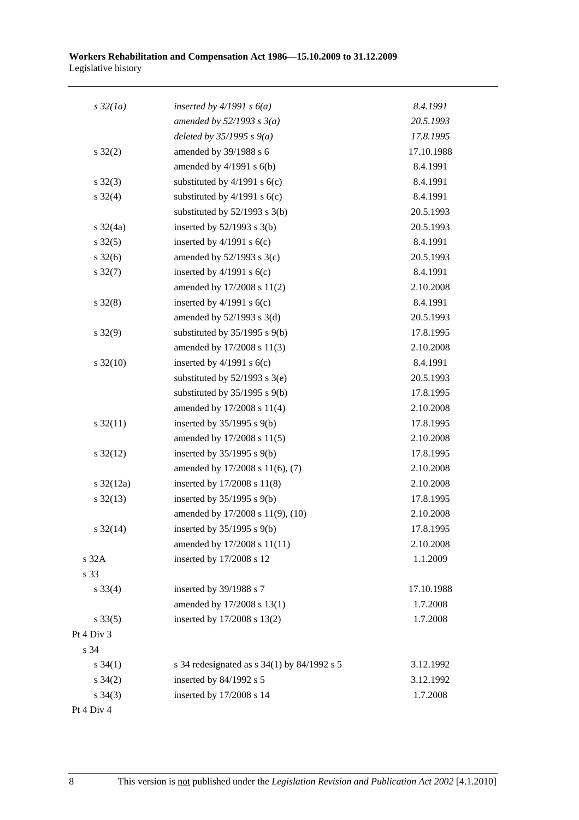| $s\,32(1a)$           | inserted by $4/1991 s 6(a)$                     | 8.4.1991   |
|-----------------------|-------------------------------------------------|------------|
|                       | amended by $52/1993$ s $3(a)$                   | 20.5.1993  |
|                       | deleted by $35/1995 s 9(a)$                     | 17.8.1995  |
| $s \, 32(2)$          | amended by 39/1988 s 6                          | 17.10.1988 |
|                       | amended by $4/1991$ s $6(b)$                    | 8.4.1991   |
| $s \, 32(3)$          | substituted by $4/1991$ s $6(c)$                | 8.4.1991   |
| $s \, 32(4)$          | substituted by $4/1991$ s $6(c)$                | 8.4.1991   |
|                       | substituted by $52/1993$ s $3(b)$               | 20.5.1993  |
| $s \frac{32}{4a}$     | inserted by $52/1993$ s $3(b)$                  | 20.5.1993  |
| $s \, 32(5)$          | inserted by $4/1991$ s $6(c)$                   | 8.4.1991   |
| $s \frac{32(6)}{2}$   | amended by $52/1993$ s $3(c)$                   | 20.5.1993  |
| $s \, 32(7)$          | inserted by $4/1991$ s $6(c)$                   | 8.4.1991   |
|                       | amended by 17/2008 s 11(2)                      | 2.10.2008  |
| $s \, 32(8)$          | inserted by $4/1991$ s $6(c)$                   | 8.4.1991   |
|                       | amended by $52/1993$ s $3(d)$                   | 20.5.1993  |
| $s \, 32(9)$          | substituted by $35/1995$ s $9(b)$               | 17.8.1995  |
|                       | amended by 17/2008 s 11(3)                      | 2.10.2008  |
| $s \frac{32(10)}{2}$  | inserted by $4/1991$ s $6(c)$                   | 8.4.1991   |
|                       | substituted by $52/1993$ s $3(e)$               | 20.5.1993  |
|                       | substituted by $35/1995$ s $9(b)$               | 17.8.1995  |
|                       | amended by 17/2008 s 11(4)                      | 2.10.2008  |
| $s \frac{32(11)}{2}$  | inserted by $35/1995$ s $9(b)$                  | 17.8.1995  |
|                       | amended by 17/2008 s 11(5)                      | 2.10.2008  |
| $s \frac{32(12)}{2}$  | inserted by $35/1995$ s $9(b)$                  | 17.8.1995  |
|                       | amended by 17/2008 s 11(6), (7)                 | 2.10.2008  |
| $s \frac{32(12a)}{2}$ | inserted by 17/2008 s 11(8)                     | 2.10.2008  |
| $s \frac{32(13)}{2}$  | inserted by $35/1995$ s $9(b)$                  | 17.8.1995  |
|                       | amended by 17/2008 s 11(9), (10)                | 2.10.2008  |
| $s \frac{32(14)}{2}$  | inserted by $35/1995$ s $9(b)$                  | 17.8.1995  |
|                       | amended by 17/2008 s 11(11)                     | 2.10.2008  |
| s 32A                 | inserted by 17/2008 s 12                        | 1.1.2009   |
| s 33                  |                                                 |            |
| $s \frac{33(4)}{4}$   | inserted by 39/1988 s 7                         | 17.10.1988 |
|                       | amended by 17/2008 s 13(1)                      | 1.7.2008   |
| $s \, 33(5)$          | inserted by 17/2008 s 13(2)                     | 1.7.2008   |
| Pt 4 Div 3            |                                                 |            |
| s 34                  |                                                 |            |
| $s \; 34(1)$          | s 34 redesignated as s $34(1)$ by $84/1992$ s 5 | 3.12.1992  |
| $s \; 34(2)$          | inserted by 84/1992 s 5                         | 3.12.1992  |
| $s \; 34(3)$          | inserted by 17/2008 s 14                        | 1.7.2008   |
| Pt 4 Div 4            |                                                 |            |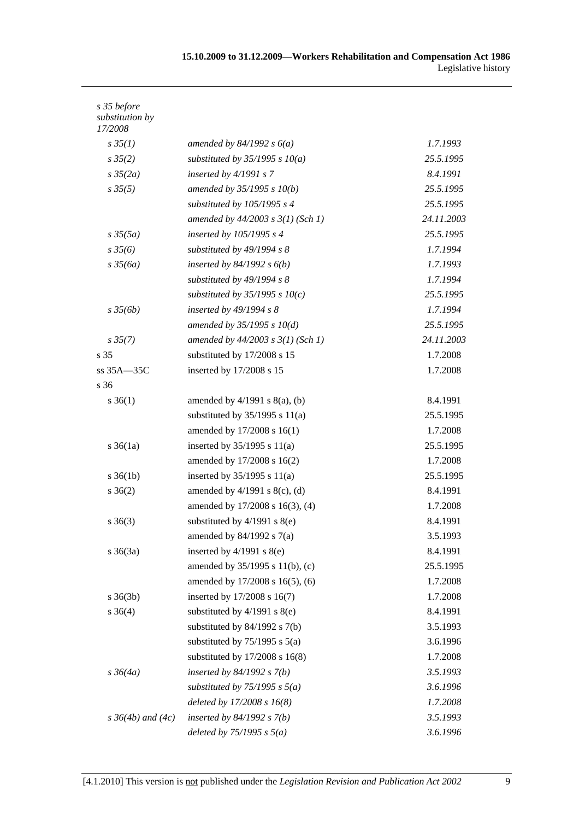| s 35 before<br>substitution by<br>17/2008 |                                       |            |
|-------------------------------------------|---------------------------------------|------------|
| $s \, 35(1)$                              | amended by $84/1992 s 6(a)$           | 1.7.1993   |
| $s \, 35(2)$                              | substituted by $35/1995 s 10(a)$      | 25.5.1995  |
| $s \frac{35}{2a}$                         | inserted by $4/1991 s 7$              | 8.4.1991   |
| $s \, 35(5)$                              | amended by $35/1995 s 10(b)$          | 25.5.1995  |
|                                           | substituted by $105/1995 s 4$         | 25.5.1995  |
|                                           | amended by $44/2003$ s $3(1)$ (Sch 1) | 24.11.2003 |
| $s \frac{35(5a)}{2}$                      | inserted by 105/1995 s 4              | 25.5.1995  |
| $s\,35(6)$                                | substituted by 49/1994 s 8            | 1.7.1994   |
| $s \frac{35}{6a}$                         | inserted by $84/1992 s 6(b)$          | 1.7.1993   |
|                                           | substituted by 49/1994 s 8            | 1.7.1994   |
|                                           | substituted by $35/1995$ s $10(c)$    | 25.5.1995  |
| $s \frac{35}{6b}$                         | inserted by $49/1994 s 8$             | 1.7.1994   |
|                                           | amended by $35/1995 s 10(d)$          | 25.5.1995  |
| $s \, 35(7)$                              | amended by $44/2003$ s $3(1)$ (Sch 1) | 24.11.2003 |
| s 35                                      | substituted by 17/2008 s 15           | 1.7.2008   |
| ss 35A-35C                                | inserted by 17/2008 s 15              | 1.7.2008   |
| s 36                                      |                                       |            |
| $s \; 36(1)$                              | amended by $4/1991$ s $8(a)$ , (b)    | 8.4.1991   |
|                                           | substituted by $35/1995$ s $11(a)$    | 25.5.1995  |
|                                           | amended by 17/2008 s 16(1)            | 1.7.2008   |
| $s \, 36(1a)$                             | inserted by $35/1995$ s $11(a)$       | 25.5.1995  |
|                                           | amended by 17/2008 s 16(2)            | 1.7.2008   |
| $s \, 36(1b)$                             | inserted by $35/1995$ s $11(a)$       | 25.5.1995  |
| $s \; 36(2)$                              | amended by $4/1991$ s $8(c)$ , (d)    | 8.4.1991   |
|                                           | amended by 17/2008 s 16(3), (4)       | 1.7.2008   |
| $s \; 36(3)$                              | substituted by $4/1991$ s $8(e)$      | 8.4.1991   |
|                                           | amended by $84/1992$ s $7(a)$         | 3.5.1993   |
| $s \; 36(3a)$                             | inserted by $4/1991$ s $8(e)$         | 8.4.1991   |
|                                           | amended by 35/1995 s 11(b), (c)       | 25.5.1995  |
|                                           | amended by 17/2008 s 16(5), (6)       | 1.7.2008   |
| $s \; 36(3b)$                             | inserted by 17/2008 s 16(7)           | 1.7.2008   |
| $s \; 36(4)$                              | substituted by $4/1991$ s $8(e)$      | 8.4.1991   |
|                                           | substituted by $84/1992$ s $7(b)$     | 3.5.1993   |
|                                           | substituted by $75/1995$ s $5(a)$     | 3.6.1996   |
|                                           | substituted by $17/2008$ s $16(8)$    | 1.7.2008   |
| $s \frac{36}{4a}$                         | inserted by $84/1992 s 7(b)$          | 3.5.1993   |
|                                           | substituted by $75/1995$ s $5(a)$     | 3.6.1996   |
|                                           | deleted by 17/2008 s 16(8)            | 1.7.2008   |
| $s \, 36(4b)$ and $(4c)$                  | inserted by $84/1992 s 7(b)$          | 3.5.1993   |
|                                           | deleted by $75/1995$ s $5(a)$         | 3.6.1996   |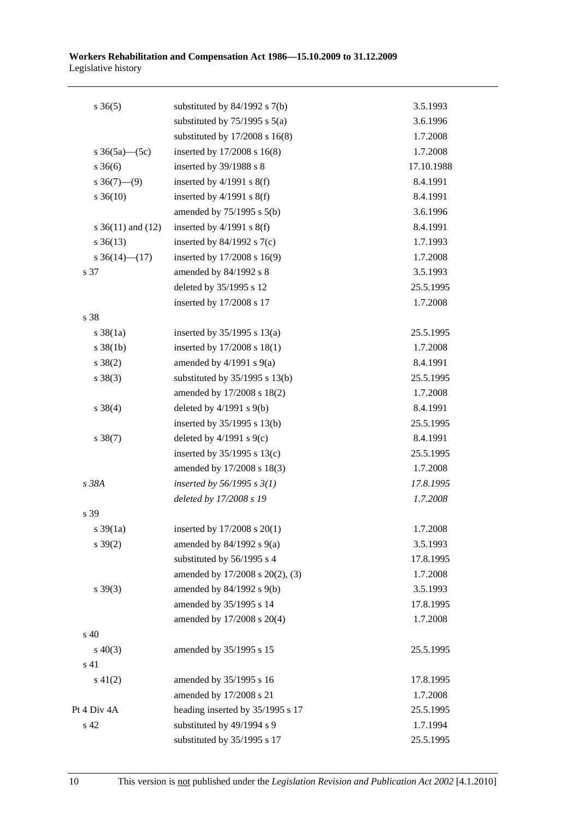| $s \; 36(5)$          | substituted by $84/1992$ s $7(b)$  | 3.5.1993   |
|-----------------------|------------------------------------|------------|
|                       | substituted by $75/1995$ s $5(a)$  | 3.6.1996   |
|                       | substituted by $17/2008$ s $16(8)$ | 1.7.2008   |
| s $36(5a)$ (5c)       | inserted by 17/2008 s 16(8)        | 1.7.2008   |
| $s \; 36(6)$          | inserted by 39/1988 s 8            | 17.10.1988 |
| $s \; 36(7)$ —(9)     | inserted by $4/1991$ s $8(f)$      | 8.4.1991   |
| $s \, 36(10)$         | inserted by $4/1991$ s $8(f)$      | 8.4.1991   |
|                       | amended by $75/1995$ s $5(b)$      | 3.6.1996   |
| s $36(11)$ and $(12)$ | inserted by $4/1991$ s $8(f)$      | 8.4.1991   |
| $s \; 36(13)$         | inserted by $84/1992$ s $7(c)$     | 1.7.1993   |
| s $36(14)$ (17)       | inserted by 17/2008 s 16(9)        | 1.7.2008   |
| s 37                  | amended by 84/1992 s 8             | 3.5.1993   |
|                       | deleted by 35/1995 s 12            | 25.5.1995  |
|                       | inserted by 17/2008 s 17           | 1.7.2008   |
| s 38                  |                                    |            |
| $s \, 38(1a)$         | inserted by $35/1995$ s $13(a)$    | 25.5.1995  |
| $s \, 38(1b)$         | inserted by 17/2008 s 18(1)        | 1.7.2008   |
| $s \ 38(2)$           | amended by $4/1991$ s $9(a)$       | 8.4.1991   |
| $s \ 38(3)$           | substituted by $35/1995$ s $13(b)$ | 25.5.1995  |
|                       | amended by 17/2008 s 18(2)         | 1.7.2008   |
| $s \ 38(4)$           | deleted by $4/1991$ s $9(b)$       | 8.4.1991   |
|                       | inserted by 35/1995 s 13(b)        | 25.5.1995  |
| $s \ 38(7)$           | deleted by $4/1991$ s $9(c)$       | 8.4.1991   |
|                       | inserted by $35/1995$ s $13(c)$    | 25.5.1995  |
|                       | amended by 17/2008 s 18(3)         | 1.7.2008   |
| s 38A                 | inserted by $56/1995$ s $3(1)$     | 17.8.1995  |
|                       | deleted by 17/2008 s 19            | 1.7.2008   |
| s 39                  |                                    |            |
| $s \frac{39}{1a}$     | inserted by $17/2008$ s $20(1)$    | 1.7.2008   |
| $s \, 39(2)$          | amended by $84/1992$ s $9(a)$      | 3.5.1993   |
|                       | substituted by 56/1995 s 4         | 17.8.1995  |
|                       | amended by 17/2008 s 20(2), (3)    | 1.7.2008   |
| $s \, 39(3)$          | amended by 84/1992 s 9(b)          | 3.5.1993   |
|                       | amended by 35/1995 s 14            | 17.8.1995  |
|                       | amended by 17/2008 s 20(4)         | 1.7.2008   |
| s 40                  |                                    |            |
| $s\ 40(3)$            | amended by 35/1995 s 15            | 25.5.1995  |
| s 41                  |                                    |            |
| $s\ 41(2)$            | amended by 35/1995 s 16            | 17.8.1995  |
|                       | amended by 17/2008 s 21            | 1.7.2008   |
| Pt 4 Div 4A           | heading inserted by 35/1995 s 17   | 25.5.1995  |
| s 42                  | substituted by 49/1994 s 9         | 1.7.1994   |
|                       | substituted by 35/1995 s 17        | 25.5.1995  |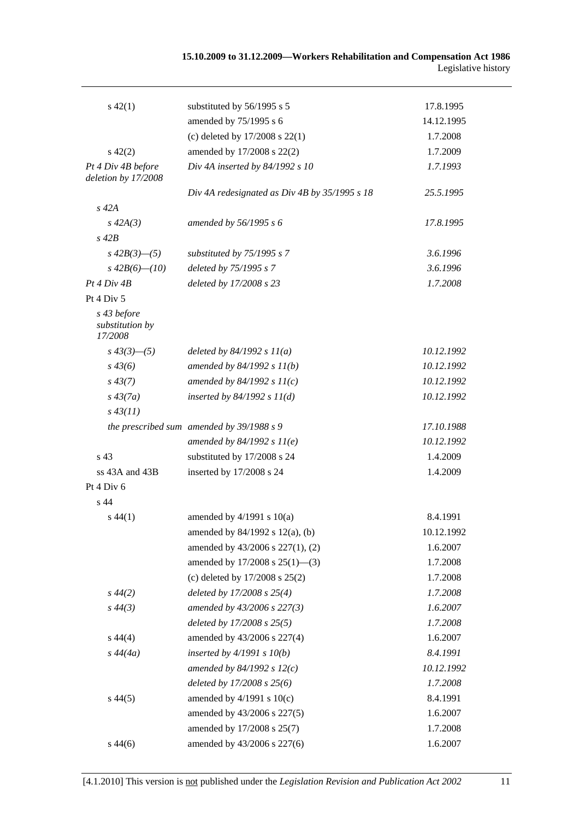| $s\ 42(1)$                                | substituted by 56/1995 s 5                    | 17.8.1995  |
|-------------------------------------------|-----------------------------------------------|------------|
|                                           | amended by 75/1995 s 6                        | 14.12.1995 |
|                                           | (c) deleted by $17/2008$ s $22(1)$            | 1.7.2008   |
| $s\ 42(2)$                                | amended by 17/2008 s 22(2)                    | 1.7.2009   |
| Pt 4 Div 4B before                        | Div 4A inserted by $84/1992 s 10$             | 1.7.1993   |
| deletion by 17/2008                       |                                               |            |
|                                           | Div 4A redesignated as Div 4B by 35/1995 s 18 | 25.5.1995  |
| $s$ 42 $A$                                |                                               |            |
| $s\,42A(3)$                               | amended by 56/1995 s 6                        | 17.8.1995  |
| $s$ 42 $B$                                |                                               |            |
| $s\,42B(3)$ —(5)                          | substituted by 75/1995 s 7                    | 3.6.1996   |
| $s\,42B(6)$ — $(10)$                      | deleted by 75/1995 s 7                        | 3.6.1996   |
| Pt 4 Div 4B                               | deleted by 17/2008 s 23                       | 1.7.2008   |
| Pt 4 Div 5                                |                                               |            |
| s 43 before<br>substitution by<br>17/2008 |                                               |            |
| $s\,43(3)$ - (5)                          | deleted by $84/1992 s 11(a)$                  | 10.12.1992 |
| $s\,43(6)$                                | amended by $84/1992 s 11(b)$                  | 10.12.1992 |
| $s\,43(7)$                                | amended by $84/1992 s 11(c)$                  | 10.12.1992 |
| $s\,43(7a)$                               | inserted by $84/1992 s 11(d)$                 | 10.12.1992 |
| $s\,43(11)$                               |                                               |            |
|                                           | the prescribed sum amended by 39/1988 s 9     | 17.10.1988 |
|                                           | amended by $84/1992 s 11(e)$                  | 10.12.1992 |
| s <sub>43</sub>                           | substituted by 17/2008 s 24                   | 1.4.2009   |
| $ss$ 43A and 43B                          | inserted by 17/2008 s 24                      | 1.4.2009   |
| Pt 4 Div 6                                |                                               |            |
| s 44                                      |                                               |            |
| $s\,44(1)$                                | amended by $4/1991$ s $10(a)$                 | 8.4.1991   |
|                                           | amended by $84/1992$ s $12(a)$ , (b)          | 10.12.1992 |
|                                           | amended by 43/2006 s 227(1), (2)              | 1.6.2007   |
|                                           | amended by $17/2008$ s $25(1)$ —(3)           | 1.7.2008   |
|                                           | (c) deleted by $17/2008$ s $25(2)$            | 1.7.2008   |
| $s\,44(2)$                                | deleted by $17/2008$ s $25(4)$                | 1.7.2008   |
| $s\,44(3)$                                | amended by 43/2006 s 227(3)                   | 1.6.2007   |
|                                           | deleted by $17/2008$ s $25(5)$                | 1.7.2008   |
| $s\,44(4)$                                | amended by 43/2006 s 227(4)                   | 1.6.2007   |
| $s\,44(4a)$                               | inserted by $4/1991 s 10(b)$                  | 8.4.1991   |
|                                           | amended by $84/1992 s 12(c)$                  | 10.12.1992 |
|                                           | deleted by 17/2008 s 25(6)                    | 1.7.2008   |
| $s\,44(5)$                                | amended by $4/1991$ s $10(c)$                 | 8.4.1991   |
|                                           | amended by 43/2006 s 227(5)                   | 1.6.2007   |
|                                           | amended by 17/2008 s 25(7)                    | 1.7.2008   |
| $s\,44(6)$                                | amended by 43/2006 s 227(6)                   | 1.6.2007   |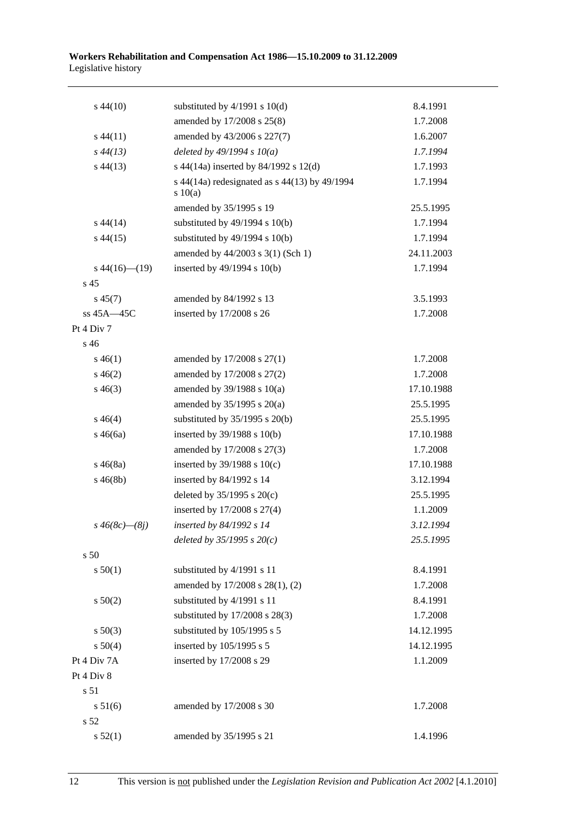| $s\,44(10)$          | substituted by $4/1991$ s $10(d)$                      | 8.4.1991   |
|----------------------|--------------------------------------------------------|------------|
|                      | amended by 17/2008 s 25(8)                             | 1.7.2008   |
| $s\,44(11)$          | amended by 43/2006 s 227(7)                            | 1.6.2007   |
| $s\,44(13)$          | deleted by $49/1994 s 10(a)$                           | 1.7.1994   |
| $s\,44(13)$          | s 44(14a) inserted by 84/1992 s 12(d)                  | 1.7.1993   |
|                      | s 44(14a) redesignated as s 44(13) by 49/1994<br>10(a) | 1.7.1994   |
|                      | amended by 35/1995 s 19                                | 25.5.1995  |
| $s\,44(14)$          | substituted by $49/1994$ s $10(b)$                     | 1.7.1994   |
| $s\,44(15)$          | substituted by $49/1994$ s $10(b)$                     | 1.7.1994   |
|                      | amended by 44/2003 s 3(1) (Sch 1)                      | 24.11.2003 |
| $s\,44(16)$ (19)     | inserted by 49/1994 s 10(b)                            | 1.7.1994   |
| s <sub>45</sub>      |                                                        |            |
| $s\,45(7)$           | amended by 84/1992 s 13                                | 3.5.1993   |
| ss 45A-45C           | inserted by 17/2008 s 26                               | 1.7.2008   |
| Pt 4 Div 7           |                                                        |            |
| s <sub>46</sub>      |                                                        |            |
| $s\,46(1)$           | amended by 17/2008 s 27(1)                             | 1.7.2008   |
| $s\,46(2)$           | amended by 17/2008 s 27(2)                             | 1.7.2008   |
| $s\,46(3)$           | amended by 39/1988 s 10(a)                             | 17.10.1988 |
|                      | amended by $35/1995$ s $20(a)$                         | 25.5.1995  |
| $s\,46(4)$           | substituted by $35/1995$ s $20(b)$                     | 25.5.1995  |
| $s\,46(6a)$          | inserted by 39/1988 s 10(b)                            | 17.10.1988 |
|                      | amended by 17/2008 s 27(3)                             | 1.7.2008   |
| $s\,46(8a)$          | inserted by $39/1988$ s $10(c)$                        | 17.10.1988 |
| $s\,46(8b)$          | inserted by 84/1992 s 14                               | 3.12.1994  |
|                      | deleted by $35/1995$ s $20(c)$                         | 25.5.1995  |
|                      | inserted by 17/2008 s 27(4)                            | 1.1.2009   |
| $s\,46(8c)$ — $(8j)$ | inserted by 84/1992 s 14                               | 3.12.1994  |
|                      | deleted by $35/1995 s 20(c)$                           | 25.5.1995  |
| s 50                 |                                                        |            |
| s 50(1)              | substituted by 4/1991 s 11                             | 8.4.1991   |
|                      | amended by 17/2008 s 28(1), (2)                        | 1.7.2008   |
| $s\ 50(2)$           | substituted by 4/1991 s 11                             | 8.4.1991   |
|                      | substituted by 17/2008 s 28(3)                         | 1.7.2008   |
| $s\ 50(3)$           | substituted by 105/1995 s 5                            | 14.12.1995 |
| s 50(4)              | inserted by 105/1995 s 5                               | 14.12.1995 |
| Pt 4 Div 7A          | inserted by 17/2008 s 29                               | 1.1.2009   |
| Pt 4 Div 8           |                                                        |            |
| s 51                 |                                                        |            |
| s 51(6)              | amended by 17/2008 s 30                                | 1.7.2008   |
| s 52                 |                                                        |            |
| s 52(1)              | amended by 35/1995 s 21                                | 1.4.1996   |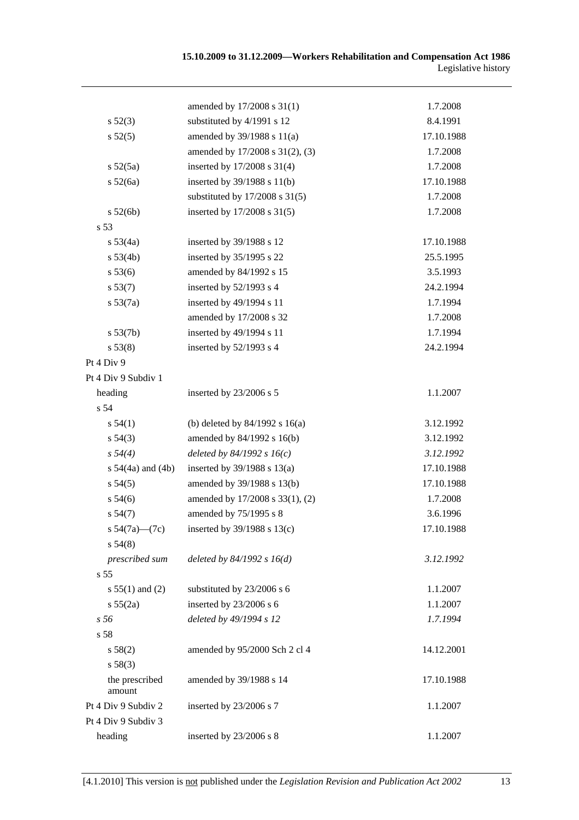|                          | amended by 17/2008 s 31(1)         | 1.7.2008   |
|--------------------------|------------------------------------|------------|
| $s\,52(3)$               | substituted by 4/1991 s 12         | 8.4.1991   |
| s 52(5)                  | amended by 39/1988 s 11(a)         | 17.10.1988 |
|                          | amended by 17/2008 s 31(2), (3)    | 1.7.2008   |
| $s\,52(5a)$              | inserted by 17/2008 s 31(4)        | 1.7.2008   |
| s 52(6a)                 | inserted by 39/1988 s 11(b)        | 17.10.1988 |
|                          | substituted by $17/2008$ s $31(5)$ | 1.7.2008   |
| s 52(6b)                 | inserted by 17/2008 s 31(5)        | 1.7.2008   |
| s 53                     |                                    |            |
| s 53(4a)                 | inserted by 39/1988 s 12           | 17.10.1988 |
| s 53(4b)                 | inserted by 35/1995 s 22           | 25.5.1995  |
| s 53(6)                  | amended by 84/1992 s 15            | 3.5.1993   |
| s 53(7)                  | inserted by 52/1993 s 4            | 24.2.1994  |
| $s\,53(7a)$              | inserted by 49/1994 s 11           | 1.7.1994   |
|                          | amended by 17/2008 s 32            | 1.7.2008   |
| s 53(7b)                 | inserted by 49/1994 s 11           | 1.7.1994   |
| s 53(8)                  | inserted by $52/1993$ s 4          | 24.2.1994  |
| Pt 4 Div 9               |                                    |            |
| Pt 4 Div 9 Subdiv 1      |                                    |            |
| heading                  | inserted by 23/2006 s 5            | 1.1.2007   |
| s 54                     |                                    |            |
| s 54(1)                  | (b) deleted by $84/1992$ s $16(a)$ | 3.12.1992  |
| $s\,54(3)$               | amended by 84/1992 s 16(b)         | 3.12.1992  |
| $s\,54(4)$               | deleted by $84/1992 s 16(c)$       | 3.12.1992  |
| s $54(4a)$ and $(4b)$    | inserted by $39/1988$ s $13(a)$    | 17.10.1988 |
| $s\,54(5)$               | amended by 39/1988 s 13(b)         | 17.10.1988 |
| $s\,54(6)$               | amended by 17/2008 s 33(1), (2)    | 1.7.2008   |
| s 54(7)                  | amended by 75/1995 s 8             | 3.6.1996   |
| s $54(7a)$ — $(7c)$      | inserted by $39/1988$ s $13(c)$    | 17.10.1988 |
| $s\,54(8)$               |                                    |            |
| prescribed sum           | deleted by $84/1992 s 16(d)$       | 3.12.1992  |
| s 55                     |                                    |            |
| s $55(1)$ and (2)        | substituted by 23/2006 s 6         | 1.1.2007   |
| s 55(2a)                 | inserted by 23/2006 s 6            | 1.1.2007   |
| s 56                     | deleted by 49/1994 s 12            | 1.7.1994   |
| s 58                     |                                    |            |
| s 58(2)                  | amended by 95/2000 Sch 2 cl 4      | 14.12.2001 |
| s 58(3)                  |                                    |            |
| the prescribed<br>amount | amended by 39/1988 s 14            | 17.10.1988 |
| Pt 4 Div 9 Subdiv 2      | inserted by 23/2006 s 7            | 1.1.2007   |
| Pt 4 Div 9 Subdiv 3      |                                    |            |
| heading                  | inserted by 23/2006 s 8            | 1.1.2007   |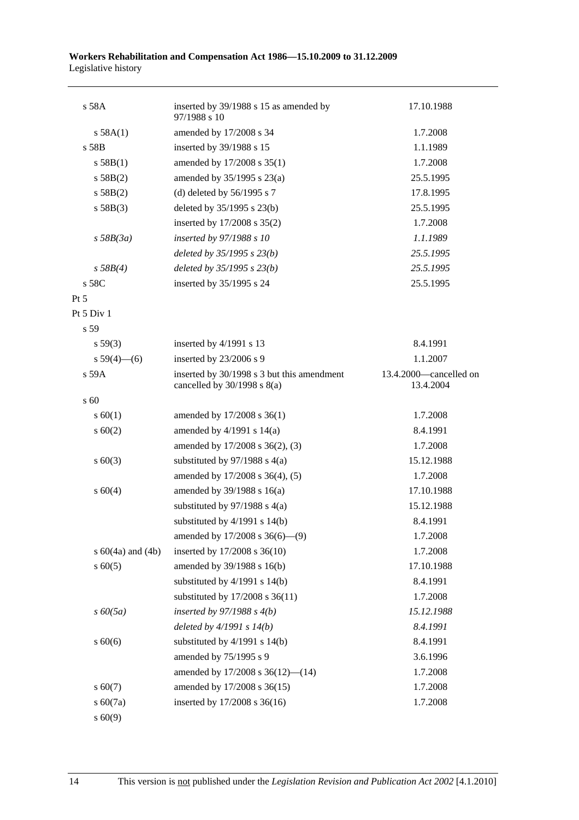| s 58A                 | inserted by 39/1988 s 15 as amended by<br>97/1988 s 10                        | 17.10.1988                          |
|-----------------------|-------------------------------------------------------------------------------|-------------------------------------|
| s 58A(1)              | amended by 17/2008 s 34                                                       | 1.7.2008                            |
| s 58B                 | inserted by 39/1988 s 15                                                      | 1.1.1989                            |
| s 58B(1)              | amended by 17/2008 s 35(1)                                                    | 1.7.2008                            |
| s 58B(2)              | amended by $35/1995$ s $23(a)$                                                | 25.5.1995                           |
| s 58B(2)              | (d) deleted by $56/1995$ s 7                                                  | 17.8.1995                           |
| s 58B(3)              | deleted by 35/1995 s 23(b)                                                    | 25.5.1995                           |
|                       | inserted by 17/2008 s 35(2)                                                   | 1.7.2008                            |
| $s$ 58B(3a)           | inserted by 97/1988 s 10                                                      | 1.1.1989                            |
|                       | deleted by $35/1995 s 23(b)$                                                  | 25.5.1995                           |
| s 58B(4)              | deleted by $35/1995 s 23(b)$                                                  | 25.5.1995                           |
| s 58C                 | inserted by 35/1995 s 24                                                      | 25.5.1995                           |
| $Pt\,5$               |                                                                               |                                     |
| Pt $5$ Div $1$        |                                                                               |                                     |
| s 59                  |                                                                               |                                     |
| s 59(3)               | inserted by 4/1991 s 13                                                       | 8.4.1991                            |
| $s 59(4)$ (6)         | inserted by 23/2006 s 9                                                       | 1.1.2007                            |
| s 59A                 | inserted by 30/1998 s 3 but this amendment<br>cancelled by $30/1998$ s $8(a)$ | 13.4.2000—cancelled on<br>13.4.2004 |
| $\mathrm{s}$ 60       |                                                                               |                                     |
| $s \ 60(1)$           | amended by 17/2008 s 36(1)                                                    | 1.7.2008                            |
| s 60(2)               | amended by $4/1991$ s $14(a)$                                                 | 8.4.1991                            |
|                       | amended by 17/2008 s 36(2), (3)                                               | 1.7.2008                            |
| $s \ 60(3)$           | substituted by $97/1988$ s $4(a)$                                             | 15.12.1988                          |
|                       | amended by 17/2008 s 36(4), (5)                                               | 1.7.2008                            |
| s 60(4)               | amended by $39/1988$ s $16(a)$                                                | 17.10.1988                          |
|                       | substituted by $97/1988$ s 4(a)                                               | 15.12.1988                          |
|                       | substituted by $4/1991$ s $14(b)$                                             | 8.4.1991                            |
|                       | amended by $17/2008$ s $36(6)$ —(9)                                           | 1.7.2008                            |
| s $60(4a)$ and $(4b)$ | inserted by 17/2008 s 36(10)                                                  | 1.7.2008                            |
| $s\ 60(5)$            | amended by 39/1988 s 16(b)                                                    | 17.10.1988                          |
|                       | substituted by $4/1991$ s $14(b)$                                             | 8.4.1991                            |
|                       | substituted by 17/2008 s 36(11)                                               | 1.7.2008                            |
| $s\,60(5a)$           | inserted by $97/1988 s 4(b)$                                                  | 15.12.1988                          |
|                       | deleted by $4/1991 s 14(b)$                                                   | 8.4.1991                            |
| $s\ 60(6)$            | substituted by $4/1991$ s $14(b)$                                             | 8.4.1991                            |
|                       | amended by 75/1995 s 9                                                        | 3.6.1996                            |
|                       | amended by $17/2008$ s $36(12)$ — $(14)$                                      | 1.7.2008                            |
| $s\ 60(7)$            | amended by 17/2008 s 36(15)                                                   | 1.7.2008                            |
| s 60(7a)              | inserted by 17/2008 s 36(16)                                                  | 1.7.2008                            |
| s 60(9)               |                                                                               |                                     |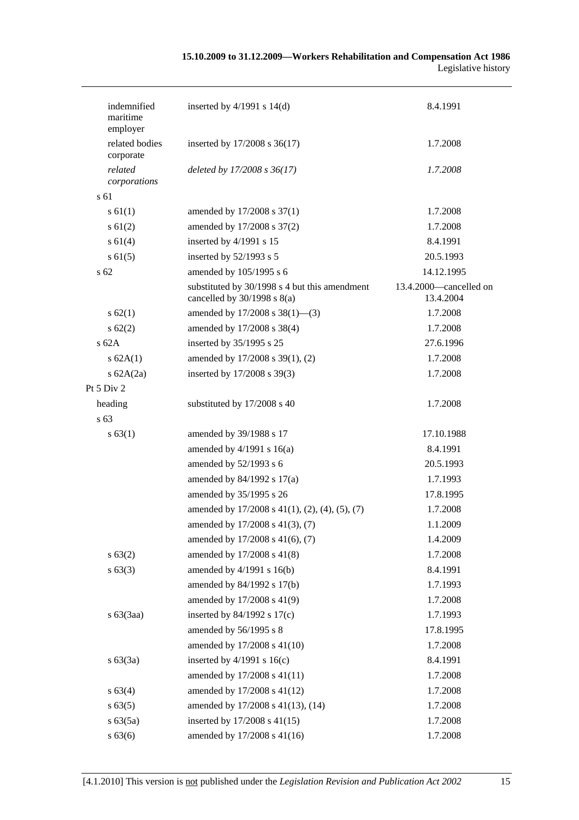| indemnified<br>maritime<br>employer | inserted by $4/1991$ s $14(d)$                                                   | 8.4.1991                            |
|-------------------------------------|----------------------------------------------------------------------------------|-------------------------------------|
| related bodies<br>corporate         | inserted by 17/2008 s 36(17)                                                     | 1.7.2008                            |
| related<br>corporations             | deleted by 17/2008 s 36(17)                                                      | 1.7.2008                            |
| s 61                                |                                                                                  |                                     |
| $s \, 61(1)$                        | amended by 17/2008 s 37(1)                                                       | 1.7.2008                            |
| s 61(2)                             | amended by 17/2008 s 37(2)                                                       | 1.7.2008                            |
| $s \, 61(4)$                        | inserted by 4/1991 s 15                                                          | 8.4.1991                            |
| $s \, 61(5)$                        | inserted by 52/1993 s 5                                                          | 20.5.1993                           |
| s 62                                | amended by 105/1995 s 6                                                          | 14.12.1995                          |
|                                     | substituted by 30/1998 s 4 but this amendment<br>cancelled by $30/1998$ s $8(a)$ | 13.4.2000—cancelled on<br>13.4.2004 |
| s 62(1)                             | amended by $17/2008$ s $38(1)$ —(3)                                              | 1.7.2008                            |
| $s \, 62(2)$                        | amended by 17/2008 s 38(4)                                                       | 1.7.2008                            |
| s62A                                | inserted by 35/1995 s 25                                                         | 27.6.1996                           |
| s 62A(1)                            | amended by 17/2008 s 39(1), (2)                                                  | 1.7.2008                            |
| s $62A(2a)$                         | inserted by 17/2008 s 39(3)                                                      | 1.7.2008                            |
| Pt 5 Div 2                          |                                                                                  |                                     |
| heading                             | substituted by 17/2008 s 40                                                      | 1.7.2008                            |
| s 63                                |                                                                                  |                                     |
| s 63(1)                             | amended by 39/1988 s 17                                                          | 17.10.1988                          |
|                                     | amended by $4/1991$ s $16(a)$                                                    | 8.4.1991                            |
|                                     | amended by 52/1993 s 6                                                           | 20.5.1993                           |
|                                     | amended by 84/1992 s 17(a)                                                       | 1.7.1993                            |
|                                     | amended by 35/1995 s 26                                                          | 17.8.1995                           |
|                                     | amended by $17/2008$ s $41(1)$ , $(2)$ , $(4)$ , $(5)$ , $(7)$                   | 1.7.2008                            |
|                                     | amended by 17/2008 s 41(3), (7)                                                  | 1.1.2009                            |
|                                     | amended by 17/2008 s 41(6), (7)                                                  | 1.4.2009                            |
| s 63(2)                             | amended by 17/2008 s 41(8)                                                       | 1.7.2008                            |
| s 63(3)                             | amended by 4/1991 s 16(b)                                                        | 8.4.1991                            |
|                                     | amended by 84/1992 s 17(b)                                                       | 1.7.1993                            |
|                                     | amended by 17/2008 s 41(9)                                                       | 1.7.2008                            |
| $s\ 63(3aa)$                        | inserted by $84/1992$ s $17(c)$                                                  | 1.7.1993                            |
|                                     | amended by 56/1995 s 8                                                           | 17.8.1995                           |
|                                     | amended by 17/2008 s 41(10)                                                      | 1.7.2008                            |
| s 63(3a)                            | inserted by $4/1991$ s $16(c)$                                                   | 8.4.1991                            |
|                                     | amended by 17/2008 s 41(11)                                                      | 1.7.2008                            |
| s 63(4)                             | amended by 17/2008 s 41(12)                                                      | 1.7.2008                            |
| s 63(5)                             | amended by 17/2008 s 41(13), (14)                                                | 1.7.2008                            |
| s 63(5a)                            | inserted by 17/2008 s 41(15)                                                     | 1.7.2008                            |
| s 63(6)                             | amended by 17/2008 s 41(16)                                                      | 1.7.2008                            |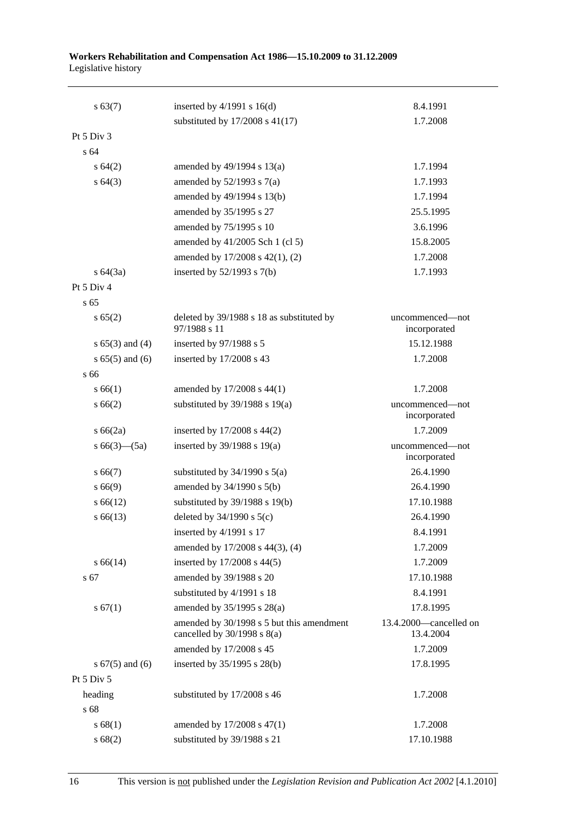| s 63(7)             | inserted by $4/1991$ s $16(d)$<br>substituted by $17/2008$ s $41(17)$        | 8.4.1991                            |
|---------------------|------------------------------------------------------------------------------|-------------------------------------|
| Pt $5$ Div $3$      |                                                                              | 1.7.2008                            |
| s 64                |                                                                              |                                     |
| $s \, 64(2)$        | amended by $49/1994$ s $13(a)$                                               | 1.7.1994                            |
|                     |                                                                              | 1.7.1993                            |
| s 64(3)             | amended by $52/1993$ s $7(a)$<br>amended by 49/1994 s 13(b)                  | 1.7.1994                            |
|                     | amended by 35/1995 s 27                                                      | 25.5.1995                           |
|                     |                                                                              | 3.6.1996                            |
|                     | amended by 75/1995 s 10                                                      |                                     |
|                     | amended by 41/2005 Sch 1 (cl 5)                                              | 15.8.2005                           |
|                     | amended by 17/2008 s 42(1), (2)                                              | 1.7.2008                            |
| $s \, 64(3a)$       | inserted by $52/1993$ s $7(b)$                                               | 1.7.1993                            |
| Pt 5 Div 4          |                                                                              |                                     |
| s <sub>65</sub>     |                                                                              |                                     |
| s 65(2)             | deleted by 39/1988 s 18 as substituted by<br>97/1988 s 11                    | uncommenced—not<br>incorporated     |
| s $65(3)$ and $(4)$ | inserted by 97/1988 s 5                                                      | 15.12.1988                          |
| $s 65(5)$ and $(6)$ | inserted by 17/2008 s 43                                                     | 1.7.2008                            |
| s 66                |                                                                              |                                     |
| s 66(1)             | amended by 17/2008 s 44(1)                                                   | 1.7.2008                            |
| s 66(2)             | substituted by $39/1988$ s $19(a)$                                           | uncommenced—not<br>incorporated     |
| s 66(2a)            | inserted by 17/2008 s 44(2)                                                  | 1.7.2009                            |
| s $66(3)$ — $(5a)$  | inserted by $39/1988$ s $19(a)$                                              | uncommenced-not<br>incorporated     |
| s 66(7)             | substituted by $34/1990$ s $5(a)$                                            | 26.4.1990                           |
| s 66(9)             | amended by 34/1990 s 5(b)                                                    | 26.4.1990                           |
| $s\,66(12)$         | substituted by $39/1988$ s $19(b)$                                           | 17.10.1988                          |
| $s\,66(13)$         | deleted by $34/1990$ s $5(c)$                                                | 26.4.1990                           |
|                     | inserted by 4/1991 s 17                                                      | 8.4.1991                            |
|                     | amended by 17/2008 s 44(3), (4)                                              | 1.7.2009                            |
| $s\,66(14)$         | inserted by $17/2008$ s $44(5)$                                              | 1.7.2009                            |
| s 67                | amended by 39/1988 s 20                                                      | 17.10.1988                          |
|                     | substituted by 4/1991 s 18                                                   | 8.4.1991                            |
| s 67(1)             | amended by 35/1995 s 28(a)                                                   | 17.8.1995                           |
|                     | amended by 30/1998 s 5 but this amendment<br>cancelled by $30/1998$ s $8(a)$ | 13.4.2000-cancelled on<br>13.4.2004 |
|                     | amended by 17/2008 s 45                                                      | 1.7.2009                            |
| s $67(5)$ and $(6)$ | inserted by 35/1995 s 28(b)                                                  | 17.8.1995                           |
| Pt 5 Div 5          |                                                                              |                                     |
| heading             | substituted by 17/2008 s 46                                                  | 1.7.2008                            |
| s 68                |                                                                              |                                     |
| s 68(1)             | amended by 17/2008 s 47(1)                                                   | 1.7.2008                            |
| s 68(2)             | substituted by 39/1988 s 21                                                  | 17.10.1988                          |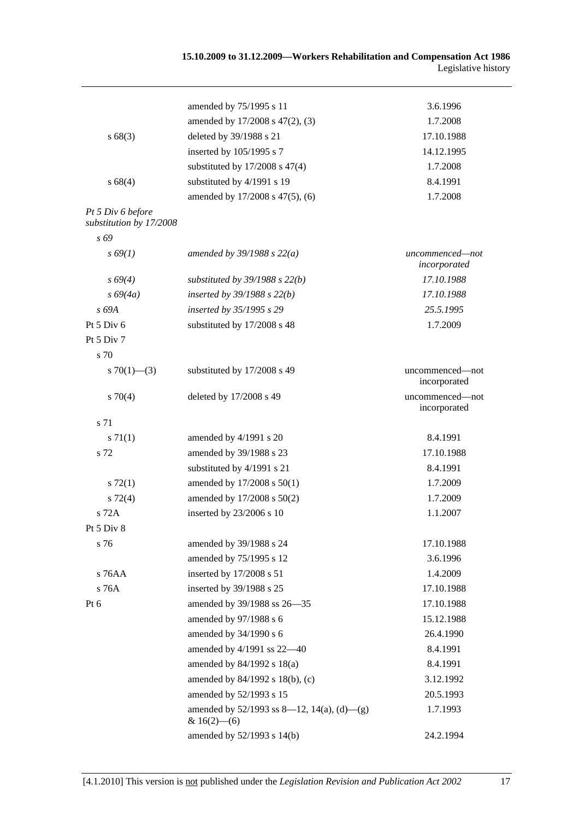|                                              | amended by 75/1995 s 11                                         | 3.6.1996                        |
|----------------------------------------------|-----------------------------------------------------------------|---------------------------------|
|                                              | amended by 17/2008 s 47(2), (3)                                 | 1.7.2008                        |
| s 68(3)                                      | deleted by 39/1988 s 21                                         | 17.10.1988                      |
|                                              | inserted by 105/1995 s 7                                        | 14.12.1995                      |
|                                              | substituted by $17/2008$ s $47(4)$                              | 1.7.2008                        |
| s 68(4)                                      | substituted by 4/1991 s 19                                      | 8.4.1991                        |
|                                              | amended by 17/2008 s 47(5), (6)                                 | 1.7.2008                        |
| Pt 5 Div 6 before<br>substitution by 17/2008 |                                                                 |                                 |
| s 69                                         |                                                                 |                                 |
| $s\,69(1)$                                   | amended by $39/1988 s 22(a)$                                    | uncommenced-not<br>incorporated |
| $s\,69(4)$                                   | substituted by $39/1988$ s $22(b)$                              | 17.10.1988                      |
| $s\,69(4a)$                                  | inserted by $39/1988$ s $22(b)$                                 | 17.10.1988                      |
| s 69A                                        | inserted by 35/1995 s 29                                        | 25.5.1995                       |
| Pt $5$ Div $6$                               | substituted by 17/2008 s 48                                     | 1.7.2009                        |
| Pt 5 Div 7                                   |                                                                 |                                 |
| s 70                                         |                                                                 |                                 |
| s $70(1)$ — $(3)$                            | substituted by 17/2008 s 49                                     | uncommenced—not<br>incorporated |
| $s \, 70(4)$                                 | deleted by 17/2008 s 49                                         | uncommenced-not<br>incorporated |
| s 71                                         |                                                                 |                                 |
| s 71(1)                                      | amended by 4/1991 s 20                                          | 8.4.1991                        |
| s 72                                         | amended by 39/1988 s 23                                         | 17.10.1988                      |
|                                              | substituted by 4/1991 s 21                                      | 8.4.1991                        |
| s 72(1)                                      | amended by 17/2008 s 50(1)                                      | 1.7.2009                        |
| $s\ 72(4)$                                   | amended by 17/2008 s 50(2)                                      | 1.7.2009                        |
| s 72A                                        | inserted by 23/2006 s 10                                        | 1.1.2007                        |
| Pt $5 \mathrm{Div} 8$                        |                                                                 |                                 |
| s 76                                         | amended by 39/1988 s 24                                         | 17.10.1988                      |
|                                              | amended by 75/1995 s 12                                         | 3.6.1996                        |
| s 76AA                                       | inserted by 17/2008 s 51                                        | 1.4.2009                        |
| s 76A                                        | inserted by 39/1988 s 25                                        | 17.10.1988                      |
| Pt 6                                         | amended by 39/1988 ss 26-35                                     | 17.10.1988                      |
|                                              | amended by 97/1988 s 6                                          | 15.12.1988                      |
|                                              | amended by 34/1990 s 6                                          | 26.4.1990                       |
|                                              | amended by 4/1991 ss 22-40                                      | 8.4.1991                        |
|                                              | amended by $84/1992$ s $18(a)$                                  | 8.4.1991                        |
|                                              | amended by 84/1992 s 18(b), (c)                                 | 3.12.1992                       |
|                                              | amended by 52/1993 s 15                                         | 20.5.1993                       |
|                                              | amended by $52/1993$ ss 8—12, 14(a), (d)—(g)<br>& $16(2)$ - (6) | 1.7.1993                        |
|                                              | amended by 52/1993 s 14(b)                                      | 24.2.1994                       |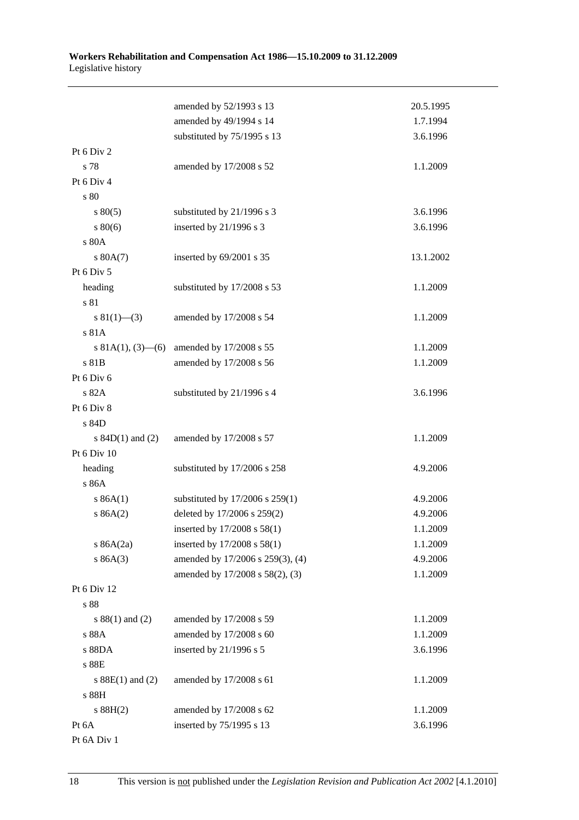|                      | amended by 52/1993 s 13                     | 20.5.1995 |
|----------------------|---------------------------------------------|-----------|
|                      | amended by 49/1994 s 14                     | 1.7.1994  |
|                      | substituted by 75/1995 s 13                 | 3.6.1996  |
| Pt 6 Div 2           |                                             |           |
| s 78                 | amended by 17/2008 s 52                     | 1.1.2009  |
| Pt 6 Div 4           |                                             |           |
| s 80                 |                                             |           |
| $s\,80(5)$           | substituted by 21/1996 s 3                  | 3.6.1996  |
| $s\,80(6)$           | inserted by 21/1996 s 3                     | 3.6.1996  |
| s 80A                |                                             |           |
| s 80A(7)             | inserted by 69/2001 s 35                    | 13.1.2002 |
| Pt 6 Div 5           |                                             |           |
| heading              | substituted by 17/2008 s 53                 | 1.1.2009  |
| s 81                 |                                             |           |
| $s \ 81(1)$ (3)      | amended by 17/2008 s 54                     | 1.1.2009  |
| s 81A                |                                             |           |
|                      | s 81A(1), (3)–(6) amended by $17/2008$ s 55 | 1.1.2009  |
| s 81B                | amended by 17/2008 s 56                     | 1.1.2009  |
| Pt 6 Div 6           |                                             |           |
| s 82A                | substituted by 21/1996 s 4                  | 3.6.1996  |
| Pt 6 Div 8           |                                             |           |
| s 84D                |                                             |           |
| s $84D(1)$ and $(2)$ | amended by 17/2008 s 57                     | 1.1.2009  |
| Pt 6 Div 10          |                                             |           |
| heading              | substituted by 17/2006 s 258                | 4.9.2006  |
| s 86A                |                                             |           |
| s 86A(1)             | substituted by 17/2006 s 259(1)             | 4.9.2006  |
| s 86A(2)             | deleted by 17/2006 s 259(2)                 | 4.9.2006  |
|                      | inserted by 17/2008 s 58(1)                 | 1.1.2009  |
| s $86A(2a)$          | inserted by 17/2008 s 58(1)                 | 1.1.2009  |
| s 86A(3)             | amended by 17/2006 s 259(3), (4)            | 4.9.2006  |
|                      | amended by 17/2008 s 58(2), (3)             | 1.1.2009  |
| Pt 6 Div 12          |                                             |           |
| s 88                 |                                             |           |
| $s 88(1)$ and (2)    | amended by 17/2008 s 59                     | 1.1.2009  |
| s 88A                | amended by 17/2008 s 60                     | 1.1.2009  |
| s 88DA               | inserted by 21/1996 s 5                     | 3.6.1996  |
| s 88E                |                                             |           |
| s $88E(1)$ and $(2)$ | amended by 17/2008 s 61                     | 1.1.2009  |
| s 88H                |                                             |           |
| s 88H(2)             | amended by 17/2008 s 62                     | 1.1.2009  |
| Pt 6A                | inserted by 75/1995 s 13                    | 3.6.1996  |
| Pt 6A Div 1          |                                             |           |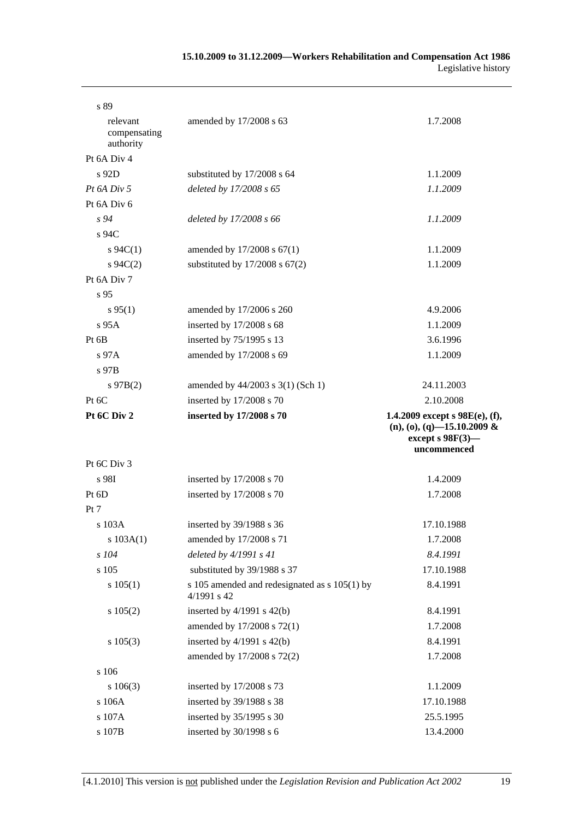| s 89                                  |                                                                |                                                                                                          |
|---------------------------------------|----------------------------------------------------------------|----------------------------------------------------------------------------------------------------------|
| relevant<br>compensating<br>authority | amended by 17/2008 s 63                                        | 1.7.2008                                                                                                 |
| Pt 6A Div 4                           |                                                                |                                                                                                          |
| $s$ 92D                               | substituted by 17/2008 s 64                                    | 1.1.2009                                                                                                 |
| $Pt\,6A\,Div\,5$                      | deleted by 17/2008 s 65                                        | 1.1.2009                                                                                                 |
| Pt 6A Div 6                           |                                                                |                                                                                                          |
| $s\,94$                               | deleted by 17/2008 s 66                                        | 1.1.2009                                                                                                 |
| s 94C                                 |                                                                |                                                                                                          |
| $s \, 94C(1)$                         | amended by 17/2008 s 67(1)                                     | 1.1.2009                                                                                                 |
| $s \, 94C(2)$                         | substituted by $17/2008$ s $67(2)$                             | 1.1.2009                                                                                                 |
| Pt 6A Div 7                           |                                                                |                                                                                                          |
| s 95                                  |                                                                |                                                                                                          |
| $s\,95(1)$                            | amended by 17/2006 s 260                                       | 4.9.2006                                                                                                 |
| s 95A                                 | inserted by 17/2008 s 68                                       | 1.1.2009                                                                                                 |
| Pt 6B                                 | inserted by 75/1995 s 13                                       | 3.6.1996                                                                                                 |
| $s\,97A$                              | amended by 17/2008 s 69                                        | 1.1.2009                                                                                                 |
| $s$ 97B                               |                                                                |                                                                                                          |
| $s\,97B(2)$                           | amended by 44/2003 s 3(1) (Sch 1)                              | 24.11.2003                                                                                               |
| Pt 6C                                 | inserted by 17/2008 s 70                                       | 2.10.2008                                                                                                |
| Pt 6C Div 2                           | inserted by 17/2008 s 70                                       | 1.4.2009 except s $98E(e)$ , (f),<br>$(n), (o), (q)$ -15.10.2009 &<br>except s $98F(3)$ -<br>uncommenced |
| Pt 6C Div 3                           |                                                                |                                                                                                          |
| s 98I                                 | inserted by 17/2008 s 70                                       | 1.4.2009                                                                                                 |
| Pt $6D$                               | inserted by 17/2008 s 70                                       | 1.7.2008                                                                                                 |
| Pt 7                                  |                                                                |                                                                                                          |
| s 103A                                | inserted by $39/1988$ s 36                                     | 17.10.1988                                                                                               |
| s 103A(1)                             | amended by 17/2008 s 71                                        | 1.7.2008                                                                                                 |
| s 104                                 | deleted by $4/1991 s 41$                                       | 8.4.1991                                                                                                 |
| s 105                                 | substituted by 39/1988 s 37                                    | 17.10.1988                                                                                               |
| s 105(1)                              | s 105 amended and redesignated as s 105(1) by<br>$4/1991$ s 42 | 8.4.1991                                                                                                 |
| s 105(2)                              | inserted by $4/1991$ s $42(b)$                                 | 8.4.1991                                                                                                 |
|                                       | amended by 17/2008 s 72(1)                                     | 1.7.2008                                                                                                 |
| $s\ 105(3)$                           | inserted by $4/1991$ s $42(b)$                                 | 8.4.1991                                                                                                 |
|                                       | amended by 17/2008 s 72(2)                                     | 1.7.2008                                                                                                 |
| s 106                                 |                                                                |                                                                                                          |
| $s\ 106(3)$                           | inserted by 17/2008 s 73                                       | 1.1.2009                                                                                                 |
| s 106A                                | inserted by 39/1988 s 38                                       | 17.10.1988                                                                                               |
| s 107A                                | inserted by 35/1995 s 30                                       | 25.5.1995                                                                                                |
| s 107B                                | inserted by 30/1998 s 6                                        | 13.4.2000                                                                                                |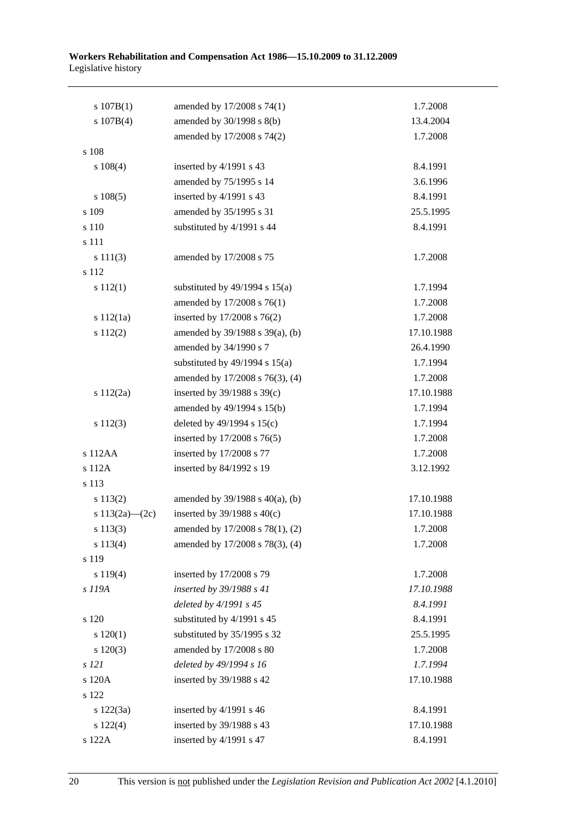| s 107B(1)          | amended by 17/2008 s 74(1)           | 1.7.2008   |
|--------------------|--------------------------------------|------------|
| s 107B(4)          | amended by 30/1998 s 8(b)            | 13.4.2004  |
|                    | amended by 17/2008 s 74(2)           | 1.7.2008   |
| s 108              |                                      |            |
| $s\ 108(4)$        | inserted by 4/1991 s 43              | 8.4.1991   |
|                    | amended by 75/1995 s 14              | 3.6.1996   |
| s 108(5)           | inserted by 4/1991 s 43              | 8.4.1991   |
| s 109              | amended by 35/1995 s 31              | 25.5.1995  |
| s 110              | substituted by 4/1991 s 44           | 8.4.1991   |
| s 111              |                                      |            |
| s 111(3)           | amended by 17/2008 s 75              | 1.7.2008   |
| s 112              |                                      |            |
| s 112(1)           | substituted by $49/1994$ s $15(a)$   | 1.7.1994   |
|                    | amended by 17/2008 s 76(1)           | 1.7.2008   |
| s 112(1a)          | inserted by 17/2008 s 76(2)          | 1.7.2008   |
| s 112(2)           | amended by 39/1988 s 39(a), (b)      | 17.10.1988 |
|                    | amended by 34/1990 s 7               | 26.4.1990  |
|                    | substituted by $49/1994$ s $15(a)$   | 1.7.1994   |
|                    | amended by 17/2008 s 76(3), (4)      | 1.7.2008   |
| s 112(2a)          | inserted by $39/1988$ s $39(c)$      | 17.10.1988 |
|                    | amended by 49/1994 s 15(b)           | 1.7.1994   |
| s 112(3)           | deleted by $49/1994$ s $15(c)$       | 1.7.1994   |
|                    | inserted by 17/2008 s 76(5)          | 1.7.2008   |
| s 112AA            | inserted by 17/2008 s 77             | 1.7.2008   |
| s 112A             | inserted by 84/1992 s 19             | 3.12.1992  |
| s 113              |                                      |            |
| s 113(2)           | amended by $39/1988$ s $40(a)$ , (b) | 17.10.1988 |
| s $113(2a)$ - (2c) | inserted by $39/1988$ s $40(c)$      | 17.10.1988 |
| $s\ 113(3)$        | amended by 17/2008 s 78(1), (2)      | 1.7.2008   |
| s 113(4)           | amended by 17/2008 s 78(3), (4)      | 1.7.2008   |
| s 119              |                                      |            |
| s 119(4)           | inserted by 17/2008 s 79             | 1.7.2008   |
| s 119A             | inserted by 39/1988 s 41             | 17.10.1988 |
|                    | deleted by 4/1991 s 45               | 8.4.1991   |
| s 120              | substituted by 4/1991 s 45           | 8.4.1991   |
| 120(1)             | substituted by 35/1995 s 32          | 25.5.1995  |
| $s\ 120(3)$        | amended by 17/2008 s 80              | 1.7.2008   |
| s 121              | deleted by 49/1994 s 16              | 1.7.1994   |
| s 120A             | inserted by 39/1988 s 42             | 17.10.1988 |
| s 122              |                                      |            |
| s 122(3a)          | inserted by 4/1991 s 46              | 8.4.1991   |
| s 122(4)           | inserted by 39/1988 s 43             | 17.10.1988 |
| s 122A             | inserted by 4/1991 s 47              | 8.4.1991   |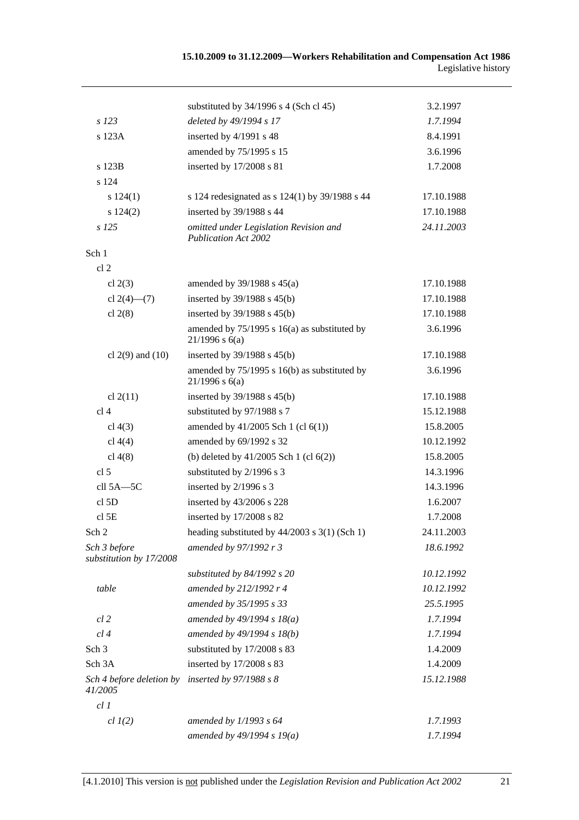|                                            | substituted by $34/1996$ s 4 (Sch cl 45)                              | 3.2.1997   |
|--------------------------------------------|-----------------------------------------------------------------------|------------|
| s 123                                      | deleted by 49/1994 s 17                                               | 1.7.1994   |
| s 123A                                     | inserted by 4/1991 s 48                                               | 8.4.1991   |
|                                            | amended by 75/1995 s 15                                               | 3.6.1996   |
| s 123B                                     | inserted by 17/2008 s 81                                              | 1.7.2008   |
| s 124                                      |                                                                       |            |
| s 124(1)                                   | s 124 redesignated as s 124(1) by 39/1988 s 44                        | 17.10.1988 |
| s 124(2)                                   | inserted by 39/1988 s 44                                              | 17.10.1988 |
| $s$ 125                                    | omitted under Legislation Revision and<br><b>Publication Act 2002</b> | 24.11.2003 |
| Sch 1                                      |                                                                       |            |
| cl <sub>2</sub>                            |                                                                       |            |
| cl $2(3)$                                  | amended by $39/1988$ s $45(a)$                                        | 17.10.1988 |
| cl $2(4)$ — $(7)$                          | inserted by $39/1988$ s $45(b)$                                       | 17.10.1988 |
| cl $2(8)$                                  | inserted by $39/1988$ s $45(b)$                                       | 17.10.1988 |
|                                            | amended by 75/1995 s 16(a) as substituted by<br>$21/1996$ s 6(a)      | 3.6.1996   |
| cl $2(9)$ and $(10)$                       | inserted by $39/1988$ s $45(b)$                                       | 17.10.1988 |
|                                            | amended by 75/1995 s 16(b) as substituted by<br>$21/1996$ s 6(a)      | 3.6.1996   |
| cl $2(11)$                                 | inserted by $39/1988$ s $45(b)$                                       | 17.10.1988 |
| cl <sub>4</sub>                            | substituted by 97/1988 s 7                                            | 15.12.1988 |
| cl $4(3)$                                  | amended by $41/2005$ Sch 1 (cl $6(1)$ )                               | 15.8.2005  |
| cl $4(4)$                                  | amended by 69/1992 s 32                                               | 10.12.1992 |
| cl $4(8)$                                  | (b) deleted by $41/2005$ Sch 1 (cl $6(2)$ )                           | 15.8.2005  |
| cl <sub>5</sub>                            | substituted by 2/1996 s 3                                             | 14.3.1996  |
| cll 5A-5C                                  | inserted by 2/1996 s 3                                                | 14.3.1996  |
| cl <sub>5D</sub>                           | inserted by 43/2006 s 228                                             | 1.6.2007   |
| $cl$ 5E                                    | inserted by 17/2008 s 82                                              | 1.7.2008   |
| Sch 2                                      | heading substituted by 44/2003 s 3(1) (Sch 1)                         | 24.11.2003 |
| Sch 3 before<br>substitution by 17/2008    | amended by 97/1992 r 3                                                | 18.6.1992  |
|                                            | substituted by 84/1992 s 20                                           | 10.12.1992 |
| table                                      | amended by 212/1992 r 4                                               | 10.12.1992 |
|                                            | amended by 35/1995 s 33                                               | 25.5.1995  |
| $cl$ 2                                     | amended by $49/1994 s 18(a)$                                          | 1.7.1994   |
| cl4                                        | amended by 49/1994 s 18(b)                                            | 1.7.1994   |
| Sch <sub>3</sub>                           | substituted by 17/2008 s 83                                           | 1.4.2009   |
| Sch 3A                                     | inserted by 17/2008 s 83                                              | 1.4.2009   |
| Sch 4 before deletion by<br><i>41/2005</i> | inserted by $97/1988 s 8$                                             | 15.12.1988 |
| cl1                                        |                                                                       |            |
| $cl$ $I(2)$                                | amended by $1/1993$ s $64$                                            | 1.7.1993   |
|                                            | amended by $49/1994 s 19(a)$                                          | 1.7.1994   |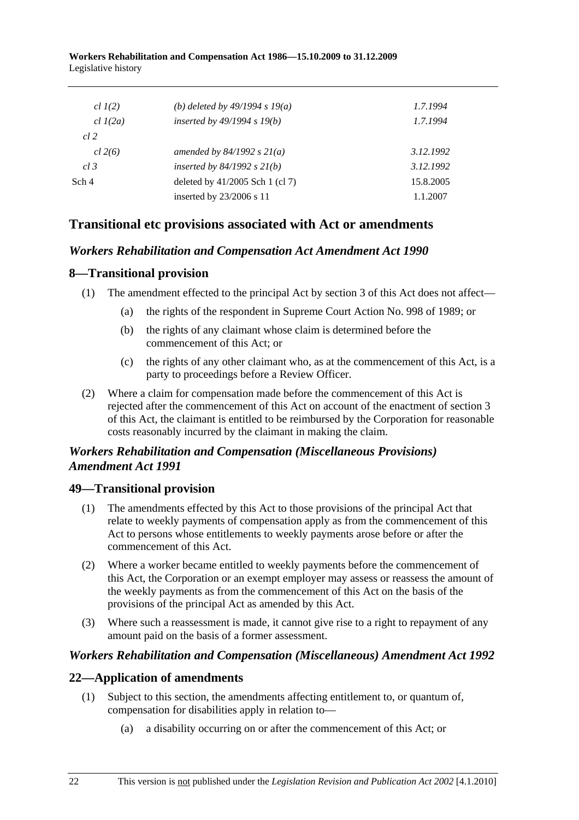| (b) deleted by $49/1994 s 19(a)$  | 1.7.1994  |
|-----------------------------------|-----------|
| inserted by $49/1994 s 19(b)$     | 1.7.1994  |
|                                   |           |
| amended by $84/1992 s 21(a)$      | 3.12.1992 |
| inserted by $84/1992$ s $21(b)$   | 3.12.1992 |
| deleted by $41/2005$ Sch 1 (cl 7) | 15.8.2005 |
| inserted by 23/2006 s 11          | 1.1.2007  |
|                                   |           |

# **Transitional etc provisions associated with Act or amendments**

# *Workers Rehabilitation and Compensation Act Amendment Act 1990*

# **8—Transitional provision**

- (1) The amendment effected to the principal Act by section 3 of this Act does not affect—
	- (a) the rights of the respondent in Supreme Court Action No. 998 of 1989; or
	- (b) the rights of any claimant whose claim is determined before the commencement of this Act; or
	- (c) the rights of any other claimant who, as at the commencement of this Act, is a party to proceedings before a Review Officer.
- (2) Where a claim for compensation made before the commencement of this Act is rejected after the commencement of this Act on account of the enactment of section 3 of this Act, the claimant is entitled to be reimbursed by the Corporation for reasonable costs reasonably incurred by the claimant in making the claim.

# *Workers Rehabilitation and Compensation (Miscellaneous Provisions) Amendment Act 1991*

# **49—Transitional provision**

- (1) The amendments effected by this Act to those provisions of the principal Act that relate to weekly payments of compensation apply as from the commencement of this Act to persons whose entitlements to weekly payments arose before or after the commencement of this Act.
- (2) Where a worker became entitled to weekly payments before the commencement of this Act, the Corporation or an exempt employer may assess or reassess the amount of the weekly payments as from the commencement of this Act on the basis of the provisions of the principal Act as amended by this Act.
- (3) Where such a reassessment is made, it cannot give rise to a right to repayment of any amount paid on the basis of a former assessment.

## *Workers Rehabilitation and Compensation (Miscellaneous) Amendment Act 1992*

## **22—Application of amendments**

- (1) Subject to this section, the amendments affecting entitlement to, or quantum of, compensation for disabilities apply in relation to—
	- (a) a disability occurring on or after the commencement of this Act; or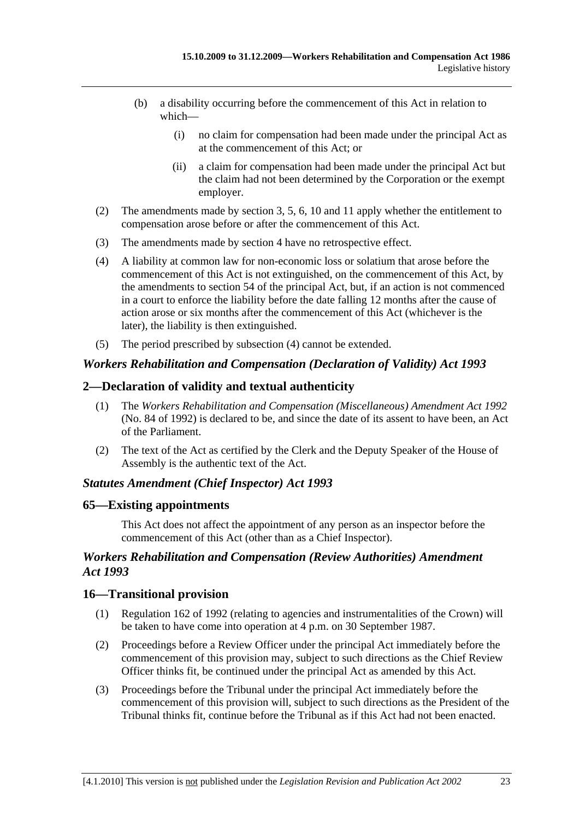- (b) a disability occurring before the commencement of this Act in relation to which—
	- (i) no claim for compensation had been made under the principal Act as at the commencement of this Act; or
	- (ii) a claim for compensation had been made under the principal Act but the claim had not been determined by the Corporation or the exempt employer.
- (2) The amendments made by section 3, 5, 6, 10 and 11 apply whether the entitlement to compensation arose before or after the commencement of this Act.
- (3) The amendments made by section 4 have no retrospective effect.
- (4) A liability at common law for non-economic loss or solatium that arose before the commencement of this Act is not extinguished, on the commencement of this Act, by the amendments to section 54 of the principal Act, but, if an action is not commenced in a court to enforce the liability before the date falling 12 months after the cause of action arose or six months after the commencement of this Act (whichever is the later), the liability is then extinguished.
- (5) The period prescribed by subsection (4) cannot be extended.

### *Workers Rehabilitation and Compensation (Declaration of Validity) Act 1993*

### **2—Declaration of validity and textual authenticity**

- (1) The *Workers Rehabilitation and Compensation (Miscellaneous) Amendment Act 1992* (No. 84 of 1992) is declared to be, and since the date of its assent to have been, an Act of the Parliament.
- (2) The text of the Act as certified by the Clerk and the Deputy Speaker of the House of Assembly is the authentic text of the Act.

#### *Statutes Amendment (Chief Inspector) Act 1993*

#### **65—Existing appointments**

This Act does not affect the appointment of any person as an inspector before the commencement of this Act (other than as a Chief Inspector).

## *Workers Rehabilitation and Compensation (Review Authorities) Amendment Act 1993*

### **16—Transitional provision**

- (1) Regulation 162 of 1992 (relating to agencies and instrumentalities of the Crown) will be taken to have come into operation at 4 p.m. on 30 September 1987.
- (2) Proceedings before a Review Officer under the principal Act immediately before the commencement of this provision may, subject to such directions as the Chief Review Officer thinks fit, be continued under the principal Act as amended by this Act.
- (3) Proceedings before the Tribunal under the principal Act immediately before the commencement of this provision will, subject to such directions as the President of the Tribunal thinks fit, continue before the Tribunal as if this Act had not been enacted.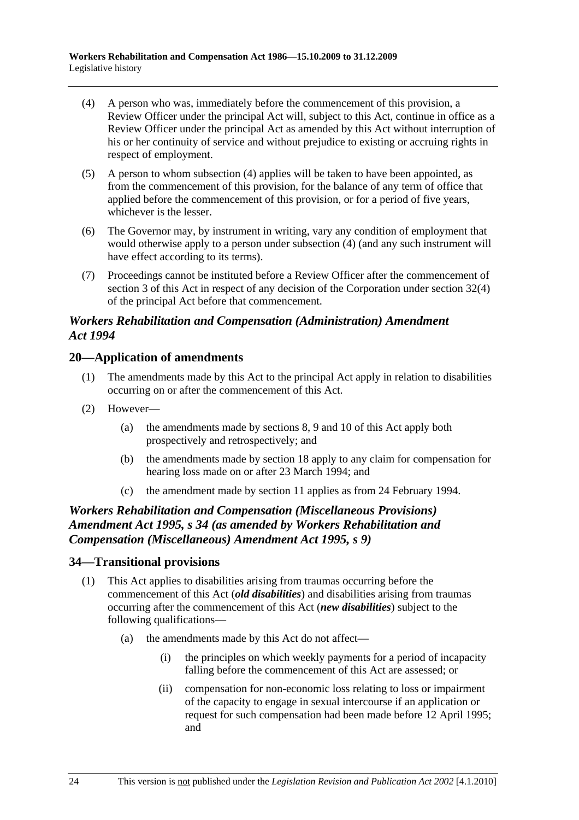- (4) A person who was, immediately before the commencement of this provision, a Review Officer under the principal Act will, subject to this Act, continue in office as a Review Officer under the principal Act as amended by this Act without interruption of his or her continuity of service and without prejudice to existing or accruing rights in respect of employment.
- (5) A person to whom subsection (4) applies will be taken to have been appointed, as from the commencement of this provision, for the balance of any term of office that applied before the commencement of this provision, or for a period of five years, whichever is the lesser.
- (6) The Governor may, by instrument in writing, vary any condition of employment that would otherwise apply to a person under subsection (4) (and any such instrument will have effect according to its terms).
- (7) Proceedings cannot be instituted before a Review Officer after the commencement of section 3 of this Act in respect of any decision of the Corporation under section 32(4) of the principal Act before that commencement.

## *Workers Rehabilitation and Compensation (Administration) Amendment Act 1994*

## **20—Application of amendments**

- (1) The amendments made by this Act to the principal Act apply in relation to disabilities occurring on or after the commencement of this Act.
- (2) However—
	- (a) the amendments made by sections 8, 9 and 10 of this Act apply both prospectively and retrospectively; and
	- (b) the amendments made by section 18 apply to any claim for compensation for hearing loss made on or after 23 March 1994; and
	- (c) the amendment made by section 11 applies as from 24 February 1994.

# *Workers Rehabilitation and Compensation (Miscellaneous Provisions) Amendment Act 1995, s 34 (as amended by Workers Rehabilitation and Compensation (Miscellaneous) Amendment Act 1995, s 9)*

## **34—Transitional provisions**

- (1) This Act applies to disabilities arising from traumas occurring before the commencement of this Act (*old disabilities*) and disabilities arising from traumas occurring after the commencement of this Act (*new disabilities*) subject to the following qualifications—
	- (a) the amendments made by this Act do not affect—
		- (i) the principles on which weekly payments for a period of incapacity falling before the commencement of this Act are assessed; or
		- (ii) compensation for non-economic loss relating to loss or impairment of the capacity to engage in sexual intercourse if an application or request for such compensation had been made before 12 April 1995; and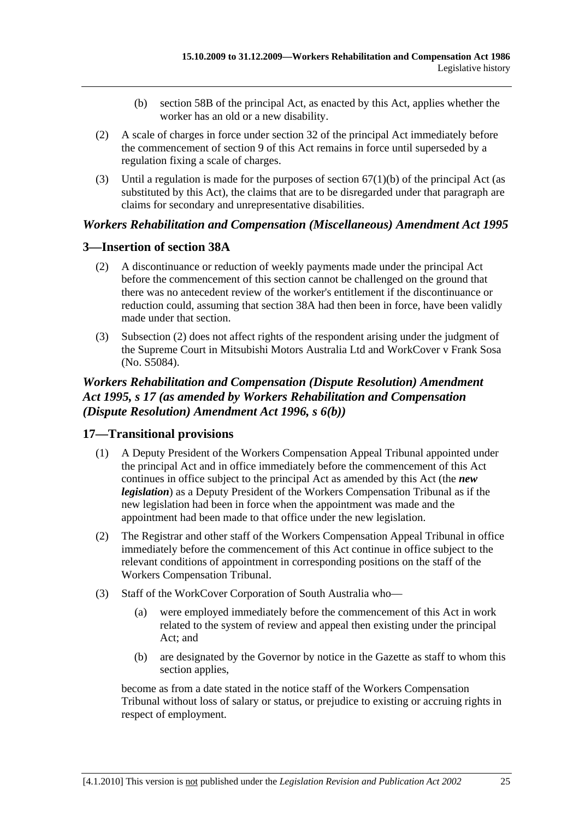- (b) section 58B of the principal Act, as enacted by this Act, applies whether the worker has an old or a new disability.
- (2) A scale of charges in force under section 32 of the principal Act immediately before the commencement of section 9 of this Act remains in force until superseded by a regulation fixing a scale of charges.
- (3) Until a regulation is made for the purposes of section  $67(1)(b)$  of the principal Act (as substituted by this Act), the claims that are to be disregarded under that paragraph are claims for secondary and unrepresentative disabilities.

## *Workers Rehabilitation and Compensation (Miscellaneous) Amendment Act 1995*

## **3—Insertion of section 38A**

- (2) A discontinuance or reduction of weekly payments made under the principal Act before the commencement of this section cannot be challenged on the ground that there was no antecedent review of the worker's entitlement if the discontinuance or reduction could, assuming that section 38A had then been in force, have been validly made under that section.
- (3) Subsection (2) does not affect rights of the respondent arising under the judgment of the Supreme Court in Mitsubishi Motors Australia Ltd and WorkCover v Frank Sosa (No. S5084).

# *Workers Rehabilitation and Compensation (Dispute Resolution) Amendment Act 1995, s 17 (as amended by Workers Rehabilitation and Compensation (Dispute Resolution) Amendment Act 1996, s 6(b))*

## **17—Transitional provisions**

- (1) A Deputy President of the Workers Compensation Appeal Tribunal appointed under the principal Act and in office immediately before the commencement of this Act continues in office subject to the principal Act as amended by this Act (the *new legislation*) as a Deputy President of the Workers Compensation Tribunal as if the new legislation had been in force when the appointment was made and the appointment had been made to that office under the new legislation.
- (2) The Registrar and other staff of the Workers Compensation Appeal Tribunal in office immediately before the commencement of this Act continue in office subject to the relevant conditions of appointment in corresponding positions on the staff of the Workers Compensation Tribunal.
- (3) Staff of the WorkCover Corporation of South Australia who—
	- (a) were employed immediately before the commencement of this Act in work related to the system of review and appeal then existing under the principal Act; and
	- (b) are designated by the Governor by notice in the Gazette as staff to whom this section applies,

become as from a date stated in the notice staff of the Workers Compensation Tribunal without loss of salary or status, or prejudice to existing or accruing rights in respect of employment.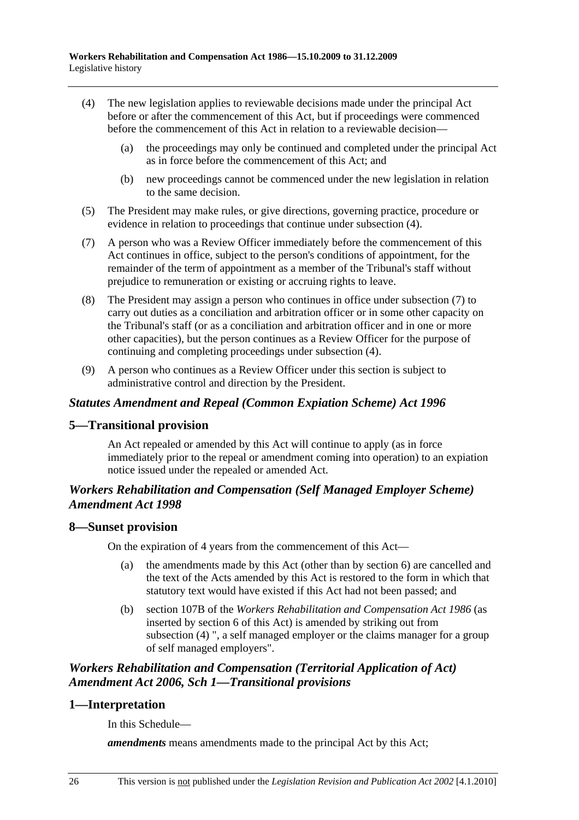- (4) The new legislation applies to reviewable decisions made under the principal Act before or after the commencement of this Act, but if proceedings were commenced before the commencement of this Act in relation to a reviewable decision—
	- (a) the proceedings may only be continued and completed under the principal Act as in force before the commencement of this Act; and
	- (b) new proceedings cannot be commenced under the new legislation in relation to the same decision.
- (5) The President may make rules, or give directions, governing practice, procedure or evidence in relation to proceedings that continue under subsection (4).
- (7) A person who was a Review Officer immediately before the commencement of this Act continues in office, subject to the person's conditions of appointment, for the remainder of the term of appointment as a member of the Tribunal's staff without prejudice to remuneration or existing or accruing rights to leave.
- (8) The President may assign a person who continues in office under subsection (7) to carry out duties as a conciliation and arbitration officer or in some other capacity on the Tribunal's staff (or as a conciliation and arbitration officer and in one or more other capacities), but the person continues as a Review Officer for the purpose of continuing and completing proceedings under subsection (4).
- (9) A person who continues as a Review Officer under this section is subject to administrative control and direction by the President.

## *Statutes Amendment and Repeal (Common Expiation Scheme) Act 1996*

## **5—Transitional provision**

An Act repealed or amended by this Act will continue to apply (as in force immediately prior to the repeal or amendment coming into operation) to an expiation notice issued under the repealed or amended Act.

## *Workers Rehabilitation and Compensation (Self Managed Employer Scheme) Amendment Act 1998*

#### **8—Sunset provision**

On the expiration of 4 years from the commencement of this Act—

- (a) the amendments made by this Act (other than by section 6) are cancelled and the text of the Acts amended by this Act is restored to the form in which that statutory text would have existed if this Act had not been passed; and
- (b) section 107B of the *Workers Rehabilitation and Compensation Act 1986* (as inserted by section 6 of this Act) is amended by striking out from subsection (4) ", a self managed employer or the claims manager for a group of self managed employers".

# *Workers Rehabilitation and Compensation (Territorial Application of Act) Amendment Act 2006, Sch 1—Transitional provisions*

# **1—Interpretation**

In this Schedule—

*amendments* means amendments made to the principal Act by this Act: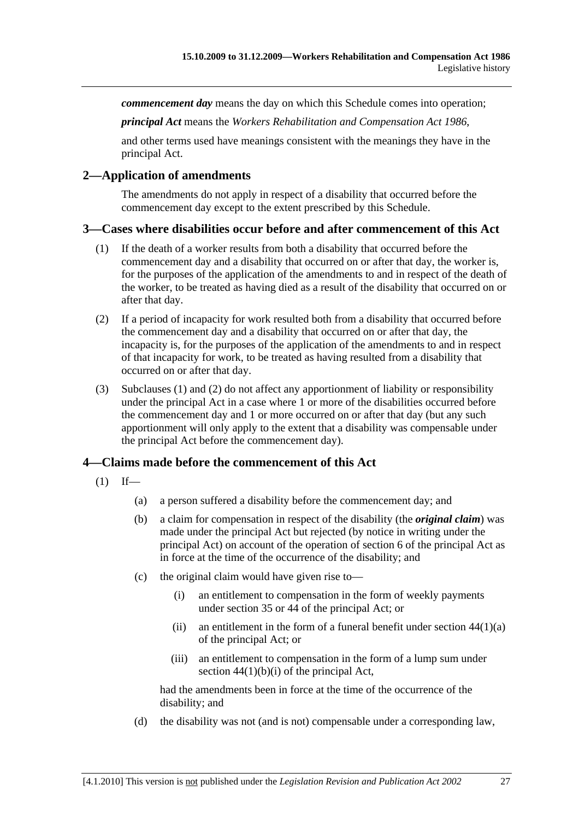*commencement day* means the day on which this Schedule comes into operation;

*principal Act* means the *Workers Rehabilitation and Compensation Act 1986*,

and other terms used have meanings consistent with the meanings they have in the principal Act.

### **2—Application of amendments**

The amendments do not apply in respect of a disability that occurred before the commencement day except to the extent prescribed by this Schedule.

### **3—Cases where disabilities occur before and after commencement of this Act**

- (1) If the death of a worker results from both a disability that occurred before the commencement day and a disability that occurred on or after that day, the worker is, for the purposes of the application of the amendments to and in respect of the death of the worker, to be treated as having died as a result of the disability that occurred on or after that day.
- (2) If a period of incapacity for work resulted both from a disability that occurred before the commencement day and a disability that occurred on or after that day, the incapacity is, for the purposes of the application of the amendments to and in respect of that incapacity for work, to be treated as having resulted from a disability that occurred on or after that day.
- (3) Subclauses (1) and (2) do not affect any apportionment of liability or responsibility under the principal Act in a case where 1 or more of the disabilities occurred before the commencement day and 1 or more occurred on or after that day (but any such apportionment will only apply to the extent that a disability was compensable under the principal Act before the commencement day).

## **4—Claims made before the commencement of this Act**

- $(1)$  If—
	- (a) a person suffered a disability before the commencement day; and
	- (b) a claim for compensation in respect of the disability (the *original claim*) was made under the principal Act but rejected (by notice in writing under the principal Act) on account of the operation of section 6 of the principal Act as in force at the time of the occurrence of the disability; and
	- (c) the original claim would have given rise to—
		- (i) an entitlement to compensation in the form of weekly payments under section 35 or 44 of the principal Act; or
		- (ii) an entitlement in the form of a funeral benefit under section  $44(1)(a)$ of the principal Act; or
		- (iii) an entitlement to compensation in the form of a lump sum under section  $44(1)(b)(i)$  of the principal Act,

had the amendments been in force at the time of the occurrence of the disability; and

(d) the disability was not (and is not) compensable under a corresponding law,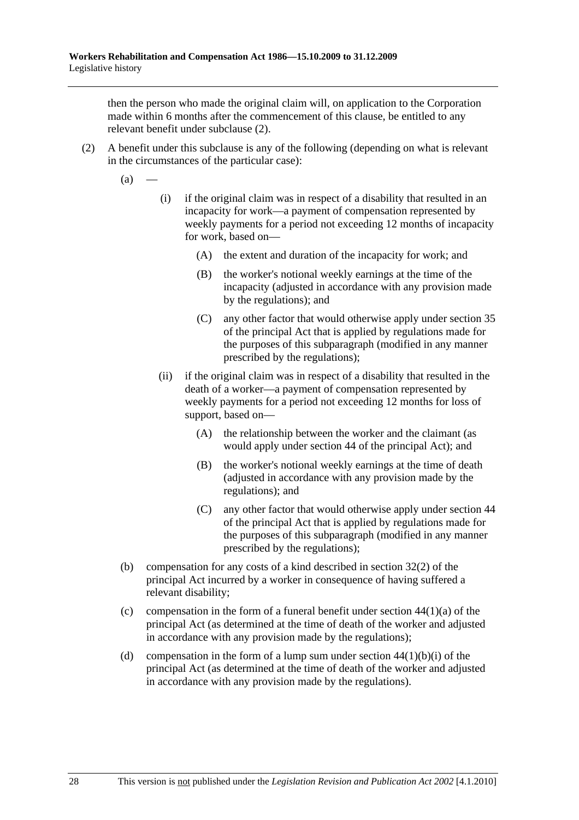then the person who made the original claim will, on application to the Corporation made within 6 months after the commencement of this clause, be entitled to any relevant benefit under subclause (2).

- (2) A benefit under this subclause is any of the following (depending on what is relevant in the circumstances of the particular case):
	- $(a)$ 
		- (i) if the original claim was in respect of a disability that resulted in an incapacity for work—a payment of compensation represented by weekly payments for a period not exceeding 12 months of incapacity for work, based on—
			- (A) the extent and duration of the incapacity for work; and
			- (B) the worker's notional weekly earnings at the time of the incapacity (adjusted in accordance with any provision made by the regulations); and
			- (C) any other factor that would otherwise apply under section 35 of the principal Act that is applied by regulations made for the purposes of this subparagraph (modified in any manner prescribed by the regulations);
		- (ii) if the original claim was in respect of a disability that resulted in the death of a worker—a payment of compensation represented by weekly payments for a period not exceeding 12 months for loss of support, based on—
			- (A) the relationship between the worker and the claimant (as would apply under section 44 of the principal Act); and
			- (B) the worker's notional weekly earnings at the time of death (adjusted in accordance with any provision made by the regulations); and
			- (C) any other factor that would otherwise apply under section 44 of the principal Act that is applied by regulations made for the purposes of this subparagraph (modified in any manner prescribed by the regulations);
	- (b) compensation for any costs of a kind described in section 32(2) of the principal Act incurred by a worker in consequence of having suffered a relevant disability;
	- (c) compensation in the form of a funeral benefit under section  $44(1)(a)$  of the principal Act (as determined at the time of death of the worker and adjusted in accordance with any provision made by the regulations);
	- (d) compensation in the form of a lump sum under section  $44(1)(b)(i)$  of the principal Act (as determined at the time of death of the worker and adjusted in accordance with any provision made by the regulations).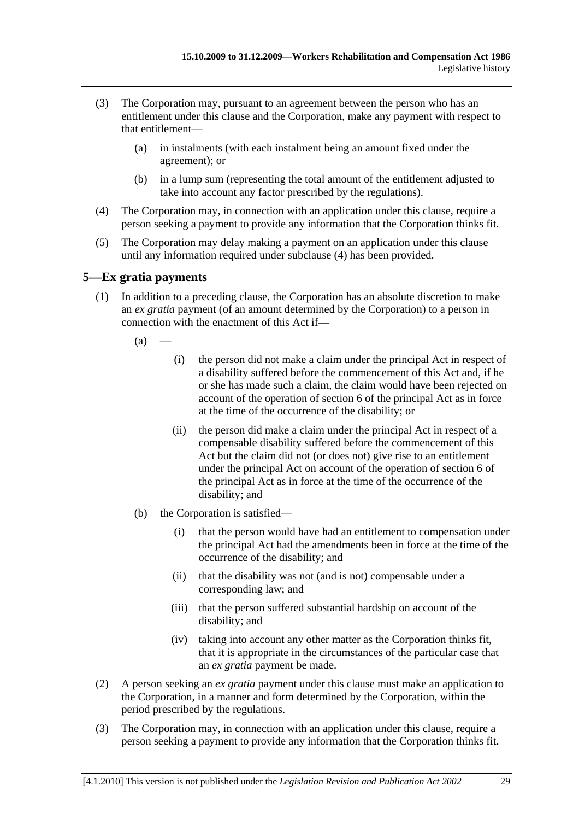- (3) The Corporation may, pursuant to an agreement between the person who has an entitlement under this clause and the Corporation, make any payment with respect to that entitlement—
	- (a) in instalments (with each instalment being an amount fixed under the agreement); or
	- (b) in a lump sum (representing the total amount of the entitlement adjusted to take into account any factor prescribed by the regulations).
- (4) The Corporation may, in connection with an application under this clause, require a person seeking a payment to provide any information that the Corporation thinks fit.
- (5) The Corporation may delay making a payment on an application under this clause until any information required under subclause (4) has been provided.

## **5—Ex gratia payments**

- (1) In addition to a preceding clause, the Corporation has an absolute discretion to make an *ex gratia* payment (of an amount determined by the Corporation) to a person in connection with the enactment of this Act if—
	- $(a)$ 
		- (i) the person did not make a claim under the principal Act in respect of a disability suffered before the commencement of this Act and, if he or she has made such a claim, the claim would have been rejected on account of the operation of section 6 of the principal Act as in force at the time of the occurrence of the disability; or
		- (ii) the person did make a claim under the principal Act in respect of a compensable disability suffered before the commencement of this Act but the claim did not (or does not) give rise to an entitlement under the principal Act on account of the operation of section 6 of the principal Act as in force at the time of the occurrence of the disability; and
	- (b) the Corporation is satisfied—
		- (i) that the person would have had an entitlement to compensation under the principal Act had the amendments been in force at the time of the occurrence of the disability; and
		- (ii) that the disability was not (and is not) compensable under a corresponding law; and
		- (iii) that the person suffered substantial hardship on account of the disability; and
		- (iv) taking into account any other matter as the Corporation thinks fit, that it is appropriate in the circumstances of the particular case that an *ex gratia* payment be made.
- (2) A person seeking an *ex gratia* payment under this clause must make an application to the Corporation, in a manner and form determined by the Corporation, within the period prescribed by the regulations.
- (3) The Corporation may, in connection with an application under this clause, require a person seeking a payment to provide any information that the Corporation thinks fit.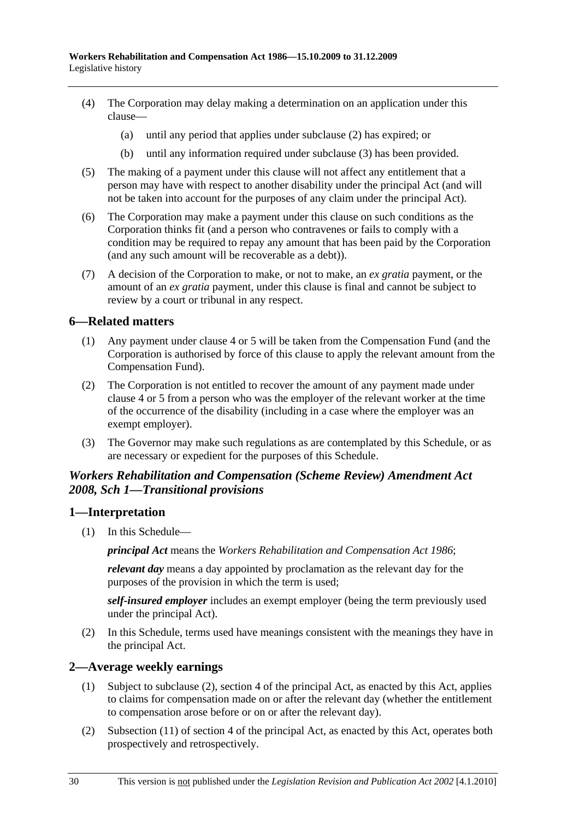- (4) The Corporation may delay making a determination on an application under this clause—
	- (a) until any period that applies under subclause (2) has expired; or
	- (b) until any information required under subclause (3) has been provided.
- (5) The making of a payment under this clause will not affect any entitlement that a person may have with respect to another disability under the principal Act (and will not be taken into account for the purposes of any claim under the principal Act).
- (6) The Corporation may make a payment under this clause on such conditions as the Corporation thinks fit (and a person who contravenes or fails to comply with a condition may be required to repay any amount that has been paid by the Corporation (and any such amount will be recoverable as a debt)).
- (7) A decision of the Corporation to make, or not to make, an *ex gratia* payment, or the amount of an *ex gratia* payment, under this clause is final and cannot be subject to review by a court or tribunal in any respect.

### **6—Related matters**

- (1) Any payment under clause 4 or 5 will be taken from the Compensation Fund (and the Corporation is authorised by force of this clause to apply the relevant amount from the Compensation Fund).
- (2) The Corporation is not entitled to recover the amount of any payment made under clause 4 or 5 from a person who was the employer of the relevant worker at the time of the occurrence of the disability (including in a case where the employer was an exempt employer).
- (3) The Governor may make such regulations as are contemplated by this Schedule, or as are necessary or expedient for the purposes of this Schedule.

## *Workers Rehabilitation and Compensation (Scheme Review) Amendment Act 2008, Sch 1—Transitional provisions*

#### **1—Interpretation**

(1) In this Schedule—

*principal Act* means the *Workers Rehabilitation and Compensation Act 1986*;

*relevant day* means a day appointed by proclamation as the relevant day for the purposes of the provision in which the term is used;

*self-insured employer* includes an exempt employer (being the term previously used under the principal Act).

 (2) In this Schedule, terms used have meanings consistent with the meanings they have in the principal Act.

#### **2—Average weekly earnings**

- (1) Subject to subclause (2), section 4 of the principal Act, as enacted by this Act, applies to claims for compensation made on or after the relevant day (whether the entitlement to compensation arose before or on or after the relevant day).
- (2) Subsection (11) of section 4 of the principal Act, as enacted by this Act, operates both prospectively and retrospectively.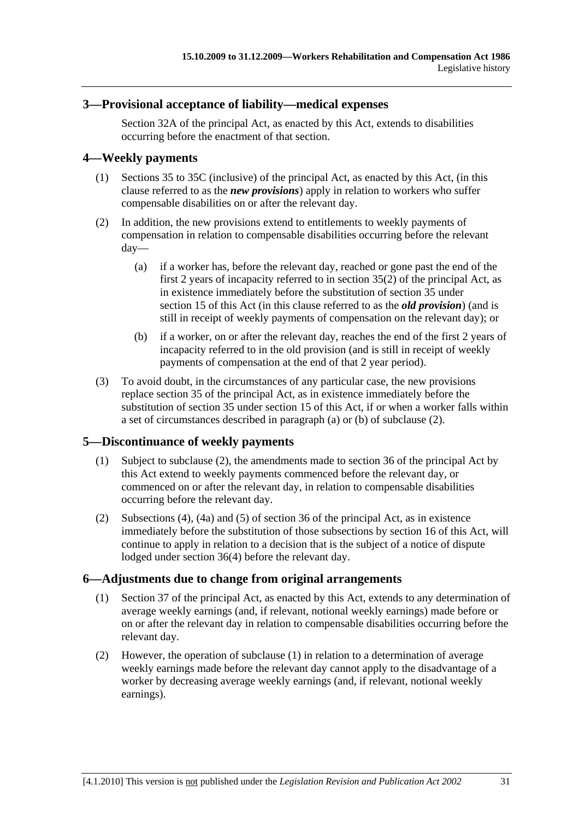## **3—Provisional acceptance of liability—medical expenses**

Section 32A of the principal Act, as enacted by this Act, extends to disabilities occurring before the enactment of that section.

## **4—Weekly payments**

- (1) Sections 35 to 35C (inclusive) of the principal Act, as enacted by this Act, (in this clause referred to as the *new provisions*) apply in relation to workers who suffer compensable disabilities on or after the relevant day.
- (2) In addition, the new provisions extend to entitlements to weekly payments of compensation in relation to compensable disabilities occurring before the relevant day—
	- (a) if a worker has, before the relevant day, reached or gone past the end of the first 2 years of incapacity referred to in section 35(2) of the principal Act, as in existence immediately before the substitution of section 35 under section 15 of this Act (in this clause referred to as the *old provision*) (and is still in receipt of weekly payments of compensation on the relevant day); or
	- (b) if a worker, on or after the relevant day, reaches the end of the first 2 years of incapacity referred to in the old provision (and is still in receipt of weekly payments of compensation at the end of that 2 year period).
- (3) To avoid doubt, in the circumstances of any particular case, the new provisions replace section 35 of the principal Act, as in existence immediately before the substitution of section 35 under section 15 of this Act, if or when a worker falls within a set of circumstances described in paragraph (a) or (b) of subclause (2).

## **5—Discontinuance of weekly payments**

- (1) Subject to subclause (2), the amendments made to section 36 of the principal Act by this Act extend to weekly payments commenced before the relevant day, or commenced on or after the relevant day, in relation to compensable disabilities occurring before the relevant day.
- (2) Subsections (4), (4a) and (5) of section 36 of the principal Act, as in existence immediately before the substitution of those subsections by section 16 of this Act, will continue to apply in relation to a decision that is the subject of a notice of dispute lodged under section 36(4) before the relevant day.

## **6—Adjustments due to change from original arrangements**

- (1) Section 37 of the principal Act, as enacted by this Act, extends to any determination of average weekly earnings (and, if relevant, notional weekly earnings) made before or on or after the relevant day in relation to compensable disabilities occurring before the relevant day.
- (2) However, the operation of subclause (1) in relation to a determination of average weekly earnings made before the relevant day cannot apply to the disadvantage of a worker by decreasing average weekly earnings (and, if relevant, notional weekly earnings).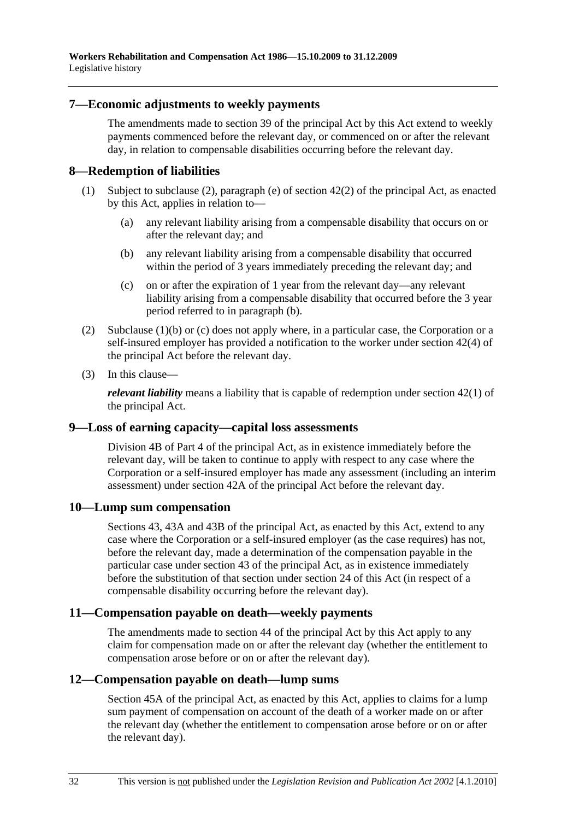### **7—Economic adjustments to weekly payments**

The amendments made to section 39 of the principal Act by this Act extend to weekly payments commenced before the relevant day, or commenced on or after the relevant day, in relation to compensable disabilities occurring before the relevant day.

### **8—Redemption of liabilities**

- (1) Subject to subclause (2), paragraph (e) of section 42(2) of the principal Act, as enacted by this Act, applies in relation to—
	- (a) any relevant liability arising from a compensable disability that occurs on or after the relevant day; and
	- (b) any relevant liability arising from a compensable disability that occurred within the period of 3 years immediately preceding the relevant day; and
	- (c) on or after the expiration of 1 year from the relevant day—any relevant liability arising from a compensable disability that occurred before the 3 year period referred to in paragraph (b).
- (2) Subclause (1)(b) or (c) does not apply where, in a particular case, the Corporation or a self-insured employer has provided a notification to the worker under section 42(4) of the principal Act before the relevant day.
- (3) In this clause—

*relevant liability* means a liability that is capable of redemption under section 42(1) of the principal Act.

#### **9—Loss of earning capacity—capital loss assessments**

Division 4B of Part 4 of the principal Act, as in existence immediately before the relevant day, will be taken to continue to apply with respect to any case where the Corporation or a self-insured employer has made any assessment (including an interim assessment) under section 42A of the principal Act before the relevant day.

## **10—Lump sum compensation**

Sections 43, 43A and 43B of the principal Act, as enacted by this Act, extend to any case where the Corporation or a self-insured employer (as the case requires) has not, before the relevant day, made a determination of the compensation payable in the particular case under section 43 of the principal Act, as in existence immediately before the substitution of that section under section 24 of this Act (in respect of a compensable disability occurring before the relevant day).

#### **11—Compensation payable on death—weekly payments**

The amendments made to section 44 of the principal Act by this Act apply to any claim for compensation made on or after the relevant day (whether the entitlement to compensation arose before or on or after the relevant day).

## **12—Compensation payable on death—lump sums**

Section 45A of the principal Act, as enacted by this Act, applies to claims for a lump sum payment of compensation on account of the death of a worker made on or after the relevant day (whether the entitlement to compensation arose before or on or after the relevant day).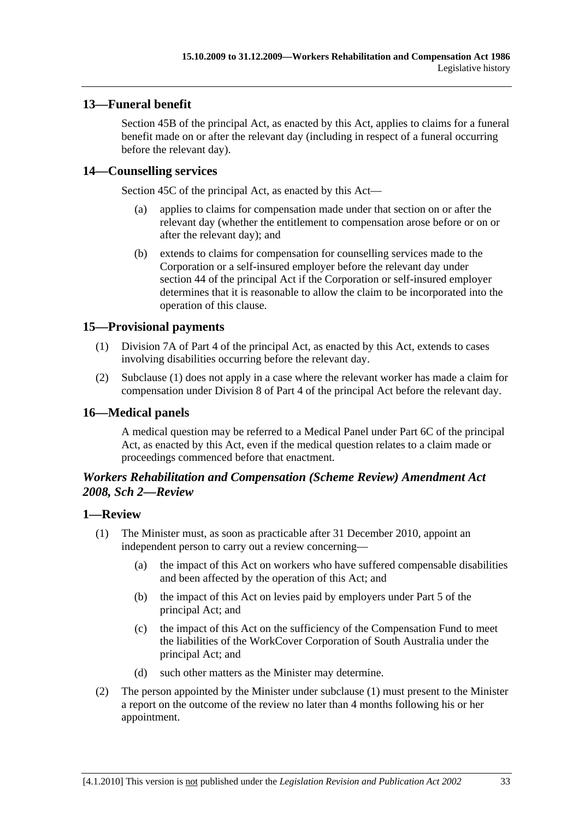# **13—Funeral benefit**

Section 45B of the principal Act, as enacted by this Act, applies to claims for a funeral benefit made on or after the relevant day (including in respect of a funeral occurring before the relevant day).

# **14—Counselling services**

Section 45C of the principal Act, as enacted by this Act—

- (a) applies to claims for compensation made under that section on or after the relevant day (whether the entitlement to compensation arose before or on or after the relevant day); and
- (b) extends to claims for compensation for counselling services made to the Corporation or a self-insured employer before the relevant day under section 44 of the principal Act if the Corporation or self-insured employer determines that it is reasonable to allow the claim to be incorporated into the operation of this clause.

# **15—Provisional payments**

- (1) Division 7A of Part 4 of the principal Act, as enacted by this Act, extends to cases involving disabilities occurring before the relevant day.
- (2) Subclause (1) does not apply in a case where the relevant worker has made a claim for compensation under Division 8 of Part 4 of the principal Act before the relevant day.

# **16—Medical panels**

A medical question may be referred to a Medical Panel under Part 6C of the principal Act, as enacted by this Act, even if the medical question relates to a claim made or proceedings commenced before that enactment.

## *Workers Rehabilitation and Compensation (Scheme Review) Amendment Act 2008, Sch 2—Review*

## **1—Review**

- (1) The Minister must, as soon as practicable after 31 December 2010, appoint an independent person to carry out a review concerning—
	- (a) the impact of this Act on workers who have suffered compensable disabilities and been affected by the operation of this Act; and
	- (b) the impact of this Act on levies paid by employers under Part 5 of the principal Act; and
	- (c) the impact of this Act on the sufficiency of the Compensation Fund to meet the liabilities of the WorkCover Corporation of South Australia under the principal Act; and
	- (d) such other matters as the Minister may determine.
- (2) The person appointed by the Minister under subclause (1) must present to the Minister a report on the outcome of the review no later than 4 months following his or her appointment.